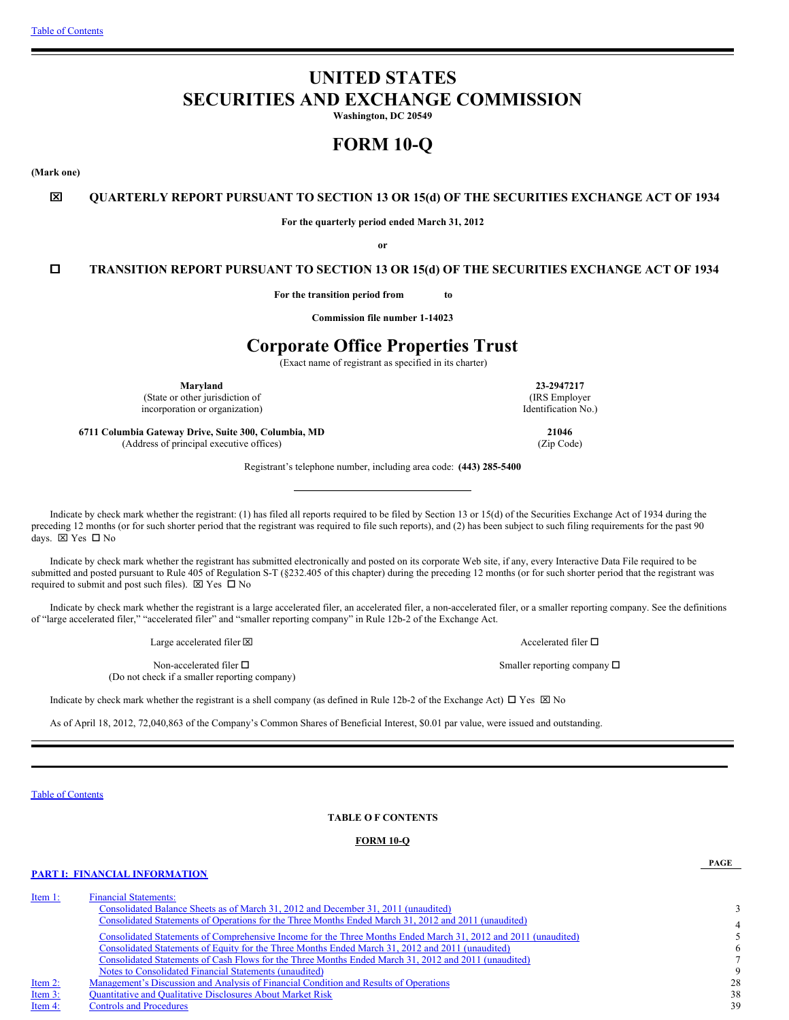# **UNITED STATES SECURITIES AND EXCHANGE COMMISSION**

**Washington, DC 20549**

# **FORM 10-Q**

**(Mark one)**

### x **QUARTERLY REPORT PURSUANT TO SECTION 13 OR 15(d) OF THE SECURITIES EXCHANGE ACT OF 1934**

**For the quarterly period ended March 31, 2012**

**or**

### o **TRANSITION REPORT PURSUANT TO SECTION 13 OR 15(d) OF THE SECURITIES EXCHANGE ACT OF 1934**

**For the transition period from to**

**Commission file number 1-14023**

# **Corporate Office Properties Trust**

(Exact name of registrant as specified in its charter)

**Maryland 23-2947217**

(State or other jurisdiction of (IRS Employer incorporation or organization) Identification No.)

**6711 Columbia Gateway Drive, Suite 300, Columbia, MD 21046** (Address of principal executive offices) (Zip Code)

Registrant's telephone number, including area code: **(443) 285-5400**

Indicate by check mark whether the registrant: (1) has filed all reports required to be filed by Section 13 or 15(d) of the Securities Exchange Act of 1934 during the preceding 12 months (or for such shorter period that the registrant was required to file such reports), and (2) has been subject to such filing requirements for the past 90 days.  $\overline{\boxtimes}$  Yes  $\Box$  No

Indicate by check mark whether the registrant has submitted electronically and posted on its corporate Web site, if any, every Interactive Data File required to be submitted and posted pursuant to Rule 405 of Regulation S-T (§232.405 of this chapter) during the preceding 12 months (or for such shorter period that the registrant was required to submit and post such files).  $\boxtimes$  Yes  $\Box$  No

Indicate by check mark whether the registrant is a large accelerated filer, an accelerated filer, a non-accelerated filer, or a smaller reporting company. See the definitions of "large accelerated filer," "accelerated filer" and "smaller reporting company" in Rule 12b-2 of the Exchange Act.

Large accelerated filer  $\boxtimes$ 

Non-accelerated filer  $\square$ (Do not check if a smaller reporting company)

Indicate by check mark whether the registrant is a shell company (as defined in Rule 12b-2 of the Exchange Act)  $\Box$  Yes  $\boxtimes$  No

As of April 18, 2012, 72,040,863 of the Company's Common Shares of Beneficial Interest, \$0.01 par value, were issued and outstanding.

Table of [Contents](#page-0-0)

**TABLE O F CONTENTS**

### <span id="page-0-0"></span>**FORM 10-Q**

#### **PART I: FINANCIAL [INFORMATION](#page-1-0)**

| Item $1$ : | <b>Financial Statements:</b>                                                                                   |                |
|------------|----------------------------------------------------------------------------------------------------------------|----------------|
|            | Consolidated Balance Sheets as of March 31, 2012 and December 31, 2011 (unaudited)                             |                |
|            | Consolidated Statements of Operations for the Three Months Ended March 31, 2012 and 2011 (unaudited)           | $\overline{4}$ |
|            | Consolidated Statements of Comprehensive Income for the Three Months Ended March 31, 2012 and 2011 (unaudited) |                |
|            | Consolidated Statements of Equity for the Three Months Ended March 31, 2012 and 2011 (unaudited)               | 6              |
|            | Consolidated Statements of Cash Flows for the Three Months Ended March 31, 2012 and 2011 (unaudited)           |                |
|            | Notes to Consolidated Financial Statements (unaudited)                                                         | 9              |
| Item $2$ : | Management's Discussion and Analysis of Financial Condition and Results of Operations                          | 28             |
| Item $3:$  | <b>Quantitative and Qualitative Disclosures About Market Risk</b>                                              | 38             |
| Item 4:    | <b>Controls and Procedures</b>                                                                                 | 39             |

**PAGE**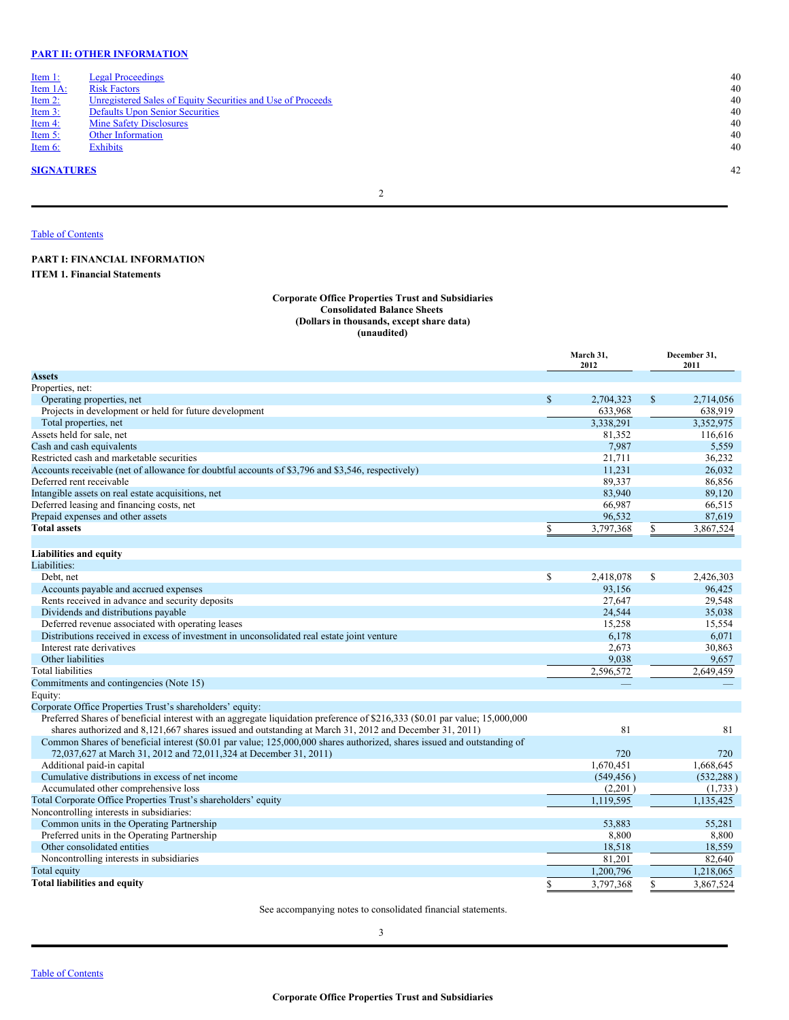### **PART II: OTHER [INFORMATION](#page-23-1)**

| Item 1:    | <b>Legal Proceedings</b>                                    | 40 |
|------------|-------------------------------------------------------------|----|
| Item 1A:   | <b>Risk Factors</b>                                         | 40 |
| Item $2$ : | Unregistered Sales of Equity Securities and Use of Proceeds | 40 |
| Item 3:    | <b>Defaults Upon Senior Securities</b>                      | 40 |
| Item 4:    | <b>Mine Safety Disclosures</b>                              | 40 |
| Item 5:    | <b>Other Information</b>                                    | 40 |
| Item $6$ : | <b>Exhibits</b>                                             | 40 |
|            |                                                             |    |

#### **[SIGNATURES](#page-24-0)** 42

<span id="page-1-2"></span>2

### Table of [Contents](#page-0-0)

### **PART I: FINANCIAL INFORMATION**

**ITEM 1. Financial Statements**

### <span id="page-1-1"></span><span id="page-1-0"></span>**Corporate Office Properties Trust and Subsidiaries Consolidated Balance Sheets (Dollars in thousands, except share data) (unaudited)**

|                                                                                                                             |              | March 31,<br>2012 | December 31,<br>2011 |            |  |
|-----------------------------------------------------------------------------------------------------------------------------|--------------|-------------------|----------------------|------------|--|
| <b>Assets</b>                                                                                                               |              |                   |                      |            |  |
| Properties, net:                                                                                                            |              |                   |                      |            |  |
| Operating properties, net                                                                                                   | $\mathbb{S}$ | 2,704,323         | \$                   | 2,714,056  |  |
| Projects in development or held for future development                                                                      |              | 633,968           |                      | 638,919    |  |
| Total properties, net                                                                                                       |              | 3,338,291         |                      | 3,352,975  |  |
| Assets held for sale, net                                                                                                   |              | 81,352            |                      | 116,616    |  |
| Cash and cash equivalents                                                                                                   |              | 7,987             |                      | 5,559      |  |
| Restricted cash and marketable securities                                                                                   |              | 21,711            |                      | 36,232     |  |
| Accounts receivable (net of allowance for doubtful accounts of \$3,796 and \$3,546, respectively)                           |              | 11,231            |                      | 26,032     |  |
| Deferred rent receivable                                                                                                    |              | 89,337            |                      | 86,856     |  |
| Intangible assets on real estate acquisitions, net                                                                          |              | 83,940            |                      | 89,120     |  |
| Deferred leasing and financing costs, net                                                                                   |              | 66,987            |                      | 66,515     |  |
| Prepaid expenses and other assets                                                                                           |              | 96,532            |                      | 87,619     |  |
| <b>Total assets</b>                                                                                                         | \$           | 3,797,368         | \$                   | 3,867,524  |  |
|                                                                                                                             |              |                   |                      |            |  |
| Liabilities and equity                                                                                                      |              |                   |                      |            |  |
| Liabilities:                                                                                                                |              |                   |                      |            |  |
| Debt, net                                                                                                                   | S            | 2,418,078         | \$                   | 2,426,303  |  |
| Accounts payable and accrued expenses                                                                                       |              | 93.156            |                      | 96,425     |  |
| Rents received in advance and security deposits                                                                             |              | 27,647            |                      | 29,548     |  |
| Dividends and distributions payable                                                                                         |              | 24,544            |                      | 35,038     |  |
| Deferred revenue associated with operating leases                                                                           |              | 15,258            |                      | 15,554     |  |
| Distributions received in excess of investment in unconsolidated real estate joint venture                                  |              | 6.178             |                      | 6.071      |  |
| Interest rate derivatives                                                                                                   |              | 2,673             |                      | 30,863     |  |
| Other liabilities                                                                                                           |              | 9,038             |                      | 9,657      |  |
| Total liabilities                                                                                                           |              | 2,596,572         |                      | 2,649,459  |  |
| Commitments and contingencies (Note 15)                                                                                     |              |                   |                      |            |  |
| Equity:                                                                                                                     |              |                   |                      |            |  |
| Corporate Office Properties Trust's shareholders' equity:                                                                   |              |                   |                      |            |  |
| Preferred Shares of beneficial interest with an aggregate liquidation preference of \$216,333 (\$0.01 par value; 15,000,000 |              |                   |                      |            |  |
| shares authorized and 8,121,667 shares issued and outstanding at March 31, 2012 and December 31, 2011)                      |              | 81                |                      | 81         |  |
| Common Shares of beneficial interest (\$0.01 par value; 125,000,000 shares authorized, shares issued and outstanding of     |              |                   |                      |            |  |
| 72,037,627 at March 31, 2012 and 72,011,324 at December 31, 2011)                                                           |              | 720               |                      | 720        |  |
| Additional paid-in capital                                                                                                  |              | 1,670,451         |                      | 1,668,645  |  |
| Cumulative distributions in excess of net income                                                                            |              | (549, 456)        |                      | (532, 288) |  |
| Accumulated other comprehensive loss                                                                                        |              | (2,201)           |                      | (1,733)    |  |
| Total Corporate Office Properties Trust's shareholders' equity                                                              |              | 1,119,595         |                      | 1,135,425  |  |
| Noncontrolling interests in subsidiaries:                                                                                   |              |                   |                      |            |  |
| Common units in the Operating Partnership                                                                                   |              | 53,883            |                      | 55,281     |  |
| Preferred units in the Operating Partnership                                                                                |              | 8,800             |                      | 8,800      |  |
| Other consolidated entities                                                                                                 |              | 18,518            |                      | 18,559     |  |
| Noncontrolling interests in subsidiaries                                                                                    |              | 81,201            |                      | 82,640     |  |
| Total equity                                                                                                                |              | 1,200,796         |                      | 1,218,065  |  |
| <b>Total liabilities and equity</b>                                                                                         | \$           | 3,797,368         | \$                   | 3,867,524  |  |
|                                                                                                                             |              |                   |                      |            |  |

See accompanying notes to consolidated financial statements.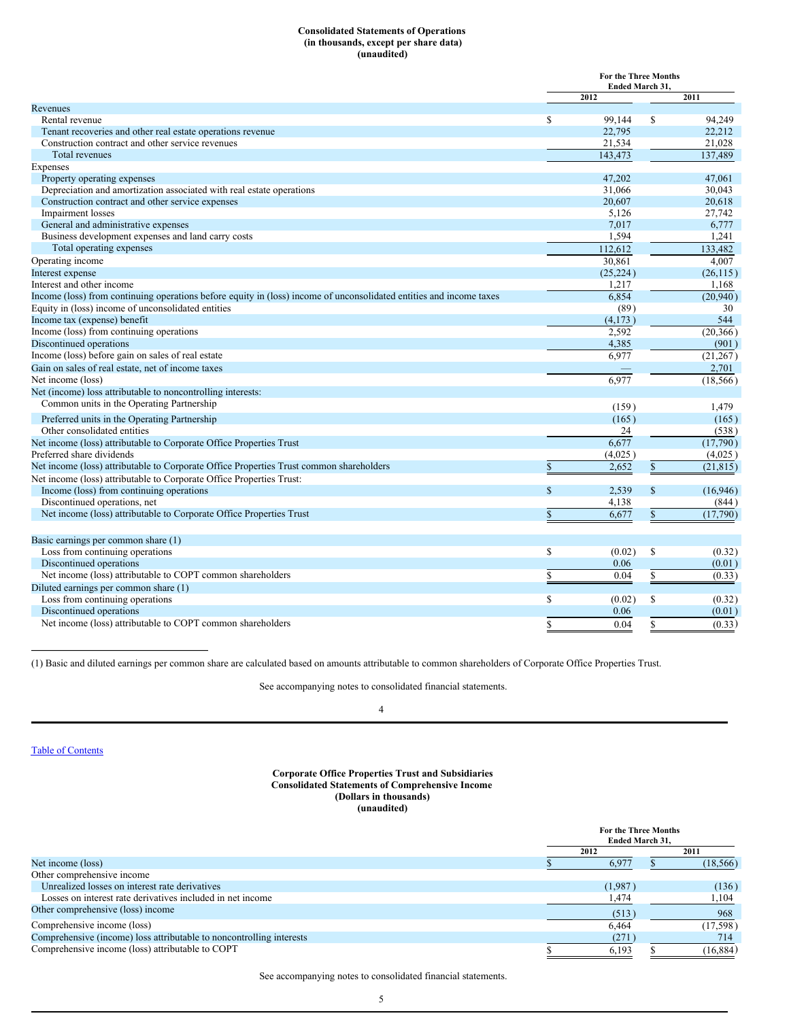### <span id="page-2-0"></span>**Consolidated Statements of Operations (in thousands, except per share data) (unaudited)**

|                                                                                                                     |               | <b>For the Three Months</b><br><b>Ended March 31.</b> |               |           |
|---------------------------------------------------------------------------------------------------------------------|---------------|-------------------------------------------------------|---------------|-----------|
|                                                                                                                     |               | 2012                                                  |               | 2011      |
| Revenues                                                                                                            |               |                                                       |               |           |
| Rental revenue                                                                                                      | S             | 99.144                                                | <sup>\$</sup> | 94.249    |
| Tenant recoveries and other real estate operations revenue                                                          |               | 22,795                                                |               | 22,212    |
| Construction contract and other service revenues                                                                    |               | 21,534                                                |               | 21,028    |
| <b>Total revenues</b>                                                                                               |               | 143,473                                               |               | 137,489   |
| Expenses                                                                                                            |               |                                                       |               |           |
| Property operating expenses                                                                                         |               | 47.202                                                |               | 47.061    |
| Depreciation and amortization associated with real estate operations                                                |               | 31.066                                                |               | 30.043    |
| Construction contract and other service expenses                                                                    |               | 20.607                                                |               | 20,618    |
| Impairment losses                                                                                                   |               | 5,126                                                 |               | 27,742    |
| General and administrative expenses                                                                                 |               | 7,017                                                 |               | 6,777     |
| Business development expenses and land carry costs                                                                  |               | 1,594                                                 |               | 1,241     |
| Total operating expenses                                                                                            |               | 112,612                                               |               | 133,482   |
| Operating income                                                                                                    |               | 30.861                                                |               | 4.007     |
| Interest expense                                                                                                    |               | (25, 224)                                             |               | (26, 115) |
| Interest and other income                                                                                           |               | 1,217                                                 |               | 1,168     |
| Income (loss) from continuing operations before equity in (loss) income of unconsolidated entities and income taxes |               | 6.854                                                 |               | (20,940)  |
| Equity in (loss) income of unconsolidated entities                                                                  |               | (89)                                                  |               | 30        |
| Income tax (expense) benefit                                                                                        |               | (4,173)                                               |               | 544       |
| Income (loss) from continuing operations                                                                            |               | 2.592                                                 |               | (20, 366) |
| Discontinued operations                                                                                             |               | 4,385                                                 |               | (901)     |
| Income (loss) before gain on sales of real estate                                                                   |               | 6,977                                                 |               | (21, 267) |
| Gain on sales of real estate, net of income taxes                                                                   |               |                                                       |               | 2,701     |
| Net income (loss)                                                                                                   |               | 6,977                                                 |               | (18, 566) |
| Net (income) loss attributable to noncontrolling interests:                                                         |               |                                                       |               |           |
| Common units in the Operating Partnership                                                                           |               | (159)                                                 |               | 1,479     |
| Preferred units in the Operating Partnership                                                                        |               | (165)                                                 |               | (165)     |
| Other consolidated entities                                                                                         |               | 24                                                    |               | (538)     |
| Net income (loss) attributable to Corporate Office Properties Trust                                                 |               | 6,677                                                 |               | (17,790)  |
| Preferred share dividends                                                                                           |               | (4,025)                                               |               | (4,025)   |
| Net income (loss) attributable to Corporate Office Properties Trust common shareholders                             | \$            | 2,652                                                 | $\$$          | (21, 815) |
| Net income (loss) attributable to Corporate Office Properties Trust:                                                |               |                                                       |               |           |
| Income (loss) from continuing operations                                                                            | <sup>\$</sup> | 2.539                                                 | $\mathbb{S}$  | (16,946)  |
| Discontinued operations, net                                                                                        |               | 4,138                                                 |               | (844)     |
| Net income (loss) attributable to Corporate Office Properties Trust                                                 | \$            | 6,677                                                 | $\$$          | (17,790)  |
|                                                                                                                     |               |                                                       |               |           |
| Basic earnings per common share (1)                                                                                 |               |                                                       |               |           |
| Loss from continuing operations                                                                                     | \$            | (0.02)                                                | \$            | (0.32)    |
| Discontinued operations                                                                                             |               | 0.06                                                  |               | (0.01)    |
| Net income (loss) attributable to COPT common shareholders                                                          | \$            | 0.04                                                  | \$            | (0.33)    |
| Diluted earnings per common share (1)                                                                               |               |                                                       |               |           |
| Loss from continuing operations                                                                                     | \$            | (0.02)                                                | \$            | (0.32)    |
| Discontinued operations                                                                                             |               | 0.06                                                  |               | (0.01)    |
| Net income (loss) attributable to COPT common shareholders                                                          | S             | 0.04                                                  | $\mathbb{S}$  | (0.33)    |
|                                                                                                                     |               |                                                       |               |           |

(1) Basic and diluted earnings per common share are calculated based on amounts attributable to common shareholders of Corporate Office Properties Trust.

See accompanying notes to consolidated financial statements.

<span id="page-2-1"></span>4

Table of [Contents](#page-0-0)

### **Corporate Office Properties Trust and Subsidiaries Consolidated Statements of Comprehensive Income (Dollars in thousands) (unaudited)**

|                                                                      |         | <b>For the Three Months</b><br><b>Ended March 31.</b> |
|----------------------------------------------------------------------|---------|-------------------------------------------------------|
|                                                                      | 2012    | 2011                                                  |
| Net income (loss)                                                    | 6,977   | (18, 566)                                             |
| Other comprehensive income                                           |         |                                                       |
| Unrealized losses on interest rate derivatives                       | (1,987) | (136)                                                 |
| Losses on interest rate derivatives included in net income           | 1,474   | 1,104                                                 |
| Other comprehensive (loss) income                                    | (513)   | 968                                                   |
| Comprehensive income (loss)                                          | 6,464   | (17, 598)                                             |
| Comprehensive (income) loss attributable to noncontrolling interests | (271)   | 714                                                   |
| Comprehensive income (loss) attributable to COPT                     | 6,193   | (16, 884)                                             |

See accompanying notes to consolidated financial statements.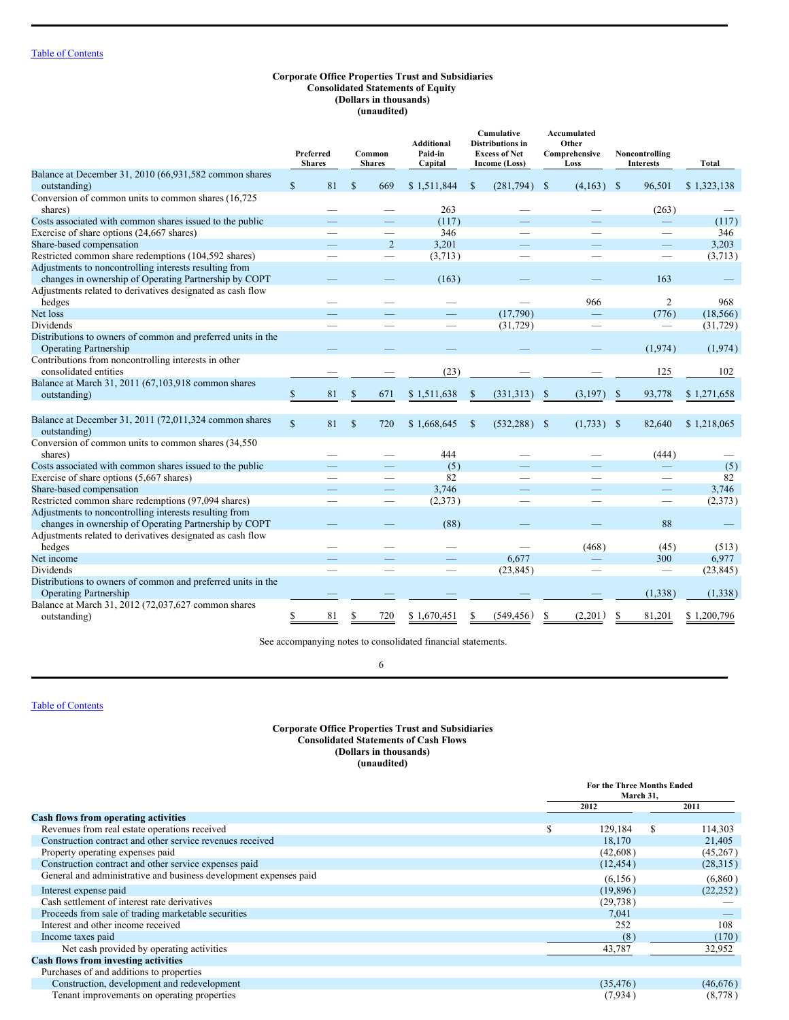#### <span id="page-3-0"></span>**Corporate Office Properties Trust and Subsidiaries Consolidated Statements of Equity (Dollars in thousands) (unaudited)**

|                                                                                                                 |             | Preferred<br><b>Shares</b> |              | Common<br><b>Shares</b>  | <b>Additional</b><br>Paid-in<br>Capital | Cumulative<br><b>Distributions</b> in<br><b>Excess of Net</b><br>Income (Loss) |                 | Accumulated<br>Other<br>Comprehensive<br>Loss |              | Noncontrolling<br><b>Interests</b> |                | Total       |
|-----------------------------------------------------------------------------------------------------------------|-------------|----------------------------|--------------|--------------------------|-----------------------------------------|--------------------------------------------------------------------------------|-----------------|-----------------------------------------------|--------------|------------------------------------|----------------|-------------|
| Balance at December 31, 2010 (66,931,582 common shares                                                          |             |                            |              |                          |                                         |                                                                                |                 |                                               |              |                                    |                |             |
| outstanding)                                                                                                    | $\mathbf S$ | 81                         | $\mathbb{S}$ | 669                      | \$1,511,844                             | $\mathbb{S}$                                                                   | $(281,794)$ \$  |                                               | $(4,163)$ \$ |                                    | 96,501         | \$1,323,138 |
| Conversion of common units to common shares (16,725)<br>shares)                                                 |             |                            |              |                          | 263                                     |                                                                                |                 |                                               |              |                                    | (263)          |             |
| Costs associated with common shares issued to the public                                                        |             |                            |              |                          | (117)                                   |                                                                                |                 |                                               |              |                                    |                | (117)       |
| Exercise of share options (24,667 shares)                                                                       |             |                            |              |                          | 346                                     |                                                                                |                 |                                               |              |                                    |                | 346         |
| Share-based compensation                                                                                        |             |                            |              | 2                        | 3,201                                   |                                                                                |                 |                                               |              |                                    |                | 3,203       |
| Restricted common share redemptions (104,592 shares)                                                            |             |                            |              | $\overline{\phantom{0}}$ | (3,713)                                 |                                                                                |                 |                                               |              |                                    |                | (3,713)     |
| Adjustments to noncontrolling interests resulting from<br>changes in ownership of Operating Partnership by COPT |             |                            |              |                          | (163)                                   |                                                                                |                 |                                               |              |                                    | 163            |             |
| Adjustments related to derivatives designated as cash flow                                                      |             |                            |              |                          |                                         |                                                                                |                 |                                               |              |                                    |                |             |
| hedges                                                                                                          |             |                            |              |                          |                                         |                                                                                |                 |                                               | 966          |                                    | $\overline{2}$ | 968         |
| Net loss                                                                                                        |             |                            |              |                          |                                         |                                                                                | (17,790)        |                                               |              |                                    | (776)          | (18, 566)   |
| Dividends                                                                                                       |             |                            |              |                          |                                         |                                                                                | (31, 729)       |                                               |              |                                    |                | (31, 729)   |
| Distributions to owners of common and preferred units in the<br><b>Operating Partnership</b>                    |             |                            |              |                          |                                         |                                                                                |                 |                                               |              |                                    | (1,974)        | (1,974)     |
| Contributions from noncontrolling interests in other                                                            |             |                            |              |                          |                                         |                                                                                |                 |                                               |              |                                    |                |             |
| consolidated entities                                                                                           |             |                            |              |                          | (23)                                    |                                                                                |                 |                                               |              |                                    | 125            | 102         |
| Balance at March 31, 2011 (67,103,918 common shares<br>outstanding)                                             | \$          | 81                         | \$           | 671                      | \$1,511,638                             | \$                                                                             | (331,313)       | $\mathbb{S}$                                  | (3,197)      | $\mathbb{S}$                       | 93,778         | \$1,271,658 |
|                                                                                                                 |             |                            |              |                          |                                         |                                                                                |                 |                                               |              |                                    |                |             |
| Balance at December 31, 2011 (72,011,324 common shares<br>outstanding)                                          | $\mathbf S$ | 81                         | $\mathbf S$  | 720                      | \$1,668,645                             | $\mathcal{S}$                                                                  | $(532, 288)$ \$ |                                               | $(1,733)$ \$ |                                    | 82,640         | \$1,218,065 |
| Conversion of common units to common shares (34,550)<br>shares)                                                 |             |                            |              |                          | 444                                     |                                                                                |                 |                                               |              |                                    | (444)          |             |
| Costs associated with common shares issued to the public                                                        |             |                            |              |                          | (5)                                     |                                                                                |                 |                                               |              |                                    |                | (5)         |
| Exercise of share options (5,667 shares)                                                                        |             |                            |              |                          | 82                                      |                                                                                |                 |                                               |              |                                    |                | 82          |
| Share-based compensation                                                                                        |             |                            |              |                          | 3.746                                   |                                                                                |                 |                                               |              |                                    |                | 3,746       |
| Restricted common share redemptions (97,094 shares)                                                             |             |                            |              |                          | (2,373)                                 |                                                                                |                 |                                               |              |                                    |                | (2,373)     |
| Adjustments to noncontrolling interests resulting from<br>changes in ownership of Operating Partnership by COPT |             |                            |              |                          | (88)                                    |                                                                                |                 |                                               |              |                                    | 88             |             |
| Adjustments related to derivatives designated as cash flow                                                      |             |                            |              |                          |                                         |                                                                                |                 |                                               |              |                                    |                |             |
| hedges                                                                                                          |             |                            |              |                          |                                         |                                                                                |                 |                                               | (468)        |                                    | (45)           | (513)       |
| Net income                                                                                                      |             |                            |              |                          |                                         |                                                                                | 6,677           |                                               |              |                                    | 300            | 6,977       |
| Dividends                                                                                                       |             |                            |              |                          |                                         |                                                                                | (23, 845)       |                                               |              |                                    |                | (23, 845)   |
| Distributions to owners of common and preferred units in the                                                    |             |                            |              |                          |                                         |                                                                                |                 |                                               |              |                                    |                |             |
| <b>Operating Partnership</b>                                                                                    |             |                            |              |                          |                                         |                                                                                |                 |                                               |              |                                    | (1,338)        | (1,338)     |
| Balance at March 31, 2012 (72,037,627 common shares<br>outstanding)                                             | \$          | 81                         | \$           | 720                      | \$1,670,451                             | \$                                                                             | (549, 456)      | S                                             | (2,201)      | S                                  | 81,201         | \$1,200,796 |

See accompanying notes to consolidated financial statements. 6

Table of [Contents](#page-0-0)

### <span id="page-3-1"></span>**Corporate Office Properties Trust and Subsidiaries Consolidated Statements of Cash Flows (Dollars in thousands) (unaudited)**

|                                                                   | March 31, | <b>For the Three Months Ended</b> |
|-------------------------------------------------------------------|-----------|-----------------------------------|
|                                                                   | 2012      | 2011                              |
| <b>Cash flows from operating activities</b>                       |           |                                   |
| Revenues from real estate operations received<br>\$.              | 129,184   | \$.<br>114,303                    |
| Construction contract and other service revenues received         | 18.170    | 21,405                            |
| Property operating expenses paid                                  | (42,608)  | (45,267)                          |
| Construction contract and other service expenses paid             | (12, 454) | (28, 315)                         |
| General and administrative and business development expenses paid | (6, 156)  | (6,860)                           |
| Interest expense paid                                             | (19,896)  | (22, 252)                         |
| Cash settlement of interest rate derivatives                      | (29, 738) |                                   |
| Proceeds from sale of trading marketable securities               | 7,041     |                                   |
| Interest and other income received                                | 252       | 108                               |
| Income taxes paid                                                 | (8)       | (170)                             |
| Net cash provided by operating activities                         | 43,787    | 32,952                            |
| <b>Cash flows from investing activities</b>                       |           |                                   |
| Purchases of and additions to properties                          |           |                                   |
| Construction, development and redevelopment                       | (35, 476) | (46,676)                          |
| Tenant improvements on operating properties                       | (7,934)   | (8,778)                           |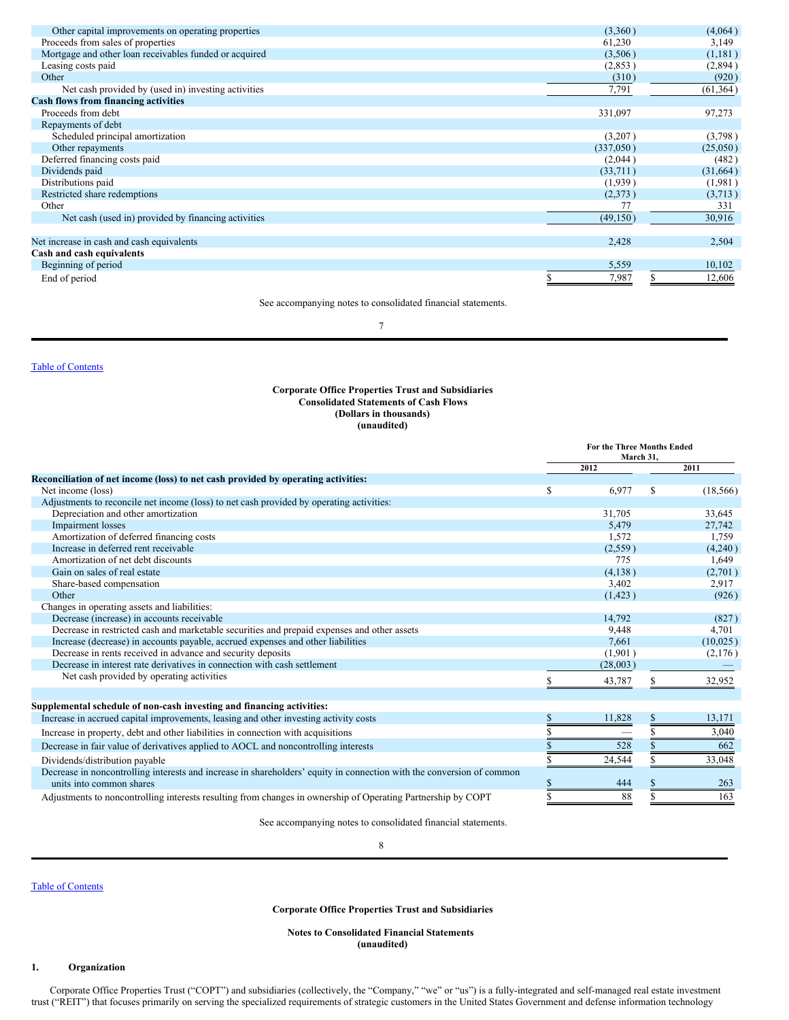| Other capital improvements on operating properties     | (3,360)   | (4,064)   |
|--------------------------------------------------------|-----------|-----------|
| Proceeds from sales of properties                      | 61,230    | 3,149     |
| Mortgage and other loan receivables funded or acquired | (3,506)   | (1,181)   |
| Leasing costs paid                                     | (2,853)   | (2,894)   |
| Other                                                  | (310)     | (920)     |
| Net cash provided by (used in) investing activities    | 7,791     | (61, 364) |
| <b>Cash flows from financing activities</b>            |           |           |
| Proceeds from debt                                     | 331,097   | 97,273    |
| Repayments of debt                                     |           |           |
| Scheduled principal amortization                       | (3,207)   | (3,798)   |
| Other repayments                                       | (337,050) | (25,050)  |
| Deferred financing costs paid                          | (2,044)   | (482)     |
| Dividends paid                                         | (33,711)  | (31,664)  |
| Distributions paid                                     | (1,939)   | (1,981)   |
| Restricted share redemptions                           | (2,373)   | (3,713)   |
| Other                                                  | 77        | 331       |
| Net cash (used in) provided by financing activities    | (49, 150) | 30,916    |
|                                                        |           |           |
| Net increase in cash and cash equivalents              | 2,428     | 2,504     |
| Cash and cash equivalents                              |           |           |
| Beginning of period                                    | 5,559     | 10,102    |
| End of period                                          | 7,987     | 12,606    |
|                                                        |           |           |

See accompanying notes to consolidated financial statements.

7

Table of [Contents](#page-0-0)

#### **Corporate Office Properties Trust and Subsidiaries Consolidated Statements of Cash Flows (Dollars in thousands) (unaudited)**

|                                                                                                                                                   |   | For the Three Months Ended |    |           |
|---------------------------------------------------------------------------------------------------------------------------------------------------|---|----------------------------|----|-----------|
|                                                                                                                                                   |   | 2012                       |    | 2011      |
| Reconciliation of net income (loss) to net cash provided by operating activities:                                                                 |   |                            |    |           |
| Net income (loss)                                                                                                                                 | S | 6,977                      | S  | (18, 566) |
| Adjustments to reconcile net income (loss) to net cash provided by operating activities:                                                          |   |                            |    |           |
| Depreciation and other amortization                                                                                                               |   | 31,705                     |    | 33,645    |
| <b>Impairment</b> losses                                                                                                                          |   | 5.479                      |    | 27,742    |
| Amortization of deferred financing costs                                                                                                          |   | 1,572                      |    | 1,759     |
| Increase in deferred rent receivable                                                                                                              |   | (2,559)                    |    | (4,240)   |
| Amortization of net debt discounts                                                                                                                |   | 775                        |    | 1,649     |
| Gain on sales of real estate                                                                                                                      |   | (4,138)                    |    | (2,701)   |
| Share-based compensation                                                                                                                          |   | 3,402                      |    | 2,917     |
| Other                                                                                                                                             |   | (1, 423)                   |    | (926)     |
| Changes in operating assets and liabilities:                                                                                                      |   |                            |    |           |
| Decrease (increase) in accounts receivable                                                                                                        |   | 14,792                     |    | (827)     |
| Decrease in restricted cash and marketable securities and prepaid expenses and other assets                                                       |   | 9.448                      |    | 4,701     |
| Increase (decrease) in accounts payable, accrued expenses and other liabilities                                                                   |   | 7.661                      |    | (10,025)  |
| Decrease in rents received in advance and security deposits                                                                                       |   | (1,901)                    |    | (2,176)   |
| Decrease in interest rate derivatives in connection with cash settlement                                                                          |   | (28,003)                   |    |           |
| Net cash provided by operating activities                                                                                                         |   | 43,787                     | S. | 32,952    |
| Supplemental schedule of non-cash investing and financing activities:                                                                             |   |                            |    |           |
| Increase in accrued capital improvements, leasing and other investing activity costs                                                              |   | 11,828                     | \$ | 13,171    |
| Increase in property, debt and other liabilities in connection with acquisitions                                                                  |   |                            |    | 3,040     |
| Decrease in fair value of derivatives applied to AOCL and noncontrolling interests                                                                |   | 528                        |    | 662       |
| Dividends/distribution payable                                                                                                                    |   | 24,544                     |    | 33,048    |
| Decrease in noncontrolling interests and increase in shareholders' equity in connection with the conversion of common<br>units into common shares |   | 444                        |    | 263       |
| Adjustments to noncontrolling interests resulting from changes in ownership of Operating Partnership by COPT                                      |   | 88                         |    | 163       |

See accompanying notes to consolidated financial statements.

<span id="page-4-0"></span>8

### Table of [Contents](#page-0-0)

**Corporate Office Properties Trust and Subsidiaries**

**Notes to Consolidated Financial Statements (unaudited)**

#### **1. Organization**

Corporate Office Properties Trust ("COPT") and subsidiaries (collectively, the "Company," "we" or "us") is a fully-integrated and self-managed real estate investment trust ("REIT") that focuses primarily on serving the specialized requirements of strategic customers in the United States Government and defense information technology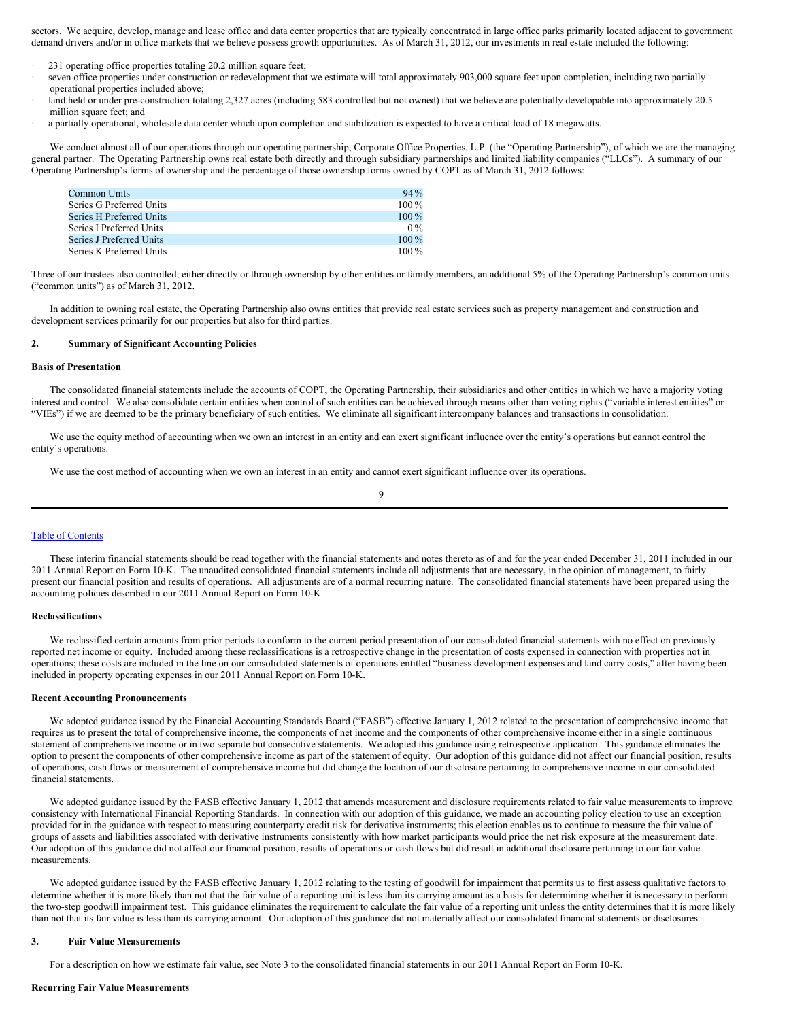sectors. We acquire, develop, manage and lease office and data center properties that are typically concentrated in large office parks primarily located adjacent to government demand drivers and/or in office markets that we believe possess growth opportunities. As of March 31, 2012, our investments in real estate included the following:

- 231 operating office properties totaling 20.2 million square feet;
- seven office properties under construction or redevelopment that we estimate will total approximately 903,000 square feet upon completion, including two partially operational properties included above;
- land held or under pre-construction totaling 2,327 acres (including 583 controlled but not owned) that we believe are potentially developable into approximately 20.5 million square feet; and
- · a partially operational, wholesale data center which upon completion and stabilization is expected to have a critical load of 18 megawatts.

We conduct almost all of our operations through our operating partnership, Corporate Office Properties, L.P. (the "Operating Partnership"), of which we are the managing general partner. The Operating Partnership owns real estate both directly and through subsidiary partnerships and limited liability companies ("LLCs"). A summary of our Operating Partnership's forms of ownership and the percentage of those ownership forms owned by COPT as of March 31, 2012 follows:

| 94%     |
|---------|
| $100\%$ |
| $100\%$ |
| $0\%$   |
| $100\%$ |
| $100\%$ |
|         |

Three of our trustees also controlled, either directly or through ownership by other entities or family members, an additional 5% of the Operating Partnership's common units ("common units") as of March 31, 2012.

In addition to owning real estate, the Operating Partnership also owns entities that provide real estate services such as property management and construction and development services primarily for our properties but also for third parties.

#### **2. Summary of Significant Accounting Policies**

#### **Basis of Presentation**

The consolidated financial statements include the accounts of COPT, the Operating Partnership, their subsidiaries and other entities in which we have a majority voting interest and control. We also consolidate certain entities when control of such entities can be achieved through means other than voting rights ("variable interest entities" or "VIEs") if we are deemed to be the primary beneficiary of such entities. We eliminate all significant intercompany balances and transactions in consolidation.

We use the equity method of accounting when we own an interest in an entity and can exert significant influence over the entity's operations but cannot control the entity's operations.

We use the cost method of accounting when we own an interest in an entity and cannot exert significant influence over its operations.

9

#### Table of [Contents](#page-0-0)

These interim financial statements should be read together with the financial statements and notes thereto as of and for the year ended December 31, 2011 included in our 2011 Annual Report on Form 10-K. The unaudited consolidated financial statements include all adjustments that are necessary, in the opinion of management, to fairly present our financial position and results of operations. All adjustments are of a normal recurring nature. The consolidated financial statements have been prepared using the accounting policies described in our 2011 Annual Report on Form 10-K.

#### **Reclassifications**

We reclassified certain amounts from prior periods to conform to the current period presentation of our consolidated financial statements with no effect on previously reported net income or equity. Included among these reclassifications is a retrospective change in the presentation of costs expensed in connection with properties not in operations; these costs are included in the line on our consolidated statements of operations entitled "business development expenses and land carry costs," after having been included in property operating expenses in our 2011 Annual Report on Form 10-K.

#### **Recent Accounting Pronouncements**

We adopted guidance issued by the Financial Accounting Standards Board ("FASB") effective January 1, 2012 related to the presentation of comprehensive income that requires us to present the total of comprehensive income, the components of net income and the components of other comprehensive income either in a single continuous statement of comprehensive income or in two separate but consecutive statements. We adopted this guidance using retrospective application. This guidance eliminates the option to present the components of other comprehensive income as part of the statement of equity. Our adoption of this guidance did not affect our financial position, results of operations, cash flows or measurement of comprehensive income but did change the location of our disclosure pertaining to comprehensive income in our consolidated financial statements.

We adopted guidance issued by the FASB effective January 1, 2012 that amends measurement and disclosure requirements related to fair value measurements to improve consistency with International Financial Reporting Standards. In connection with our adoption of this guidance, we made an accounting policy election to use an exception provided for in the guidance with respect to measuring counterparty credit risk for derivative instruments; this election enables us to continue to measure the fair value of groups of assets and liabilities associated with derivative instruments consistently with how market participants would price the net risk exposure at the measurement date. Our adoption of this guidance did not affect our financial position, results of operations or cash flows but did result in additional disclosure pertaining to our fair value measurements.

We adopted guidance issued by the FASB effective January 1, 2012 relating to the testing of goodwill for impairment that permits us to first assess qualitative factors to determine whether it is more likely than not that the fair value of a reporting unit is less than its carrying amount as a basis for determining whether it is necessary to perform the two-step goodwill impairment test. This guidance eliminates the requirement to calculate the fair value of a reporting unit unless the entity determines that it is more likely than not that its fair value is less than its carrying amount. Our adoption of this guidance did not materially affect our consolidated financial statements or disclosures.

#### **3. Fair Value Measurements**

For a description on how we estimate fair value, see Note 3 to the consolidated financial statements in our 2011 Annual Report on Form 10-K.

#### **Recurring Fair Value Measurements**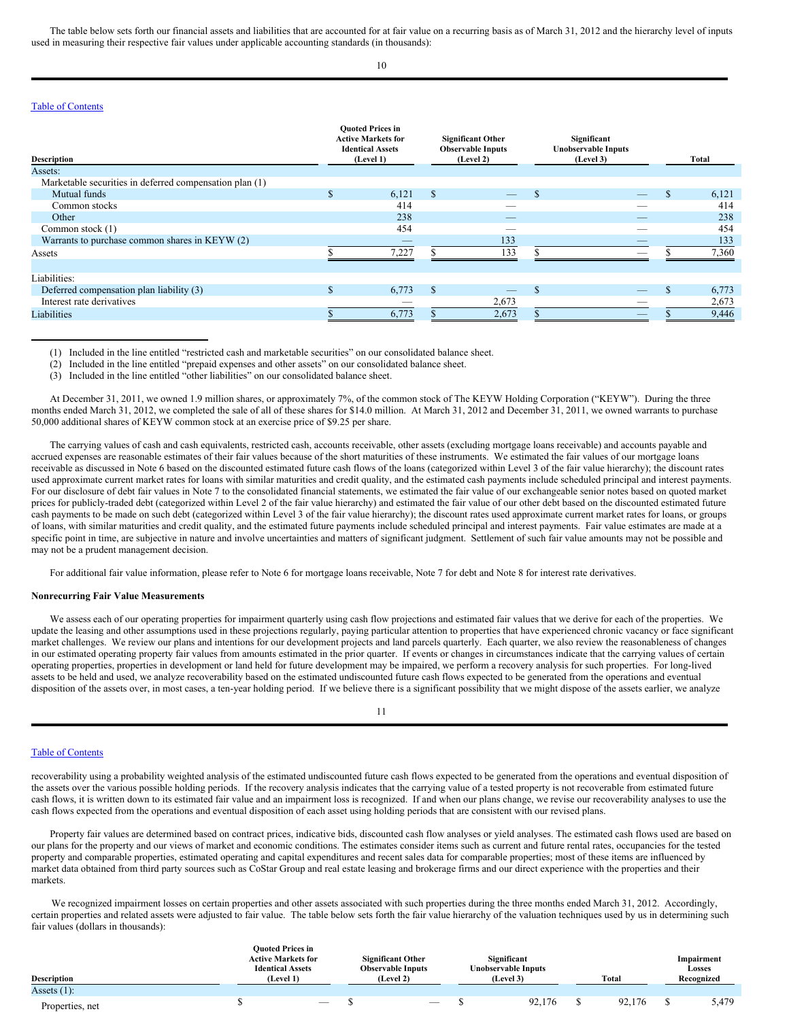The table below sets forth our financial assets and liabilities that are accounted for at fair value on a recurring basis as of March 31, 2012 and the hierarchy level of inputs used in measuring their respective fair values under applicable accounting standards (in thousands):

10

#### Table of [Contents](#page-0-0)

| <b>Description</b>                                      |    | <b>Ouoted Prices in</b><br><b>Active Markets for</b><br><b>Identical Assets</b><br>(Level 1) |               | <b>Significant Other</b><br><b>Observable Inputs</b><br>(Level 2) | Significant<br><b>Unobservable Inputs</b><br>(Level 3) |  |  | Total |  |  |
|---------------------------------------------------------|----|----------------------------------------------------------------------------------------------|---------------|-------------------------------------------------------------------|--------------------------------------------------------|--|--|-------|--|--|
| Assets:                                                 |    |                                                                                              |               |                                                                   |                                                        |  |  |       |  |  |
| Marketable securities in deferred compensation plan (1) |    |                                                                                              |               |                                                                   |                                                        |  |  |       |  |  |
| Mutual funds                                            | \$ | 6,121                                                                                        | <sup>\$</sup> | _                                                                 | J.                                                     |  |  | 6,121 |  |  |
| Common stocks                                           |    | 414                                                                                          |               | _                                                                 |                                                        |  |  | 414   |  |  |
| Other                                                   |    | 238                                                                                          |               | _                                                                 |                                                        |  |  | 238   |  |  |
| Common stock (1)                                        |    | 454                                                                                          |               |                                                                   |                                                        |  |  | 454   |  |  |
| Warrants to purchase common shares in KEYW (2)          |    |                                                                                              |               | 133                                                               |                                                        |  |  | 133   |  |  |
| Assets                                                  |    | 7,227                                                                                        |               | 133                                                               |                                                        |  |  | 7,360 |  |  |
|                                                         |    |                                                                                              |               |                                                                   |                                                        |  |  |       |  |  |
| Liabilities:                                            |    |                                                                                              |               |                                                                   |                                                        |  |  |       |  |  |
| Deferred compensation plan liability (3)                | \$ | 6,773                                                                                        | <sup>\$</sup> |                                                                   | Ф                                                      |  |  | 6,773 |  |  |
| Interest rate derivatives                               |    |                                                                                              |               | 2,673                                                             |                                                        |  |  | 2,673 |  |  |
| Liabilities                                             |    | 6,773                                                                                        |               | 2,673                                                             |                                                        |  |  | 9,446 |  |  |

(1) Included in the line entitled "restricted cash and marketable securities" on our consolidated balance sheet.

(2) Included in the line entitled "prepaid expenses and other assets" on our consolidated balance sheet.

(3) Included in the line entitled "other liabilities" on our consolidated balance sheet.

At December 31, 2011, we owned 1.9 million shares, or approximately 7%, of the common stock of The KEYW Holding Corporation ("KEYW"). During the three months ended March 31, 2012, we completed the sale of all of these shares for \$14.0 million. At March 31, 2012 and December 31, 2011, we owned warrants to purchase 50,000 additional shares of KEYW common stock at an exercise price of \$9.25 per share.

The carrying values of cash and cash equivalents, restricted cash, accounts receivable, other assets (excluding mortgage loans receivable) and accounts payable and accrued expenses are reasonable estimates of their fair values because of the short maturities of these instruments. We estimated the fair values of our mortgage loans receivable as discussed in Note 6 based on the discounted estimated future cash flows of the loans (categorized within Level 3 of the fair value hierarchy); the discount rates used approximate current market rates for loans with similar maturities and credit quality, and the estimated cash payments include scheduled principal and interest payments. For our disclosure of debt fair values in Note 7 to the consolidated financial statements, we estimated the fair value of our exchangeable senior notes based on quoted market prices for publicly-traded debt (categorized within Level 2 of the fair value hierarchy) and estimated the fair value of our other debt based on the discounted estimated future cash payments to be made on such debt (categorized within Level 3 of the fair value hierarchy); the discount rates used approximate current market rates for loans, or groups of loans, with similar maturities and credit quality, and the estimated future payments include scheduled principal and interest payments. Fair value estimates are made at a specific point in time, are subjective in nature and involve uncertainties and matters of significant judgment. Settlement of such fair value amounts may not be possible and may not be a prudent management decision.

For additional fair value information, please refer to Note 6 for mortgage loans receivable, Note 7 for debt and Note 8 for interest rate derivatives.

### **Nonrecurring Fair Value Measurements**

We assess each of our operating properties for impairment quarterly using cash flow projections and estimated fair values that we derive for each of the properties. We update the leasing and other assumptions used in these projections regularly, paying particular attention to properties that have experienced chronic vacancy or face significant market challenges. We review our plans and intentions for our development projects and land parcels quarterly. Each quarter, we also review the reasonableness of changes in our estimated operating property fair values from amounts estimated in the prior quarter. If events or changes in circumstances indicate that the carrying values of certain operating properties, properties in development or land held for future development may be impaired, we perform a recovery analysis for such properties. For long-lived assets to be held and used, we analyze recoverability based on the estimated undiscounted future cash flows expected to be generated from the operations and eventual disposition of the assets over, in most cases, a ten-year holding period. If we believe there is a significant possibility that we might dispose of the assets earlier, we analyze

#### 11

#### Table of [Contents](#page-0-0)

recoverability using a probability weighted analysis of the estimated undiscounted future cash flows expected to be generated from the operations and eventual disposition of the assets over the various possible holding periods. If the recovery analysis indicates that the carrying value of a tested property is not recoverable from estimated future cash flows, it is written down to its estimated fair value and an impairment loss is recognized. If and when our plans change, we revise our recoverability analyses to use the cash flows expected from the operations and eventual disposition of each asset using holding periods that are consistent with our revised plans.

Property fair values are determined based on contract prices, indicative bids, discounted cash flow analyses or yield analyses. The estimated cash flows used are based on our plans for the property and our views of market and economic conditions. The estimates consider items such as current and future rental rates, occupancies for the tested property and comparable properties, estimated operating and capital expenditures and recent sales data for comparable properties; most of these items are influenced by market data obtained from third party sources such as CoStar Group and real estate leasing and brokerage firms and our direct experience with the properties and their markets.

We recognized impairment losses on certain properties and other assets associated with such properties during the three months ended March 31, 2012. Accordingly, certain properties and related assets were adjusted to fair value. The table below sets forth the fair value hierarchy of the valuation techniques used by us in determining such fair values (dollars in thousands):

|                    | <b>Ouoted Prices in</b><br><b>Active Markets for</b> | <b>Significant Other</b> |  |                                       | Significant              |                                         |        |  | Impairment |  |                             |  |
|--------------------|------------------------------------------------------|--------------------------|--|---------------------------------------|--------------------------|-----------------------------------------|--------|--|------------|--|-----------------------------|--|
| <b>Description</b> | (Level 1)                                            | <b>Identical Assets</b>  |  | <b>Observable Inputs</b><br>(Level 2) |                          | <b>Unobservable Inputs</b><br>(Level 3) |        |  | Total      |  | <b>Losses</b><br>Recognized |  |
| Assets $(1)$ :     |                                                      |                          |  |                                       |                          |                                         |        |  |            |  |                             |  |
| Properties, net    |                                                      | $\overline{\phantom{a}}$ |  |                                       | $\overline{\phantom{a}}$ |                                         | 92,176 |  | 92,176     |  | 5,479                       |  |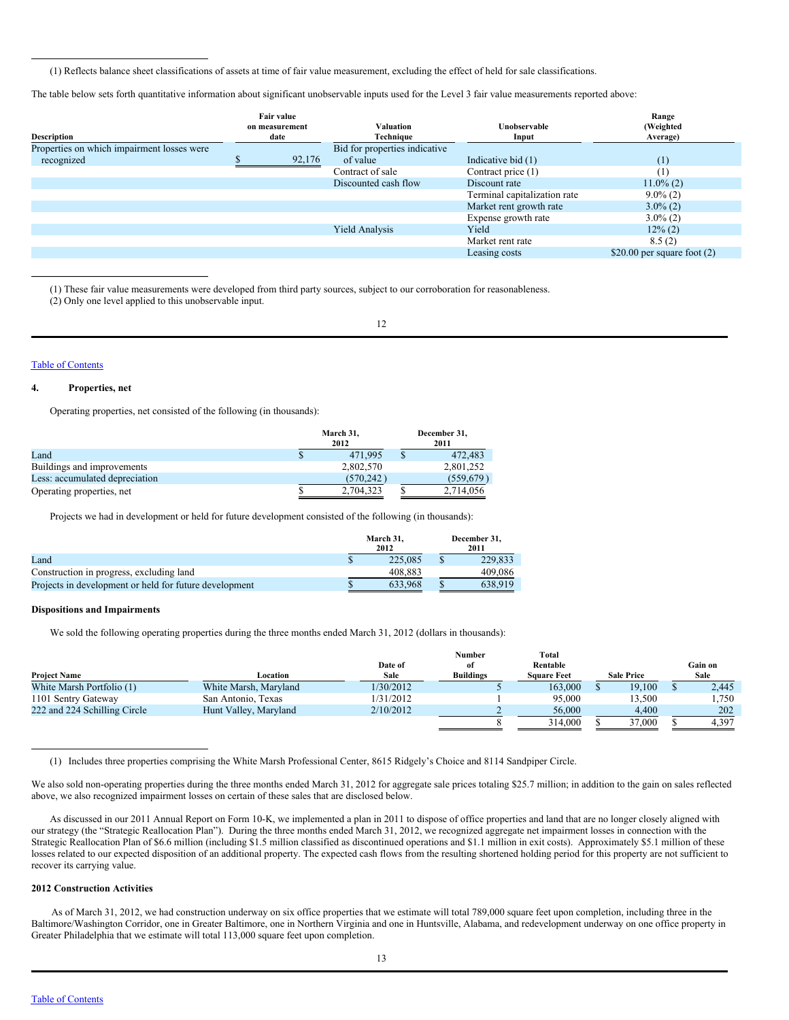The table below sets forth quantitative information about significant unobservable inputs used for the Level 3 fair value measurements reported above:

|                                            |  | Fair value |                               |                              | Range                         |
|--------------------------------------------|--|------------|-------------------------------|------------------------------|-------------------------------|
| on measurement                             |  |            | Valuation                     | Unobservable                 | (Weighted                     |
| Description                                |  | date       | Technique                     | Input                        | Average)                      |
| Properties on which impairment losses were |  |            | Bid for properties indicative |                              |                               |
| recognized                                 |  | 92,176     | of value                      | Indicative bid $(1)$         | (1)                           |
|                                            |  |            | Contract of sale              | Contract price (1)           | (1)                           |
|                                            |  |            | Discounted cash flow          | Discount rate                | $11.0\%$ (2)                  |
|                                            |  |            |                               | Terminal capitalization rate | $9.0\%$ (2)                   |
|                                            |  |            |                               | Market rent growth rate      | $3.0\%$ (2)                   |
|                                            |  |            |                               | Expense growth rate          | $3.0\%$ (2)                   |
|                                            |  |            | <b>Yield Analysis</b>         | Yield                        | $12\%$ (2)                    |
|                                            |  |            |                               | Market rent rate             | 8.5(2)                        |
|                                            |  |            |                               | Leasing costs                | \$20.00 per square foot $(2)$ |
|                                            |  |            |                               |                              |                               |

(1) These fair value measurements were developed from third party sources, subject to our corroboration for reasonableness.

(2) Only one level applied to this unobservable input.

12

### Table of [Contents](#page-0-0)

### **4. Properties, net**

Operating properties, net consisted of the following (in thousands):

|                                | March 31,<br>2012 | December 31,<br>2011 |
|--------------------------------|-------------------|----------------------|
| Land                           | 471.995           | 472,483              |
| Buildings and improvements     | 2,802,570         | 2,801,252            |
| Less: accumulated depreciation | (570.242)         | (559, 679)           |
| Operating properties, net      | 2.704.323         | 2.714.056            |

Projects we had in development or held for future development consisted of the following (in thousands):

|                                                        | March 31.<br>2012 | December 31.<br>2011 |
|--------------------------------------------------------|-------------------|----------------------|
| Land                                                   | 225,085           | 229,833              |
| Construction in progress, excluding land               | 408.883           | 409.086              |
| Projects in development or held for future development | 633.968           | 638.919              |

#### **Dispositions and Impairments**

We sold the following operating properties during the three months ended March 31, 2012 (dollars in thousands):

|                              |                       |           | Number           | Total              |                   |         |
|------------------------------|-----------------------|-----------|------------------|--------------------|-------------------|---------|
|                              |                       | Date of   | of               | Rentable           |                   | Gain on |
| <b>Project Name</b>          | Location              | Sale      | <b>Buildings</b> | <b>Square Feet</b> | <b>Sale Price</b> | Sale    |
| White Marsh Portfolio (1)    | White Marsh, Maryland | 1/30/2012 |                  | 163,000            | 19.100            | 2.445   |
| 1101 Sentry Gateway          | San Antonio, Texas    | 1/31/2012 |                  | 95,000             | 13.500            | .750    |
| 222 and 224 Schilling Circle | Hunt Valley, Maryland | 2/10/2012 |                  | 56,000             | 4.400             | 202     |
|                              |                       |           |                  | 314,000            | 37,000            | 4.397   |

(1) Includes three properties comprising the White Marsh Professional Center, 8615 Ridgely's Choice and 8114 Sandpiper Circle.

We also sold non-operating properties during the three months ended March 31, 2012 for aggregate sale prices totaling \$25.7 million; in addition to the gain on sales reflected above, we also recognized impairment losses on certain of these sales that are disclosed below.

As discussed in our 2011 Annual Report on Form 10-K, we implemented a plan in 2011 to dispose of office properties and land that are no longer closely aligned with our strategy (the "Strategic Reallocation Plan"). During the three months ended March 31, 2012, we recognized aggregate net impairment losses in connection with the Strategic Reallocation Plan of \$6.6 million (including \$1.5 million classified as discontinued operations and \$1.1 million in exit costs). Approximately \$5.1 million of these losses related to our expected disposition of an additional property. The expected cash flows from the resulting shortened holding period for this property are not sufficient to recover its carrying value.

#### **2012 Construction Activities**

As of March 31, 2012, we had construction underway on six office properties that we estimate will total 789,000 square feet upon completion, including three in the Baltimore/Washington Corridor, one in Greater Baltimore, one in Northern Virginia and one in Huntsville, Alabama, and redevelopment underway on one office property in Greater Philadelphia that we estimate will total 113,000 square feet upon completion.

<sup>(1)</sup> Reflects balance sheet classifications of assets at time of fair value measurement, excluding the effect of held for sale classifications.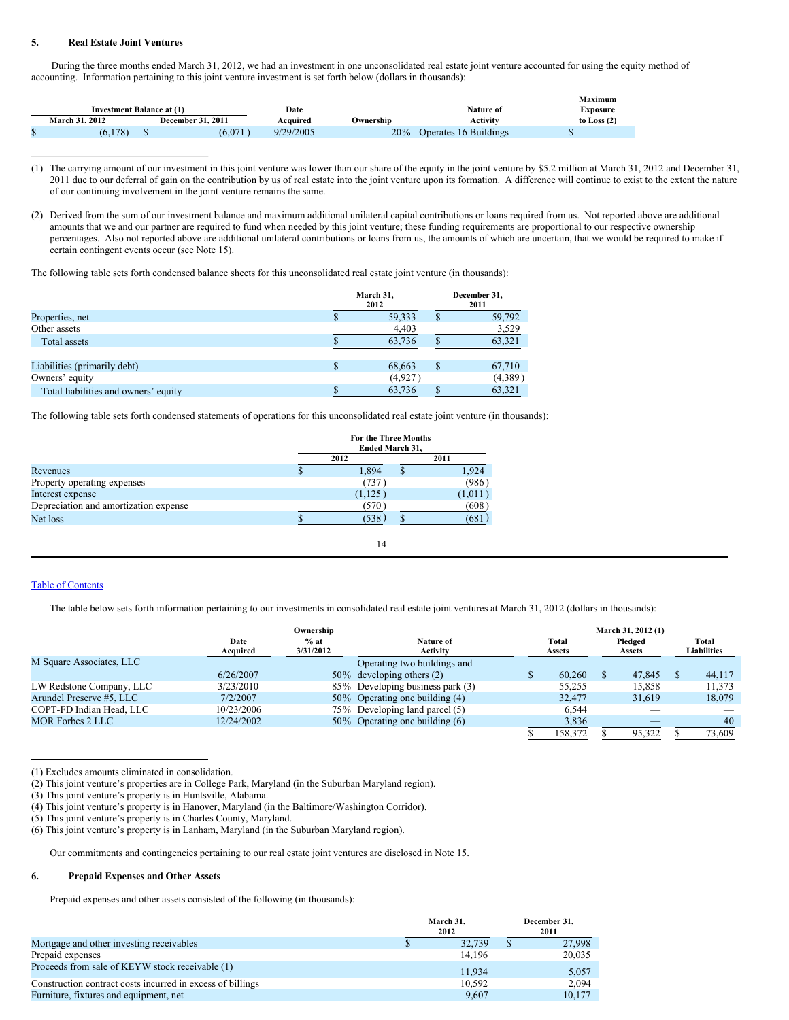#### **5. Real Estate Joint Ventures**

During the three months ended March 31, 2012, we had an investment in one unconsolidated real estate joint venture accounted for using the equity method of accounting. Information pertaining to this joint venture investment is set forth below (dollars in thousands):

| Investment Balance at (1) |                   | Date      |           | Nature of             | Maximum<br>Exposure |   |
|---------------------------|-------------------|-----------|-----------|-----------------------|---------------------|---|
| March 31, 2012            | December 31, 2011 | Acauired  | Ownership | Activitv              | to Loss $(2)$       |   |
| (6.178)                   | (6.071)           | 9/29/2005 | 20%       | Operates 16 Buildings |                     | _ |
|                           |                   |           |           |                       |                     |   |

(1) The carrying amount of our investment in this joint venture was lower than our share of the equity in the joint venture by \$5.2 million at March 31, 2012 and December 31, 2011 due to our deferral of gain on the contribution by us of real estate into the joint venture upon its formation. A difference will continue to exist to the extent the nature of our continuing involvement in the joint venture remains the same.

(2) Derived from the sum of our investment balance and maximum additional unilateral capital contributions or loans required from us. Not reported above are additional amounts that we and our partner are required to fund when needed by this joint venture; these funding requirements are proportional to our respective ownership percentages. Also not reported above are additional unilateral contributions or loans from us, the amounts of which are uncertain, that we would be required to make if certain contingent events occur (see Note 15).

The following table sets forth condensed balance sheets for this unconsolidated real estate joint venture (in thousands):

|                                      | March 31. | December 31,<br>2011 |   |         |
|--------------------------------------|-----------|----------------------|---|---------|
| Properties, net                      |           | 59,333               |   | 59,792  |
| Other assets                         |           | 4.403                |   | 3,529   |
| Total assets                         |           | 63.736               |   | 63,321  |
|                                      |           |                      |   |         |
| Liabilities (primarily debt)         |           | 68,663               | S | 67,710  |
| Owners' equity                       |           | (4,927               |   | (4,389) |
| Total liabilities and owners' equity |           | 63,736               |   | 63,321  |

The following table sets forth condensed statements of operations for this unconsolidated real estate joint venture (in thousands):

|                                       | <b>For the Three Months</b><br>Ended March 31, |          |         |  |  |
|---------------------------------------|------------------------------------------------|----------|---------|--|--|
|                                       | 2012                                           |          | 2011    |  |  |
| Revenues                              | 1,894                                          | S        | 1,924   |  |  |
| Property operating expenses           | (737)                                          |          | (986)   |  |  |
| Interest expense                      | (1,125)                                        |          | (1,011) |  |  |
| Depreciation and amortization expense | (570)                                          |          | (608)   |  |  |
| Net loss                              | (538)                                          | $\sigma$ | (681)   |  |  |
|                                       | 14                                             |          |         |  |  |

#### Table of [Contents](#page-0-0)

The table below sets forth information pertaining to our investments in consolidated real estate joint ventures at March 31, 2012 (dollars in thousands):

|                                                                  | Ownership  |  |                                  |  | March 31, 2012 (1)       |  |                             |  |        |  |  |  |
|------------------------------------------------------------------|------------|--|----------------------------------|--|--------------------------|--|-----------------------------|--|--------|--|--|--|
| $%$ at<br>Date<br>Nature of<br>Activity<br>3/31/2012<br>Acquired |            |  | Total<br><b>Assets</b>           |  | Pledged<br><b>Assets</b> |  | Total<br><b>Liabilities</b> |  |        |  |  |  |
| M Square Associates, LLC                                         |            |  | Operating two buildings and      |  |                          |  |                             |  |        |  |  |  |
|                                                                  | 6/26/2007  |  | $50\%$ developing others (2)     |  | 60.260                   |  | 47.845                      |  | 44,117 |  |  |  |
| LW Redstone Company, LLC                                         | 3/23/2010  |  | 85% Developing business park (3) |  | 55.255                   |  | 15.858                      |  | 11.373 |  |  |  |
| Arundel Preserve #5, LLC                                         | 7/2/2007   |  | 50% Operating one building (4)   |  | 32,477                   |  | 31.619                      |  | 18,079 |  |  |  |
| COPT-FD Indian Head, LLC                                         | 10/23/2006 |  | 75% Developing land parcel (5)   |  | 6,544                    |  |                             |  |        |  |  |  |
| MOR Forbes 2 LLC                                                 | 12/24/2002 |  | 50% Operating one building (6)   |  | 3,836                    |  |                             |  | 40     |  |  |  |
|                                                                  |            |  |                                  |  | 158.372                  |  | 95.322                      |  | 73.609 |  |  |  |

<sup>(1)</sup> Excludes amounts eliminated in consolidation.

Our commitments and contingencies pertaining to our real estate joint ventures are disclosed in Note 15.

#### **6. Prepaid Expenses and Other Assets**

Prepaid expenses and other assets consisted of the following (in thousands):

|                                                            | March 31.<br>2012 | December 31,<br>2011 |
|------------------------------------------------------------|-------------------|----------------------|
| Mortgage and other investing receivables                   | 32,739            | 27,998               |
| Prepaid expenses                                           | 14.196            | 20,035               |
| Proceeds from sale of KEYW stock receivable (1)            | 11.934            | 5.057                |
| Construction contract costs incurred in excess of billings | 10.592            | 2.094                |
| Furniture, fixtures and equipment, net                     | 9.607             | 10.177               |

<sup>(2)</sup> This joint venture's properties are in College Park, Maryland (in the Suburban Maryland region).

<sup>(3)</sup> This joint venture's property is in Huntsville, Alabama.

<sup>(4)</sup> This joint venture's property is in Hanover, Maryland (in the Baltimore/Washington Corridor).

<sup>(5)</sup> This joint venture's property is in Charles County, Maryland.

<sup>(6)</sup> This joint venture's property is in Lanham, Maryland (in the Suburban Maryland region).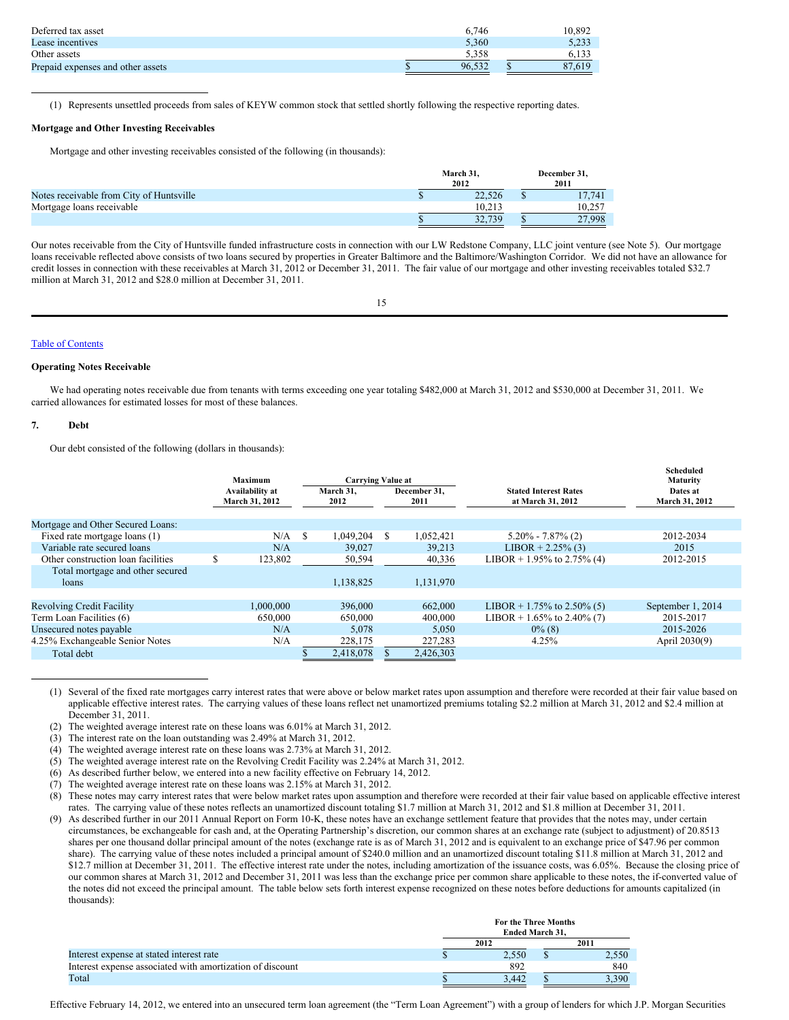| Deferred tax asset                | 6.746  | 10.892 |
|-----------------------------------|--------|--------|
| Lease incentives                  | 5.360  | 5.233  |
| Other assets                      | 5.358  | 5.133  |
| Prepaid expenses and other assets | 96.532 | 87.619 |

(1) Represents unsettled proceeds from sales of KEYW common stock that settled shortly following the respective reporting dates.

#### **Mortgage and Other Investing Receivables**

Mortgage and other investing receivables consisted of the following (in thousands):

|                                          | March 31.<br>2012 | December 31.<br>2011 |
|------------------------------------------|-------------------|----------------------|
| Notes receivable from City of Huntsville | 22.526            | 17.741               |
| Mortgage loans receivable                | 10.213            | 10.257               |
|                                          | 32.739            | 27.998               |

Our notes receivable from the City of Huntsville funded infrastructure costs in connection with our LW Redstone Company, LLC joint venture (see Note 5). Our mortgage loans receivable reflected above consists of two loans secured by properties in Greater Baltimore and the Baltimore/Washington Corridor. We did not have an allowance for credit losses in connection with these receivables at March 31, 2012 or December 31, 2011. The fair value of our mortgage and other investing receivables totaled \$32.7 million at March 31, 2012 and \$28.0 million at December 31, 2011.

#### Table of [Contents](#page-0-0)

#### **Operating Notes Receivable**

We had operating notes receivable due from tenants with terms exceeding one year totaling \$482,000 at March 31, 2012 and \$530,000 at December 31, 2011. We carried allowances for estimated losses for most of these balances.

### **7. Debt**

Our debt consisted of the following (dollars in thousands):

|                                    | <b>Maximum</b>                    |    | <b>Carrying Value at</b> |   |                      |                                                   | <b>Scheduled</b><br>Maturity |
|------------------------------------|-----------------------------------|----|--------------------------|---|----------------------|---------------------------------------------------|------------------------------|
|                                    | Availability at<br>March 31, 2012 |    | March 31.<br>2012        |   | December 31.<br>2011 | <b>Stated Interest Rates</b><br>at March 31, 2012 | Dates at<br>March 31, 2012   |
| Mortgage and Other Secured Loans:  |                                   |    |                          |   |                      |                                                   |                              |
| Fixed rate mortgage loans (1)      | N/A                               | S. | 1,049,204                | S | 1,052,421            | $5.20\% - 7.87\% (2)$                             | 2012-2034                    |
| Variable rate secured loans        | N/A                               |    | 39,027                   |   | 39,213               | $LIBOR + 2.25\%$ (3)                              | 2015                         |
| Other construction loan facilities | \$<br>123,802                     |    | 50,594                   |   | 40,336               | LIBOR + 1.95% to 2.75% (4)                        | 2012-2015                    |
| Total mortgage and other secured   |                                   |    |                          |   |                      |                                                   |                              |
| loans                              |                                   |    | 1.138.825                |   | 1.131.970            |                                                   |                              |
|                                    |                                   |    |                          |   |                      |                                                   |                              |
| <b>Revolving Credit Facility</b>   | 1.000.000                         |    | 396,000                  |   | 662,000              | LIBOR + 1.75% to 2.50% (5)                        | September 1, 2014            |
| Term Loan Facilities (6)           | 650,000                           |    | 650,000                  |   | 400,000              | LIBOR + 1.65% to 2.40% (7)                        | 2015-2017                    |
| Unsecured notes payable            | N/A                               |    | 5,078                    |   | 5,050                | $0\%$ (8)                                         | 2015-2026                    |
| 4.25% Exchangeable Senior Notes    | N/A                               |    | 228,175                  |   | 227,283              | 4.25%                                             | April 2030(9)                |
| Total debt                         |                                   |    | 2.418.078                |   | 2,426,303            |                                                   |                              |

(1) Several of the fixed rate mortgages carry interest rates that were above or below market rates upon assumption and therefore were recorded at their fair value based on applicable effective interest rates. The carrying values of these loans reflect net unamortized premiums totaling \$2.2 million at March 31, 2012 and \$2.4 million at December 31, 2011.

(2) The weighted average interest rate on these loans was 6.01% at March 31, 2012.

(3) The interest rate on the loan outstanding was 2.49% at March 31, 2012.

(4) The weighted average interest rate on these loans was 2.73% at March 31, 2012.

(5) The weighted average interest rate on the Revolving Credit Facility was 2.24% at March 31, 2012.

(6) As described further below, we entered into a new facility effective on February 14, 2012.

(7) The weighted average interest rate on these loans was 2.15% at March 31, 2012.

(8) These notes may carry interest rates that were below market rates upon assumption and therefore were recorded at their fair value based on applicable effective interest rates. The carrying value of these notes reflects an unamortized discount totaling \$1.7 million at March 31, 2012 and \$1.8 million at December 31, 2011.

(9) As described further in our 2011 Annual Report on Form 10-K, these notes have an exchange settlement feature that provides that the notes may, under certain circumstances, be exchangeable for cash and, at the Operating Partnership's discretion, our common shares at an exchange rate (subject to adjustment) of 20.8513 shares per one thousand dollar principal amount of the notes (exchange rate is as of March 31, 2012 and is equivalent to an exchange price of \$47.96 per common share). The carrying value of these notes included a principal amount of \$240.0 million and an unamortized discount totaling \$11.8 million at March 31, 2012 and \$12.7 million at December 31, 2011. The effective interest rate under the notes, including amortization of the issuance costs, was 6.05%. Because the closing price of our common shares at March 31, 2012 and December 31, 2011 was less than the exchange price per common share applicable to these notes, the if-converted value of the notes did not exceed the principal amount. The table below sets forth interest expense recognized on these notes before deductions for amounts capitalized (in thousands):

|                                                           | For the Three Months<br><b>Ended March 31.</b><br>2012<br>2011<br>2.550<br>892 |  |       |  |  |
|-----------------------------------------------------------|--------------------------------------------------------------------------------|--|-------|--|--|
|                                                           |                                                                                |  |       |  |  |
|                                                           |                                                                                |  |       |  |  |
| Interest expense at stated interest rate                  |                                                                                |  | 2.550 |  |  |
| Interest expense associated with amortization of discount |                                                                                |  | 840   |  |  |
| Total                                                     | 3.442                                                                          |  | 3.390 |  |  |

Effective February 14, 2012, we entered into an unsecured term loan agreement (the "Term Loan Agreement") with a group of lenders for which J.P. Morgan Securities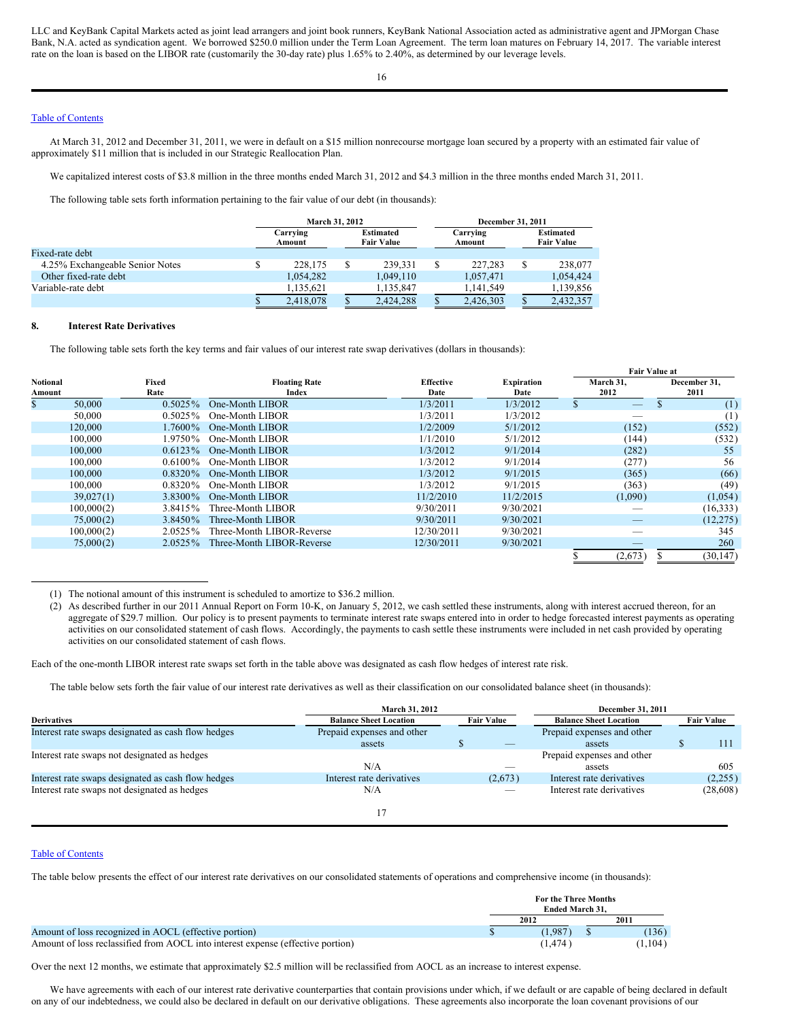LLC and KeyBank Capital Markets acted as joint lead arrangers and joint book runners, KeyBank National Association acted as administrative agent and JPMorgan Chase Bank, N.A. acted as syndication agent. We borrowed \$250.0 million under the Term Loan Agreement. The term loan matures on February 14, 2017. The variable interest rate on the loan is based on the LIBOR rate (customarily the 30-day rate) plus 1.65% to 2.40%, as determined by our leverage levels.

### Table of [Contents](#page-0-0)

At March 31, 2012 and December 31, 2011, we were in default on a \$15 million nonrecourse mortgage loan secured by a property with an estimated fair value of approximately \$11 million that is included in our Strategic Reallocation Plan.

We capitalized interest costs of \$3.8 million in the three months ended March 31, 2012 and \$4.3 million in the three months ended March 31, 2011.

The following table sets forth information pertaining to the fair value of our debt (in thousands):

|                                 | March 31, 2012                                              |  |           |  | <b>December 31, 2011</b> |                                       |           |  |  |  |
|---------------------------------|-------------------------------------------------------------|--|-----------|--|--------------------------|---------------------------------------|-----------|--|--|--|
|                                 | <b>Estimated</b><br>Carrying<br><b>Fair Value</b><br>Amount |  |           |  | Carrying<br>Amount       | <b>Estimated</b><br><b>Fair Value</b> |           |  |  |  |
| Fixed-rate debt                 |                                                             |  |           |  |                          |                                       |           |  |  |  |
| 4.25% Exchangeable Senior Notes | 228,175                                                     |  | 239.331   |  | 227,283                  |                                       | 238,077   |  |  |  |
| Other fixed-rate debt           | 1,054,282                                                   |  | 1,049,110 |  | 1,057,471                |                                       | 1,054,424 |  |  |  |
| Variable-rate debt              | 1.135.621                                                   |  | 1.135.847 |  | 1,141,549                |                                       | 1,139,856 |  |  |  |
|                                 | 2.418,078                                                   |  | 2.424.288 |  | 2,426,303                |                                       | 2,432,357 |  |  |  |

### **8. Interest Rate Derivatives**

The following table sets forth the key terms and fair values of our interest rate swap derivatives (dollars in thousands):

|                           |            |               |                               |                          |                           |                   | <b>Fair Value at</b> |                      |
|---------------------------|------------|---------------|-------------------------------|--------------------------|---------------------------|-------------------|----------------------|----------------------|
| <b>Notional</b><br>Amount |            | Fixed<br>Rate | <b>Floating Rate</b><br>Index | <b>Effective</b><br>Date | <b>Expiration</b><br>Date | March 31.<br>2012 |                      | December 31,<br>2011 |
|                           | 50,000     | $0.5025\%$    | One-Month LIBOR               | 1/3/2011                 | 1/3/2012                  | \$                |                      | (1)                  |
|                           | 50,000     | $0.5025\%$    | One-Month LIBOR               | 1/3/2011                 | 1/3/2012                  |                   |                      | (1)                  |
|                           | 120,000    | 1.7600%       | One-Month LIBOR               | 1/2/2009                 | 5/1/2012                  | (152)             |                      | (552)                |
|                           | 100,000    | 1.9750%       | One-Month LIBOR               | 1/1/2010                 | 5/1/2012                  | (144)             |                      | (532)                |
|                           | 100,000    | $0.6123\%$    | One-Month LIBOR               | 1/3/2012                 | 9/1/2014                  | (282)             |                      | 55                   |
|                           | 100,000    | $0.6100\%$    | One-Month LIBOR               | 1/3/2012                 | 9/1/2014                  | (277)             |                      | 56                   |
|                           | 100,000    | $0.8320\%$    | One-Month LIBOR               | 1/3/2012                 | 9/1/2015                  | (365)             |                      | (66)                 |
|                           | 100,000    | $0.8320\%$    | One-Month LIBOR               | 1/3/2012                 | 9/1/2015                  | (363)             |                      | (49)                 |
|                           | 39,027(1)  | 3.8300%       | One-Month LIBOR               | 11/2/2010                | 11/2/2015                 | (1,090)           |                      | (1,054)              |
|                           | 100,000(2) | 3.8415%       | Three-Month LIBOR             | 9/30/2011                | 9/30/2021                 |                   |                      | (16, 333)            |
|                           | 75,000(2)  | 3.8450%       | Three-Month LIBOR             | 9/30/2011                | 9/30/2021                 |                   |                      | (12, 275)            |
|                           | 100,000(2) | $2.0525\%$    | Three-Month LIBOR-Reverse     | 12/30/2011               | 9/30/2021                 |                   |                      | 345                  |
|                           | 75,000(2)  | $2.0525\%$    | Three-Month LIBOR-Reverse     | 12/30/2011               | 9/30/2021                 |                   |                      | 260                  |
|                           |            |               |                               |                          |                           | (2,673)           |                      | (30, 147)            |

<sup>(1)</sup> The notional amount of this instrument is scheduled to amortize to \$36.2 million.

Each of the one-month LIBOR interest rate swaps set forth in the table above was designated as cash flow hedges of interest rate risk.

The table below sets forth the fair value of our interest rate derivatives as well as their classification on our consolidated balance sheet (in thousands):

|                                                    | <b>March 31, 2012</b>         |                   |                          | December 31, 2011             |  |                   |  |  |
|----------------------------------------------------|-------------------------------|-------------------|--------------------------|-------------------------------|--|-------------------|--|--|
| <b>Derivatives</b>                                 | <b>Balance Sheet Location</b> | <b>Fair Value</b> |                          | <b>Balance Sheet Location</b> |  | <b>Fair Value</b> |  |  |
| Interest rate swaps designated as cash flow hedges | Prepaid expenses and other    |                   |                          | Prepaid expenses and other    |  |                   |  |  |
|                                                    | assets                        |                   | _                        | assets                        |  | UI                |  |  |
| Interest rate swaps not designated as hedges       |                               |                   |                          | Prepaid expenses and other    |  |                   |  |  |
|                                                    | N/A                           |                   |                          | assets                        |  | 605               |  |  |
| Interest rate swaps designated as cash flow hedges | Interest rate derivatives     |                   | (2,673)                  | Interest rate derivatives     |  | (2,255)           |  |  |
| Interest rate swaps not designated as hedges       | N/A                           |                   | $\overline{\phantom{a}}$ | Interest rate derivatives     |  | (28, 608)         |  |  |
|                                                    |                               |                   |                          |                               |  |                   |  |  |

### Table of [Contents](#page-0-0)

The table below presents the effect of our interest rate derivatives on our consolidated statements of operations and comprehensive income (in thousands):

|                                                                                 | For the Three Months<br>Ended March 31. |          |
|---------------------------------------------------------------------------------|-----------------------------------------|----------|
|                                                                                 | 2012                                    | 2011     |
| Amount of loss recognized in AOCL (effective portion)                           | (1.987)                                 | (136)    |
| Amount of loss reclassified from AOCL into interest expense (effective portion) | (1.474)                                 | (1, 104) |

Over the next 12 months, we estimate that approximately \$2.5 million will be reclassified from AOCL as an increase to interest expense.

We have agreements with each of our interest rate derivative counterparties that contain provisions under which, if we default or are capable of being declared in default on any of our indebtedness, we could also be declared in default on our derivative obligations. These agreements also incorporate the loan covenant provisions of our

<sup>(2)</sup> As described further in our 2011 Annual Report on Form 10-K, on January 5, 2012, we cash settled these instruments, along with interest accrued thereon, for an aggregate of \$29.7 million. Our policy is to present payments to terminate interest rate swaps entered into in order to hedge forecasted interest payments as operating activities on our consolidated statement of cash flows. Accordingly, the payments to cash settle these instruments were included in net cash provided by operating activities on our consolidated statement of cash flows.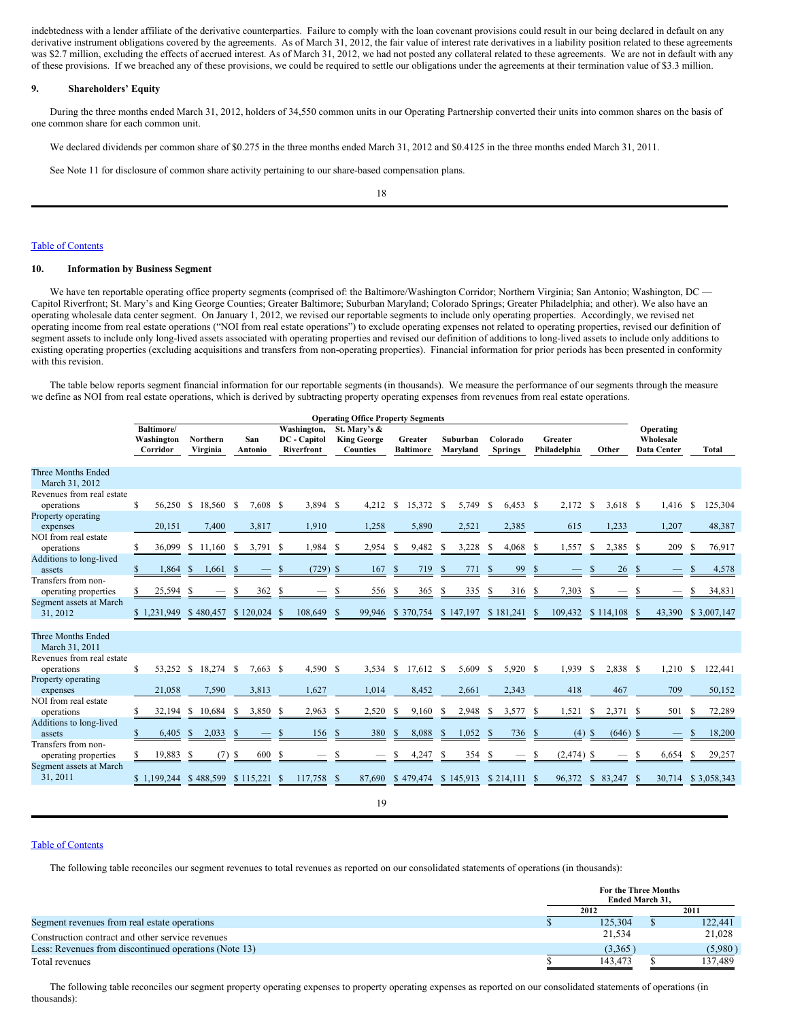indebtedness with a lender affiliate of the derivative counterparties. Failure to comply with the loan covenant provisions could result in our being declared in default on any derivative instrument obligations covered by the agreements. As of March 31, 2012, the fair value of interest rate derivatives in a liability position related to these agreements was \$2.7 million, excluding the effects of accrued interest. As of March 31, 2012, we had not posted any collateral related to these agreements. We are not in default with any of these provisions. If we breached any of these provisions, we could be required to settle our obligations under the agreements at their termination value of \$3.3 million.

#### **9. Shareholders' Equity**

During the three months ended March 31, 2012, holders of 34,550 common units in our Operating Partnership converted their units into common shares on the basis of one common share for each common unit.

We declared dividends per common share of \$0.275 in the three months ended March 31, 2012 and \$0.4125 in the three months ended March 31, 2011.

See Note 11 for disclosure of common share activity pertaining to our share-based compensation plans.

#### Table of [Contents](#page-0-0)

#### **10. Information by Business Segment**

We have ten reportable operating office property segments (comprised of: the Baltimore/Washington Corridor; Northern Virginia; San Antonio; Washington, DC -Capitol Riverfront; St. Mary's and King George Counties; Greater Baltimore; Suburban Maryland; Colorado Springs; Greater Philadelphia; and other). We also have an operating wholesale data center segment. On January 1, 2012, we revised our reportable segments to include only operating properties. Accordingly, we revised net operating income from real estate operations ("NOI from real estate operations") to exclude operating expenses not related to operating properties, revised our definition of segment assets to include only long-lived assets associated with operating properties and revised our definition of additions to long-lived assets to include only additions to existing operating properties (excluding acquisitions and transfers from non-operating properties). Financial information for prior periods has been presented in conformity with this revision.

The table below reports segment financial information for our reportable segments (in thousands). We measure the performance of our segments through the measure we define as NOI from real estate operations, which is derived by subtracting property operating expenses from revenues from real estate operations.

|                                             | <b>Operating Office Property Segments</b> |                        |                 |               |                                           |                                                       |               |                             |               |                      |               |                            |          |                         |    |            |    |                                       |      |             |
|---------------------------------------------|-------------------------------------------|------------------------|-----------------|---------------|-------------------------------------------|-------------------------------------------------------|---------------|-----------------------------|---------------|----------------------|---------------|----------------------------|----------|-------------------------|----|------------|----|---------------------------------------|------|-------------|
|                                             | Baltimore/<br>Washington<br>Corridor      | Northern<br>Virginia   | San<br>Antonio  |               | Washington,<br>DC - Capitol<br>Riverfront | St. Mary's &<br><b>King George</b><br><b>Counties</b> |               | Greater<br><b>Baltimore</b> |               | Suburban<br>Maryland |               | Colorado<br><b>Springs</b> |          | Greater<br>Philadelphia |    | Other      |    | Operating<br>Wholesale<br>Data Center |      | Total       |
| <b>Three Months Ended</b><br>March 31, 2012 |                                           |                        |                 |               |                                           |                                                       |               |                             |               |                      |               |                            |          |                         |    |            |    |                                       |      |             |
| Revenues from real estate                   |                                           |                        |                 |               |                                           |                                                       |               |                             |               |                      |               |                            |          |                         |    |            |    |                                       |      |             |
| operations                                  | S                                         | 56,250 \$ 18,560 \$    | 7,608 \$        |               | 3,894 \$                                  | 4,212                                                 | -S            | 15,372                      | - \$          | 5,749                | S             | $6,453$ \$                 |          | 2,172                   | S  | 3,618 \$   |    | 1,416                                 | - \$ | 125,304     |
| Property operating<br>expenses              | 20,151                                    | 7,400                  | 3,817           |               | 1,910                                     | 1,258                                                 |               | 5,890                       |               | 2,521                |               | 2,385                      |          | 615                     |    | 1,233      |    | 1,207                                 |      | 48,387      |
| NOI from real estate<br>operations          | S.<br>36,099                              | \$11,160               | 3,791 \$<br>\$. |               | 1,984 \$                                  | 2,954                                                 | \$            | 9,482                       | <sup>\$</sup> | 3,228                | -S            | 4,068                      | -S       | 1,557                   | S  | 2,385 \$   |    | 209                                   |      | 76,917      |
| Additions to long-lived                     |                                           |                        |                 |               |                                           |                                                       |               |                             |               |                      |               |                            |          |                         |    |            |    |                                       |      |             |
| assets                                      | 1,864                                     | 1,661<br><sup>\$</sup> | <sup>3</sup>    | \$            | $(729)$ \$                                | 167                                                   | -S            | 719                         | \$            | 771                  | S             | 99                         |          |                         |    | 26         | -S |                                       |      | 4,578       |
| Transfers from non-<br>operating properties | 25,594                                    |                        | 362             | -S            |                                           | 556<br>S                                              | <sup>\$</sup> | 365                         | -S            | 335                  | S             | 316                        | -S       | 7,303                   |    |            | S  |                                       |      | 34,831      |
| Segment assets at March                     |                                           |                        |                 |               |                                           |                                                       |               |                             |               |                      |               |                            |          |                         |    |            |    |                                       |      |             |
| 31, 2012                                    | \$1,231,949 \$480,457 \$120,024 \$        |                        |                 |               | 108,649 \$                                | 99,946                                                |               | \$370,754                   |               | \$147,197            |               | $$181,241$ \ \$            |          | 109,432 \$ 114,108 \$   |    |            |    | 43,390                                |      | \$3,007,147 |
| <b>Three Months Ended</b><br>March 31, 2011 |                                           |                        |                 |               |                                           |                                                       |               |                             |               |                      |               |                            |          |                         |    |            |    |                                       |      |             |
| Revenues from real estate<br>operations     | S<br>53,252 \$                            | 18,274 \$              | 7,663 \$        |               | 4,590 \$                                  | 3,534                                                 | - \$          | 17,612 \$                   |               | 5,609 \$             |               | 5,920 \$                   |          | 1,939                   | -S | 2,838 \$   |    | $1,210$ \$                            |      | 122,441     |
| Property operating<br>expenses              | 21,058                                    | 7,590                  | 3,813           |               | 1,627                                     | 1,014                                                 |               | 8,452                       |               | 2,661                |               | 2,343                      |          | 418                     |    | 467        |    | 709                                   |      | 50,152      |
| NOI from real estate<br>operations          |                                           | 32,194 \$ 10,684       | 3,850 \$<br>S.  |               | 2,963                                     | 2,520<br>- S                                          | -S            | 9,160                       | -S            | 2,948                | S             | 3,577                      | -S       | 1,521                   | S  | 2,371 \$   |    | 501                                   |      | 72,289      |
| Additions to long-lived<br>assets           | $\mathbf{s}$<br>6,405                     | 2,033<br><sup>S</sup>  | <sup>\$</sup>   | <sup>\$</sup> | 156S                                      | 380                                                   | -S            | 8,088                       | <sup>\$</sup> | 1,052                | <sup>\$</sup> | 736                        | <b>S</b> | (4)                     | -S | $(646)$ \$ |    |                                       |      | 18,200      |
| Transfers from non-<br>operating properties | 19,883                                    |                        | 600             |               |                                           |                                                       |               |                             |               | 354                  |               |                            |          | (2, 474)                |    |            |    | 6,654                                 |      | 29,257      |
| Segment assets at March<br>31, 2011         | \$1,199,244 \$488,599                     |                        | \$115,221       | -S            | 117,758                                   | 87,690<br>-S                                          |               | \$479,474                   |               | \$145,913            |               |                            |          | 96,372                  |    | \$83,247   | -S | 30,714                                |      | \$3,058,343 |
|                                             |                                           |                        |                 |               |                                           | 19                                                    |               |                             |               |                      |               |                            |          |                         |    |            |    |                                       |      |             |

### Table of [Contents](#page-0-0)

The following table reconciles our segment revenues to total revenues as reported on our consolidated statements of operations (in thousands):

|                                                       | <b>For the Three Months</b><br><b>Ended March 31.</b> |      |         |  |
|-------------------------------------------------------|-------------------------------------------------------|------|---------|--|
|                                                       | 2012                                                  | 2011 |         |  |
| Segment revenues from real estate operations          | 125,304                                               |      | 122,441 |  |
| Construction contract and other service revenues      | 21.534                                                |      | 21,028  |  |
| Less: Revenues from discontinued operations (Note 13) | (3,365)                                               |      | (5,980) |  |
| Total revenues                                        | 143,473                                               |      | 137.489 |  |

The following table reconciles our segment property operating expenses to property operating expenses as reported on our consolidated statements of operations (in thousands):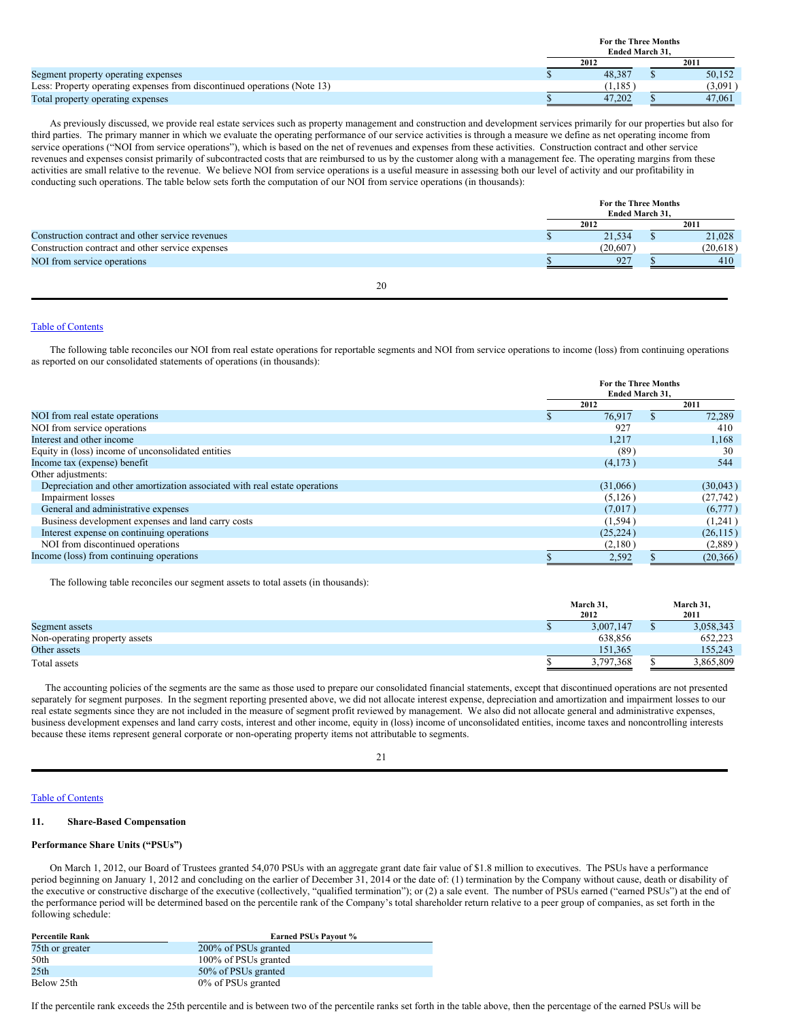|                                                                          | <b>For the Three Months</b><br><b>Ended March 31.</b> |  |         |  |  |
|--------------------------------------------------------------------------|-------------------------------------------------------|--|---------|--|--|
|                                                                          | 2012                                                  |  | 2011    |  |  |
| Segment property operating expenses                                      | 48,387                                                |  | 50,152  |  |  |
| Less: Property operating expenses from discontinued operations (Note 13) | (1.185                                                |  | (3,091) |  |  |
| Total property operating expenses                                        | 47,202                                                |  | 47.061  |  |  |

As previously discussed, we provide real estate services such as property management and construction and development services primarily for our properties but also for third parties. The primary manner in which we evaluate the operating performance of our service activities is through a measure we define as net operating income from service operations ("NOI from service operations"), which is based on the net of revenues and expenses from these activities. Construction contract and other service revenues and expenses consist primarily of subcontracted costs that are reimbursed to us by the customer along with a management fee. The operating margins from these activities are small relative to the revenue. We believe NOI from service operations is a useful measure in assessing both our level of activity and our profitability in conducting such operations. The table below sets forth the computation of our NOI from service operations (in thousands):

|                                                  | <b>For the Three Months</b><br><b>Ended March 31.</b> |  |           |  |  |
|--------------------------------------------------|-------------------------------------------------------|--|-----------|--|--|
|                                                  | 2012                                                  |  | 2011      |  |  |
| Construction contract and other service revenues | 21,534                                                |  | 21,028    |  |  |
| Construction contract and other service expenses | (20,607)                                              |  | (20, 618) |  |  |
| NOI from service operations                      | 927                                                   |  | 410       |  |  |
|                                                  |                                                       |  |           |  |  |
| 20                                               |                                                       |  |           |  |  |

### Table of [Contents](#page-0-0)

The following table reconciles our NOI from real estate operations for reportable segments and NOI from service operations to income (loss) from continuing operations as reported on our consolidated statements of operations (in thousands):

|                                                                            | <b>For the Three Months</b><br>Ended March 31, |  |           |
|----------------------------------------------------------------------------|------------------------------------------------|--|-----------|
|                                                                            | 2012                                           |  | 2011      |
| NOI from real estate operations                                            | 76.917                                         |  | 72,289    |
| NOI from service operations                                                | 927                                            |  | 410       |
| Interest and other income                                                  | 1,217                                          |  | 1,168     |
| Equity in (loss) income of unconsolidated entities                         | (89)                                           |  | 30        |
| Income tax (expense) benefit                                               | (4,173)                                        |  | 544       |
| Other adjustments:                                                         |                                                |  |           |
| Depreciation and other amortization associated with real estate operations | (31,066)                                       |  | (30,043)  |
| Impairment losses                                                          | (5,126)                                        |  | (27, 742) |
| General and administrative expenses                                        | (7,017)                                        |  | (6,777)   |
| Business development expenses and land carry costs                         | (1, 594)                                       |  | (1,241)   |
| Interest expense on continuing operations                                  | (25, 224)                                      |  | (26, 115) |
| NOI from discontinued operations                                           | (2,180)                                        |  | (2,889)   |
| Income (loss) from continuing operations                                   | 2,592                                          |  | (20, 366) |

The following table reconciles our segment assets to total assets (in thousands):

|                               | March 31,<br>2012 | March 31,<br>2011 |
|-------------------------------|-------------------|-------------------|
| Segment assets                | 3,007,147         | 3,058,343         |
| Non-operating property assets | 638,856           | 652,223           |
| Other assets                  | 151.365           | 155.243           |
| Total assets                  | 3,797,368         | 3,865,809         |

The accounting policies of the segments are the same as those used to prepare our consolidated financial statements, except that discontinued operations are not presented separately for segment purposes. In the segment reporting presented above, we did not allocate interest expense, depreciation and amortization and impairment losses to our real estate segments since they are not included in the measure of segment profit reviewed by management. We also did not allocate general and administrative expenses, business development expenses and land carry costs, interest and other income, equity in (loss) income of unconsolidated entities, income taxes and noncontrolling interests because these items represent general corporate or non-operating property items not attributable to segments.

### Table of [Contents](#page-0-0)

### **11. Share-Based Compensation**

### **Performance Share Units ("PSUs")**

On March 1, 2012, our Board of Trustees granted 54,070 PSUs with an aggregate grant date fair value of \$1.8 million to executives. The PSUs have a performance period beginning on January 1, 2012 and concluding on the earlier of December 31, 2014 or the date of: (1) termination by the Company without cause, death or disability of the executive or constructive discharge of the executive (collectively, "qualified termination"); or (2) a sale event. The number of PSUs earned ("earned PSUs") at the end of the performance period will be determined based on the percentile rank of the Company's total shareholder return relative to a peer group of companies, as set forth in the following schedule:

| <b>Percentile Rank</b> | <b>Earned PSUs Payout %</b> |
|------------------------|-----------------------------|
| 75th or greater        | 200% of PSUs granted        |
| 50th                   | 100% of PSUs granted        |
| 25 <sub>th</sub>       | 50% of PSUs granted         |
| Below 25th             | 0% of PSUs granted          |

If the percentile rank exceeds the 25th percentile and is between two of the percentile ranks set forth in the table above, then the percentage of the earned PSUs will be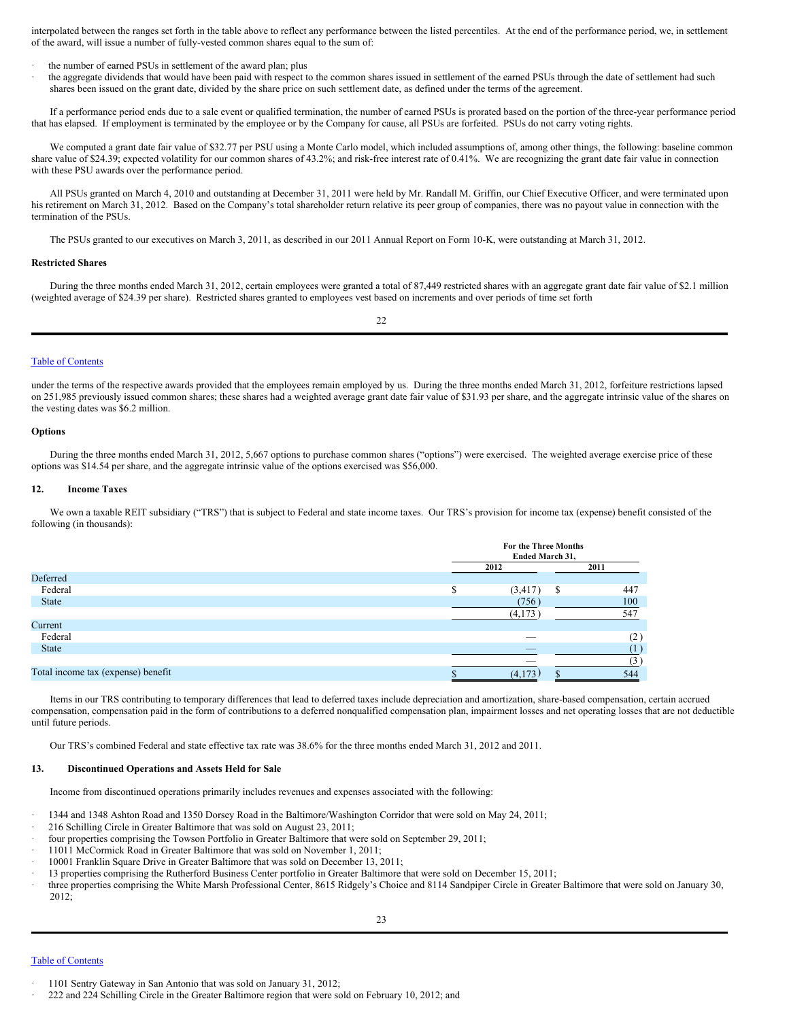interpolated between the ranges set forth in the table above to reflect any performance between the listed percentiles. At the end of the performance period, we, in settlement of the award, will issue a number of fully-vested common shares equal to the sum of:

- the number of earned PSUs in settlement of the award plan; plus
- the aggregate dividends that would have been paid with respect to the common shares issued in settlement of the earned PSUs through the date of settlement had such shares been issued on the grant date, divided by the share price on such settlement date, as defined under the terms of the agreement.

If a performance period ends due to a sale event or qualified termination, the number of earned PSUs is prorated based on the portion of the three-year performance period that has elapsed. If employment is terminated by the employee or by the Company for cause, all PSUs are forfeited. PSUs do not carry voting rights.

We computed a grant date fair value of \$32.77 per PSU using a Monte Carlo model, which included assumptions of, among other things, the following: baseline common share value of \$24.39; expected volatility for our common shares of 43.2%; and risk-free interest rate of 0.41%. We are recognizing the grant date fair value in connection with these PSU awards over the performance period.

All PSUs granted on March 4, 2010 and outstanding at December 31, 2011 were held by Mr. Randall M. Griffin, our Chief Executive Officer, and were terminated upon his retirement on March 31, 2012. Based on the Company's total shareholder return relative its peer group of companies, there was no payout value in connection with the termination of the PSUs.

The PSUs granted to our executives on March 3, 2011, as described in our 2011 Annual Report on Form 10-K, were outstanding at March 31, 2012.

#### **Restricted Shares**

During the three months ended March 31, 2012, certain employees were granted a total of 87,449 restricted shares with an aggregate grant date fair value of \$2.1 million (weighted average of \$24.39 per share). Restricted shares granted to employees vest based on increments and over periods of time set forth

22

#### Table of [Contents](#page-0-0)

under the terms of the respective awards provided that the employees remain employed by us. During the three months ended March 31, 2012, forfeiture restrictions lapsed on 251,985 previously issued common shares; these shares had a weighted average grant date fair value of \$31.93 per share, and the aggregate intrinsic value of the shares on the vesting dates was \$6.2 million.

#### **Options**

During the three months ended March 31, 2012, 5,667 options to purchase common shares ("options") were exercised. The weighted average exercise price of these options was \$14.54 per share, and the aggregate intrinsic value of the options exercised was \$56,000.

#### **12. Income Taxes**

We own a taxable REIT subsidiary ("TRS") that is subject to Federal and state income taxes. Our TRS's provision for income tax (expense) benefit consisted of the following (in thousands):

|                                    |         | For the Three Months<br>Ended March 31, |   |     |  |
|------------------------------------|---------|-----------------------------------------|---|-----|--|
|                                    |         | 2012                                    |   |     |  |
| Deferred                           |         |                                         |   |     |  |
| Federal                            | ¢<br>٠D | (3, 417)                                | S | 447 |  |
| <b>State</b>                       |         | (756)                                   |   | 100 |  |
|                                    |         | (4,173)                                 |   | 547 |  |
| Current                            |         |                                         |   |     |  |
| Federal                            |         |                                         |   | (2) |  |
| <b>State</b>                       |         | __                                      |   |     |  |
|                                    |         |                                         |   | (3) |  |
| Total income tax (expense) benefit |         | (4,173)                                 |   | 544 |  |

Items in our TRS contributing to temporary differences that lead to deferred taxes include depreciation and amortization, share-based compensation, certain accrued compensation, compensation paid in the form of contributions to a deferred nonqualified compensation plan, impairment losses and net operating losses that are not deductible until future periods.

Our TRS's combined Federal and state effective tax rate was 38.6% for the three months ended March 31, 2012 and 2011.

#### **13. Discontinued Operations and Assets Held for Sale**

Income from discontinued operations primarily includes revenues and expenses associated with the following:

- · 1344 and 1348 Ashton Road and 1350 Dorsey Road in the Baltimore/Washington Corridor that were sold on May 24, 2011;
- 216 Schilling Circle in Greater Baltimore that was sold on August 23, 2011;
- four properties comprising the Towson Portfolio in Greater Baltimore that were sold on September 29, 2011;
- · 11011 McCormick Road in Greater Baltimore that was sold on November 1, 2011;
- 10001 Franklin Square Drive in Greater Baltimore that was sold on December 13, 2011;
- · 13 properties comprising the Rutherford Business Center portfolio in Greater Baltimore that were sold on December 15, 2011;
- · three properties comprising the White Marsh Professional Center, 8615 Ridgely's Choice and 8114 Sandpiper Circle in Greater Baltimore that were sold on January 30, 2012;

#### Table of [Contents](#page-0-0)

<sup>·</sup> 1101 Sentry Gateway in San Antonio that was sold on January 31, 2012;

<sup>·</sup> 222 and 224 Schilling Circle in the Greater Baltimore region that were sold on February 10, 2012; and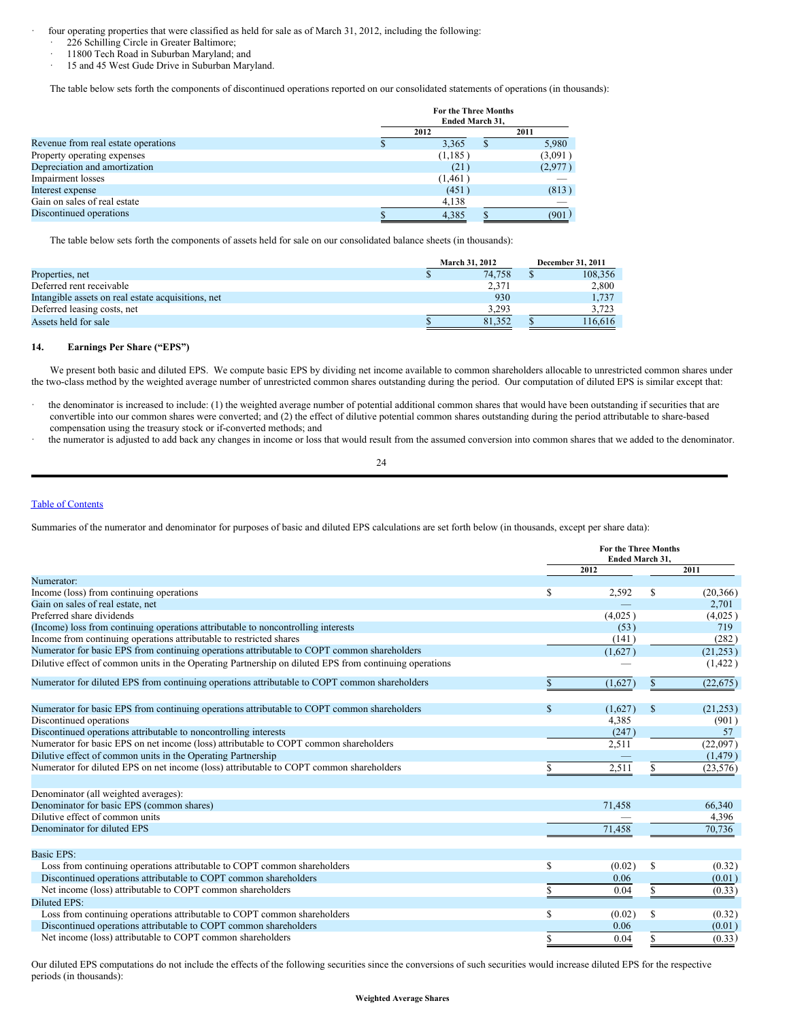four operating properties that were classified as held for sale as of March 31, 2012, including the following:

- 226 Schilling Circle in Greater Baltimore;
- 11800 Tech Road in Suburban Maryland; and
- 15 and 45 West Gude Drive in Suburban Maryland.

The table below sets forth the components of discontinued operations reported on our consolidated statements of operations (in thousands):

|                                     | <b>For the Three Months</b><br>Ended March 31, |   |         |  |  |
|-------------------------------------|------------------------------------------------|---|---------|--|--|
|                                     | 2012                                           |   | 2011    |  |  |
| Revenue from real estate operations | 3.365                                          | S | 5,980   |  |  |
| Property operating expenses         | (1,185)                                        |   | (3,091) |  |  |
| Depreciation and amortization       | (21)                                           |   | (2,977) |  |  |
| Impairment losses                   | (1,461)                                        |   |         |  |  |
| Interest expense                    | (451)                                          |   | (813)   |  |  |
| Gain on sales of real estate        | 4,138                                          |   |         |  |  |
| Discontinued operations             | 4.385                                          |   | (901)   |  |  |

The table below sets forth the components of assets held for sale on our consolidated balance sheets (in thousands):

|                                                    | <b>March 31, 2012</b> |  | December 31, 2011 |  |  |
|----------------------------------------------------|-----------------------|--|-------------------|--|--|
| Properties, net                                    | 74.758                |  | 108.356           |  |  |
| Deferred rent receivable                           | 2,371                 |  | 2.800             |  |  |
| Intangible assets on real estate acquisitions, net | 930                   |  | 1,737             |  |  |
| Deferred leasing costs, net                        | 3.293                 |  | 3.723             |  |  |
| Assets held for sale                               | 81.352                |  | 16.616            |  |  |

#### **14. Earnings Per Share ("EPS")**

We present both basic and diluted EPS. We compute basic EPS by dividing net income available to common shareholders allocable to unrestricted common shares under the two-class method by the weighted average number of unrestricted common shares outstanding during the period. Our computation of diluted EPS is similar except that:

- the denominator is increased to include: (1) the weighted average number of potential additional common shares that would have been outstanding if securities that are convertible into our common shares were converted; and (2) the effect of dilutive potential common shares outstanding during the period attributable to share-based compensation using the treasury stock or if-converted methods; and
- the numerator is adjusted to add back any changes in income or loss that would result from the assumed conversion into common shares that we added to the denominator.

### Table of [Contents](#page-0-0)

Summaries of the numerator and denominator for purposes of basic and diluted EPS calculations are set forth below (in thousands, except per share data):

|                                                                                                        | <b>For the Three Months</b><br><b>Ended March 31.</b> |         |               |           |
|--------------------------------------------------------------------------------------------------------|-------------------------------------------------------|---------|---------------|-----------|
|                                                                                                        |                                                       | 2012    |               | 2011      |
| Numerator:                                                                                             |                                                       |         |               |           |
| Income (loss) from continuing operations                                                               | S                                                     | 2,592   | \$            | (20, 366) |
| Gain on sales of real estate, net                                                                      |                                                       |         |               | 2,701     |
| Preferred share dividends                                                                              |                                                       | (4,025) |               | (4,025)   |
| (Income) loss from continuing operations attributable to noncontrolling interests                      |                                                       | (53)    |               | 719       |
| Income from continuing operations attributable to restricted shares                                    |                                                       | (141)   |               | (282)     |
| Numerator for basic EPS from continuing operations attributable to COPT common shareholders            |                                                       | (1,627) |               | (21, 253) |
| Dilutive effect of common units in the Operating Partnership on diluted EPS from continuing operations |                                                       |         |               | (1, 422)  |
| Numerator for diluted EPS from continuing operations attributable to COPT common shareholders          | S                                                     | (1,627) | \$            | (22, 675) |
| Numerator for basic EPS from continuing operations attributable to COPT common shareholders            | \$                                                    | (1,627) | $\mathbb{S}$  | (21, 253) |
| Discontinued operations                                                                                |                                                       | 4,385   |               | (901)     |
| Discontinued operations attributable to noncontrolling interests                                       |                                                       | (247)   |               | 57        |
| Numerator for basic EPS on net income (loss) attributable to COPT common shareholders                  |                                                       | 2,511   |               | (22,097)  |
| Dilutive effect of common units in the Operating Partnership                                           |                                                       |         |               | (1, 479)  |
| Numerator for diluted EPS on net income (loss) attributable to COPT common shareholders                | S                                                     | 2,511   | \$            | (23, 576) |
| Denominator (all weighted averages):                                                                   |                                                       |         |               |           |
| Denominator for basic EPS (common shares)                                                              |                                                       | 71.458  |               | 66,340    |
| Dilutive effect of common units                                                                        |                                                       |         |               | 4,396     |
| Denominator for diluted EPS                                                                            |                                                       | 71.458  |               | 70.736    |
| <b>Basic EPS:</b>                                                                                      |                                                       |         |               |           |
| Loss from continuing operations attributable to COPT common shareholders                               | \$                                                    | (0.02)  | <sup>\$</sup> | (0.32)    |
| Discontinued operations attributable to COPT common shareholders                                       |                                                       | 0.06    |               | (0.01)    |
| Net income (loss) attributable to COPT common shareholders                                             |                                                       | 0.04    | \$            | (0.33)    |
| Diluted EPS:                                                                                           |                                                       |         |               |           |
| Loss from continuing operations attributable to COPT common shareholders                               | \$                                                    | (0.02)  | S.            | (0.32)    |
| Discontinued operations attributable to COPT common shareholders                                       |                                                       | 0.06    |               | (0.01)    |
| Net income (loss) attributable to COPT common shareholders                                             | S                                                     | 0.04    | \$            | (0.33)    |

Our diluted EPS computations do not include the effects of the following securities since the conversions of such securities would increase diluted EPS for the respective periods (in thousands):

<sup>24</sup>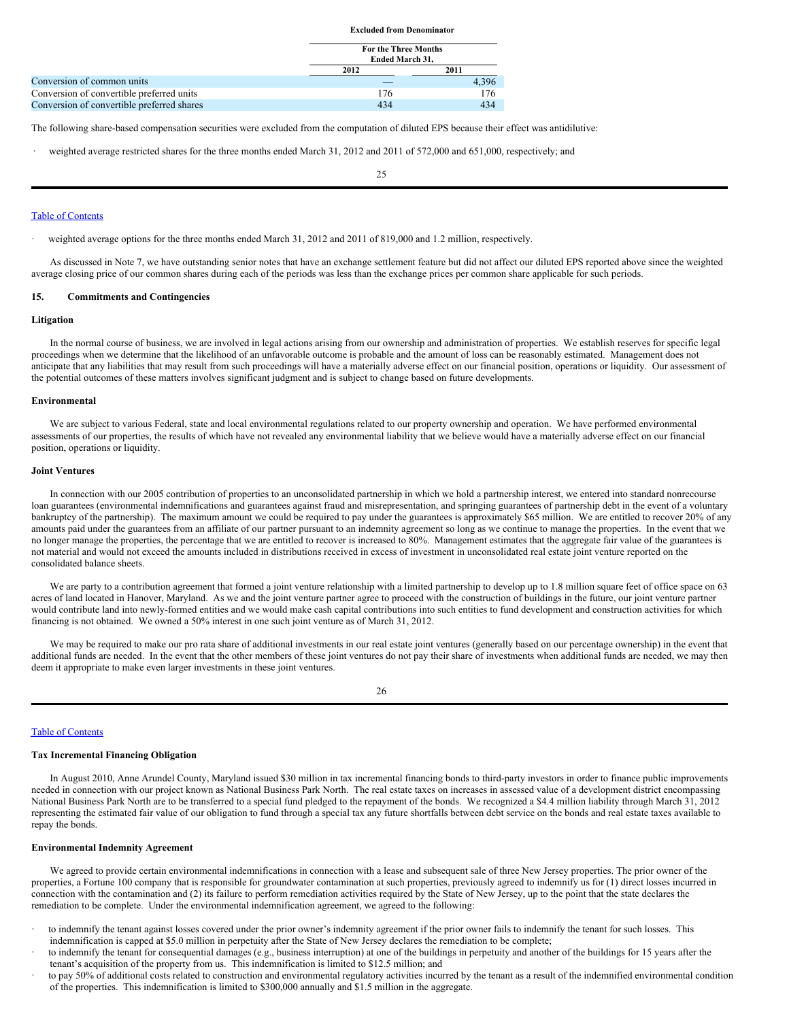#### **Excluded from Denominator**

|                                            | <b>For the Three Months</b><br><b>Ended March 31.</b> |       |
|--------------------------------------------|-------------------------------------------------------|-------|
|                                            | 2012                                                  | 2011  |
| Conversion of common units                 |                                                       | 4.396 |
| Conversion of convertible preferred units  | 176                                                   | 176   |
| Conversion of convertible preferred shares | 434                                                   | 434   |

The following share-based compensation securities were excluded from the computation of diluted EPS because their effect was antidilutive:

weighted average restricted shares for the three months ended March 31, 2012 and 2011 of 572,000 and 651,000, respectively; and

 $25$ 

#### Table of [Contents](#page-0-0)

weighted average options for the three months ended March 31, 2012 and 2011 of 819,000 and 1.2 million, respectively.

As discussed in Note 7, we have outstanding senior notes that have an exchange settlement feature but did not affect our diluted EPS reported above since the weighted average closing price of our common shares during each of the periods was less than the exchange prices per common share applicable for such periods.

#### **15. Commitments and Contingencies**

#### **Litigation**

In the normal course of business, we are involved in legal actions arising from our ownership and administration of properties. We establish reserves for specific legal proceedings when we determine that the likelihood of an unfavorable outcome is probable and the amount of loss can be reasonably estimated. Management does not anticipate that any liabilities that may result from such proceedings will have a materially adverse effect on our financial position, operations or liquidity. Our assessment of the potential outcomes of these matters involves significant judgment and is subject to change based on future developments.

#### **Environmental**

We are subject to various Federal, state and local environmental regulations related to our property ownership and operation. We have performed environmental assessments of our properties, the results of which have not revealed any environmental liability that we believe would have a materially adverse effect on our financial position, operations or liquidity.

#### **Joint Ventures**

In connection with our 2005 contribution of properties to an unconsolidated partnership in which we hold a partnership interest, we entered into standard nonrecourse loan guarantees (environmental indemnifications and guarantees against fraud and misrepresentation, and springing guarantees of partnership debt in the event of a voluntary bankruptcy of the partnership). The maximum amount we could be required to pay under the guarantees is approximately \$65 million. We are entitled to recover 20% of any amounts paid under the guarantees from an affiliate of our partner pursuant to an indemnity agreement so long as we continue to manage the properties. In the event that we no longer manage the properties, the percentage that we are entitled to recover is increased to 80%. Management estimates that the aggregate fair value of the guarantees is not material and would not exceed the amounts included in distributions received in excess of investment in unconsolidated real estate joint venture reported on the consolidated balance sheets.

We are party to a contribution agreement that formed a joint venture relationship with a limited partnership to develop up to 1.8 million square feet of office space on 63 acres of land located in Hanover, Maryland. As we and the joint venture partner agree to proceed with the construction of buildings in the future, our joint venture partner would contribute land into newly-formed entities and we would make cash capital contributions into such entities to fund development and construction activities for which financing is not obtained. We owned a 50% interest in one such joint venture as of March 31, 2012.

We may be required to make our pro rata share of additional investments in our real estate joint ventures (generally based on our percentage ownership) in the event that additional funds are needed. In the event that the other members of these joint ventures do not pay their share of investments when additional funds are needed, we may then deem it appropriate to make even larger investments in these joint ventures.

### Table of [Contents](#page-0-0)

#### **Tax Incremental Financing Obligation**

In August 2010, Anne Arundel County, Maryland issued \$30 million in tax incremental financing bonds to third-party investors in order to finance public improvements needed in connection with our project known as National Business Park North. The real estate taxes on increases in assessed value of a development district encompassing National Business Park North are to be transferred to a special fund pledged to the repayment of the bonds. We recognized a \$4.4 million liability through March 31, 2012 representing the estimated fair value of our obligation to fund through a special tax any future shortfalls between debt service on the bonds and real estate taxes available to repay the bonds.

### **Environmental Indemnity Agreement**

We agreed to provide certain environmental indemnifications in connection with a lease and subsequent sale of three New Jersey properties. The prior owner of the properties, a Fortune 100 company that is responsible for groundwater contamination at such properties, previously agreed to indemnify us for (1) direct losses incurred in connection with the contamination and (2) its failure to perform remediation activities required by the State of New Jersey, up to the point that the state declares the remediation to be complete. Under the environmental indemnification agreement, we agreed to the following:

- to indemnify the tenant against losses covered under the prior owner's indemnity agreement if the prior owner fails to indemnify the tenant for such losses. This indemnification is capped at \$5.0 million in perpetuity after the State of New Jersey declares the remediation to be complete;
- to indemnify the tenant for consequential damages (e.g., business interruption) at one of the buildings in perpetuity and another of the buildings for 15 years after the tenant's acquisition of the property from us. This indemnification is limited to \$12.5 million; and
- to pay 50% of additional costs related to construction and environmental regulatory activities incurred by the tenant as a result of the indemnified environmental condition of the properties. This indemnification is limited to \$300,000 annually and \$1.5 million in the aggregate.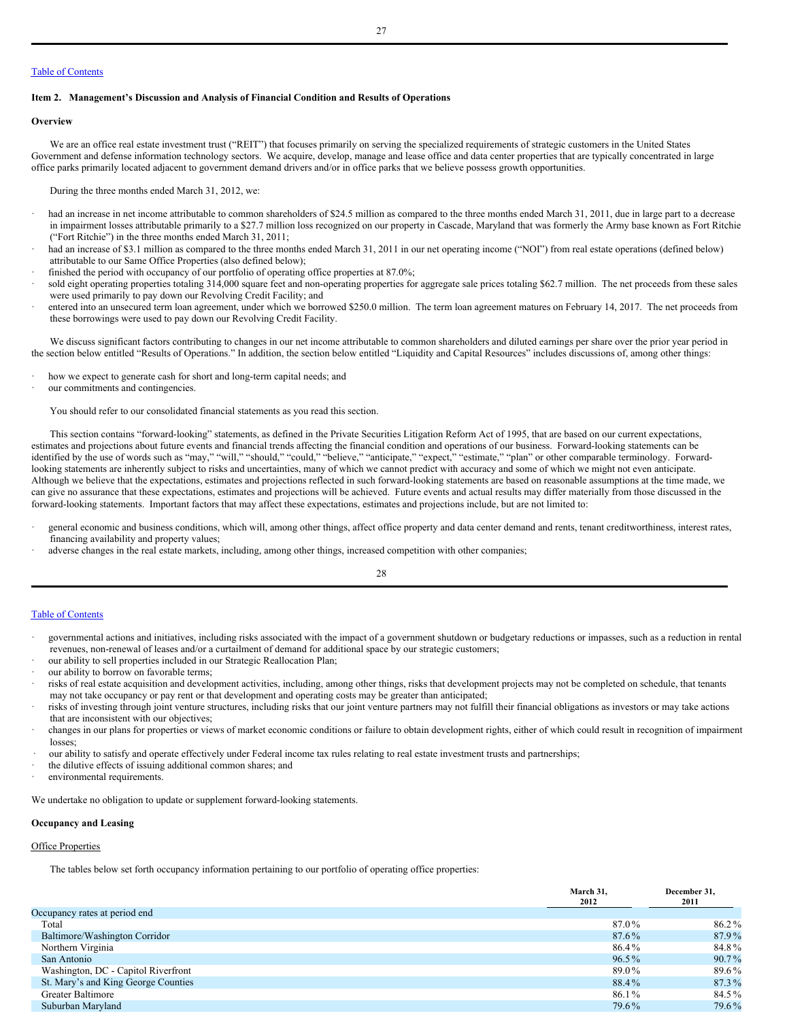### Table of [Contents](#page-0-0)

#### **Item 2. Management's Discussion and Analysis of Financial Condition and Results of Operations**

#### **Overview**

We are an office real estate investment trust ("REIT") that focuses primarily on serving the specialized requirements of strategic customers in the United States Government and defense information technology sectors. We acquire, develop, manage and lease office and data center properties that are typically concentrated in large office parks primarily located adjacent to government demand drivers and/or in office parks that we believe possess growth opportunities.

<span id="page-16-0"></span>During the three months ended March 31, 2012, we:

- had an increase in net income attributable to common shareholders of \$24.5 million as compared to the three months ended March 31, 2011, due in large part to a decrease in impairment losses attributable primarily to a \$27.7 million loss recognized on our property in Cascade, Maryland that was formerly the Army base known as Fort Ritchie ("Fort Ritchie") in the three months ended March 31, 2011;
- had an increase of \$3.1 million as compared to the three months ended March 31, 2011 in our net operating income ("NOI") from real estate operations (defined below) attributable to our Same Office Properties (also defined below);
- finished the period with occupancy of our portfolio of operating office properties at 87.0%;
- sold eight operating properties totaling 314,000 square feet and non-operating properties for aggregate sale prices totaling \$62.7 million. The net proceeds from these sales were used primarily to pay down our Revolving Credit Facility; and
- entered into an unsecured term loan agreement, under which we borrowed \$250.0 million. The term loan agreement matures on February 14, 2017. The net proceeds from these borrowings were used to pay down our Revolving Credit Facility.

We discuss significant factors contributing to changes in our net income attributable to common shareholders and diluted earnings per share over the prior year period in the section below entitled "Results of Operations." In addition, the section below entitled "Liquidity and Capital Resources" includes discussions of, among other things:

- how we expect to generate cash for short and long-term capital needs; and
- our commitments and contingencies.

You should refer to our consolidated financial statements as you read this section.

This section contains "forward-looking" statements, as defined in the Private Securities Litigation Reform Act of 1995, that are based on our current expectations, estimates and projections about future events and financial trends affecting the financial condition and operations of our business. Forward-looking statements can be identified by the use of words such as "may," "will," "should," "could," "believe," "anticipate," "expect," "estimate," "plan" or other comparable terminology. Forwardlooking statements are inherently subject to risks and uncertainties, many of which we cannot predict with accuracy and some of which we might not even anticipate. Although we believe that the expectations, estimates and projections reflected in such forward-looking statements are based on reasonable assumptions at the time made, we can give no assurance that these expectations, estimates and projections will be achieved. Future events and actual results may differ materially from those discussed in the forward-looking statements. Important factors that may affect these expectations, estimates and projections include, but are not limited to:

- · general economic and business conditions, which will, among other things, affect office property and data center demand and rents, tenant creditworthiness, interest rates, financing availability and property values;
- adverse changes in the real estate markets, including, among other things, increased competition with other companies;

28

### Table of [Contents](#page-0-0)

- · governmental actions and initiatives, including risks associated with the impact of a government shutdown or budgetary reductions or impasses, such as a reduction in rental revenues, non-renewal of leases and/or a curtailment of demand for additional space by our strategic customers;
- our ability to sell properties included in our Strategic Reallocation Plan;
- our ability to borrow on favorable terms;
- · risks of real estate acquisition and development activities, including, among other things, risks that development projects may not be completed on schedule, that tenants may not take occupancy or pay rent or that development and operating costs may be greater than anticipated;
- risks of investing through joint venture structures, including risks that our joint venture partners may not fulfill their financial obligations as investors or may take actions that are inconsistent with our objectives;
- · changes in our plans for properties or views of market economic conditions or failure to obtain development rights, either of which could result in recognition of impairment losses;
- our ability to satisfy and operate effectively under Federal income tax rules relating to real estate investment trusts and partnerships;
- the dilutive effects of issuing additional common shares; and
- environmental requirements.

We undertake no obligation to update or supplement forward-looking statements.

### **Occupancy and Leasing**

### **Office Properties**

The tables below set forth occupancy information pertaining to our portfolio of operating office properties:

|                                     | March 31,<br>2012 | December 31,<br>2011 |
|-------------------------------------|-------------------|----------------------|
| Occupancy rates at period end       |                   |                      |
| Total                               | 87.0%             | 86.2%                |
| Baltimore/Washington Corridor       | 87.6%             | 87.9%                |
| Northern Virginia                   | 86.4%             | 84.8%                |
| San Antonio                         | $96.5\%$          | $90.7\%$             |
| Washington, DC - Capitol Riverfront | 89.0%             | 89.6%                |
| St. Mary's and King George Counties | 88.4%             | 87.3%                |
| Greater Baltimore                   | 86.1%             | 84.5%                |
| Suburban Maryland                   | 79.6%             | 79.6%                |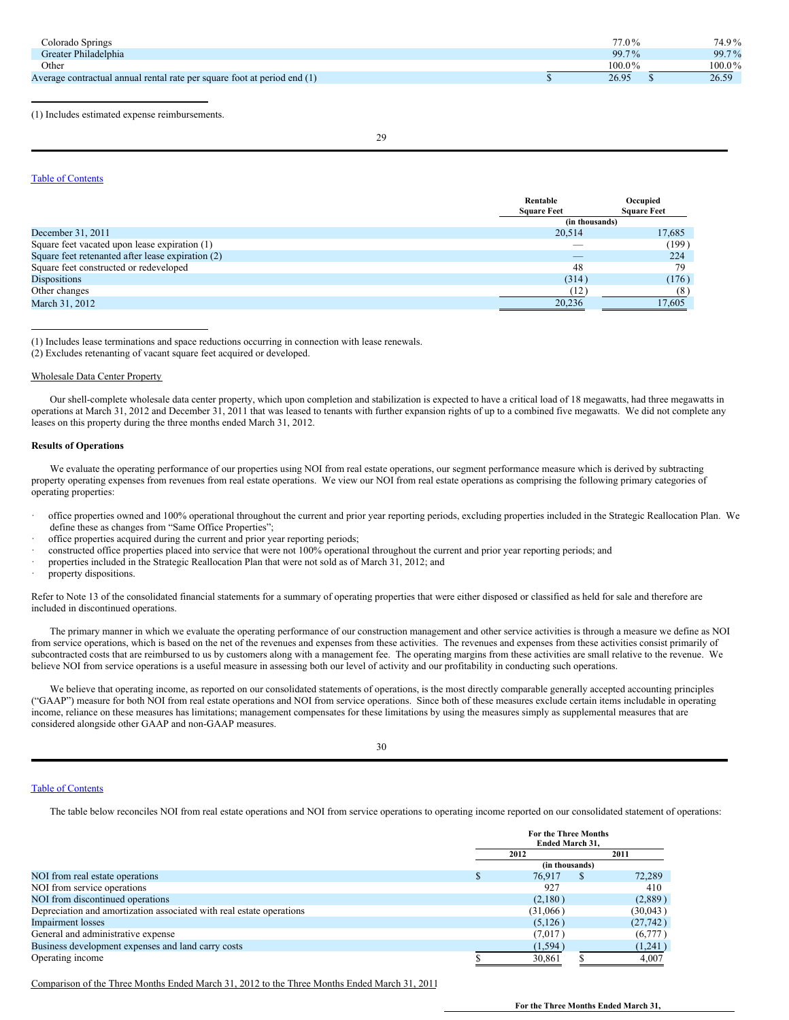| Colorado Springs                                                         | $77.0\%$  | 74.9%    |
|--------------------------------------------------------------------------|-----------|----------|
| Greater Philadelphia                                                     | $99.7\%$  | $99.7\%$ |
| Other                                                                    | $100.0\%$ | 100.0%   |
| Average contractual annual rental rate per square foot at period end (1) | 26.95     | 26.59    |

(1) Includes estimated expense reimbursements.

#### Table of [Contents](#page-0-0)

|                                                   | Rentable<br><b>Square Feet</b> | Occupied<br><b>Square Feet</b> |
|---------------------------------------------------|--------------------------------|--------------------------------|
|                                                   | (in thousands)                 |                                |
| December 31, 2011                                 | 20,514                         | 17,685                         |
| Square feet vacated upon lease expiration (1)     |                                | (199)                          |
| Square feet retenanted after lease expiration (2) |                                | 224                            |
| Square feet constructed or redeveloped            | 48                             | 79                             |
| Dispositions                                      | (314)                          | (176)                          |
| Other changes                                     | (12)                           | (8)                            |
| March 31, 2012                                    | 20,236                         | 17.605                         |
|                                                   |                                |                                |

(1) Includes lease terminations and space reductions occurring in connection with lease renewals. (2) Excludes retenanting of vacant square feet acquired or developed.

#### Wholesale Data Center Property

Our shell-complete wholesale data center property, which upon completion and stabilization is expected to have a critical load of 18 megawatts, had three megawatts in operations at March 31, 2012 and December 31, 2011 that was leased to tenants with further expansion rights of up to a combined five megawatts. We did not complete any leases on this property during the three months ended March 31, 2012.

#### **Results of Operations**

We evaluate the operating performance of our properties using NOI from real estate operations, our segment performance measure which is derived by subtracting property operating expenses from revenues from real estate operations. We view our NOI from real estate operations as comprising the following primary categories of operating properties:

- · office properties owned and 100% operational throughout the current and prior year reporting periods, excluding properties included in the Strategic Reallocation Plan. We define these as changes from "Same Office Properties";
- office properties acquired during the current and prior year reporting periods;
- constructed office properties placed into service that were not 100% operational throughout the current and prior year reporting periods; and
- · properties included in the Strategic Reallocation Plan that were not sold as of March 31, 2012; and
- property dispositions.

Refer to Note 13 of the consolidated financial statements for a summary of operating properties that were either disposed or classified as held for sale and therefore are included in discontinued operations.

The primary manner in which we evaluate the operating performance of our construction management and other service activities is through a measure we define as NOI from service operations, which is based on the net of the revenues and expenses from these activities. The revenues and expenses from these activities consist primarily of subcontracted costs that are reimbursed to us by customers along with a management fee. The operating margins from these activities are small relative to the revenue. We believe NOI from service operations is a useful measure in assessing both our level of activity and our profitability in conducting such operations.

We believe that operating income, as reported on our consolidated statements of operations, is the most directly comparable generally accepted accounting principles ("GAAP") measure for both NOI from real estate operations and NOI from service operations. Since both of these measures exclude certain items includable in operating income, reliance on these measures has limitations; management compensates for these limitations by using the measures simply as supplemental measures that are considered alongside other GAAP and non-GAAP measures.

#### 30

#### Table of [Contents](#page-0-0)

The table below reconciles NOI from real estate operations and NOI from service operations to operating income reported on our consolidated statement of operations:

|                                                                      | <b>For the Three Months</b><br>Ended March 31, |    |           |  |
|----------------------------------------------------------------------|------------------------------------------------|----|-----------|--|
|                                                                      | 2011<br>2012                                   |    |           |  |
|                                                                      | (in thousands)                                 |    |           |  |
| NOI from real estate operations                                      | 76.917                                         | Ж, | 72,289    |  |
| NOI from service operations                                          | 927                                            |    | 410       |  |
| NOI from discontinued operations                                     | (2,180)                                        |    | (2,889)   |  |
| Depreciation and amortization associated with real estate operations | (31,066)                                       |    | (30,043)  |  |
| <b>Impairment</b> losses                                             | (5,126)                                        |    | (27, 742) |  |
| General and administrative expense                                   | (7,017)                                        |    | (6,777)   |  |
| Business development expenses and land carry costs                   | (1, 594)                                       |    | (1,241)   |  |
| Operating income                                                     | 30,861                                         |    | 4,007     |  |

Comparison of the Three Months Ended March 31, 2012 to the Three Months Ended March 31, 2011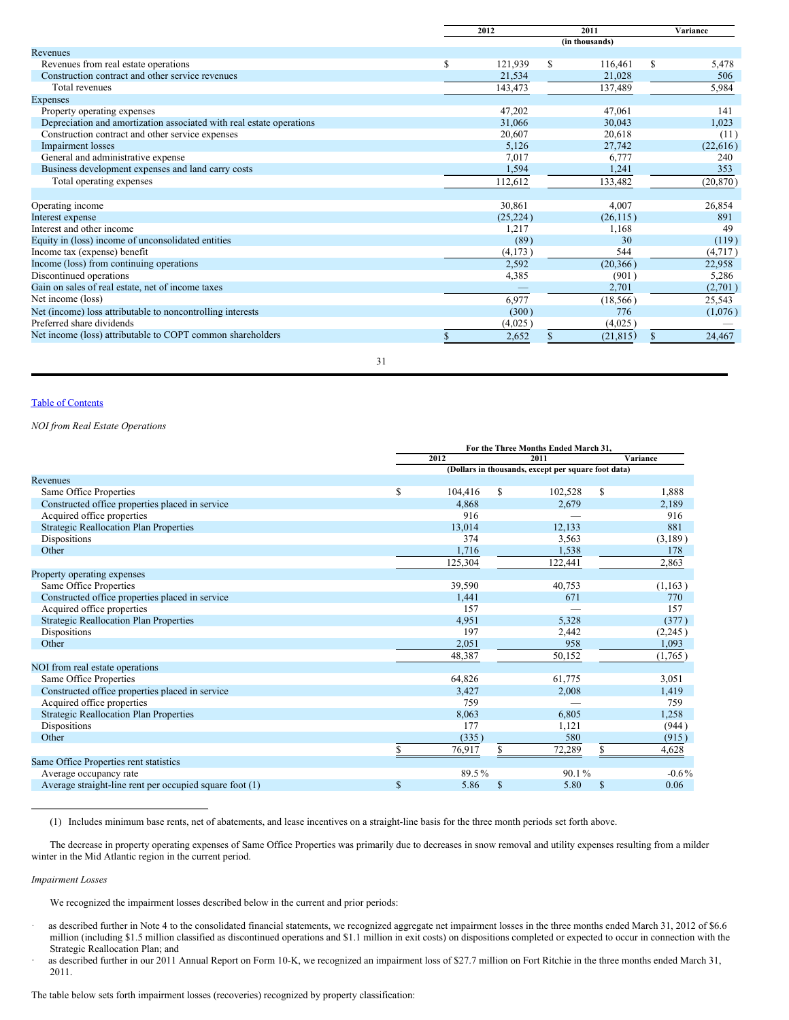|                                                                      |   | 2012      |               | 2011           |    | Variance  |  |
|----------------------------------------------------------------------|---|-----------|---------------|----------------|----|-----------|--|
|                                                                      |   |           |               | (in thousands) |    |           |  |
| Revenues                                                             |   |           |               |                |    |           |  |
| Revenues from real estate operations                                 | S | 121,939   | <sup>\$</sup> | 116,461        | \$ | 5,478     |  |
| Construction contract and other service revenues                     |   | 21,534    |               | 21,028         |    | 506       |  |
| Total revenues                                                       |   | 143,473   |               | 137,489        |    | 5,984     |  |
| Expenses                                                             |   |           |               |                |    |           |  |
| Property operating expenses                                          |   | 47,202    |               | 47,061         |    | 141       |  |
| Depreciation and amortization associated with real estate operations |   | 31,066    |               | 30,043         |    | 1,023     |  |
| Construction contract and other service expenses                     |   | 20,607    |               | 20,618         |    | (11)      |  |
| <b>Impairment</b> losses                                             |   | 5,126     |               | 27,742         |    | (22,616)  |  |
| General and administrative expense                                   |   | 7,017     |               | 6.777          |    | 240       |  |
| Business development expenses and land carry costs                   |   | 1,594     |               | 1,241          |    | 353       |  |
| Total operating expenses                                             |   | 112,612   |               | 133,482        |    | (20, 870) |  |
|                                                                      |   |           |               |                |    |           |  |
| Operating income                                                     |   | 30,861    |               | 4.007          |    | 26,854    |  |
| Interest expense                                                     |   | (25, 224) |               | (26, 115)      |    | 891       |  |
| Interest and other income                                            |   | 1,217     |               | 1.168          |    | 49        |  |
| Equity in (loss) income of unconsolidated entities                   |   | (89)      |               | 30             |    | (119)     |  |
| Income tax (expense) benefit                                         |   | (4,173)   |               | 544            |    | (4,717)   |  |
| Income (loss) from continuing operations                             |   | 2,592     |               | (20, 366)      |    | 22,958    |  |
| Discontinued operations                                              |   | 4,385     |               | (901)          |    | 5,286     |  |
| Gain on sales of real estate, net of income taxes                    |   |           |               | 2,701          |    | (2,701)   |  |
| Net income (loss)                                                    |   | 6,977     |               | (18, 566)      |    | 25,543    |  |
| Net (income) loss attributable to noncontrolling interests           |   | (300)     |               | 776            |    | (1,076)   |  |
| Preferred share dividends                                            |   | (4,025)   |               | (4,025)        |    |           |  |
| Net income (loss) attributable to COPT common shareholders           |   | 2,652     | <sup>\$</sup> | (21, 815)      | \$ | 24,467    |  |
| 31                                                                   |   |           |               |                |    |           |  |

### Table of [Contents](#page-0-0)

*NOI from Real Estate Operations*

|                                                         |    | For the Three Months Ended March 31, |    |                                                     |    |          |  |
|---------------------------------------------------------|----|--------------------------------------|----|-----------------------------------------------------|----|----------|--|
|                                                         |    | 2012                                 |    | 2011                                                |    | Variance |  |
|                                                         |    |                                      |    | (Dollars in thousands, except per square foot data) |    |          |  |
| Revenues                                                |    |                                      |    |                                                     |    |          |  |
| Same Office Properties                                  | S  | 104,416                              | S  | 102,528                                             | \$ | 1,888    |  |
| Constructed office properties placed in service         |    | 4,868                                |    | 2,679                                               |    | 2,189    |  |
| Acquired office properties                              |    | 916                                  |    |                                                     |    | 916      |  |
| <b>Strategic Reallocation Plan Properties</b>           |    | 13,014                               |    | 12,133                                              |    | 881      |  |
| Dispositions                                            |    | 374                                  |    | 3,563                                               |    | (3,189)  |  |
| Other                                                   |    | 1,716                                |    | 1,538                                               |    | 178      |  |
|                                                         |    | 125,304                              |    | 122,441                                             |    | 2,863    |  |
| Property operating expenses                             |    |                                      |    |                                                     |    |          |  |
| Same Office Properties                                  |    | 39,590                               |    | 40,753                                              |    | (1,163)  |  |
| Constructed office properties placed in service         |    | 1,441                                |    | 671                                                 |    | 770      |  |
| Acquired office properties                              |    | 157                                  |    |                                                     |    | 157      |  |
| <b>Strategic Reallocation Plan Properties</b>           |    | 4,951                                |    | 5,328                                               |    | (377)    |  |
| Dispositions                                            |    | 197                                  |    | 2,442                                               |    | (2,245)  |  |
| Other                                                   |    | 2,051                                |    | 958                                                 |    | 1,093    |  |
|                                                         |    | 48,387                               |    | 50,152                                              |    | (1,765)  |  |
| NOI from real estate operations                         |    |                                      |    |                                                     |    |          |  |
| Same Office Properties                                  |    | 64,826                               |    | 61,775                                              |    | 3,051    |  |
| Constructed office properties placed in service         |    | 3,427                                |    | 2,008                                               |    | 1,419    |  |
| Acquired office properties                              |    | 759                                  |    |                                                     |    | 759      |  |
| <b>Strategic Reallocation Plan Properties</b>           |    | 8,063                                |    | 6,805                                               |    | 1,258    |  |
| Dispositions                                            |    | 177                                  |    | 1,121                                               |    | (944)    |  |
| Other                                                   |    | (335)                                |    | 580                                                 |    | (915)    |  |
|                                                         |    | 76,917                               | S  | 72,289                                              | \$ | 4,628    |  |
| Same Office Properties rent statistics                  |    |                                      |    |                                                     |    |          |  |
| Average occupancy rate                                  |    | 89.5%                                |    | $90.1\%$                                            |    | $-0.6\%$ |  |
| Average straight-line rent per occupied square foot (1) | \$ | 5.86                                 | \$ | 5.80                                                | \$ | 0.06     |  |

(1) Includes minimum base rents, net of abatements, and lease incentives on a straight-line basis for the three month periods set forth above.

The decrease in property operating expenses of Same Office Properties was primarily due to decreases in snow removal and utility expenses resulting from a milder winter in the Mid Atlantic region in the current period.

#### *Impairment Losses*

We recognized the impairment losses described below in the current and prior periods:

- as described further in Note 4 to the consolidated financial statements, we recognized aggregate net impairment losses in the three months ended March 31, 2012 of \$6.6 million (including \$1.5 million classified as discontinued operations and \$1.1 million in exit costs) on dispositions completed or expected to occur in connection with the Strategic Reallocation Plan; and
- · as described further in our 2011 Annual Report on Form 10-K, we recognized an impairment loss of \$27.7 million on Fort Ritchie in the three months ended March 31, 2011.

The table below sets forth impairment losses (recoveries) recognized by property classification: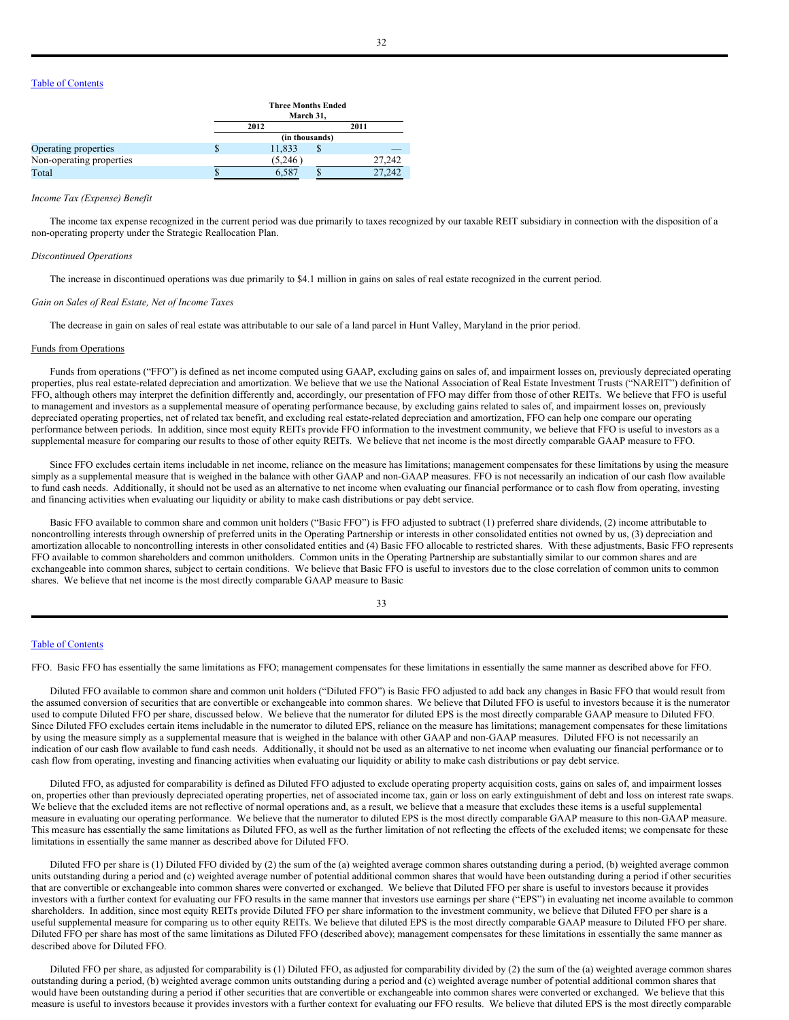#### Table of [Contents](#page-0-0)

|                          | <b>Three Months Ended</b><br>March 31, |   |        |
|--------------------------|----------------------------------------|---|--------|
|                          | 2012                                   |   | 2011   |
|                          | (in thousands)                         |   |        |
| Operating properties     | 11,833                                 | ъ |        |
| Non-operating properties | (5.246)                                |   | 27.242 |
| Total                    | 6.587                                  |   | 27.242 |

#### *Income Tax (Expense) Benefit*

The income tax expense recognized in the current period was due primarily to taxes recognized by our taxable REIT subsidiary in connection with the disposition of a non-operating property under the Strategic Reallocation Plan.

#### *Discontinued Operations*

The increase in discontinued operations was due primarily to \$4.1 million in gains on sales of real estate recognized in the current period.

#### *Gain on Sales of Real Estate, Net of Income Taxes*

The decrease in gain on sales of real estate was attributable to our sale of a land parcel in Hunt Valley, Maryland in the prior period.

### Funds from Operations

Funds from operations ("FFO") is defined as net income computed using GAAP, excluding gains on sales of, and impairment losses on, previously depreciated operating properties, plus real estate-related depreciation and amortization. We believe that we use the National Association of Real Estate Investment Trusts ("NAREIT") definition of FFO, although others may interpret the definition differently and, accordingly, our presentation of FFO may differ from those of other REITs. We believe that FFO is useful to management and investors as a supplemental measure of operating performance because, by excluding gains related to sales of, and impairment losses on, previously depreciated operating properties, net of related tax benefit, and excluding real estate-related depreciation and amortization, FFO can help one compare our operating performance between periods. In addition, since most equity REITs provide FFO information to the investment community, we believe that FFO is useful to investors as a supplemental measure for comparing our results to those of other equity REITs. We believe that net income is the most directly comparable GAAP measure to FFO.

Since FFO excludes certain items includable in net income, reliance on the measure has limitations; management compensates for these limitations by using the measure simply as a supplemental measure that is weighed in the balance with other GAAP and non-GAAP measures. FFO is not necessarily an indication of our cash flow available to fund cash needs. Additionally, it should not be used as an alternative to net income when evaluating our financial performance or to cash flow from operating, investing and financing activities when evaluating our liquidity or ability to make cash distributions or pay debt service.

Basic FFO available to common share and common unit holders ("Basic FFO") is FFO adjusted to subtract (1) preferred share dividends, (2) income attributable to noncontrolling interests through ownership of preferred units in the Operating Partnership or interests in other consolidated entities not owned by us, (3) depreciation and amortization allocable to noncontrolling interests in other consolidated entities and (4) Basic FFO allocable to restricted shares. With these adjustments, Basic FFO represents FFO available to common shareholders and common unitholders. Common units in the Operating Partnership are substantially similar to our common shares and are exchangeable into common shares, subject to certain conditions. We believe that Basic FFO is useful to investors due to the close correlation of common units to common shares. We believe that net income is the most directly comparable GAAP measure to Basic

### 33

### Table of [Contents](#page-0-0)

FFO. Basic FFO has essentially the same limitations as FFO; management compensates for these limitations in essentially the same manner as described above for FFO.

Diluted FFO available to common share and common unit holders ("Diluted FFO") is Basic FFO adjusted to add back any changes in Basic FFO that would result from the assumed conversion of securities that are convertible or exchangeable into common shares. We believe that Diluted FFO is useful to investors because it is the numerator used to compute Diluted FFO per share, discussed below. We believe that the numerator for diluted EPS is the most directly comparable GAAP measure to Diluted FFO. Since Diluted FFO excludes certain items includable in the numerator to diluted EPS, reliance on the measure has limitations; management compensates for these limitations by using the measure simply as a supplemental measure that is weighed in the balance with other GAAP and non-GAAP measures. Diluted FFO is not necessarily an indication of our cash flow available to fund cash needs. Additionally, it should not be used as an alternative to net income when evaluating our financial performance or to cash flow from operating, investing and financing activities when evaluating our liquidity or ability to make cash distributions or pay debt service.

Diluted FFO, as adjusted for comparability is defined as Diluted FFO adjusted to exclude operating property acquisition costs, gains on sales of, and impairment losses on, properties other than previously depreciated operating properties, net of associated income tax, gain or loss on early extinguishment of debt and loss on interest rate swaps. We believe that the excluded items are not reflective of normal operations and, as a result, we believe that a measure that excludes these items is a useful supplemental measure in evaluating our operating performance. We believe that the numerator to diluted EPS is the most directly comparable GAAP measure to this non-GAAP measure. This measure has essentially the same limitations as Diluted FFO, as well as the further limitation of not reflecting the effects of the excluded items; we compensate for these limitations in essentially the same manner as described above for Diluted FFO.

Diluted FFO per share is (1) Diluted FFO divided by (2) the sum of the (a) weighted average common shares outstanding during a period, (b) weighted average common units outstanding during a period and (c) weighted average number of potential additional common shares that would have been outstanding during a period if other securities that are convertible or exchangeable into common shares were converted or exchanged. We believe that Diluted FFO per share is useful to investors because it provides investors with a further context for evaluating our FFO results in the same manner that investors use earnings per share ("EPS") in evaluating net income available to common shareholders. In addition, since most equity REITs provide Diluted FFO per share information to the investment community, we believe that Diluted FFO per share is a useful supplemental measure for comparing us to other equity REITs. We believe that diluted EPS is the most directly comparable GAAP measure to Diluted FFO per share. Diluted FFO per share has most of the same limitations as Diluted FFO (described above); management compensates for these limitations in essentially the same manner as described above for Diluted FFO.

Diluted FFO per share, as adjusted for comparability is (1) Diluted FFO, as adjusted for comparability divided by (2) the sum of the (a) weighted average common shares outstanding during a period, (b) weighted average common units outstanding during a period and (c) weighted average number of potential additional common shares that would have been outstanding during a period if other securities that are convertible or exchangeable into common shares were converted or exchanged. We believe that this measure is useful to investors because it provides investors with a further context for evaluating our FFO results. We believe that diluted EPS is the most directly comparable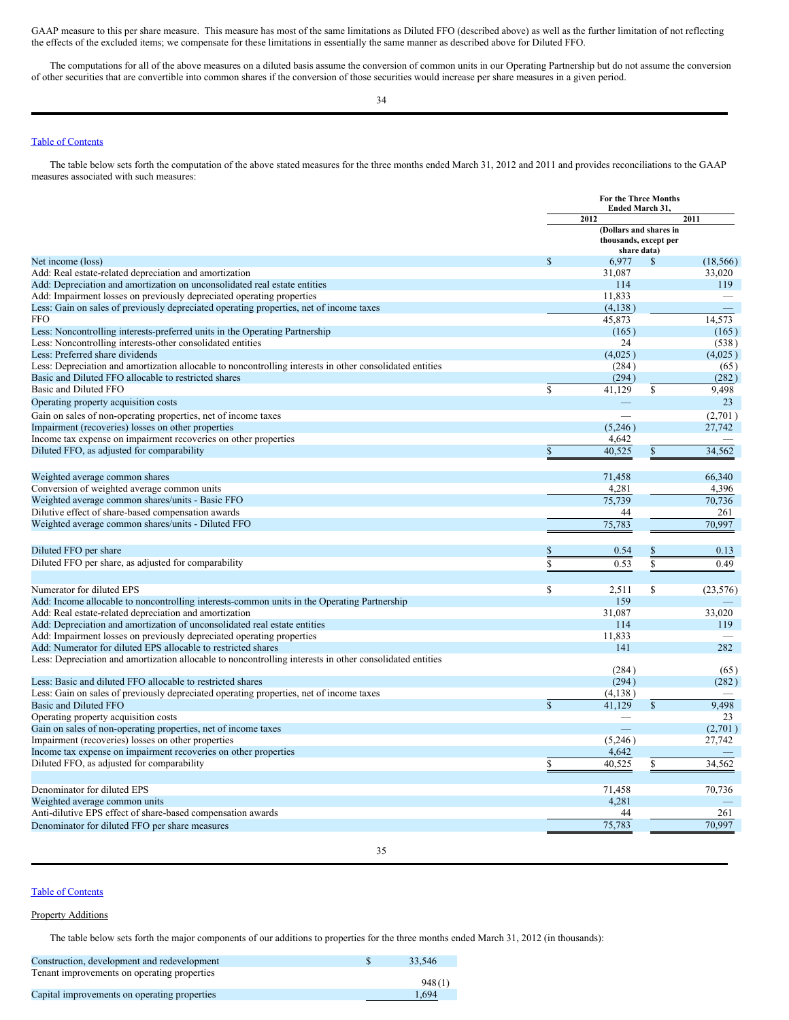GAAP measure to this per share measure. This measure has most of the same limitations as Diluted FFO (described above) as well as the further limitation of not reflecting the effects of the excluded items; we compensate for these limitations in essentially the same manner as described above for Diluted FFO.

The computations for all of the above measures on a diluted basis assume the conversion of common units in our Operating Partnership but do not assume the conversion of other securities that are convertible into common shares if the conversion of those securities would increase per share measures in a given period.

34

### Table of [Contents](#page-0-0)

The table below sets forth the computation of the above stated measures for the three months ended March 31, 2012 and 2011 and provides reconciliations to the GAAP measures associated with such measures:

|                                                                                                          | <b>For the Three Months</b><br><b>Ended March 31.</b> |                                                                |               |           |
|----------------------------------------------------------------------------------------------------------|-------------------------------------------------------|----------------------------------------------------------------|---------------|-----------|
|                                                                                                          |                                                       | 2012                                                           |               | 2011      |
|                                                                                                          |                                                       | (Dollars and shares in<br>thousands, except per<br>share data) |               |           |
| Net income (loss)                                                                                        | $\mathbb{S}$                                          | 6,977                                                          | \$            | (18, 566) |
| Add: Real estate-related depreciation and amortization                                                   |                                                       | 31,087                                                         |               | 33,020    |
| Add: Depreciation and amortization on unconsolidated real estate entities                                |                                                       | 114                                                            |               | 119       |
| Add: Impairment losses on previously depreciated operating properties                                    |                                                       | 11.833                                                         |               |           |
| Less: Gain on sales of previously depreciated operating properties, net of income taxes                  |                                                       | (4,138)                                                        |               |           |
| <b>FFO</b>                                                                                               |                                                       | 45.873                                                         |               | 14.573    |
| Less: Noncontrolling interests-preferred units in the Operating Partnership                              |                                                       | (165)                                                          |               | (165)     |
| Less: Noncontrolling interests-other consolidated entities                                               |                                                       | 24                                                             |               | (538)     |
| Less: Preferred share dividends                                                                          |                                                       | (4,025)                                                        |               | (4,025)   |
| Less: Depreciation and amortization allocable to noncontrolling interests in other consolidated entities |                                                       | (284)                                                          |               | (65)      |
| Basic and Diluted FFO allocable to restricted shares                                                     |                                                       | (294)                                                          |               | (282)     |
| Basic and Diluted FFO                                                                                    | $\mathbf S$                                           | 41,129                                                         | $\mathbb{S}$  | 9,498     |
| Operating property acquisition costs                                                                     |                                                       |                                                                |               | 23        |
| Gain on sales of non-operating properties, net of income taxes                                           |                                                       |                                                                |               | (2,701)   |
| Impairment (recoveries) losses on other properties                                                       |                                                       | (5,246)                                                        |               | 27,742    |
| Income tax expense on impairment recoveries on other properties                                          |                                                       | 4,642                                                          |               |           |
| Diluted FFO, as adjusted for comparability                                                               | \$                                                    | 40,525                                                         | \$            | 34,562    |
|                                                                                                          |                                                       |                                                                |               |           |
| Weighted average common shares                                                                           |                                                       | 71.458                                                         |               | 66.340    |
| Conversion of weighted average common units                                                              |                                                       | 4,281                                                          |               | 4,396     |
| Weighted average common shares/units - Basic FFO                                                         |                                                       | 75.739                                                         |               | 70,736    |
| Dilutive effect of share-based compensation awards                                                       |                                                       | 44                                                             |               | 261       |
| Weighted average common shares/units - Diluted FFO                                                       |                                                       | 75,783                                                         |               | 70,997    |
|                                                                                                          |                                                       |                                                                |               |           |
| Diluted FFO per share                                                                                    |                                                       | 0.54                                                           | \$            | 0.13      |
| Diluted FFO per share, as adjusted for comparability                                                     |                                                       | 0.53                                                           | $\bar{s}$     | 0.49      |
|                                                                                                          |                                                       |                                                                |               |           |
| Numerator for diluted EPS                                                                                | S                                                     | 2.511                                                          | <sup>\$</sup> | (23, 576) |
| Add: Income allocable to noncontrolling interests-common units in the Operating Partnership              |                                                       | 159                                                            |               |           |
| Add: Real estate-related depreciation and amortization                                                   |                                                       | 31.087                                                         |               | 33,020    |
| Add: Depreciation and amortization of unconsolidated real estate entities                                |                                                       | 114                                                            |               | 119       |
| Add: Impairment losses on previously depreciated operating properties                                    |                                                       | 11,833                                                         |               |           |
| Add: Numerator for diluted EPS allocable to restricted shares                                            |                                                       | 141                                                            |               | 282       |
| Less: Depreciation and amortization allocable to noncontrolling interests in other consolidated entities |                                                       |                                                                |               |           |
|                                                                                                          |                                                       | (284)                                                          |               | (65)      |
| Less: Basic and diluted FFO allocable to restricted shares                                               |                                                       | (294)                                                          |               | (282)     |
| Less: Gain on sales of previously depreciated operating properties, net of income taxes                  |                                                       | (4,138)                                                        |               |           |
| <b>Basic and Diluted FFO</b>                                                                             | $\mathbf{\hat{s}}$                                    | 41.129                                                         | $\mathsf{\$}$ | 9,498     |
| Operating property acquisition costs                                                                     |                                                       |                                                                |               | 23        |
| Gain on sales of non-operating properties, net of income taxes                                           |                                                       |                                                                |               | (2,701)   |
| Impairment (recoveries) losses on other properties                                                       |                                                       | (5,246)                                                        |               | 27,742    |
| Income tax expense on impairment recoveries on other properties                                          |                                                       | 4,642                                                          |               |           |
| Diluted FFO, as adjusted for comparability                                                               | \$                                                    | 40,525                                                         | \$            | 34,562    |
|                                                                                                          |                                                       |                                                                |               |           |
| Denominator for diluted EPS                                                                              |                                                       | 71,458                                                         |               | 70,736    |
| Weighted average common units                                                                            |                                                       | 4,281                                                          |               |           |
| Anti-dilutive EPS effect of share-based compensation awards                                              |                                                       | 44                                                             |               | 261       |
| Denominator for diluted FFO per share measures                                                           |                                                       | 75,783                                                         |               | 70.997    |
|                                                                                                          |                                                       |                                                                |               |           |

35

### Table of [Contents](#page-0-0)

### **Property Additions**

The table below sets forth the major components of our additions to properties for the three months ended March 31, 2012 (in thousands):

| Construction, development and redevelopment  | 33.546 |
|----------------------------------------------|--------|
| Tenant improvements on operating properties  |        |
|                                              | 948(1) |
| Capital improvements on operating properties | 1.694  |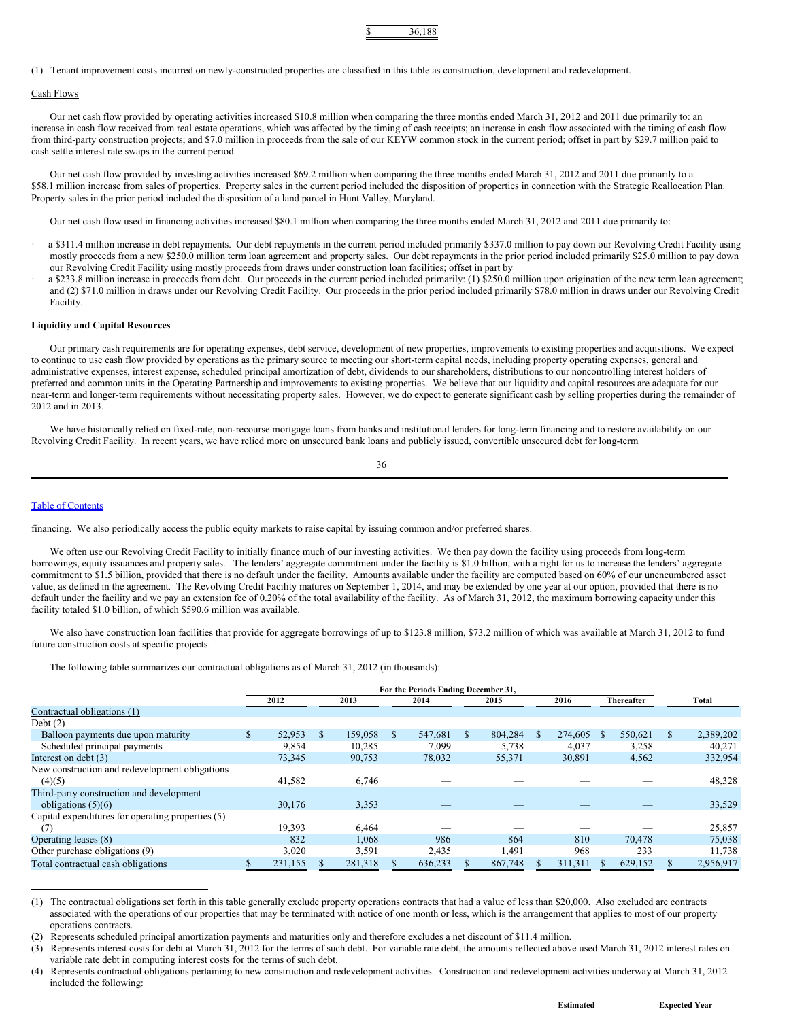\$ 36,188

(1) Tenant improvement costs incurred on newly-constructed properties are classified in this table as construction, development and redevelopment.

#### Cash Flows

Our net cash flow provided by operating activities increased \$10.8 million when comparing the three months ended March 31, 2012 and 2011 due primarily to: an increase in cash flow received from real estate operations, which was affected by the timing of cash receipts; an increase in cash flow associated with the timing of cash flow from third-party construction projects; and \$7.0 million in proceeds from the sale of our KEYW common stock in the current period; offset in part by \$29.7 million paid to cash settle interest rate swaps in the current period.

Our net cash flow provided by investing activities increased \$69.2 million when comparing the three months ended March 31, 2012 and 2011 due primarily to a \$58.1 million increase from sales of properties. Property sales in the current period included the disposition of properties in connection with the Strategic Reallocation Plan. Property sales in the prior period included the disposition of a land parcel in Hunt Valley, Maryland.

Our net cash flow used in financing activities increased \$80.1 million when comparing the three months ended March 31, 2012 and 2011 due primarily to:

- a \$311.4 million increase in debt repayments. Our debt repayments in the current period included primarily \$337.0 million to pay down our Revolving Credit Facility using mostly proceeds from a new \$250.0 million term loan agreement and property sales. Our debt repayments in the prior period included primarily \$25.0 million to pay down our Revolving Credit Facility using mostly proceeds from draws under construction loan facilities; offset in part by
- a \$233.8 million increase in proceeds from debt. Our proceeds in the current period included primarily: (1) \$250.0 million upon origination of the new term loan agreement; and (2) \$71.0 million in draws under our Revolving Credit Facility. Our proceeds in the prior period included primarily \$78.0 million in draws under our Revolving Credit Facility.

#### **Liquidity and Capital Resources**

Our primary cash requirements are for operating expenses, debt service, development of new properties, improvements to existing properties and acquisitions. We expect to continue to use cash flow provided by operations as the primary source to meeting our short-term capital needs, including property operating expenses, general and administrative expenses, interest expense, scheduled principal amortization of debt, dividends to our shareholders, distributions to our noncontrolling interest holders of preferred and common units in the Operating Partnership and improvements to existing properties. We believe that our liquidity and capital resources are adequate for our near-term and longer-term requirements without necessitating property sales. However, we do expect to generate significant cash by selling properties during the remainder of 2012 and in 2013.

We have historically relied on fixed-rate, non-recourse mortgage loans from banks and institutional lenders for long-term financing and to restore availability on our Revolving Credit Facility. In recent years, we have relied more on unsecured bank loans and publicly issued, convertible unsecured debt for long-term

36

#### Table of [Contents](#page-0-0)

financing. We also periodically access the public equity markets to raise capital by issuing common and/or preferred shares.

We often use our Revolving Credit Facility to initially finance much of our investing activities. We then pay down the facility using proceeds from long-term borrowings, equity issuances and property sales. The lenders' aggregate commitment under the facility is \$1.0 billion, with a right for us to increase the lenders' aggregate commitment to \$1.5 billion, provided that there is no default under the facility. Amounts available under the facility are computed based on 60% of our unencumbered asset value, as defined in the agreement. The Revolving Credit Facility matures on September 1, 2014, and may be extended by one year at our option, provided that there is no default under the facility and we pay an extension fee of 0.20% of the total availability of the facility. As of March 31, 2012, the maximum borrowing capacity under this facility totaled \$1.0 billion, of which \$590.6 million was available.

We also have construction loan facilities that provide for aggregate borrowings of up to \$123.8 million, \$73.2 million of which was available at March 31, 2012 to fund future construction costs at specific projects.

The following table summarizes our contractual obligations as of March 31, 2012 (in thousands):

|                                                   | For the Periods Ending December 31, |  |         |          |         |     |         |          |         |   |            |          |           |
|---------------------------------------------------|-------------------------------------|--|---------|----------|---------|-----|---------|----------|---------|---|------------|----------|-----------|
|                                                   | 2012                                |  | 2013    |          | 2014    |     | 2015    |          | 2016    |   | Thereafter |          | Total     |
| Contractual obligations (1)                       |                                     |  |         |          |         |     |         |          |         |   |            |          |           |
| Debt(2)                                           |                                     |  |         |          |         |     |         |          |         |   |            |          |           |
| Balloon payments due upon maturity                | 52.953                              |  | 159,058 | <b>S</b> | 547.681 | \$. | 804.284 | <b>S</b> | 274,605 | Ж | 550.621    | <b>S</b> | 2,389,202 |
| Scheduled principal payments                      | 9,854                               |  | 10,285  |          | 7,099   |     | 5,738   |          | 4,037   |   | 3,258      |          | 40,271    |
| Interest on debt (3)                              | 73,345                              |  | 90,753  |          | 78,032  |     | 55,371  |          | 30,891  |   | 4,562      |          | 332,954   |
| New construction and redevelopment obligations    |                                     |  |         |          |         |     |         |          |         |   |            |          |           |
| (4)(5)                                            | 41,582                              |  | 6,746   |          |         |     |         |          |         |   |            |          | 48,328    |
| Third-party construction and development          |                                     |  |         |          |         |     |         |          |         |   |            |          |           |
| obligations $(5)(6)$                              | 30,176                              |  | 3,353   |          |         |     |         |          |         |   |            |          | 33,529    |
| Capital expenditures for operating properties (5) |                                     |  |         |          |         |     |         |          |         |   |            |          |           |
|                                                   | 19,393                              |  | 6,464   |          |         |     |         |          |         |   |            |          | 25,857    |
| Operating leases (8)                              | 832                                 |  | 1,068   |          | 986     |     | 864     |          | 810     |   | 70.478     |          | 75,038    |
| Other purchase obligations (9)                    | 3,020                               |  | 3,591   |          | 2,435   |     | 1,491   |          | 968     |   | 233        |          | 11,738    |
| Total contractual cash obligations                | 231,155                             |  | 281,318 |          | 636,233 |     | 867,748 |          | 311,311 |   | 629,152    |          | 2,956,917 |

<sup>(1)</sup> The contractual obligations set forth in this table generally exclude property operations contracts that had a value of less than \$20,000. Also excluded are contracts associated with the operations of our properties that may be terminated with notice of one month or less, which is the arrangement that applies to most of our property operations contracts.

<sup>(2)</sup> Represents scheduled principal amortization payments and maturities only and therefore excludes a net discount of \$11.4 million.

<sup>(3)</sup> Represents interest costs for debt at March 31, 2012 for the terms of such debt. For variable rate debt, the amounts reflected above used March 31, 2012 interest rates on variable rate debt in computing interest costs for the terms of such debt.

<sup>(4)</sup> Represents contractual obligations pertaining to new construction and redevelopment activities. Construction and redevelopment activities underway at March 31, 2012 included the following: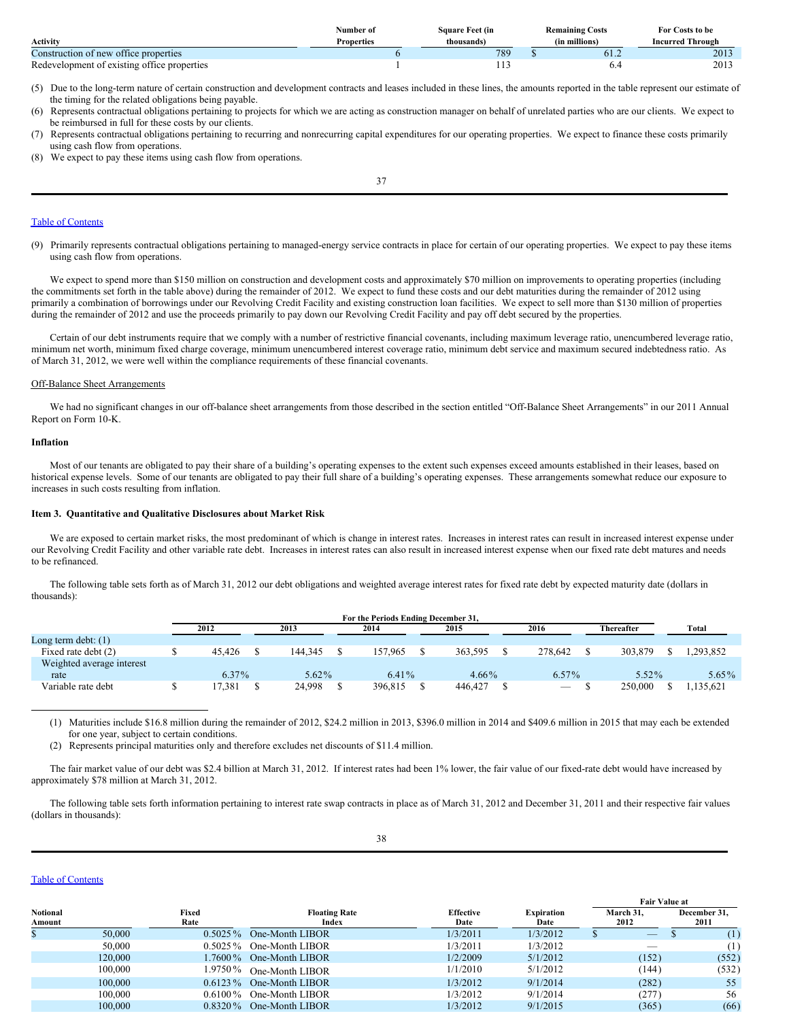|                                             | Number of  | <b>Square Feet (in</b> | <b>Remaining Costs</b> | For Costs to be         |
|---------------------------------------------|------------|------------------------|------------------------|-------------------------|
| <b>Activity</b>                             | Properties | thousands)             | (in millions)          | <b>Incurred Through</b> |
| Construction of new office properties       |            | 789                    | 61.2                   | 2013                    |
| Redevelopment of existing office properties |            |                        | ۵.۹                    | 2013                    |

- (5) Due to the long-term nature of certain construction and development contracts and leases included in these lines, the amounts reported in the table represent our estimate of the timing for the related obligations being payable.
- (6) Represents contractual obligations pertaining to projects for which we are acting as construction manager on behalf of unrelated parties who are our clients. We expect to be reimbursed in full for these costs by our clients.
- (7) Represents contractual obligations pertaining to recurring and nonrecurring capital expenditures for our operating properties. We expect to finance these costs primarily using cash flow from operations.
- (8) We expect to pay these items using cash flow from operations.

37

#### Table of [Contents](#page-0-0)

(9) Primarily represents contractual obligations pertaining to managed-energy service contracts in place for certain of our operating properties. We expect to pay these items using cash flow from operations.

We expect to spend more than \$150 million on construction and development costs and approximately \$70 million on improvements to operating properties (including the commitments set forth in the table above) during the remainder of 2012. We expect to fund these costs and our debt maturities during the remainder of 2012 using primarily a combination of borrowings under our Revolving Credit Facility and existing construction loan facilities. We expect to sell more than \$130 million of properties during the remainder of 2012 and use the proceeds primarily to pay down our Revolving Credit Facility and pay off debt secured by the properties.

Certain of our debt instruments require that we comply with a number of restrictive financial covenants, including maximum leverage ratio, unencumbered leverage ratio, minimum net worth, minimum fixed charge coverage, minimum unencumbered interest coverage ratio, minimum debt service and maximum secured indebtedness ratio. As of March 31, 2012, we were well within the compliance requirements of these financial covenants.

#### Off-Balance Sheet Arrangements

We had no significant changes in our off-balance sheet arrangements from those described in the section entitled "Off-Balance Sheet Arrangements" in our 2011 Annual Report on Form 10-K.

#### **Inflation**

Most of our tenants are obligated to pay their share of a building's operating expenses to the extent such expenses exceed amounts established in their leases, based on historical expense levels. Some of our tenants are obligated to pay their full share of a building's operating expenses. These arrangements somewhat reduce our exposure to increases in such costs resulting from inflation.

#### <span id="page-22-0"></span>**Item 3. Quantitative and Qualitative Disclosures about Market Risk**

We are exposed to certain market risks, the most predominant of which is change in interest rates. Increases in interest rates can result in increased interest expense under our Revolving Credit Facility and other variable rate debt. Increases in interest rates can also result in increased interest expense when our fixed rate debt matures and needs to be refinanced.

The following table sets forth as of March 31, 2012 our debt obligations and weighted average interest rates for fixed rate debt by expected maturity date (dollars in thousands):

|                           |        |          | For the Periods Ending December 31, |          |                                 |                   |          |
|---------------------------|--------|----------|-------------------------------------|----------|---------------------------------|-------------------|----------|
|                           | 2012   | 2013     | 2014                                | 2015     | 2016                            | <b>Thereafter</b> | Total    |
| Long term debt: $(1)$     |        |          |                                     |          |                                 |                   |          |
| Fixed rate debt (2)       | 45.426 | 144.345  | 157.965                             | 363.595  | 278,642                         | 303.879           | ,293,852 |
| Weighted average interest |        |          |                                     |          |                                 |                   |          |
| rate                      | 6.37%  | $5.62\%$ | $6.41\%$                            | $4.66\%$ | 6.57%                           | 5.52%             | $5.65\%$ |
| Variable rate debt        | 17.381 | 24,998   | 396.815                             | 446,427  | $\hspace{0.1mm}-\hspace{0.1mm}$ | 250,000           | ,135,621 |

(1) Maturities include \$16.8 million during the remainder of 2012, \$24.2 million in 2013, \$396.0 million in 2014 and \$409.6 million in 2015 that may each be extended for one year, subject to certain conditions.

(2) Represents principal maturities only and therefore excludes net discounts of \$11.4 million.

The fair market value of our debt was \$2.4 billion at March 31, 2012. If interest rates had been 1% lower, the fair value of our fixed-rate debt would have increased by approximately \$78 million at March 31, 2012.

The following table sets forth information pertaining to interest rate swap contracts in place as of March 31, 2012 and December 31, 2011 and their respective fair values (dollars in thousands):

#### Table of [Contents](#page-0-0)

|                 |         |       |                            |                  |                   | Fair Value at |              |
|-----------------|---------|-------|----------------------------|------------------|-------------------|---------------|--------------|
| <b>Notional</b> |         | Fixed | <b>Floating Rate</b>       | <b>Effective</b> | <b>Expiration</b> | March 31.     | December 31, |
| Amount          |         | Rate  | <b>Index</b>               | Date             | Date              | 2012          | 2011         |
|                 | 50,000  |       | $0.5025\%$ One-Month LIBOR | 1/3/2011         | 1/3/2012          | $-$           | (1)          |
|                 | 50,000  |       | 0.5025% One-Month LIBOR    | 1/3/2011         | 1/3/2012          | __            | (1)          |
|                 | 120,000 |       | 1.7600 % One-Month LIBOR   | 1/2/2009         | 5/1/2012          | (152)         | (552)        |
|                 | 100,000 |       | 1.9750% One-Month LIBOR    | 1/1/2010         | 5/1/2012          | (144)         | (532)        |
|                 | 100,000 |       | 0.6123 % One-Month LIBOR   | 1/3/2012         | 9/1/2014          | (282)         | 55           |
|                 | 100,000 |       | 0.6100% One-Month LIBOR    | 1/3/2012         | 9/1/2014          | (277)         | 56           |
|                 | 100,000 |       | 0.8320% One-Month LIBOR    | 1/3/2012         | 9/1/2015          | (365)         | (66)         |

**Fair Value at**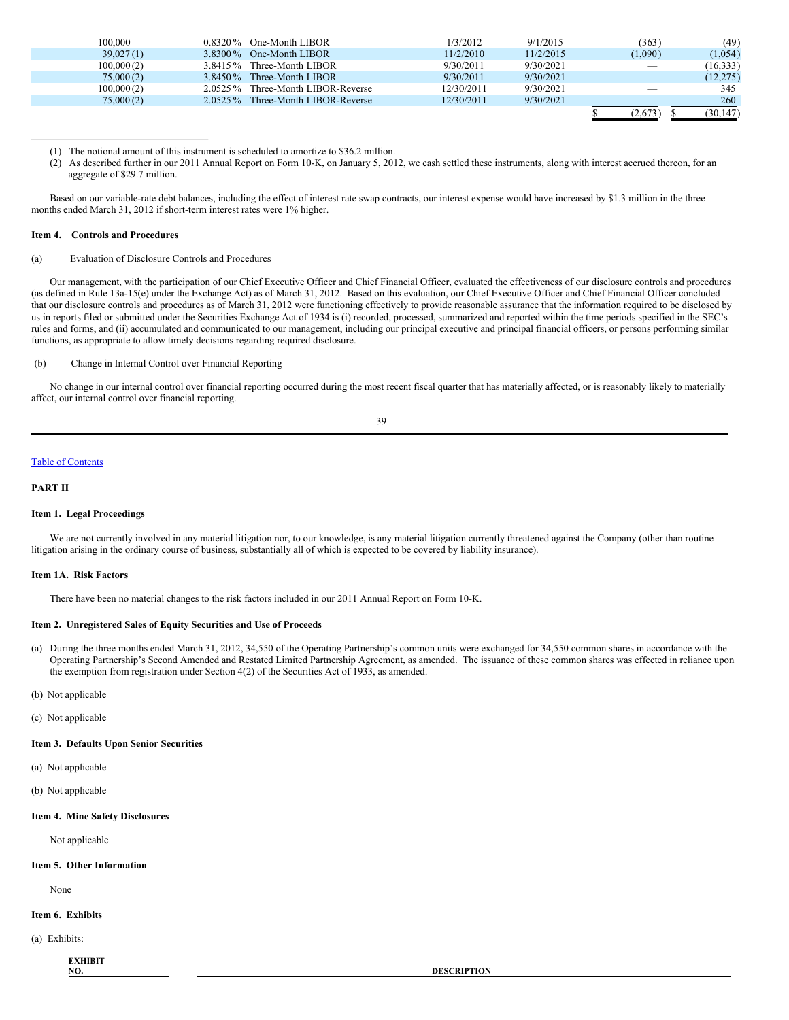| 100,000    | 0.8320% One-Month LIBOR            | 1/3/2012   | 9/1/2015  | (363)   | (49)      |
|------------|------------------------------------|------------|-----------|---------|-----------|
| 39,027(1)  | 3.8300% One-Month LIBOR            | 11/2/2010  | 11/2/2015 | (1,090) | (1,054)   |
| 100,000(2) | 3.8415% Three-Month LIBOR          | 9/30/2011  | 9/30/2021 |         | (16, 333) |
| 75,000(2)  | 3.8450% Three-Month LIBOR          | 9/30/2011  | 9/30/2021 |         | (12,275)  |
| 100,000(2) | 2.0525 % Three-Month LIBOR-Reverse | 12/30/2011 | 9/30/2021 | -       | 345       |
| 75,000(2)  | 2.0525 % Three-Month LIBOR-Reverse | 12/30/2011 | 9/30/2021 | _       | 260       |
|            |                                    |            |           | (2,673) | (30, 147) |

<sup>(1)</sup> The notional amount of this instrument is scheduled to amortize to \$36.2 million.

Based on our variable-rate debt balances, including the effect of interest rate swap contracts, our interest expense would have increased by \$1.3 million in the three months ended March 31, 2012 if short-term interest rates were 1% higher.

### **Item 4. Controls and Procedures**

#### (a) Evaluation of Disclosure Controls and Procedures

Our management, with the participation of our Chief Executive Officer and Chief Financial Officer, evaluated the effectiveness of our disclosure controls and procedures (as defined in Rule 13a-15(e) under the Exchange Act) as of March 31, 2012. Based on this evaluation, our Chief Executive Officer and Chief Financial Officer concluded that our disclosure controls and procedures as of March 31, 2012 were functioning effectively to provide reasonable assurance that the information required to be disclosed by us in reports filed or submitted under the Securities Exchange Act of 1934 is (i) recorded, processed, summarized and reported within the time periods specified in the SEC's rules and forms, and (ii) accumulated and communicated to our management, including our principal executive and principal financial officers, or persons performing similar functions, as appropriate to allow timely decisions regarding required disclosure.

(b) Change in Internal Control over Financial Reporting

No change in our internal control over financial reporting occurred during the most recent fiscal quarter that has materially affected, or is reasonably likely to materially affect, our internal control over financial reporting.

<span id="page-23-4"></span>

|                   | I<br>I<br>I  |
|-------------------|--------------|
| ł<br>٠<br>×<br>۰. | ł<br>۰.<br>v |

#### Table of [Contents](#page-0-0)

### <span id="page-23-1"></span>**PART II**

#### <span id="page-23-2"></span>**Item 1. Legal Proceedings**

We are not currently involved in any material litigation nor, to our knowledge, is any material litigation currently threatened against the Company (other than routine litigation arising in the ordinary course of business, substantially all of which is expected to be covered by liability insurance).

#### **Item 1A. Risk Factors**

<span id="page-23-3"></span>There have been no material changes to the risk factors included in our 2011 Annual Report on Form 10-K.

#### **Item 2. Unregistered Sales of Equity Securities and Use of Proceeds**

(a) During the three months ended March 31, 2012, 34,550 of the Operating Partnership's common units were exchanged for 34,550 common shares in accordance with the Operating Partnership's Second Amended and Restated Limited Partnership Agreement, as amended. The issuance of these common shares was effected in reliance upon the exemption from registration under Section 4(2) of the Securities Act of 1933, as amended.

#### (b) Not applicable

(c) Not applicable

#### <span id="page-23-5"></span>**Item 3. Defaults Upon Senior Securities**

(a) Not applicable

(b) Not applicable

### **Item 4. Mine Safety Disclosures**

<span id="page-23-7"></span><span id="page-23-6"></span>Not applicable

#### **Item 5. Other Information**

<span id="page-23-8"></span>None

#### **Item 6. Exhibits**

### (a) Exhibits:

**EXHIBIT**

<span id="page-23-0"></span><sup>(2)</sup> As described further in our 2011 Annual Report on Form 10-K, on January 5, 2012, we cash settled these instruments, along with interest accrued thereon, for an aggregate of \$29.7 million.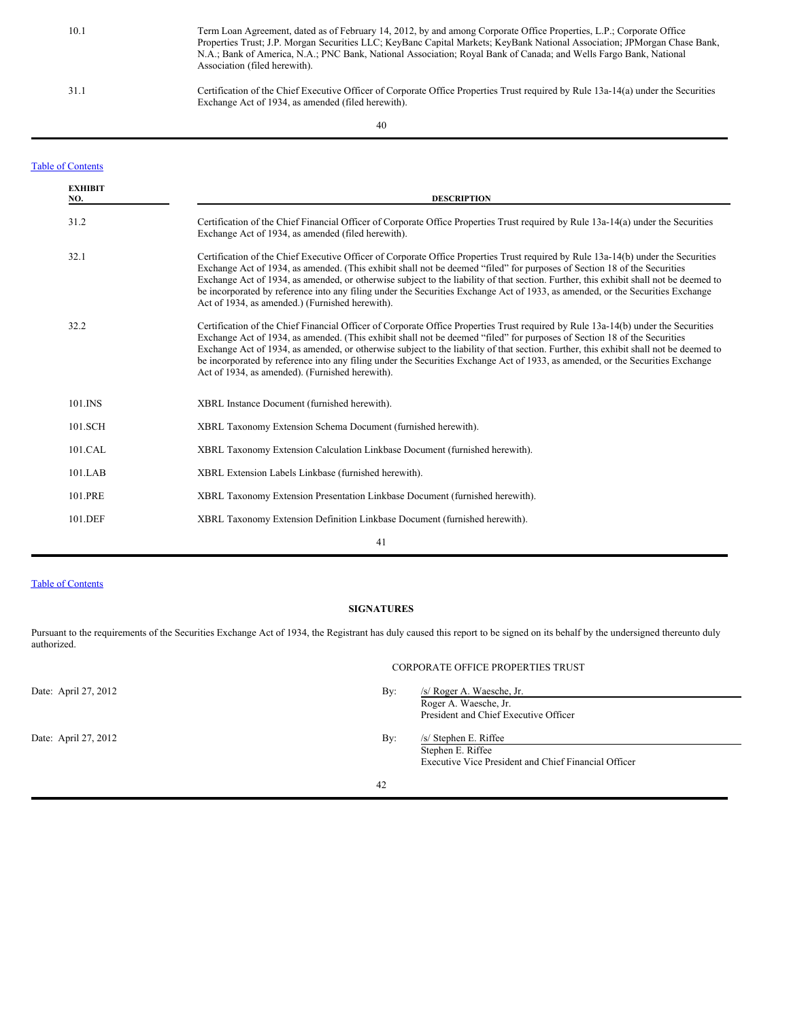| 10.1 | Term Loan Agreement, dated as of February 14, 2012, by and among Corporate Office Properties, L.P.; Corporate Office<br>Properties Trust; J.P. Morgan Securities LLC; KeyBanc Capital Markets; KeyBank National Association; JPMorgan Chase Bank,<br>N.A.; Bank of America, N.A.; PNC Bank, National Association; Royal Bank of Canada; and Wells Fargo Bank, National<br>Association (filed herewith). |
|------|---------------------------------------------------------------------------------------------------------------------------------------------------------------------------------------------------------------------------------------------------------------------------------------------------------------------------------------------------------------------------------------------------------|
| 31.1 | Certification of the Chief Executive Officer of Corporate Office Properties Trust required by Rule 13a-14(a) under the Securities<br>Exchange Act of 1934, as amended (filed herewith).                                                                                                                                                                                                                 |

40

## Table of [Contents](#page-0-0)

| <b>DESCRIPTION</b>                                                                                                                                                                                                                                                                                                                                                                                                                                                                                                                                                                          |
|---------------------------------------------------------------------------------------------------------------------------------------------------------------------------------------------------------------------------------------------------------------------------------------------------------------------------------------------------------------------------------------------------------------------------------------------------------------------------------------------------------------------------------------------------------------------------------------------|
| Certification of the Chief Financial Officer of Corporate Office Properties Trust required by Rule 13a-14(a) under the Securities<br>Exchange Act of 1934, as amended (filed herewith).                                                                                                                                                                                                                                                                                                                                                                                                     |
| Certification of the Chief Executive Officer of Corporate Office Properties Trust required by Rule 13a-14(b) under the Securities<br>Exchange Act of 1934, as amended. (This exhibit shall not be deemed "filed" for purposes of Section 18 of the Securities<br>Exchange Act of 1934, as amended, or otherwise subject to the liability of that section. Further, this exhibit shall not be deemed to<br>be incorporated by reference into any filing under the Securities Exchange Act of 1933, as amended, or the Securities Exchange<br>Act of 1934, as amended.) (Furnished herewith). |
| Certification of the Chief Financial Officer of Corporate Office Properties Trust required by Rule 13a-14(b) under the Securities<br>Exchange Act of 1934, as amended. (This exhibit shall not be deemed "filed" for purposes of Section 18 of the Securities<br>Exchange Act of 1934, as amended, or otherwise subject to the liability of that section. Further, this exhibit shall not be deemed to<br>be incorporated by reference into any filing under the Securities Exchange Act of 1933, as amended, or the Securities Exchange<br>Act of 1934, as amended). (Furnished herewith). |
| XBRL Instance Document (furnished herewith).                                                                                                                                                                                                                                                                                                                                                                                                                                                                                                                                                |
| XBRL Taxonomy Extension Schema Document (furnished herewith).                                                                                                                                                                                                                                                                                                                                                                                                                                                                                                                               |
| XBRL Taxonomy Extension Calculation Linkbase Document (furnished herewith).                                                                                                                                                                                                                                                                                                                                                                                                                                                                                                                 |
| XBRL Extension Labels Linkbase (furnished herewith).                                                                                                                                                                                                                                                                                                                                                                                                                                                                                                                                        |
| XBRL Taxonomy Extension Presentation Linkbase Document (furnished herewith).                                                                                                                                                                                                                                                                                                                                                                                                                                                                                                                |
| XBRL Taxonomy Extension Definition Linkbase Document (furnished herewith).                                                                                                                                                                                                                                                                                                                                                                                                                                                                                                                  |
|                                                                                                                                                                                                                                                                                                                                                                                                                                                                                                                                                                                             |

41

Table of [Contents](#page-0-0)

### <span id="page-24-0"></span>**SIGNATURES**

Pursuant to the requirements of the Securities Exchange Act of 1934, the Registrant has duly caused this report to be signed on its behalf by the undersigned thereunto duly authorized.

|                      |     | <b>CORPORATE OFFICE PROPERTIES TRUST</b>                                                           |
|----------------------|-----|----------------------------------------------------------------------------------------------------|
| Date: April 27, 2012 | By: | /s/ Roger A. Waesche, Jr.<br>Roger A. Waesche, Jr.<br>President and Chief Executive Officer        |
| Date: April 27, 2012 | By: | /s/ Stephen E. Riffee<br>Stephen E. Riffee<br>Executive Vice President and Chief Financial Officer |
|                      | 42  |                                                                                                    |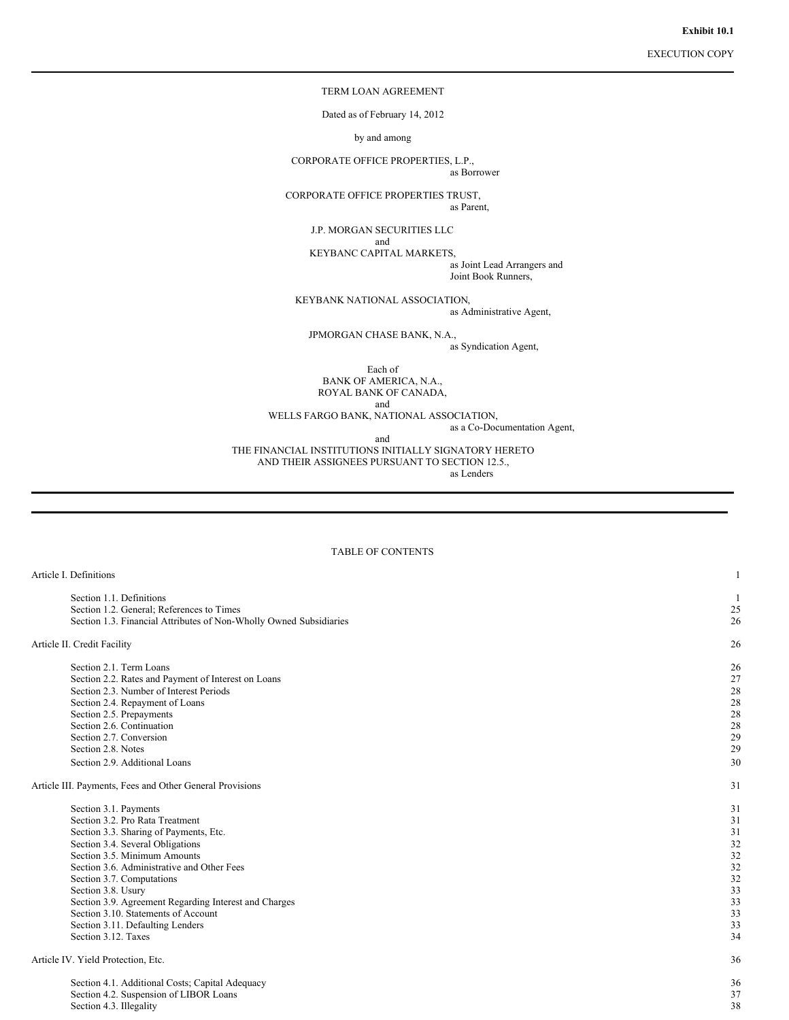EXECUTION COPY

### TERM LOAN AGREEMENT

Dated as of February 14, 2012

by and among

CORPORATE OFFICE PROPERTIES, L.P.,

as Borrower

CORPORATE OFFICE PROPERTIES TRUST, as Parent,

J.P. MORGAN SECURITIES LLC

and

KEYBANC CAPITAL MARKETS,

as Joint Lead Arrangers and Joint Book Runners,

KEYBANK NATIONAL ASSOCIATION,

as Administrative Agent,

JPMORGAN CHASE BANK, N.A.,

as Syndication Agent,

Each of BANK OF AMERICA, N.A., ROYAL BANK OF CANADA,

and

WELLS FARGO BANK, NATIONAL ASSOCIATION,

as a Co-Documentation Agent,

and

THE FINANCIAL INSTITUTIONS INITIALLY SIGNATORY HERETO AND THEIR ASSIGNEES PURSUANT TO SECTION 12.5., as Lenders

# TABLE OF CONTENTS

Article I. Definitions 1

| Section 1.1. Definitions                                                                       | 1        |
|------------------------------------------------------------------------------------------------|----------|
| Section 1.2. General; References to Times                                                      | 25       |
| Section 1.3. Financial Attributes of Non-Wholly Owned Subsidiaries                             | 26       |
| Article II. Credit Facility                                                                    | 26       |
| Section 2.1. Term Loans                                                                        |          |
|                                                                                                | 26       |
| Section 2.2. Rates and Payment of Interest on Loans<br>Section 2.3. Number of Interest Periods | 27<br>28 |
|                                                                                                | 28       |
| Section 2.4. Repayment of Loans                                                                |          |
| Section 2.5. Prepayments<br>Section 2.6. Continuation                                          | 28<br>28 |
| Section 2.7. Conversion                                                                        | 29       |
| Section 2.8. Notes                                                                             | 29       |
|                                                                                                |          |
| Section 2.9. Additional Loans                                                                  | 30       |
| Article III. Payments, Fees and Other General Provisions                                       | 31       |
| Section 3.1. Payments                                                                          | 31       |
| Section 3.2. Pro Rata Treatment                                                                | 31       |
| Section 3.3. Sharing of Payments, Etc.                                                         | 31       |
| Section 3.4. Several Obligations                                                               | 32       |
| Section 3.5. Minimum Amounts                                                                   | 32       |
| Section 3.6. Administrative and Other Fees                                                     | 32       |
| Section 3.7. Computations                                                                      | 32       |
| Section 3.8. Usury                                                                             | 33       |
| Section 3.9. Agreement Regarding Interest and Charges                                          | 33       |
| Section 3.10. Statements of Account                                                            | 33       |
| Section 3.11. Defaulting Lenders                                                               | 33       |
| Section 3.12. Taxes                                                                            | 34       |
| Article IV. Yield Protection, Etc.                                                             | 36       |
| Section 4.1. Additional Costs; Capital Adequacy                                                | 36       |
| Section 4.2. Suspension of LIBOR Loans                                                         | 37       |
| Section 4.3. Illegality                                                                        | 38       |
|                                                                                                |          |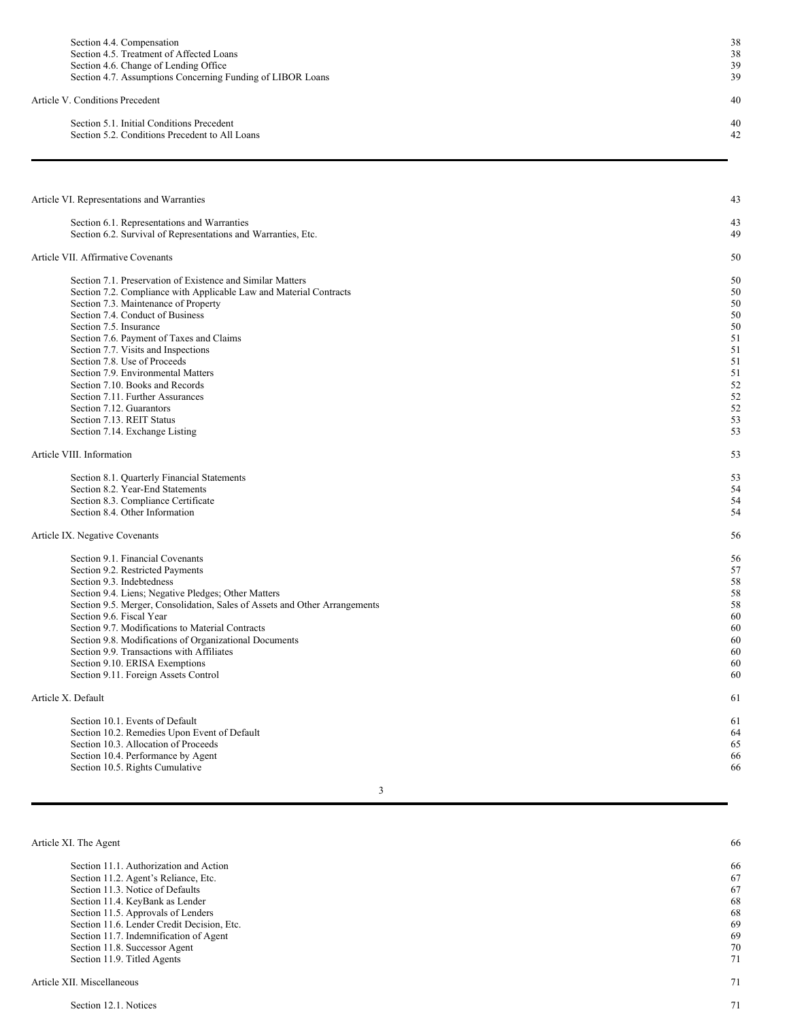| Section 4.4. Compensation                                  | 38 |
|------------------------------------------------------------|----|
| Section 4.5. Treatment of Affected Loans                   | 38 |
| Section 4.6. Change of Lending Office                      | 39 |
| Section 4.7. Assumptions Concerning Funding of LIBOR Loans | 39 |
|                                                            |    |
| Article V. Conditions Precedent                            | 40 |
|                                                            |    |
| Section 5.1. Initial Conditions Precedent                  | 40 |
| Section 5.2. Conditions Precedent to All Loans             | 42 |
|                                                            |    |

| Article VI. Representations and Warranties                                 | 43       |
|----------------------------------------------------------------------------|----------|
| Section 6.1. Representations and Warranties                                | 43       |
| Section 6.2. Survival of Representations and Warranties, Etc.              | 49       |
| Article VII. Affirmative Covenants                                         | 50       |
| Section 7.1. Preservation of Existence and Similar Matters                 | 50       |
| Section 7.2. Compliance with Applicable Law and Material Contracts         | 50       |
| Section 7.3. Maintenance of Property                                       | 50       |
| Section 7.4. Conduct of Business                                           | 50       |
| Section 7.5. Insurance                                                     | 50       |
| Section 7.6. Payment of Taxes and Claims                                   | 51       |
| Section 7.7. Visits and Inspections                                        | 51       |
| Section 7.8. Use of Proceeds                                               | 51       |
| Section 7.9. Environmental Matters                                         | 51       |
| Section 7.10. Books and Records                                            | 52       |
| Section 7.11. Further Assurances                                           | 52       |
| Section 7.12. Guarantors                                                   | 52       |
| Section 7.13. REIT Status<br>Section 7.14. Exchange Listing                | 53<br>53 |
|                                                                            |          |
| Article VIII. Information                                                  | 53       |
| Section 8.1. Quarterly Financial Statements                                | 53       |
| Section 8.2. Year-End Statements                                           | 54       |
| Section 8.3. Compliance Certificate                                        | 54       |
| Section 8.4. Other Information                                             | 54       |
| Article IX. Negative Covenants                                             | 56       |
| Section 9.1. Financial Covenants                                           | 56       |
| Section 9.2. Restricted Payments                                           | 57       |
| Section 9.3. Indebtedness                                                  | 58       |
| Section 9.4. Liens; Negative Pledges; Other Matters                        | 58       |
| Section 9.5. Merger, Consolidation, Sales of Assets and Other Arrangements | 58       |
| Section 9.6. Fiscal Year                                                   | 60       |
| Section 9.7. Modifications to Material Contracts                           | 60       |
| Section 9.8. Modifications of Organizational Documents                     | 60       |
| Section 9.9. Transactions with Affiliates                                  | 60       |
| Section 9.10. ERISA Exemptions                                             | 60       |
| Section 9.11. Foreign Assets Control                                       | 60       |
| Article X. Default                                                         | 61       |
| Section 10.1. Events of Default                                            | 61       |
| Section 10.2. Remedies Upon Event of Default                               | 64       |
| Section 10.3. Allocation of Proceeds                                       | 65       |
| Section 10.4. Performance by Agent                                         | 66       |
| Section 10.5. Rights Cumulative                                            | 66       |
|                                                                            |          |

3

| Article XI. The Agent                      |     |
|--------------------------------------------|-----|
| Section 11.1. Authorization and Action     | 66  |
| Section 11.2. Agent's Reliance, Etc.       | 67  |
| Section 11.3. Notice of Defaults           | 67  |
| Section 11.4. KeyBank as Lender            | -68 |
| Section 11.5. Approvals of Lenders         | 68  |
| Section 11.6. Lender Credit Decision, Etc. | 69  |
| Section 11.7. Indemnification of Agent     | -69 |
| Section 11.8. Successor Agent              | 70  |
| Section 11.9. Titled Agents                | 71  |
| Article XII. Miscellaneous                 | 71  |
| Section 12.1. Notices                      | 71  |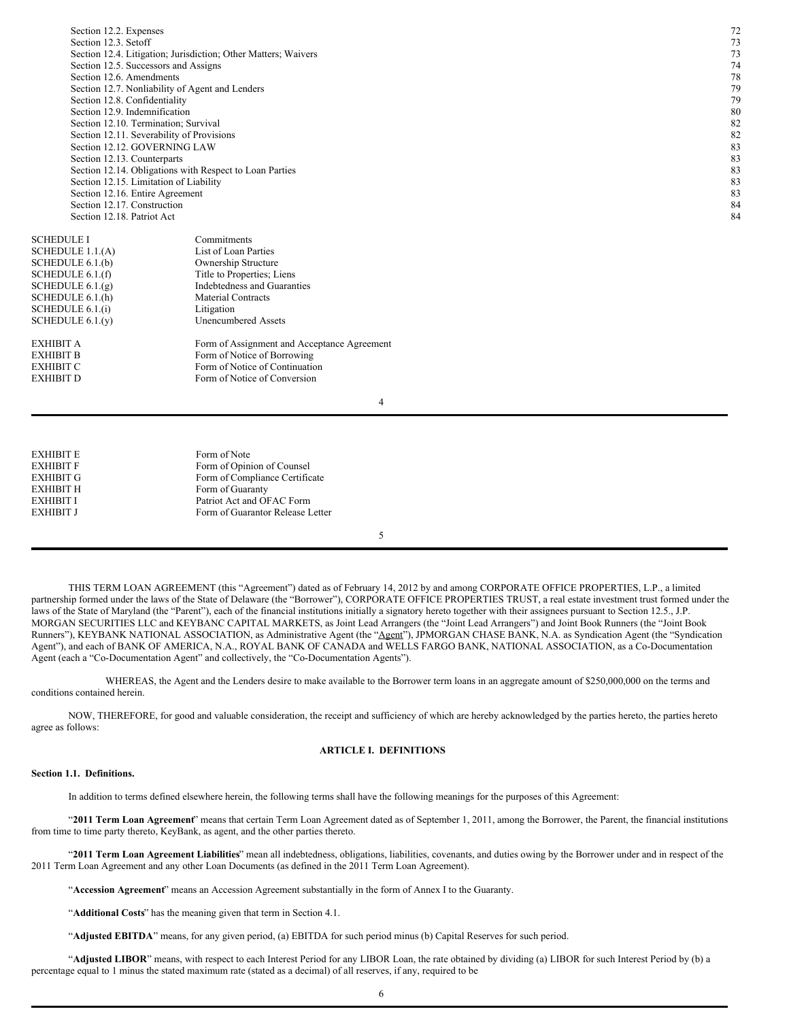| Section 12.2. Expenses                 |                                                                | 72 |
|----------------------------------------|----------------------------------------------------------------|----|
| Section 12.3. Setoff                   |                                                                | 73 |
|                                        | Section 12.4. Litigation; Jurisdiction; Other Matters; Waivers | 73 |
| Section 12.5. Successors and Assigns   |                                                                | 74 |
| Section 12.6. Amendments               |                                                                | 78 |
|                                        | Section 12.7. Nonliability of Agent and Lenders                | 79 |
| Section 12.8. Confidentiality          |                                                                | 79 |
| Section 12.9. Indemnification          |                                                                | 80 |
| Section 12.10. Termination; Survival   |                                                                | 82 |
|                                        | Section 12.11. Severability of Provisions                      | 82 |
| Section 12.12. GOVERNING LAW           |                                                                | 83 |
| Section 12.13. Counterparts            |                                                                | 83 |
|                                        | Section 12.14. Obligations with Respect to Loan Parties        | 83 |
| Section 12.15. Limitation of Liability |                                                                | 83 |
| Section 12.16. Entire Agreement        |                                                                | 83 |
| Section 12.17. Construction            |                                                                | 84 |
| Section 12.18. Patriot Act             |                                                                | 84 |
| <b>SCHEDULE I</b>                      | Commitments                                                    |    |
| SCHEDULE $1.1(A)$                      | List of Loan Parties                                           |    |
| SCHEDULE $6.1,(b)$                     | Ownership Structure                                            |    |
| SCHEDULE $6.1(f)$                      | Title to Properties; Liens                                     |    |
| SCHEDULE $6.1.(g)$                     | Indebtedness and Guaranties                                    |    |
| SCHEDULE 6.1.(h)                       | <b>Material Contracts</b>                                      |    |
| SCHEDULE $6.1$ . $(i)$                 | Litigation                                                     |    |
| SCHEDULE $6.1.(v)$                     | <b>Unencumbered Assets</b>                                     |    |
| <b>EXHIBIT A</b>                       | Form of Assignment and Acceptance Agreement                    |    |
| <b>EXHIBIT B</b>                       | Form of Notice of Borrowing                                    |    |
| <b>EXHIBIT C</b>                       | Form of Notice of Continuation                                 |    |
| EXHIBIT D                              | Form of Notice of Conversion                                   |    |

4

| <b>EXHIBIT E</b> | Form of Note                     |
|------------------|----------------------------------|
| <b>EXHIBIT F</b> | Form of Opinion of Counsel       |
| <b>EXHIBIT G</b> | Form of Compliance Certificate   |
| <b>EXHIBIT H</b> | Form of Guaranty                 |
| <b>EXHIBIT I</b> | Patriot Act and OFAC Form        |
| <b>EXHIBIT I</b> | Form of Guarantor Release Letter |
|                  |                                  |

5

THIS TERM LOAN AGREEMENT (this "Agreement") dated as of February 14, 2012 by and among CORPORATE OFFICE PROPERTIES, L.P., a limited partnership formed under the laws of the State of Delaware (the "Borrower"), CORPORATE OFFICE PROPERTIES TRUST, a real estate investment trust formed under the laws of the State of Maryland (the "Parent"), each of the financial institutions initially a signatory hereto together with their assignees pursuant to Section 12.5., J.P. MORGAN SECURITIES LLC and KEYBANC CAPITAL MARKETS, as Joint Lead Arrangers (the "Joint Lead Arrangers") and Joint Book Runners (the "Joint Book Runners"), KEYBANK NATIONAL ASSOCIATION, as Administrative Agent (the "Agent"), JPMORGAN CHASE BANK, N.A. as Syndication Agent (the "Syndication Agent"), and each of BANK OF AMERICA, N.A., ROYAL BANK OF CANADA and WELLS FARGO BANK, NATIONAL ASSOCIATION, as a Co-Documentation Agent (each a "Co-Documentation Agent" and collectively, the "Co-Documentation Agents").

WHEREAS, the Agent and the Lenders desire to make available to the Borrower term loans in an aggregate amount of \$250,000,000 on the terms and conditions contained herein.

NOW, THEREFORE, for good and valuable consideration, the receipt and sufficiency of which are hereby acknowledged by the parties hereto, the parties hereto agree as follows:

### **ARTICLE I. DEFINITIONS**

### **Section 1.1. Definitions.**

In addition to terms defined elsewhere herein, the following terms shall have the following meanings for the purposes of this Agreement:

"**2011 Term Loan Agreement**" means that certain Term Loan Agreement dated as of September 1, 2011, among the Borrower, the Parent, the financial institutions from time to time party thereto, KeyBank, as agent, and the other parties thereto.

"**2011 Term Loan Agreement Liabilities**" mean all indebtedness, obligations, liabilities, covenants, and duties owing by the Borrower under and in respect of the 2011 Term Loan Agreement and any other Loan Documents (as defined in the 2011 Term Loan Agreement).

"**Accession Agreement**" means an Accession Agreement substantially in the form of Annex I to the Guaranty.

"**Additional Costs**" has the meaning given that term in Section 4.1.

"**Adjusted EBITDA**" means, for any given period, (a) EBITDA for such period minus (b) Capital Reserves for such period.

"**Adjusted LIBOR**" means, with respect to each Interest Period for any LIBOR Loan, the rate obtained by dividing (a) LIBOR for such Interest Period by (b) a percentage equal to 1 minus the stated maximum rate (stated as a decimal) of all reserves, if any, required to be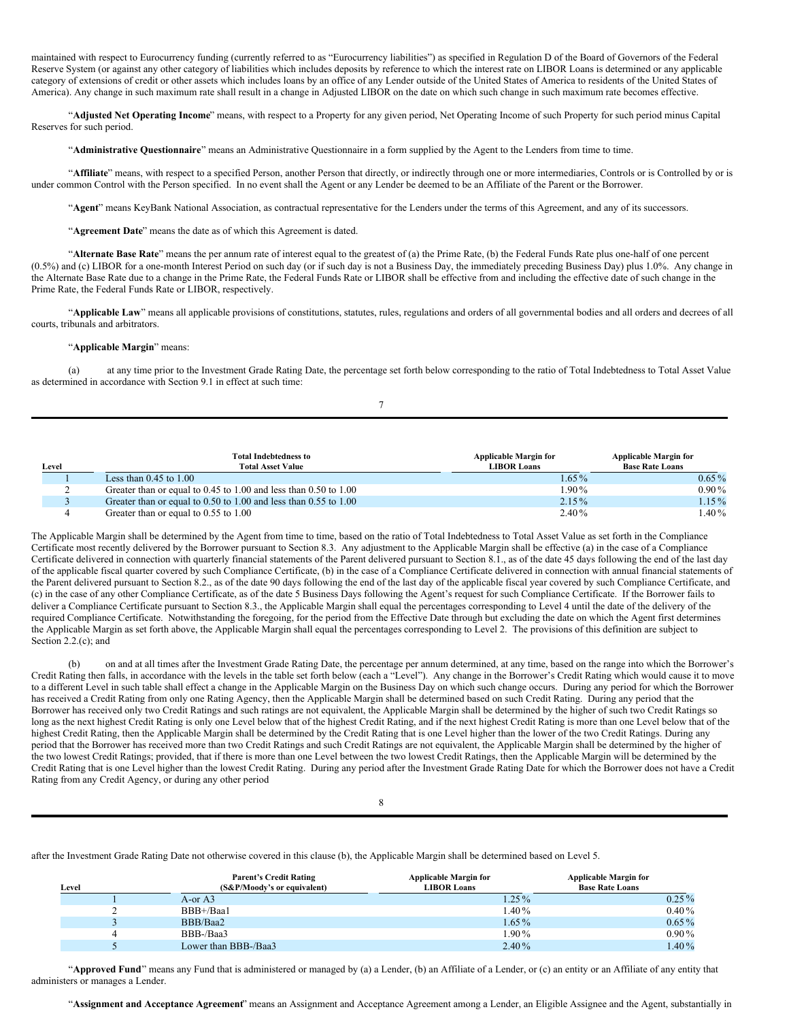maintained with respect to Eurocurrency funding (currently referred to as "Eurocurrency liabilities") as specified in Regulation D of the Board of Governors of the Federal Reserve System (or against any other category of liabilities which includes deposits by reference to which the interest rate on LIBOR Loans is determined or any applicable category of extensions of credit or other assets which includes loans by an office of any Lender outside of the United States of America to residents of the United States of America). Any change in such maximum rate shall result in a change in Adjusted LIBOR on the date on which such change in such maximum rate becomes effective.

"**Adjusted Net Operating Income**" means, with respect to a Property for any given period, Net Operating Income of such Property for such period minus Capital Reserves for such period.

"**Administrative Questionnaire**" means an Administrative Questionnaire in a form supplied by the Agent to the Lenders from time to time.

"**Affiliate**" means, with respect to a specified Person, another Person that directly, or indirectly through one or more intermediaries, Controls or is Controlled by or is under common Control with the Person specified. In no event shall the Agent or any Lender be deemed to be an Affiliate of the Parent or the Borrower.

"**Agent**" means KeyBank National Association, as contractual representative for the Lenders under the terms of this Agreement, and any of its successors.

"**Agreement Date**" means the date as of which this Agreement is dated.

"**Alternate Base Rate**" means the per annum rate of interest equal to the greatest of (a) the Prime Rate, (b) the Federal Funds Rate plus one-half of one percent (0.5%) and (c) LIBOR for a one-month Interest Period on such day (or if such day is not a Business Day, the immediately preceding Business Day) plus 1.0%. Any change in the Alternate Base Rate due to a change in the Prime Rate, the Federal Funds Rate or LIBOR shall be effective from and including the effective date of such change in the Prime Rate, the Federal Funds Rate or LIBOR, respectively.

"**Applicable Law**" means all applicable provisions of constitutions, statutes, rules, regulations and orders of all governmental bodies and all orders and decrees of all courts, tribunals and arbitrators.

#### "**Applicable Margin**" means:

(a) at any time prior to the Investment Grade Rating Date, the percentage set forth below corresponding to the ratio of Total Indebtedness to Total Asset Value as determined in accordance with Section 9.1 in effect at such time:

| Level | <b>Total Indebtedness to</b><br><b>Total Asset Value</b>         | <b>Applicable Margin for</b><br><b>LIBOR Loans</b> | <b>Applicable Margin for</b><br><b>Base Rate Loans</b> |
|-------|------------------------------------------------------------------|----------------------------------------------------|--------------------------------------------------------|
|       | Less than $0.45$ to $1.00$                                       | 1.65%                                              | $0.65\%$                                               |
|       | Greater than or equal to 0.45 to 1.00 and less than 0.50 to 1.00 | 1.90%                                              | $0.90\%$                                               |
|       | Greater than or equal to 0.50 to 1.00 and less than 0.55 to 1.00 | $2.15\%$                                           | $1.15\%$                                               |
|       | Greater than or equal to 0.55 to 1.00                            | $2.40\%$                                           | .40 $\%$                                               |

The Applicable Margin shall be determined by the Agent from time to time, based on the ratio of Total Indebtedness to Total Asset Value as set forth in the Compliance Certificate most recently delivered by the Borrower pursuant to Section 8.3. Any adjustment to the Applicable Margin shall be effective (a) in the case of a Compliance Certificate delivered in connection with quarterly financial statements of the Parent delivered pursuant to Section 8.1., as of the date 45 days following the end of the last day of the applicable fiscal quarter covered by such Compliance Certificate, (b) in the case of a Compliance Certificate delivered in connection with annual financial statements of the Parent delivered pursuant to Section 8.2., as of the date 90 days following the end of the last day of the applicable fiscal year covered by such Compliance Certificate, and (c) in the case of any other Compliance Certificate, as of the date 5 Business Days following the Agent's request for such Compliance Certificate. If the Borrower fails to deliver a Compliance Certificate pursuant to Section 8.3., the Applicable Margin shall equal the percentages corresponding to Level 4 until the date of the delivery of the required Compliance Certificate. Notwithstanding the foregoing, for the period from the Effective Date through but excluding the date on which the Agent first determines the Applicable Margin as set forth above, the Applicable Margin shall equal the percentages corresponding to Level 2. The provisions of this definition are subject to Section 2.2.(c); and

(b) on and at all times after the Investment Grade Rating Date, the percentage per annum determined, at any time, based on the range into which the Borrower's Credit Rating then falls, in accordance with the levels in the table set forth below (each a "Level"). Any change in the Borrower's Credit Rating which would cause it to move to a different Level in such table shall effect a change in the Applicable Margin on the Business Day on which such change occurs. During any period for which the Borrower has received a Credit Rating from only one Rating Agency, then the Applicable Margin shall be determined based on such Credit Rating. During any period that the Borrower has received only two Credit Ratings and such ratings are not equivalent, the Applicable Margin shall be determined by the higher of such two Credit Ratings so long as the next highest Credit Rating is only one Level below that of the highest Credit Rating, and if the next highest Credit Rating is more than one Level below that of the highest Credit Rating, then the Applicable Margin shall be determined by the Credit Rating that is one Level higher than the lower of the two Credit Ratings. During any period that the Borrower has received more than two Credit Ratings and such Credit Ratings are not equivalent, the Applicable Margin shall be determined by the higher of the two lowest Credit Ratings; provided, that if there is more than one Level between the two lowest Credit Ratings, then the Applicable Margin will be determined by the Credit Rating that is one Level higher than the lowest Credit Rating. During any period after the Investment Grade Rating Date for which the Borrower does not have a Credit Rating from any Credit Agency, or during any other period

8

after the Investment Grade Rating Date not otherwise covered in this clause (b), the Applicable Margin shall be determined based on Level 5.

| Level | <b>Parent's Credit Rating</b><br>(S&P/Moody's or equivalent) | <b>Applicable Margin for</b><br><b>LIBOR Loans</b> | <b>Applicable Margin for</b><br><b>Base Rate Loans</b> |
|-------|--------------------------------------------------------------|----------------------------------------------------|--------------------------------------------------------|
|       | A-or A3                                                      | $1.25\%$                                           | $0.25\%$                                               |
|       | $BBB+/Baa1$                                                  | 1.40%                                              | $0.40\%$                                               |
|       | BBB/Baa2                                                     | $1.65\%$                                           | $0.65\%$                                               |
|       | BBB-/Baa3                                                    | $1.90\%$                                           | $0.90\%$                                               |
|       | Lower than BBB-/Baa3                                         | $2.40\%$                                           | $1.40\%$                                               |

"**Approved Fund**" means any Fund that is administered or managed by (a) a Lender, (b) an Affiliate of a Lender, or (c) an entity or an Affiliate of any entity that administers or manages a Lender.

"**Assignment and Acceptance Agreement**" means an Assignment and Acceptance Agreement among a Lender, an Eligible Assignee and the Agent, substantially in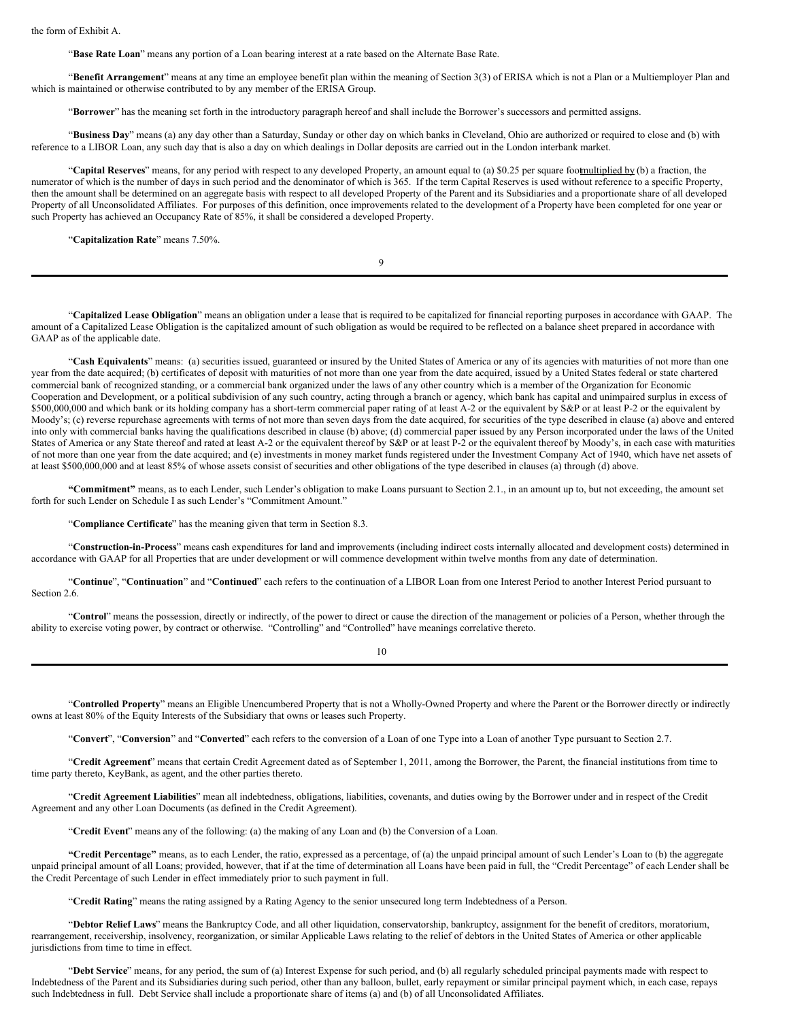the form of Exhibit A.

"**Base Rate Loan**" means any portion of a Loan bearing interest at a rate based on the Alternate Base Rate.

"**Benefit Arrangement**" means at any time an employee benefit plan within the meaning of Section 3(3) of ERISA which is not a Plan or a Multiemployer Plan and which is maintained or otherwise contributed to by any member of the ERISA Group.

"**Borrower**" has the meaning set forth in the introductory paragraph hereof and shall include the Borrower's successors and permitted assigns.

"**Business Day**" means (a) any day other than a Saturday, Sunday or other day on which banks in Cleveland, Ohio are authorized or required to close and (b) with reference to a LIBOR Loan, any such day that is also a day on which dealings in Dollar deposits are carried out in the London interbank market.

"**Capital Reserves**" means, for any period with respect to any developed Property, an amount equal to (a) \$0.25 per square footmultiplied by (b) a fraction, the numerator of which is the number of days in such period and the denominator of which is 365. If the term Capital Reserves is used without reference to a specific Property, then the amount shall be determined on an aggregate basis with respect to all developed Property of the Parent and its Subsidiaries and a proportionate share of all developed Property of all Unconsolidated Affiliates. For purposes of this definition, once improvements related to the development of a Property have been completed for one year or such Property has achieved an Occupancy Rate of 85%, it shall be considered a developed Property.

9

"**Capitalization Rate**" means 7.50%.

"**Capitalized Lease Obligation**" means an obligation under a lease that is required to be capitalized for financial reporting purposes in accordance with GAAP. The amount of a Capitalized Lease Obligation is the capitalized amount of such obligation as would be required to be reflected on a balance sheet prepared in accordance with GAAP as of the applicable date.

"Cash Equivalents" means: (a) securities issued, guaranteed or insured by the United States of America or any of its agencies with maturities of not more than one year from the date acquired; (b) certificates of deposit with maturities of not more than one year from the date acquired, issued by a United States federal or state chartered commercial bank of recognized standing, or a commercial bank organized under the laws of any other country which is a member of the Organization for Economic Cooperation and Development, or a political subdivision of any such country, acting through a branch or agency, which bank has capital and unimpaired surplus in excess of \$500,000,000 and which bank or its holding company has a short-term commercial paper rating of at least A-2 or the equivalent by S&P or at least P-2 or the equivalent by Moody's; (c) reverse repurchase agreements with terms of not more than seven days from the date acquired, for securities of the type described in clause (a) above and entered into only with commercial banks having the qualifications described in clause (b) above; (d) commercial paper issued by any Person incorporated under the laws of the United States of America or any State thereof and rated at least A-2 or the equivalent thereof by S&P or at least P-2 or the equivalent thereof by Moody's, in each case with maturities of not more than one year from the date acquired; and (e) investments in money market funds registered under the Investment Company Act of 1940, which have net assets of at least \$500,000,000 and at least 85% of whose assets consist of securities and other obligations of the type described in clauses (a) through (d) above.

**"Commitment"** means, as to each Lender, such Lender's obligation to make Loans pursuant to Section 2.1., in an amount up to, but not exceeding, the amount set forth for such Lender on Schedule I as such Lender's "Commitment Amount."

"**Compliance Certificate**" has the meaning given that term in Section 8.3.

"**Construction-in-Process**" means cash expenditures for land and improvements (including indirect costs internally allocated and development costs) determined in accordance with GAAP for all Properties that are under development or will commence development within twelve months from any date of determination.

"**Continue**", "**Continuation**" and "**Continued**" each refers to the continuation of a LIBOR Loan from one Interest Period to another Interest Period pursuant to Section 2.6.

"**Control**" means the possession, directly or indirectly, of the power to direct or cause the direction of the management or policies of a Person, whether through the ability to exercise voting power, by contract or otherwise. "Controlling" and "Controlled" have meanings correlative thereto.

10

"**Controlled Property**" means an Eligible Unencumbered Property that is not a Wholly-Owned Property and where the Parent or the Borrower directly or indirectly owns at least 80% of the Equity Interests of the Subsidiary that owns or leases such Property.

"**Convert**", "**Conversion**" and "**Converted**" each refers to the conversion of a Loan of one Type into a Loan of another Type pursuant to Section 2.7.

"**Credit Agreement**" means that certain Credit Agreement dated as of September 1, 2011, among the Borrower, the Parent, the financial institutions from time to time party thereto, KeyBank, as agent, and the other parties thereto.

"**Credit Agreement Liabilities**" mean all indebtedness, obligations, liabilities, covenants, and duties owing by the Borrower under and in respect of the Credit Agreement and any other Loan Documents (as defined in the Credit Agreement).

"**Credit Event**" means any of the following: (a) the making of any Loan and (b) the Conversion of a Loan.

**"Credit Percentage"** means, as to each Lender, the ratio, expressed as a percentage, of (a) the unpaid principal amount of such Lender's Loan to (b) the aggregate unpaid principal amount of all Loans; provided, however, that if at the time of determination all Loans have been paid in full, the "Credit Percentage" of each Lender shall be the Credit Percentage of such Lender in effect immediately prior to such payment in full.

"**Credit Rating**" means the rating assigned by a Rating Agency to the senior unsecured long term Indebtedness of a Person.

"**Debtor Relief Laws**" means the Bankruptcy Code, and all other liquidation, conservatorship, bankruptcy, assignment for the benefit of creditors, moratorium, rearrangement, receivership, insolvency, reorganization, or similar Applicable Laws relating to the relief of debtors in the United States of America or other applicable jurisdictions from time to time in effect.

"**Debt Service**" means, for any period, the sum of (a) Interest Expense for such period, and (b) all regularly scheduled principal payments made with respect to Indebtedness of the Parent and its Subsidiaries during such period, other than any balloon, bullet, early repayment or similar principal payment which, in each case, repays such Indebtedness in full. Debt Service shall include a proportionate share of items (a) and (b) of all Unconsolidated Affiliates.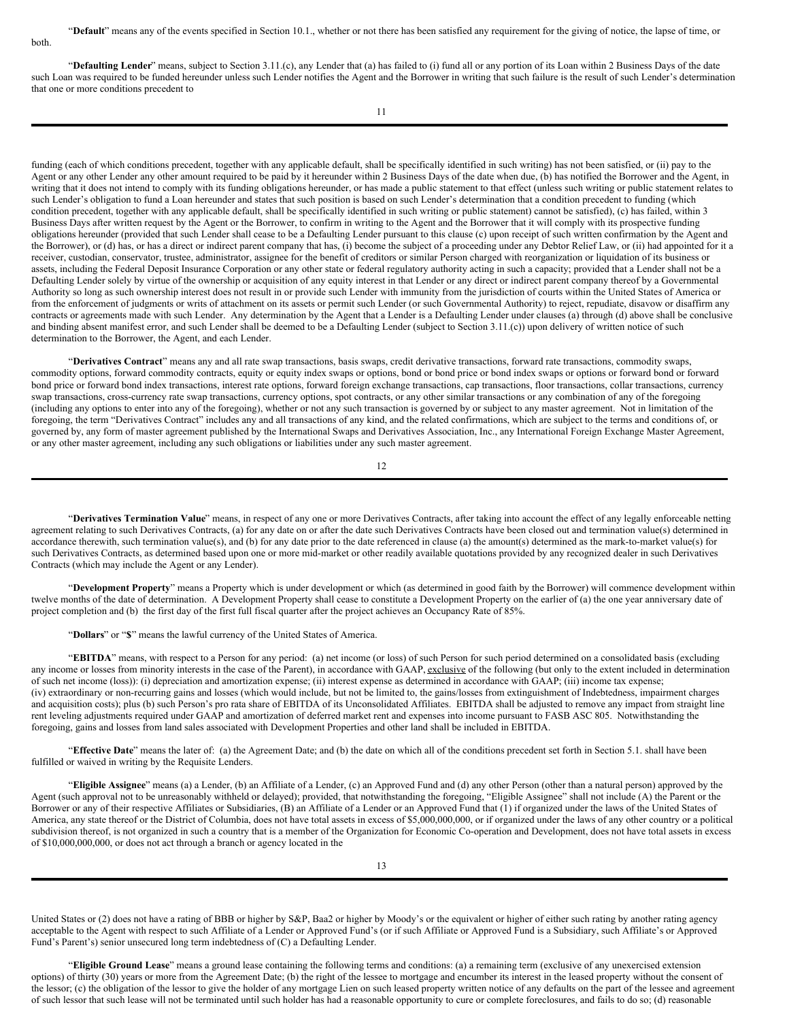both.

"**Defaulting Lender**" means, subject to Section 3.11.(c), any Lender that (a) has failed to (i) fund all or any portion of its Loan within 2 Business Days of the date such Loan was required to be funded hereunder unless such Lender notifies the Agent and the Borrower in writing that such failure is the result of such Lender's determination that one or more conditions precedent to

11

funding (each of which conditions precedent, together with any applicable default, shall be specifically identified in such writing) has not been satisfied, or (ii) pay to the Agent or any other Lender any other amount required to be paid by it hereunder within 2 Business Days of the date when due, (b) has notified the Borrower and the Agent, in writing that it does not intend to comply with its funding obligations hereunder, or has made a public statement to that effect (unless such writing or public statement relates to such Lender's obligation to fund a Loan hereunder and states that such position is based on such Lender's determination that a condition precedent to funding (which condition precedent, together with any applicable default, shall be specifically identified in such writing or public statement) cannot be satisfied), (c) has failed, within 3 Business Days after written request by the Agent or the Borrower, to confirm in writing to the Agent and the Borrower that it will comply with its prospective funding obligations hereunder (provided that such Lender shall cease to be a Defaulting Lender pursuant to this clause (c) upon receipt of such written confirmation by the Agent and the Borrower), or (d) has, or has a direct or indirect parent company that has, (i) become the subject of a proceeding under any Debtor Relief Law, or (ii) had appointed for it a receiver, custodian, conservator, trustee, administrator, assignee for the benefit of creditors or similar Person charged with reorganization or liquidation of its business or assets, including the Federal Deposit Insurance Corporation or any other state or federal regulatory authority acting in such a capacity; provided that a Lender shall not be a Defaulting Lender solely by virtue of the ownership or acquisition of any equity interest in that Lender or any direct or indirect parent company thereof by a Governmental Authority so long as such ownership interest does not result in or provide such Lender with immunity from the jurisdiction of courts within the United States of America or from the enforcement of judgments or writs of attachment on its assets or permit such Lender (or such Governmental Authority) to reject, repudiate, disavow or disaffirm any contracts or agreements made with such Lender. Any determination by the Agent that a Lender is a Defaulting Lender under clauses (a) through (d) above shall be conclusive and binding absent manifest error, and such Lender shall be deemed to be a Defaulting Lender (subject to Section 3.11.(c)) upon delivery of written notice of such determination to the Borrower, the Agent, and each Lender.

"**Derivatives Contract**" means any and all rate swap transactions, basis swaps, credit derivative transactions, forward rate transactions, commodity swaps, commodity options, forward commodity contracts, equity or equity index swaps or options, bond or bond price or bond index swaps or options or forward bond or forward bond price or forward bond index transactions, interest rate options, forward foreign exchange transactions, cap transactions, floor transactions, collar transactions, currency swap transactions, cross-currency rate swap transactions, currency options, spot contracts, or any other similar transactions or any combination of any of the foregoing (including any options to enter into any of the foregoing), whether or not any such transaction is governed by or subject to any master agreement. Not in limitation of the foregoing, the term "Derivatives Contract" includes any and all transactions of any kind, and the related confirmations, which are subject to the terms and conditions of, or governed by, any form of master agreement published by the International Swaps and Derivatives Association, Inc., any International Foreign Exchange Master Agreement, or any other master agreement, including any such obligations or liabilities under any such master agreement.

12

"**Derivatives Termination Value**" means, in respect of any one or more Derivatives Contracts, after taking into account the effect of any legally enforceable netting agreement relating to such Derivatives Contracts, (a) for any date on or after the date such Derivatives Contracts have been closed out and termination value(s) determined in accordance therewith, such termination value(s), and (b) for any date prior to the date referenced in clause (a) the amount(s) determined as the mark-to-market value(s) for such Derivatives Contracts, as determined based upon one or more mid-market or other readily available quotations provided by any recognized dealer in such Derivatives Contracts (which may include the Agent or any Lender).

"**Development Property**" means a Property which is under development or which (as determined in good faith by the Borrower) will commence development within twelve months of the date of determination. A Development Property shall cease to constitute a Development Property on the earlier of (a) the one year anniversary date of project completion and (b) the first day of the first full fiscal quarter after the project achieves an Occupancy Rate of 85%.

"**Dollars**" or "**\$**" means the lawful currency of the United States of America.

"EBITDA" means, with respect to a Person for any period: (a) net income (or loss) of such Person for such period determined on a consolidated basis (excluding any income or losses from minority interests in the case of the Parent), in accordance with GAAP, exclusive of the following (but only to the extent included in determination of such net income (loss)): (i) depreciation and amortization expense; (ii) interest expense as determined in accordance with GAAP; (iii) income tax expense; (iv) extraordinary or non-recurring gains and losses (which would include, but not be limited to, the gains/losses from extinguishment of Indebtedness, impairment charges and acquisition costs); plus (b) such Person's pro rata share of EBITDA of its Unconsolidated Affiliates. EBITDA shall be adjusted to remove any impact from straight line rent leveling adjustments required under GAAP and amortization of deferred market rent and expenses into income pursuant to FASB ASC 805. Notwithstanding the foregoing, gains and losses from land sales associated with Development Properties and other land shall be included in EBITDA.

"**Effective Date**" means the later of: (a) the Agreement Date; and (b) the date on which all of the conditions precedent set forth in Section 5.1. shall have been fulfilled or waived in writing by the Requisite Lenders.

"**Eligible Assignee**" means (a) a Lender, (b) an Affiliate of a Lender, (c) an Approved Fund and (d) any other Person (other than a natural person) approved by the Agent (such approval not to be unreasonably withheld or delayed); provided, that notwithstanding the foregoing, "Eligible Assignee" shall not include (A) the Parent or the Borrower or any of their respective Affiliates or Subsidiaries, (B) an Affiliate of a Lender or an Approved Fund that (1) if organized under the laws of the United States of America, any state thereof or the District of Columbia, does not have total assets in excess of \$5,000,000,000, or if organized under the laws of any other country or a political subdivision thereof, is not organized in such a country that is a member of the Organization for Economic Co-operation and Development, does not have total assets in excess of \$10,000,000,000, or does not act through a branch or agency located in the

United States or (2) does not have a rating of BBB or higher by S&P, Baa2 or higher by Moody's or the equivalent or higher of either such rating by another rating agency acceptable to the Agent with respect to such Affiliate of a Lender or Approved Fund's (or if such Affiliate or Approved Fund is a Subsidiary, such Affiliate's or Approved Fund's Parent's) senior unsecured long term indebtedness of (C) a Defaulting Lender.

"**Eligible Ground Lease**" means a ground lease containing the following terms and conditions: (a) a remaining term (exclusive of any unexercised extension options) of thirty (30) years or more from the Agreement Date; (b) the right of the lessee to mortgage and encumber its interest in the leased property without the consent of the lessor; (c) the obligation of the lessor to give the holder of any mortgage Lien on such leased property written notice of any defaults on the part of the lessee and agreement of such lessor that such lease will not be terminated until such holder has had a reasonable opportunity to cure or complete foreclosures, and fails to do so; (d) reasonable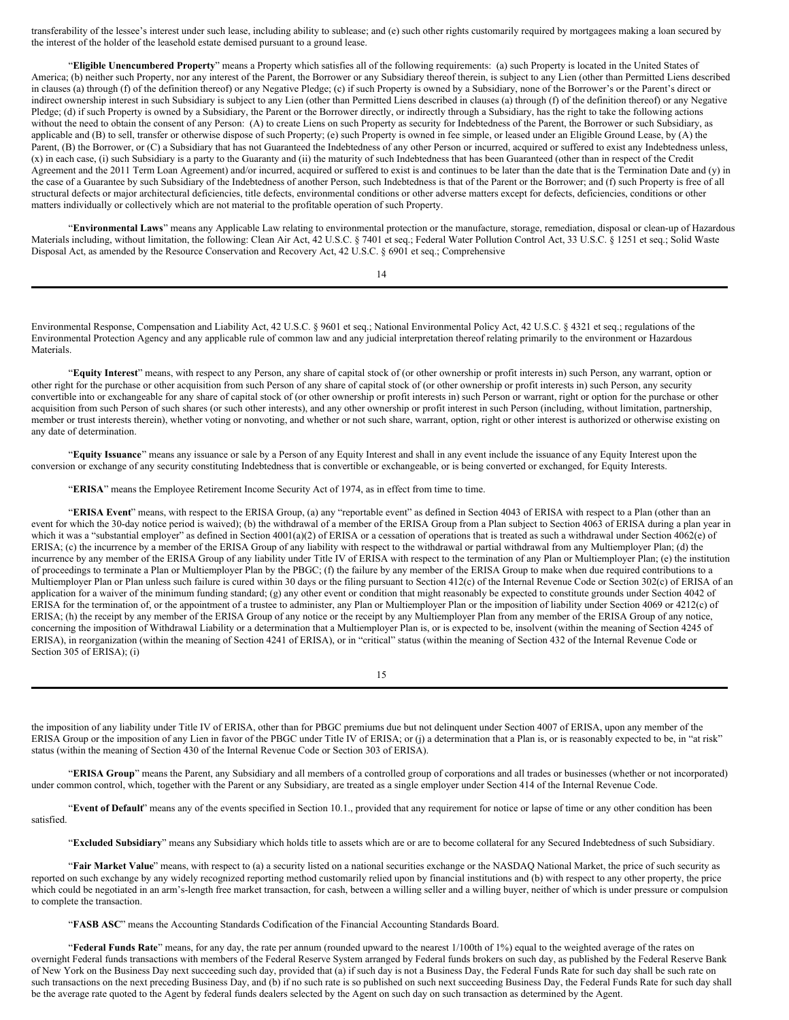transferability of the lessee's interest under such lease, including ability to sublease; and (e) such other rights customarily required by mortgagees making a loan secured by the interest of the holder of the leasehold estate demised pursuant to a ground lease.

"**Eligible Unencumbered Property**" means a Property which satisfies all of the following requirements: (a) such Property is located in the United States of America; (b) neither such Property, nor any interest of the Parent, the Borrower or any Subsidiary thereof therein, is subject to any Lien (other than Permitted Liens described in clauses (a) through (f) of the definition thereof) or any Negative Pledge; (c) if such Property is owned by a Subsidiary, none of the Borrower's or the Parent's direct or indirect ownership interest in such Subsidiary is subject to any Lien (other than Permitted Liens described in clauses (a) through (f) of the definition thereof) or any Negative Pledge; (d) if such Property is owned by a Subsidiary, the Parent or the Borrower directly, or indirectly through a Subsidiary, has the right to take the following actions without the need to obtain the consent of any Person: (A) to create Liens on such Property as security for Indebtedness of the Parent, the Borrower or such Subsidiary, as applicable and (B) to sell, transfer or otherwise dispose of such Property; (e) such Property is owned in fee simple, or leased under an Eligible Ground Lease, by (A) the Parent, (B) the Borrower, or (C) a Subsidiary that has not Guaranteed the Indebtedness of any other Person or incurred, acquired or suffered to exist any Indebtedness unless, (x) in each case, (i) such Subsidiary is a party to the Guaranty and (ii) the maturity of such Indebtedness that has been Guaranteed (other than in respect of the Credit Agreement and the 2011 Term Loan Agreement) and/or incurred, acquired or suffered to exist is and continues to be later than the date that is the Termination Date and (y) in the case of a Guarantee by such Subsidiary of the Indebtedness of another Person, such Indebtedness is that of the Parent or the Borrower; and (f) such Property is free of all structural defects or major architectural deficiencies, title defects, environmental conditions or other adverse matters except for defects, deficiencies, conditions or other matters individually or collectively which are not material to the profitable operation of such Property.

"**Environmental Laws**" means any Applicable Law relating to environmental protection or the manufacture, storage, remediation, disposal or clean-up of Hazardous Materials including, without limitation, the following: Clean Air Act, 42 U.S.C. § 7401 et seq.; Federal Water Pollution Control Act, 33 U.S.C. § 1251 et seq.; Solid Waste Disposal Act, as amended by the Resource Conservation and Recovery Act, 42 U.S.C. § 6901 et seq.; Comprehensive

Environmental Response, Compensation and Liability Act, 42 U.S.C. § 9601 et seq.; National Environmental Policy Act, 42 U.S.C. § 4321 et seq.; regulations of the Environmental Protection Agency and any applicable rule of common law and any judicial interpretation thereof relating primarily to the environment or Hazardous Materials.

"**Equity Interest**" means, with respect to any Person, any share of capital stock of (or other ownership or profit interests in) such Person, any warrant, option or other right for the purchase or other acquisition from such Person of any share of capital stock of (or other ownership or profit interests in) such Person, any security convertible into or exchangeable for any share of capital stock of (or other ownership or profit interests in) such Person or warrant, right or option for the purchase or other acquisition from such Person of such shares (or such other interests), and any other ownership or profit interest in such Person (including, without limitation, partnership, member or trust interests therein), whether voting or nonvoting, and whether or not such share, warrant, option, right or other interest is authorized or otherwise existing on any date of determination.

"**Equity Issuance**" means any issuance or sale by a Person of any Equity Interest and shall in any event include the issuance of any Equity Interest upon the conversion or exchange of any security constituting Indebtedness that is convertible or exchangeable, or is being converted or exchanged, for Equity Interests.

"**ERISA**" means the Employee Retirement Income Security Act of 1974, as in effect from time to time.

"**ERISA Event**" means, with respect to the ERISA Group, (a) any "reportable event" as defined in Section 4043 of ERISA with respect to a Plan (other than an event for which the 30-day notice period is waived); (b) the withdrawal of a member of the ERISA Group from a Plan subject to Section 4063 of ERISA during a plan year in which it was a "substantial employer" as defined in Section 4001(a)(2) of ERISA or a cessation of operations that is treated as such a withdrawal under Section 4062(e) of ERISA; (c) the incurrence by a member of the ERISA Group of any liability with respect to the withdrawal or partial withdrawal from any Multiemployer Plan; (d) the incurrence by any member of the ERISA Group of any liability under Title IV of ERISA with respect to the termination of any Plan or Multiemployer Plan; (e) the institution of proceedings to terminate a Plan or Multiemployer Plan by the PBGC; (f) the failure by any member of the ERISA Group to make when due required contributions to a Multiemployer Plan or Plan unless such failure is cured within 30 days or the filing pursuant to Section 412(c) of the Internal Revenue Code or Section 302(c) of ERISA of an application for a waiver of the minimum funding standard; (g) any other event or condition that might reasonably be expected to constitute grounds under Section 4042 of ERISA for the termination of, or the appointment of a trustee to administer, any Plan or Multiemployer Plan or the imposition of liability under Section 4069 or 4212(c) of ERISA; (h) the receipt by any member of the ERISA Group of any notice or the receipt by any Multiemployer Plan from any member of the ERISA Group of any notice, concerning the imposition of Withdrawal Liability or a determination that a Multiemployer Plan is, or is expected to be, insolvent (within the meaning of Section 4245 of ERISA), in reorganization (within the meaning of Section 4241 of ERISA), or in "critical" status (within the meaning of Section 432 of the Internal Revenue Code or Section 305 of ERISA); (i)

15

the imposition of any liability under Title IV of ERISA, other than for PBGC premiums due but not delinquent under Section 4007 of ERISA, upon any member of the ERISA Group or the imposition of any Lien in favor of the PBGC under Title IV of ERISA; or (j) a determination that a Plan is, or is reasonably expected to be, in "at risk" status (within the meaning of Section 430 of the Internal Revenue Code or Section 303 of ERISA).

"**ERISA Group**" means the Parent, any Subsidiary and all members of a controlled group of corporations and all trades or businesses (whether or not incorporated) under common control, which, together with the Parent or any Subsidiary, are treated as a single employer under Section 414 of the Internal Revenue Code.

"**Event of Default**" means any of the events specified in Section 10.1., provided that any requirement for notice or lapse of time or any other condition has been satisfied.

"**Excluded Subsidiary**" means any Subsidiary which holds title to assets which are or are to become collateral for any Secured Indebtedness of such Subsidiary.

"**Fair Market Value**" means, with respect to (a) a security listed on a national securities exchange or the NASDAQ National Market, the price of such security as reported on such exchange by any widely recognized reporting method customarily relied upon by financial institutions and (b) with respect to any other property, the price which could be negotiated in an arm's-length free market transaction, for cash, between a willing seller and a willing buyer, neither of which is under pressure or compulsion to complete the transaction.

"**FASB ASC**" means the Accounting Standards Codification of the Financial Accounting Standards Board.

"**Federal Funds Rate**" means, for any day, the rate per annum (rounded upward to the nearest 1/100th of 1%) equal to the weighted average of the rates on overnight Federal funds transactions with members of the Federal Reserve System arranged by Federal funds brokers on such day, as published by the Federal Reserve Bank of New York on the Business Day next succeeding such day, provided that (a) if such day is not a Business Day, the Federal Funds Rate for such day shall be such rate on such transactions on the next preceding Business Day, and (b) if no such rate is so published on such next succeeding Business Day, the Federal Funds Rate for such day shall be the average rate quoted to the Agent by federal funds dealers selected by the Agent on such day on such transaction as determined by the Agent.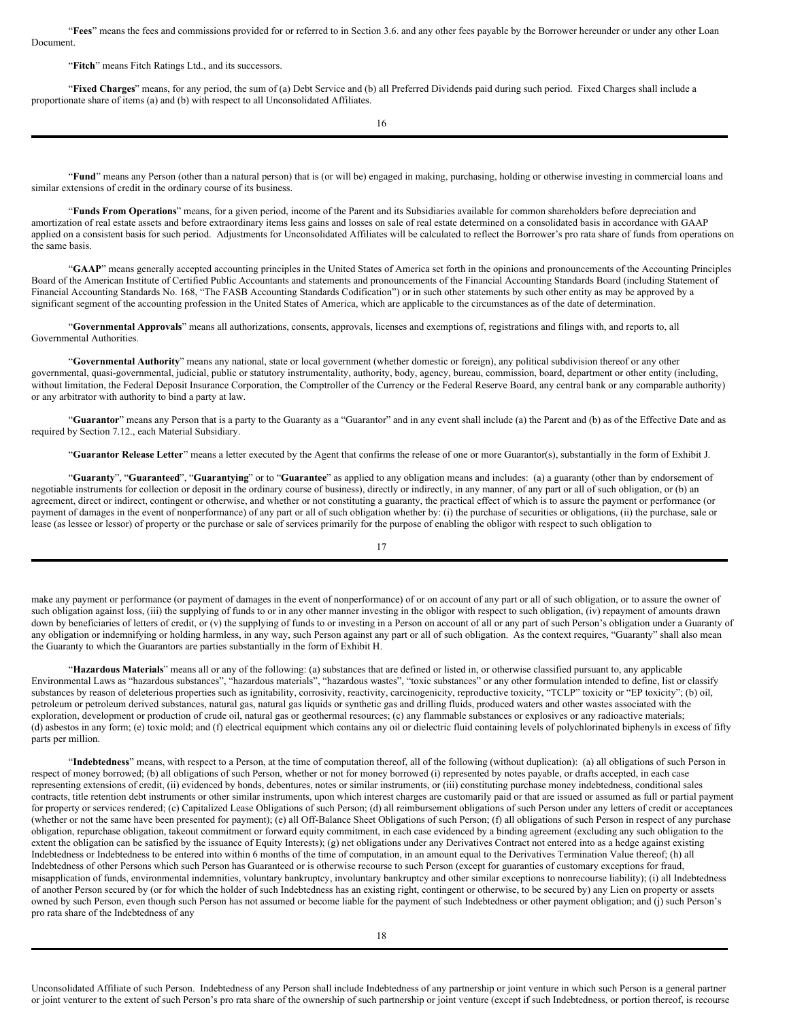"**Fees**" means the fees and commissions provided for or referred to in Section 3.6. and any other fees payable by the Borrower hereunder or under any other Loan Document.

"**Fitch**" means Fitch Ratings Ltd., and its successors.

"**Fixed Charges**" means, for any period, the sum of (a) Debt Service and (b) all Preferred Dividends paid during such period. Fixed Charges shall include a proportionate share of items (a) and (b) with respect to all Unconsolidated Affiliates.

16

"**Fund**" means any Person (other than a natural person) that is (or will be) engaged in making, purchasing, holding or otherwise investing in commercial loans and similar extensions of credit in the ordinary course of its business.

"**Funds From Operations**" means, for a given period, income of the Parent and its Subsidiaries available for common shareholders before depreciation and amortization of real estate assets and before extraordinary items less gains and losses on sale of real estate determined on a consolidated basis in accordance with GAAP applied on a consistent basis for such period. Adjustments for Unconsolidated Affiliates will be calculated to reflect the Borrower's pro rata share of funds from operations on the same basis.

"**GAAP**" means generally accepted accounting principles in the United States of America set forth in the opinions and pronouncements of the Accounting Principles Board of the American Institute of Certified Public Accountants and statements and pronouncements of the Financial Accounting Standards Board (including Statement of Financial Accounting Standards No. 168, "The FASB Accounting Standards Codification") or in such other statements by such other entity as may be approved by a significant segment of the accounting profession in the United States of America, which are applicable to the circumstances as of the date of determination.

"**Governmental Approvals**" means all authorizations, consents, approvals, licenses and exemptions of, registrations and filings with, and reports to, all Governmental Authorities.

"**Governmental Authority**" means any national, state or local government (whether domestic or foreign), any political subdivision thereof or any other governmental, quasi-governmental, judicial, public or statutory instrumentality, authority, body, agency, bureau, commission, board, department or other entity (including, without limitation, the Federal Deposit Insurance Corporation, the Comptroller of the Currency or the Federal Reserve Board, any central bank or any comparable authority) or any arbitrator with authority to bind a party at law.

"**Guarantor**" means any Person that is a party to the Guaranty as a "Guarantor" and in any event shall include (a) the Parent and (b) as of the Effective Date and as required by Section 7.12., each Material Subsidiary.

"**Guarantor Release Letter**" means a letter executed by the Agent that confirms the release of one or more Guarantor(s), substantially in the form of Exhibit J.

"**Guaranty**", "**Guaranteed**", "**Guarantying**" or to "**Guarantee**" as applied to any obligation means and includes: (a) a guaranty (other than by endorsement of negotiable instruments for collection or deposit in the ordinary course of business), directly or indirectly, in any manner, of any part or all of such obligation, or (b) an agreement, direct or indirect, contingent or otherwise, and whether or not constituting a guaranty, the practical effect of which is to assure the payment or performance (or payment of damages in the event of nonperformance) of any part or all of such obligation whether by: (i) the purchase of securities or obligations, (ii) the purchase, sale or lease (as lessee or lessor) of property or the purchase or sale of services primarily for the purpose of enabling the obligor with respect to such obligation to

17

make any payment or performance (or payment of damages in the event of nonperformance) of or on account of any part or all of such obligation, or to assure the owner of such obligation against loss, (iii) the supplying of funds to or in any other manner investing in the obligor with respect to such obligation, (iv) repayment of amounts drawn down by beneficiaries of letters of credit, or (y) the supplying of funds to or investing in a Person on account of all or any part of such Person's obligation under a Guaranty of any obligation or indemnifying or holding harmless, in any way, such Person against any part or all of such obligation. As the context requires, "Guaranty" shall also mean the Guaranty to which the Guarantors are parties substantially in the form of Exhibit H.

"**Hazardous Materials**" means all or any of the following: (a) substances that are defined or listed in, or otherwise classified pursuant to, any applicable Environmental Laws as "hazardous substances", "hazardous materials", "hazardous wastes", "toxic substances" or any other formulation intended to define, list or classify substances by reason of deleterious properties such as ignitability, corrosivity, reactivity, carcinogenicity, reproductive toxicity, "TCLP" toxicity or "EP toxicity"; (b) oil, petroleum or petroleum derived substances, natural gas, natural gas liquids or synthetic gas and drilling fluids, produced waters and other wastes associated with the exploration, development or production of crude oil, natural gas or geothermal resources; (c) any flammable substances or explosives or any radioactive materials; (d) asbestos in any form; (e) toxic mold; and (f) electrical equipment which contains any oil or dielectric fluid containing levels of polychlorinated biphenyls in excess of fifty parts per million.

"**Indebtedness**" means, with respect to a Person, at the time of computation thereof, all of the following (without duplication): (a) all obligations of such Person in respect of money borrowed; (b) all obligations of such Person, whether or not for money borrowed (i) represented by notes payable, or drafts accepted, in each case representing extensions of credit, (ii) evidenced by bonds, debentures, notes or similar instruments, or (iii) constituting purchase money indebtedness, conditional sales contracts, title retention debt instruments or other similar instruments, upon which interest charges are customarily paid or that are issued or assumed as full or partial payment for property or services rendered; (c) Capitalized Lease Obligations of such Person; (d) all reimbursement obligations of such Person under any letters of credit or acceptances (whether or not the same have been presented for payment); (e) all Off-Balance Sheet Obligations of such Person; (f) all obligations of such Person in respect of any purchase obligation, repurchase obligation, takeout commitment or forward equity commitment, in each case evidenced by a binding agreement (excluding any such obligation to the extent the obligation can be satisfied by the issuance of Equity Interests); (g) net obligations under any Derivatives Contract not entered into as a hedge against existing Indebtedness or Indebtedness to be entered into within 6 months of the time of computation, in an amount equal to the Derivatives Termination Value thereof; (h) all Indebtedness of other Persons which such Person has Guaranteed or is otherwise recourse to such Person (except for guaranties of customary exceptions for fraud, misapplication of funds, environmental indemnities, voluntary bankruptcy, involuntary bankruptcy and other similar exceptions to nonrecourse liability); (i) all Indebtedness of another Person secured by (or for which the holder of such Indebtedness has an existing right, contingent or otherwise, to be secured by) any Lien on property or assets owned by such Person, even though such Person has not assumed or become liable for the payment of such Indebtedness or other payment obligation; and (j) such Person's pro rata share of the Indebtedness of any

Unconsolidated Affiliate of such Person. Indebtedness of any Person shall include Indebtedness of any partnership or joint venture in which such Person is a general partner or joint venturer to the extent of such Person's pro rata share of the ownership of such partnership or joint venture (except if such Indebtedness, or portion thereof, is recourse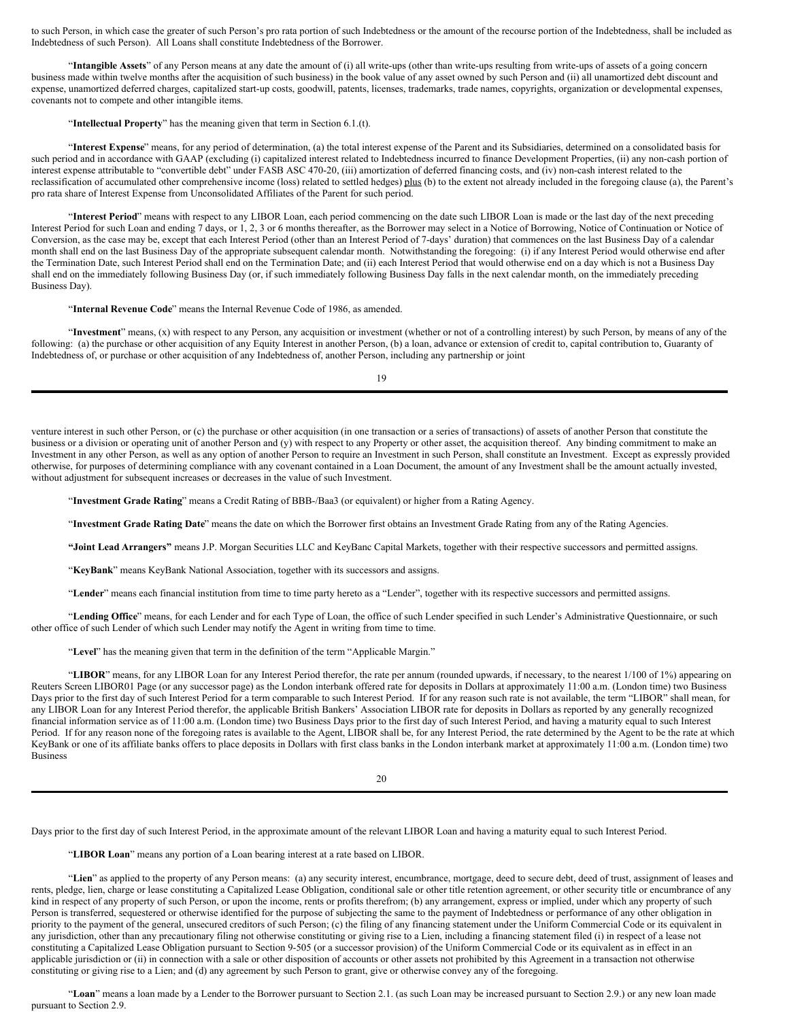to such Person, in which case the greater of such Person's pro rata portion of such Indebtedness or the amount of the recourse portion of the Indebtedness, shall be included as Indebtedness of such Person). All Loans shall constitute Indebtedness of the Borrower.

"**Intangible Assets**" of any Person means at any date the amount of (i) all write-ups (other than write-ups resulting from write-ups of assets of a going concern business made within twelve months after the acquisition of such business) in the book value of any asset owned by such Person and (ii) all unamortized debt discount and expense, unamortized deferred charges, capitalized start-up costs, goodwill, patents, licenses, trademarks, trade names, copyrights, organization or developmental expenses, covenants not to compete and other intangible items.

"**Intellectual Property**" has the meaning given that term in Section 6.1.(t).

"**Interest Expense**" means, for any period of determination, (a) the total interest expense of the Parent and its Subsidiaries, determined on a consolidated basis for such period and in accordance with GAAP (excluding (i) capitalized interest related to Indebtedness incurred to finance Development Properties, (ii) any non-cash portion of interest expense attributable to "convertible debt" under FASB ASC 470-20, (iii) amortization of deferred financing costs, and (iv) non-cash interest related to the reclassification of accumulated other comprehensive income (loss) related to settled hedges) plus (b) to the extent not already included in the foregoing clause (a), the Parent's pro rata share of Interest Expense from Unconsolidated Affiliates of the Parent for such period.

"**Interest Period**" means with respect to any LIBOR Loan, each period commencing on the date such LIBOR Loan is made or the last day of the next preceding Interest Period for such Loan and ending 7 days, or 1, 2, 3 or 6 months thereafter, as the Borrower may select in a Notice of Borrowing, Notice of Continuation or Notice of Conversion, as the case may be, except that each Interest Period (other than an Interest Period of 7-days' duration) that commences on the last Business Day of a calendar month shall end on the last Business Day of the appropriate subsequent calendar month. Notwithstanding the foregoing: (i) if any Interest Period would otherwise end after the Termination Date, such Interest Period shall end on the Termination Date; and (ii) each Interest Period that would otherwise end on a day which is not a Business Day shall end on the immediately following Business Day (or, if such immediately following Business Day falls in the next calendar month, on the immediately preceding Business Day).

"**Internal Revenue Code**" means the Internal Revenue Code of 1986, as amended.

"**Investment**" means, (x) with respect to any Person, any acquisition or investment (whether or not of a controlling interest) by such Person, by means of any of the following: (a) the purchase or other acquisition of any Equity Interest in another Person, (b) a loan, advance or extension of credit to, capital contribution to, Guaranty of Indebtedness of, or purchase or other acquisition of any Indebtedness of, another Person, including any partnership or joint

19

venture interest in such other Person, or (c) the purchase or other acquisition (in one transaction or a series of transactions) of assets of another Person that constitute the business or a division or operating unit of another Person and (y) with respect to any Property or other asset, the acquisition thereof. Any binding commitment to make an Investment in any other Person, as well as any option of another Person to require an Investment in such Person, shall constitute an Investment. Except as expressly provided otherwise, for purposes of determining compliance with any covenant contained in a Loan Document, the amount of any Investment shall be the amount actually invested, without adjustment for subsequent increases or decreases in the value of such Investment.

"**Investment Grade Rating**" means a Credit Rating of BBB-/Baa3 (or equivalent) or higher from a Rating Agency.

"**Investment Grade Rating Date**" means the date on which the Borrower first obtains an Investment Grade Rating from any of the Rating Agencies.

**"Joint Lead Arrangers"** means J.P. Morgan Securities LLC and KeyBanc Capital Markets, together with their respective successors and permitted assigns.

"**KeyBank**" means KeyBank National Association, together with its successors and assigns.

"**Lender**" means each financial institution from time to time party hereto as a "Lender", together with its respective successors and permitted assigns.

"**Lending Office**" means, for each Lender and for each Type of Loan, the office of such Lender specified in such Lender's Administrative Questionnaire, or such other office of such Lender of which such Lender may notify the Agent in writing from time to time.

"**Level**" has the meaning given that term in the definition of the term "Applicable Margin."

"**LIBOR**" means, for any LIBOR Loan for any Interest Period therefor, the rate per annum (rounded upwards, if necessary, to the nearest 1/100 of 1%) appearing on Reuters Screen LIBOR01 Page (or any successor page) as the London interbank offered rate for deposits in Dollars at approximately 11:00 a.m. (London time) two Business Days prior to the first day of such Interest Period for a term comparable to such Interest Period. If for any reason such rate is not available, the term "LIBOR" shall mean, for any LIBOR Loan for any Interest Period therefor, the applicable British Bankers' Association LIBOR rate for deposits in Dollars as reported by any generally recognized financial information service as of 11:00 a.m. (London time) two Business Days prior to the first day of such Interest Period, and having a maturity equal to such Interest Period. If for any reason none of the foregoing rates is available to the Agent, LIBOR shall be, for any Interest Period, the rate determined by the Agent to be the rate at which KeyBank or one of its affiliate banks offers to place deposits in Dollars with first class banks in the London interbank market at approximately 11:00 a.m. (London time) two Business

20

Days prior to the first day of such Interest Period, in the approximate amount of the relevant LIBOR Loan and having a maturity equal to such Interest Period.

"**LIBOR Loan**" means any portion of a Loan bearing interest at a rate based on LIBOR.

"**Lien**" as applied to the property of any Person means: (a) any security interest, encumbrance, mortgage, deed to secure debt, deed of trust, assignment of leases and rents, pledge, lien, charge or lease constituting a Capitalized Lease Obligation, conditional sale or other title retention agreement, or other security title or encumbrance of any kind in respect of any property of such Person, or upon the income, rents or profits therefrom; (b) any arrangement, express or implied, under which any property of such Person is transferred, sequestered or otherwise identified for the purpose of subjecting the same to the payment of Indebtedness or performance of any other obligation in priority to the payment of the general, unsecured creditors of such Person; (c) the filing of any financing statement under the Uniform Commercial Code or its equivalent in any jurisdiction, other than any precautionary filing not otherwise constituting or giving rise to a Lien, including a financing statement filed (i) in respect of a lease not constituting a Capitalized Lease Obligation pursuant to Section 9-505 (or a successor provision) of the Uniform Commercial Code or its equivalent as in effect in an applicable jurisdiction or (ii) in connection with a sale or other disposition of accounts or other assets not prohibited by this Agreement in a transaction not otherwise constituting or giving rise to a Lien; and (d) any agreement by such Person to grant, give or otherwise convey any of the foregoing.

"**Loan**" means a loan made by a Lender to the Borrower pursuant to Section 2.1. (as such Loan may be increased pursuant to Section 2.9.) or any new loan made pursuant to Section 2.9.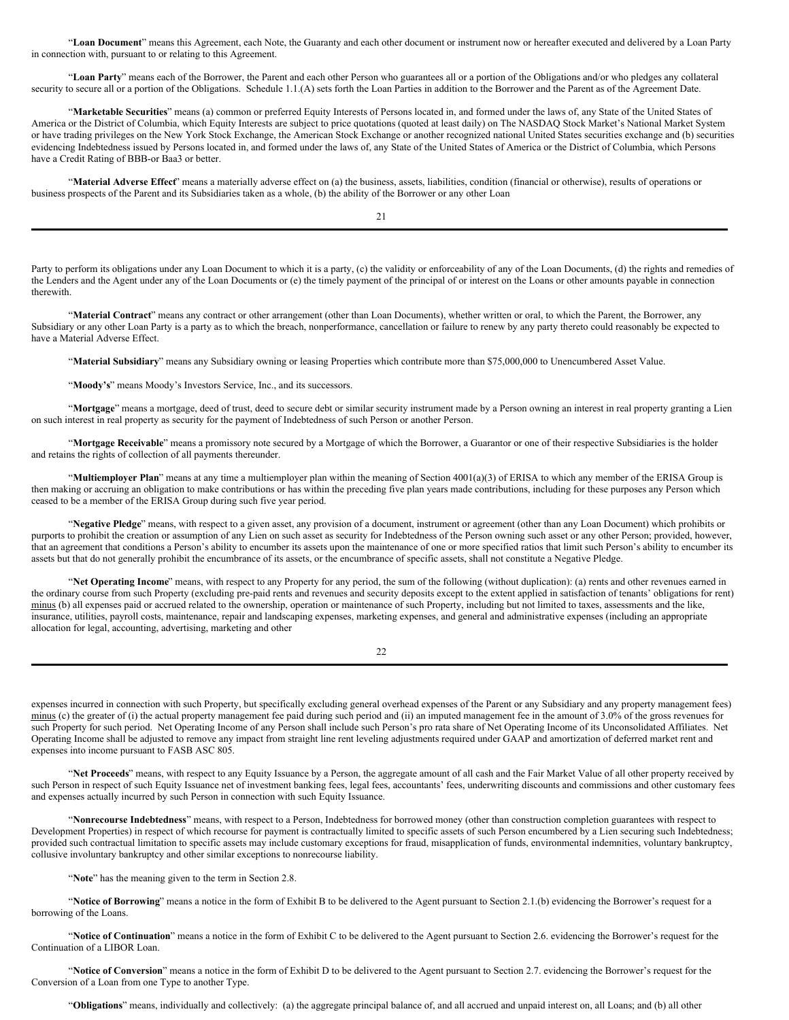"**Loan Document**" means this Agreement, each Note, the Guaranty and each other document or instrument now or hereafter executed and delivered by a Loan Party in connection with, pursuant to or relating to this Agreement.

"**Loan Party**" means each of the Borrower, the Parent and each other Person who guarantees all or a portion of the Obligations and/or who pledges any collateral security to secure all or a portion of the Obligations. Schedule 1.1.(A) sets forth the Loan Parties in addition to the Borrower and the Parent as of the Agreement Date.

"**Marketable Securities**" means (a) common or preferred Equity Interests of Persons located in, and formed under the laws of, any State of the United States of America or the District of Columbia, which Equity Interests are subject to price quotations (quoted at least daily) on The NASDAQ Stock Market's National Market System or have trading privileges on the New York Stock Exchange, the American Stock Exchange or another recognized national United States securities exchange and (b) securities evidencing Indebtedness issued by Persons located in, and formed under the laws of, any State of the United States of America or the District of Columbia, which Persons have a Credit Rating of BBB-or Baa3 or better.

"Material Adverse Effect" means a materially adverse effect on (a) the business, assets, liabilities, condition (financial or otherwise), results of operations or business prospects of the Parent and its Subsidiaries taken as a whole, (b) the ability of the Borrower or any other Loan

21

Party to perform its obligations under any Loan Document to which it is a party, (c) the validity or enforceability of any of the Loan Documents, (d) the rights and remedies of the Lenders and the Agent under any of the Loan Documents or (e) the timely payment of the principal of or interest on the Loans or other amounts payable in connection therewith.

"**Material Contract**" means any contract or other arrangement (other than Loan Documents), whether written or oral, to which the Parent, the Borrower, any Subsidiary or any other Loan Party is a party as to which the breach, nonperformance, cancellation or failure to renew by any party thereto could reasonably be expected to have a Material Adverse Effect.

"**Material Subsidiary**" means any Subsidiary owning or leasing Properties which contribute more than \$75,000,000 to Unencumbered Asset Value.

"Moody's" means Moody's Investors Service, Inc., and its successors.

"**Mortgage**" means a mortgage, deed of trust, deed to secure debt or similar security instrument made by a Person owning an interest in real property granting a Lien on such interest in real property as security for the payment of Indebtedness of such Person or another Person.

"**Mortgage Receivable**" means a promissory note secured by a Mortgage of which the Borrower, a Guarantor or one of their respective Subsidiaries is the holder and retains the rights of collection of all payments thereunder.

"**Multiemployer Plan**" means at any time a multiemployer plan within the meaning of Section 4001(a)(3) of ERISA to which any member of the ERISA Group is then making or accruing an obligation to make contributions or has within the preceding five plan years made contributions, including for these purposes any Person which ceased to be a member of the ERISA Group during such five year period.

"**Negative Pledge**" means, with respect to a given asset, any provision of a document, instrument or agreement (other than any Loan Document) which prohibits or purports to prohibit the creation or assumption of any Lien on such asset as security for Indebtedness of the Person owning such asset or any other Person; provided, however, that an agreement that conditions a Person's ability to encumber its assets upon the maintenance of one or more specified ratios that limit such Person's ability to encumber its assets but that do not generally prohibit the encumbrance of its assets, or the encumbrance of specific assets, shall not constitute a Negative Pledge.

"**Net Operating Income**" means, with respect to any Property for any period, the sum of the following (without duplication): (a) rents and other revenues earned in the ordinary course from such Property (excluding pre-paid rents and revenues and security deposits except to the extent applied in satisfaction of tenants' obligations for rent) minus (b) all expenses paid or accrued related to the ownership, operation or maintenance of such Property, including but not limited to taxes, assessments and the like, insurance, utilities, payroll costs, maintenance, repair and landscaping expenses, marketing expenses, and general and administrative expenses (including an appropriate allocation for legal, accounting, advertising, marketing and other

22

expenses incurred in connection with such Property, but specifically excluding general overhead expenses of the Parent or any Subsidiary and any property management fees) minus (c) the greater of (i) the actual property management fee paid during such period and (ii) an imputed management fee in the amount of 3.0% of the gross revenues for such Property for such period. Net Operating Income of any Person shall include such Person's pro rata share of Net Operating Income of its Unconsolidated Affiliates. Net Operating Income shall be adjusted to remove any impact from straight line rent leveling adjustments required under GAAP and amortization of deferred market rent and expenses into income pursuant to FASB ASC 805.

"**Net Proceeds**" means, with respect to any Equity Issuance by a Person, the aggregate amount of all cash and the Fair Market Value of all other property received by such Person in respect of such Equity Issuance net of investment banking fees, legal fees, accountants' fees, underwriting discounts and commissions and other customary fees and expenses actually incurred by such Person in connection with such Equity Issuance.

"**Nonrecourse Indebtedness**" means, with respect to a Person, Indebtedness for borrowed money (other than construction completion guarantees with respect to Development Properties) in respect of which recourse for payment is contractually limited to specific assets of such Person encumbered by a Lien securing such Indebtedness; provided such contractual limitation to specific assets may include customary exceptions for fraud, misapplication of funds, environmental indemnities, voluntary bankruptcy, collusive involuntary bankruptcy and other similar exceptions to nonrecourse liability.

"**Note**" has the meaning given to the term in Section 2.8.

"**Notice of Borrowing**" means a notice in the form of Exhibit B to be delivered to the Agent pursuant to Section 2.1.(b) evidencing the Borrower's request for a borrowing of the Loans.

"**Notice of Continuation**" means a notice in the form of Exhibit C to be delivered to the Agent pursuant to Section 2.6. evidencing the Borrower's request for the Continuation of a LIBOR Loan.

"**Notice of Conversion**" means a notice in the form of Exhibit D to be delivered to the Agent pursuant to Section 2.7. evidencing the Borrower's request for the Conversion of a Loan from one Type to another Type.

"**Obligations**" means, individually and collectively: (a) the aggregate principal balance of, and all accrued and unpaid interest on, all Loans; and (b) all other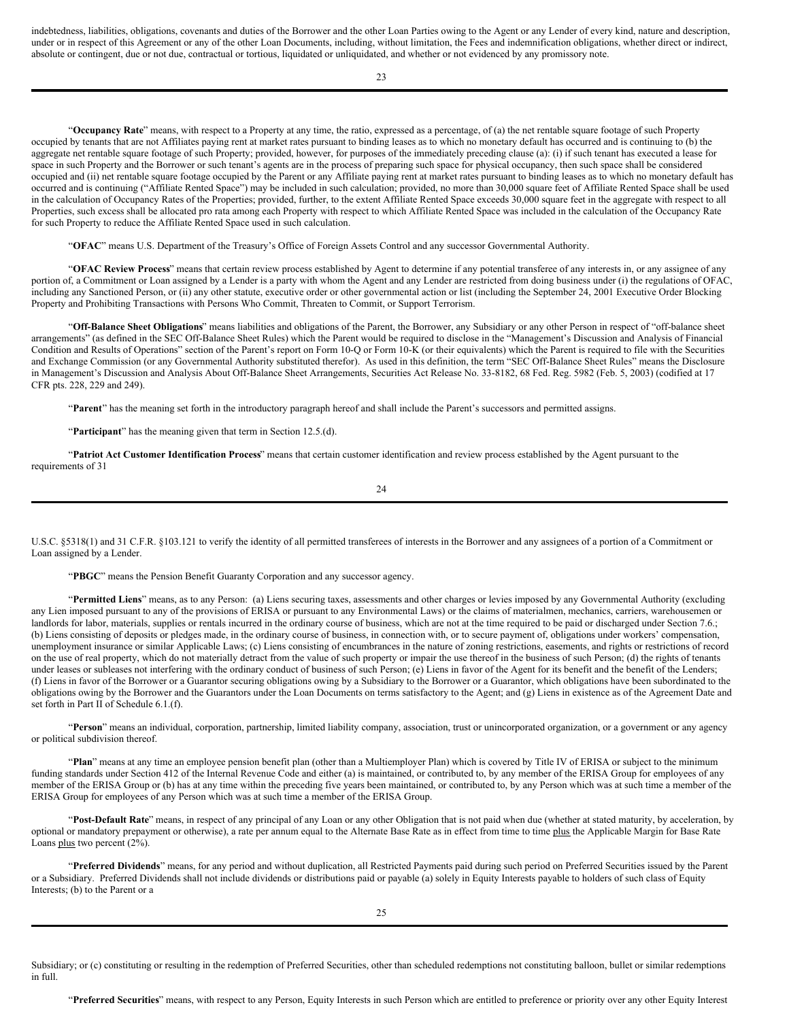indebtedness, liabilities, obligations, covenants and duties of the Borrower and the other Loan Parties owing to the Agent or any Lender of every kind, nature and description, under or in respect of this Agreement or any of the other Loan Documents, including, without limitation, the Fees and indemnification obligations, whether direct or indirect, absolute or contingent, due or not due, contractual or tortious, liquidated or unliquidated, and whether or not evidenced by any promissory note.

23

"**Occupancy Rate**" means, with respect to a Property at any time, the ratio, expressed as a percentage, of (a) the net rentable square footage of such Property occupied by tenants that are not Affiliates paying rent at market rates pursuant to binding leases as to which no monetary default has occurred and is continuing to (b) the aggregate net rentable square footage of such Property; provided, however, for purposes of the immediately preceding clause (a): (i) if such tenant has executed a lease for space in such Property and the Borrower or such tenant's agents are in the process of preparing such space for physical occupancy, then such space shall be considered occupied and (ii) net rentable square footage occupied by the Parent or any Affiliate paying rent at market rates pursuant to binding leases as to which no monetary default has occurred and is continuing ("Affiliate Rented Space") may be included in such calculation; provided, no more than 30,000 square feet of Affiliate Rented Space shall be used in the calculation of Occupancy Rates of the Properties; provided, further, to the extent Affiliate Rented Space exceeds 30,000 square feet in the aggregate with respect to all Properties, such excess shall be allocated pro rata among each Property with respect to which Affiliate Rented Space was included in the calculation of the Occupancy Rate for such Property to reduce the Affiliate Rented Space used in such calculation.

"**OFAC**" means U.S. Department of the Treasury's Office of Foreign Assets Control and any successor Governmental Authority.

"**OFAC Review Process**" means that certain review process established by Agent to determine if any potential transferee of any interests in, or any assignee of any portion of, a Commitment or Loan assigned by a Lender is a party with whom the Agent and any Lender are restricted from doing business under (i) the regulations of OFAC, including any Sanctioned Person, or (ii) any other statute, executive order or other governmental action or list (including the September 24, 2001 Executive Order Blocking Property and Prohibiting Transactions with Persons Who Commit, Threaten to Commit, or Support Terrorism.

"**Off-Balance Sheet Obligations**" means liabilities and obligations of the Parent, the Borrower, any Subsidiary or any other Person in respect of "off-balance sheet arrangements" (as defined in the SEC Off-Balance Sheet Rules) which the Parent would be required to disclose in the "Management's Discussion and Analysis of Financial Condition and Results of Operations" section of the Parent's report on Form 10-Q or Form 10-K (or their equivalents) which the Parent is required to file with the Securities and Exchange Commission (or any Governmental Authority substituted therefor). As used in this definition, the term "SEC Off-Balance Sheet Rules" means the Disclosure in Management's Discussion and Analysis About Off-Balance Sheet Arrangements, Securities Act Release No. 33-8182, 68 Fed. Reg. 5982 (Feb. 5, 2003) (codified at 17 CFR pts. 228, 229 and 249).

"**Parent**" has the meaning set forth in the introductory paragraph hereof and shall include the Parent's successors and permitted assigns.

"**Participant**" has the meaning given that term in Section 12.5.(d).

"**Patriot Act Customer Identification Process**" means that certain customer identification and review process established by the Agent pursuant to the requirements of 31

24

U.S.C. §5318(1) and 31 C.F.R. §103.121 to verify the identity of all permitted transferees of interests in the Borrower and any assignees of a portion of a Commitment or Loan assigned by a Lender.

"**PBGC**" means the Pension Benefit Guaranty Corporation and any successor agency.

"**Permitted Liens**" means, as to any Person: (a) Liens securing taxes, assessments and other charges or levies imposed by any Governmental Authority (excluding any Lien imposed pursuant to any of the provisions of ERISA or pursuant to any Environmental Laws) or the claims of materialmen, mechanics, carriers, warehousemen or landlords for labor, materials, supplies or rentals incurred in the ordinary course of business, which are not at the time required to be paid or discharged under Section 7.6.; (b) Liens consisting of deposits or pledges made, in the ordinary course of business, in connection with, or to secure payment of, obligations under workers' compensation, unemployment insurance or similar Applicable Laws; (c) Liens consisting of encumbrances in the nature of zoning restrictions, easements, and rights or restrictions of record on the use of real property, which do not materially detract from the value of such property or impair the use thereof in the business of such Person; (d) the rights of tenants under leases or subleases not interfering with the ordinary conduct of business of such Person; (e) Liens in favor of the Agent for its benefit and the benefit of the Lenders; (f) Liens in favor of the Borrower or a Guarantor securing obligations owing by a Subsidiary to the Borrower or a Guarantor, which obligations have been subordinated to the obligations owing by the Borrower and the Guarantors under the Loan Documents on terms satisfactory to the Agent; and (g) Liens in existence as of the Agreement Date and set forth in Part II of Schedule 6.1.(f).

"**Person**" means an individual, corporation, partnership, limited liability company, association, trust or unincorporated organization, or a government or any agency or political subdivision thereof.

"**Plan**" means at any time an employee pension benefit plan (other than a Multiemployer Plan) which is covered by Title IV of ERISA or subject to the minimum funding standards under Section 412 of the Internal Revenue Code and either (a) is maintained, or contributed to, by any member of the ERISA Group for employees of any member of the ERISA Group or (b) has at any time within the preceding five years been maintained, or contributed to, by any Person which was at such time a member of the ERISA Group for employees of any Person which was at such time a member of the ERISA Group.

"**Post-Default Rate**" means, in respect of any principal of any Loan or any other Obligation that is not paid when due (whether at stated maturity, by acceleration, by optional or mandatory prepayment or otherwise), a rate per annum equal to the Alternate Base Rate as in effect from time to time plus the Applicable Margin for Base Rate Loans plus two percent  $(2\%)$ .

"**Preferred Dividends**" means, for any period and without duplication, all Restricted Payments paid during such period on Preferred Securities issued by the Parent or a Subsidiary. Preferred Dividends shall not include dividends or distributions paid or payable (a) solely in Equity Interests payable to holders of such class of Equity Interests; (b) to the Parent or a

Subsidiary; or (c) constituting or resulting in the redemption of Preferred Securities, other than scheduled redemptions not constituting balloon, bullet or similar redemptions in full.

"**Preferred Securities**" means, with respect to any Person, Equity Interests in such Person which are entitled to preference or priority over any other Equity Interest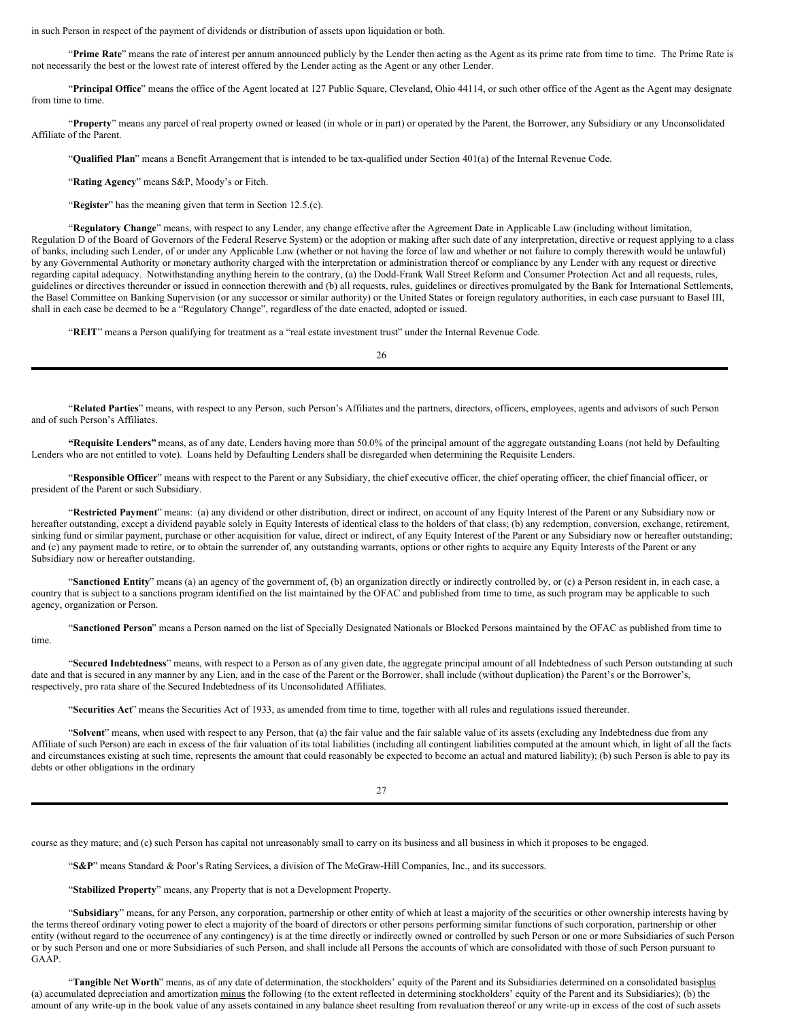in such Person in respect of the payment of dividends or distribution of assets upon liquidation or both.

"**Prime Rate**" means the rate of interest per annum announced publicly by the Lender then acting as the Agent as its prime rate from time to time. The Prime Rate is not necessarily the best or the lowest rate of interest offered by the Lender acting as the Agent or any other Lender.

"**Principal Office**" means the office of the Agent located at 127 Public Square, Cleveland, Ohio 44114, or such other office of the Agent as the Agent may designate from time to time.

"**Property**" means any parcel of real property owned or leased (in whole or in part) or operated by the Parent, the Borrower, any Subsidiary or any Unconsolidated Affiliate of the Parent.

"**Qualified Plan**" means a Benefit Arrangement that is intended to be tax-qualified under Section 401(a) of the Internal Revenue Code.

"**Rating Agency**" means S&P, Moody's or Fitch.

"**Register**" has the meaning given that term in Section 12.5.(c).

"**Regulatory Change**" means, with respect to any Lender, any change effective after the Agreement Date in Applicable Law (including without limitation, Regulation D of the Board of Governors of the Federal Reserve System) or the adoption or making after such date of any interpretation, directive or request applying to a class of banks, including such Lender, of or under any Applicable Law (whether or not having the force of law and whether or not failure to comply therewith would be unlawful) by any Governmental Authority or monetary authority charged with the interpretation or administration thereof or compliance by any Lender with any request or directive regarding capital adequacy. Notwithstanding anything herein to the contrary, (a) the Dodd-Frank Wall Street Reform and Consumer Protection Act and all requests, rules, guidelines or directives thereunder or issued in connection therewith and (b) all requests, rules, guidelines or directives promulgated by the Bank for International Settlements, the Basel Committee on Banking Supervision (or any successor or similar authority) or the United States or foreign regulatory authorities, in each case pursuant to Basel III, shall in each case be deemed to be a "Regulatory Change", regardless of the date enacted, adopted or issued.

"**REIT**" means a Person qualifying for treatment as a "real estate investment trust" under the Internal Revenue Code.

26

"**Related Parties**" means, with respect to any Person, such Person's Affiliates and the partners, directors, officers, employees, agents and advisors of such Person and of such Person's Affiliates.

**"Requisite Lenders"** means, as of any date, Lenders having more than 50.0% of the principal amount of the aggregate outstanding Loans (not held by Defaulting Lenders who are not entitled to vote). Loans held by Defaulting Lenders shall be disregarded when determining the Requisite Lenders.

"**Responsible Officer**" means with respect to the Parent or any Subsidiary, the chief executive officer, the chief operating officer, the chief financial officer, or president of the Parent or such Subsidiary.

"**Restricted Payment**" means: (a) any dividend or other distribution, direct or indirect, on account of any Equity Interest of the Parent or any Subsidiary now or hereafter outstanding, except a dividend payable solely in Equity Interests of identical class to the holders of that class; (b) any redemption, conversion, exchange, retirement, sinking fund or similar payment, purchase or other acquisition for value, direct or indirect, of any Equity Interest of the Parent or any Subsidiary now or hereafter outstanding; and (c) any payment made to retire, or to obtain the surrender of, any outstanding warrants, options or other rights to acquire any Equity Interests of the Parent or any Subsidiary now or hereafter outstanding.

"**Sanctioned Entity**" means (a) an agency of the government of, (b) an organization directly or indirectly controlled by, or (c) a Person resident in, in each case, a country that is subject to a sanctions program identified on the list maintained by the OFAC and published from time to time, as such program may be applicable to such agency, organization or Person.

"**Sanctioned Person**" means a Person named on the list of Specially Designated Nationals or Blocked Persons maintained by the OFAC as published from time to time.

"**Secured Indebtedness**" means, with respect to a Person as of any given date, the aggregate principal amount of all Indebtedness of such Person outstanding at such date and that is secured in any manner by any Lien, and in the case of the Parent or the Borrower, shall include (without duplication) the Parent's or the Borrower's, respectively, pro rata share of the Secured Indebtedness of its Unconsolidated Affiliates.

"**Securities Act**" means the Securities Act of 1933, as amended from time to time, together with all rules and regulations issued thereunder.

"**Solvent**" means, when used with respect to any Person, that (a) the fair value and the fair salable value of its assets (excluding any Indebtedness due from any Affiliate of such Person) are each in excess of the fair valuation of its total liabilities (including all contingent liabilities computed at the amount which, in light of all the facts and circumstances existing at such time, represents the amount that could reasonably be expected to become an actual and matured liability); (b) such Person is able to pay its debts or other obligations in the ordinary

27

course as they mature; and (c) such Person has capital not unreasonably small to carry on its business and all business in which it proposes to be engaged.

"**S&P**" means Standard & Poor's Rating Services, a division of The McGraw-Hill Companies, Inc., and its successors.

"**Stabilized Property**" means, any Property that is not a Development Property.

"**Subsidiary**" means, for any Person, any corporation, partnership or other entity of which at least a majority of the securities or other ownership interests having by the terms thereof ordinary voting power to elect a majority of the board of directors or other persons performing similar functions of such corporation, partnership or other entity (without regard to the occurrence of any contingency) is at the time directly or indirectly owned or controlled by such Person or one or more Subsidiaries of such Person or by such Person and one or more Subsidiaries of such Person, and shall include all Persons the accounts of which are consolidated with those of such Person pursuant to GAAP.

"**Tangible Net Worth**" means, as of any date of determination, the stockholders' equity of the Parent and its Subsidiaries determined on a consolidated basisplus (a) accumulated depreciation and amortization minus the following (to the extent reflected in determining stockholders' equity of the Parent and its Subsidiaries); (b) the amount of any write-up in the book value of any assets contained in any balance sheet resulting from revaluation thereof or any write-up in excess of the cost of such assets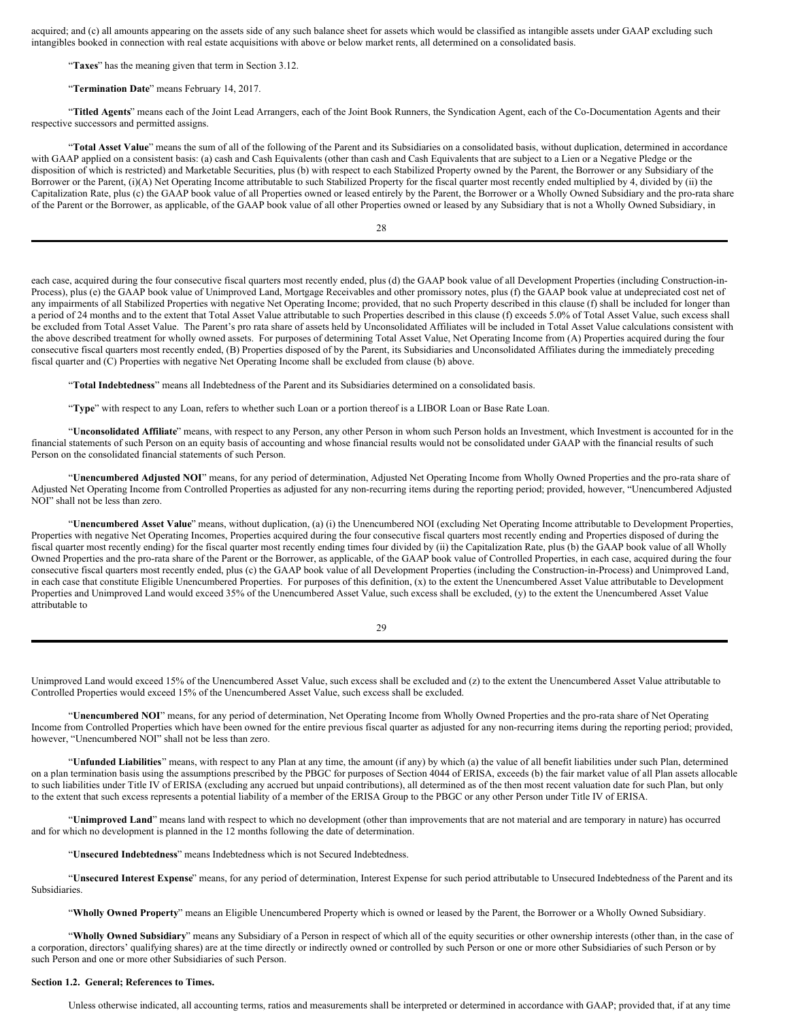acquired; and (c) all amounts appearing on the assets side of any such balance sheet for assets which would be classified as intangible assets under GAAP excluding such intangibles booked in connection with real estate acquisitions with above or below market rents, all determined on a consolidated basis.

"**Taxes**" has the meaning given that term in Section 3.12.

"**Termination Date**" means February 14, 2017.

"**Titled Agents**" means each of the Joint Lead Arrangers, each of the Joint Book Runners, the Syndication Agent, each of the Co-Documentation Agents and their respective successors and permitted assigns.

"**Total Asset Value**" means the sum of all of the following of the Parent and its Subsidiaries on a consolidated basis, without duplication, determined in accordance with GAAP applied on a consistent basis: (a) cash and Cash Equivalents (other than cash and Cash Equivalents that are subject to a Lien or a Negative Pledge or the disposition of which is restricted) and Marketable Securities, plus (b) with respect to each Stabilized Property owned by the Parent, the Borrower or any Subsidiary of the Borrower or the Parent, (i)(A) Net Operating Income attributable to such Stabilized Property for the fiscal quarter most recently ended multiplied by 4, divided by (ii) the Capitalization Rate, plus (c) the GAAP book value of all Properties owned or leased entirely by the Parent, the Borrower or a Wholly Owned Subsidiary and the pro-rata share of the Parent or the Borrower, as applicable, of the GAAP book value of all other Properties owned or leased by any Subsidiary that is not a Wholly Owned Subsidiary, in

28

each case, acquired during the four consecutive fiscal quarters most recently ended, plus (d) the GAAP book value of all Development Properties (including Construction-in-Process), plus (e) the GAAP book value of Unimproved Land, Mortgage Receivables and other promissory notes, plus (f) the GAAP book value at undepreciated cost net of any impairments of all Stabilized Properties with negative Net Operating Income; provided, that no such Property described in this clause (f) shall be included for longer than a period of 24 months and to the extent that Total Asset Value attributable to such Properties described in this clause (f) exceeds 5.0% of Total Asset Value, such excess shall be excluded from Total Asset Value. The Parent's pro rata share of assets held by Unconsolidated Affiliates will be included in Total Asset Value calculations consistent with the above described treatment for wholly owned assets. For purposes of determining Total Asset Value, Net Operating Income from (A) Properties acquired during the four consecutive fiscal quarters most recently ended, (B) Properties disposed of by the Parent, its Subsidiaries and Unconsolidated Affiliates during the immediately preceding fiscal quarter and (C) Properties with negative Net Operating Income shall be excluded from clause (b) above.

"**Total Indebtedness**" means all Indebtedness of the Parent and its Subsidiaries determined on a consolidated basis.

"**Type**" with respect to any Loan, refers to whether such Loan or a portion thereof is a LIBOR Loan or Base Rate Loan.

"**Unconsolidated Affiliate**" means, with respect to any Person, any other Person in whom such Person holds an Investment, which Investment is accounted for in the financial statements of such Person on an equity basis of accounting and whose financial results would not be consolidated under GAAP with the financial results of such Person on the consolidated financial statements of such Person.

"**Unencumbered Adjusted NOI**" means, for any period of determination, Adjusted Net Operating Income from Wholly Owned Properties and the pro-rata share of Adjusted Net Operating Income from Controlled Properties as adjusted for any non-recurring items during the reporting period; provided, however, "Unencumbered Adjusted NOI" shall not be less than zero.

"**Unencumbered Asset Value**" means, without duplication, (a) (i) the Unencumbered NOI (excluding Net Operating Income attributable to Development Properties, Properties with negative Net Operating Incomes, Properties acquired during the four consecutive fiscal quarters most recently ending and Properties disposed of during the fiscal quarter most recently ending) for the fiscal quarter most recently ending times four divided by (ii) the Capitalization Rate, plus (b) the GAAP book value of all Wholly Owned Properties and the pro-rata share of the Parent or the Borrower, as applicable, of the GAAP book value of Controlled Properties, in each case, acquired during the four consecutive fiscal quarters most recently ended, plus (c) the GAAP book value of all Development Properties (including the Construction-in-Process) and Unimproved Land, in each case that constitute Eligible Unencumbered Properties. For purposes of this definition, (x) to the extent the Unencumbered Asset Value attributable to Development Properties and Unimproved Land would exceed 35% of the Unencumbered Asset Value, such excess shall be excluded, (y) to the extent the Unencumbered Asset Value attributable to

29

Unimproved Land would exceed 15% of the Unencumbered Asset Value, such excess shall be excluded and (z) to the extent the Unencumbered Asset Value attributable to Controlled Properties would exceed 15% of the Unencumbered Asset Value, such excess shall be excluded.

"**Unencumbered NOI**" means, for any period of determination, Net Operating Income from Wholly Owned Properties and the pro-rata share of Net Operating Income from Controlled Properties which have been owned for the entire previous fiscal quarter as adjusted for any non-recurring items during the reporting period; provided, however, "Unencumbered NOI" shall not be less than zero.

"**Unfunded Liabilities**" means, with respect to any Plan at any time, the amount (if any) by which (a) the value of all benefit liabilities under such Plan, determined on a plan termination basis using the assumptions prescribed by the PBGC for purposes of Section 4044 of ERISA, exceeds (b) the fair market value of all Plan assets allocable to such liabilities under Title IV of ERISA (excluding any accrued but unpaid contributions), all determined as of the then most recent valuation date for such Plan, but only to the extent that such excess represents a potential liability of a member of the ERISA Group to the PBGC or any other Person under Title IV of ERISA.

"**Unimproved Land**" means land with respect to which no development (other than improvements that are not material and are temporary in nature) has occurred and for which no development is planned in the 12 months following the date of determination.

"**Unsecured Indebtedness**" means Indebtedness which is not Secured Indebtedness.

"**Unsecured Interest Expense**" means, for any period of determination, Interest Expense for such period attributable to Unsecured Indebtedness of the Parent and its Subsidiaries.

"**Wholly Owned Property**" means an Eligible Unencumbered Property which is owned or leased by the Parent, the Borrower or a Wholly Owned Subsidiary.

"**Wholly Owned Subsidiary**" means any Subsidiary of a Person in respect of which all of the equity securities or other ownership interests (other than, in the case of a corporation, directors' qualifying shares) are at the time directly or indirectly owned or controlled by such Person or one or more other Subsidiaries of such Person or by such Person and one or more other Subsidiaries of such Person.

# **Section 1.2. General; References to Times.**

Unless otherwise indicated, all accounting terms, ratios and measurements shall be interpreted or determined in accordance with GAAP; provided that, if at any time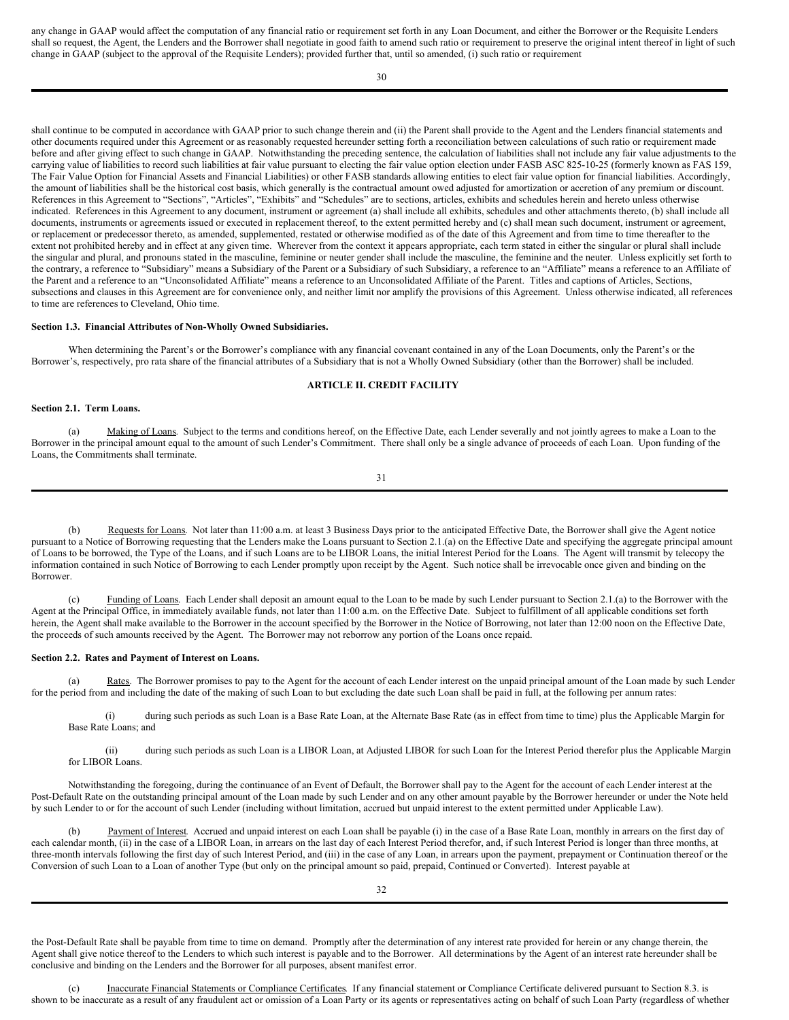any change in GAAP would affect the computation of any financial ratio or requirement set forth in any Loan Document, and either the Borrower or the Requisite Lenders shall so request, the Agent, the Lenders and the Borrower shall negotiate in good faith to amend such ratio or requirement to preserve the original intent thereof in light of such change in GAAP (subject to the approval of the Requisite Lenders); provided further that, until so amended, (i) such ratio or requirement

30

shall continue to be computed in accordance with GAAP prior to such change therein and (ii) the Parent shall provide to the Agent and the Lenders financial statements and other documents required under this Agreement or as reasonably requested hereunder setting forth a reconciliation between calculations of such ratio or requirement made before and after giving effect to such change in GAAP. Notwithstanding the preceding sentence, the calculation of liabilities shall not include any fair value adjustments to the carrying value of liabilities to record such liabilities at fair value pursuant to electing the fair value option election under FASB ASC 825-10-25 (formerly known as FAS 159, The Fair Value Option for Financial Assets and Financial Liabilities) or other FASB standards allowing entities to elect fair value option for financial liabilities. Accordingly, the amount of liabilities shall be the historical cost basis, which generally is the contractual amount owed adjusted for amortization or accretion of any premium or discount. References in this Agreement to "Sections", "Articles", "Exhibits" and "Schedules" are to sections, articles, exhibits and schedules herein and hereto unless otherwise indicated. References in this Agreement to any document, instrument or agreement (a) shall include all exhibits, schedules and other attachments thereto, (b) shall include all documents, instruments or agreements issued or executed in replacement thereof, to the extent permitted hereby and (c) shall mean such document, instrument or agreement, or replacement or predecessor thereto, as amended, supplemented, restated or otherwise modified as of the date of this Agreement and from time to time thereafter to the extent not prohibited hereby and in effect at any given time. Wherever from the context it appears appropriate, each term stated in either the singular or plural shall include the singular and plural, and pronouns stated in the masculine, feminine or neuter gender shall include the masculine, the feminine and the neuter. Unless explicitly set forth to the contrary, a reference to "Subsidiary" means a Subsidiary of the Parent or a Subsidiary of such Subsidiary, a reference to an "Affiliate" means a reference to an Affiliate of the Parent and a reference to an "Unconsolidated Affiliate" means a reference to an Unconsolidated Affiliate of the Parent. Titles and captions of Articles, Sections, subsections and clauses in this Agreement are for convenience only, and neither limit nor amplify the provisions of this Agreement. Unless otherwise indicated, all references to time are references to Cleveland, Ohio time.

## **Section 1.3. Financial Attributes of Non-Wholly Owned Subsidiaries.**

When determining the Parent's or the Borrower's compliance with any financial covenant contained in any of the Loan Documents, only the Parent's or the Borrower's, respectively, pro rata share of the financial attributes of a Subsidiary that is not a Wholly Owned Subsidiary (other than the Borrower) shall be included.

## **ARTICLE II. CREDIT FACILITY**

#### **Section 2.1. Term Loans.**

(a) Making of Loans. Subject to the terms and conditions hereof, on the Effective Date, each Lender severally and not jointly agrees to make a Loan to the Borrower in the principal amount equal to the amount of such Lender's Commitment. There shall only be a single advance of proceeds of each Loan. Upon funding of the Loans, the Commitments shall terminate.

31

Requests for Loans. Not later than 11:00 a.m. at least 3 Business Days prior to the anticipated Effective Date, the Borrower shall give the Agent notice pursuant to a Notice of Borrowing requesting that the Lenders make the Loans pursuant to Section 2.1.(a) on the Effective Date and specifying the aggregate principal amount of Loans to be borrowed, the Type of the Loans, and if such Loans are to be LIBOR Loans, the initial Interest Period for the Loans. The Agent will transmit by telecopy the information contained in such Notice of Borrowing to each Lender promptly upon receipt by the Agent. Such notice shall be irrevocable once given and binding on the Borrower.

(c) Funding of Loans. Each Lender shall deposit an amount equal to the Loan to be made by such Lender pursuant to Section 2.1.(a) to the Borrower with the Agent at the Principal Office, in immediately available funds, not later than 11:00 a.m. on the Effective Date. Subject to fulfillment of all applicable conditions set forth herein, the Agent shall make available to the Borrower in the account specified by the Borrower in the Notice of Borrowing, not later than 12:00 noon on the Effective Date, the proceeds of such amounts received by the Agent. The Borrower may not reborrow any portion of the Loans once repaid.

## **Section 2.2. Rates and Payment of Interest on Loans.**

(a) Rates. The Borrower promises to pay to the Agent for the account of each Lender interest on the unpaid principal amount of the Loan made by such Lender for the period from and including the date of the making of such Loan to but excluding the date such Loan shall be paid in full, at the following per annum rates:

(i) during such periods as such Loan is a Base Rate Loan, at the Alternate Base Rate (as in effect from time to time) plus the Applicable Margin for Base Rate Loans; and

(ii) during such periods as such Loan is a LIBOR Loan, at Adjusted LIBOR for such Loan for the Interest Period therefor plus the Applicable Margin for LIBOR Loans.

Notwithstanding the foregoing, during the continuance of an Event of Default, the Borrower shall pay to the Agent for the account of each Lender interest at the Post-Default Rate on the outstanding principal amount of the Loan made by such Lender and on any other amount payable by the Borrower hereunder or under the Note held by such Lender to or for the account of such Lender (including without limitation, accrued but unpaid interest to the extent permitted under Applicable Law).

(b) Payment of Interest. Accrued and unpaid interest on each Loan shall be payable (i) in the case of a Base Rate Loan, monthly in arrears on the first day of each calendar month, (ii) in the case of a LIBOR Loan, in arrears on the last day of each Interest Period therefor, and, if such Interest Period is longer than three months, at three-month intervals following the first day of such Interest Period, and (iii) in the case of any Loan, in arrears upon the payment, prepayment or Continuation thereof or the Conversion of such Loan to a Loan of another Type (but only on the principal amount so paid, prepaid, Continued or Converted). Interest payable at

the Post-Default Rate shall be payable from time to time on demand. Promptly after the determination of any interest rate provided for herein or any change therein, the Agent shall give notice thereof to the Lenders to which such interest is payable and to the Borrower. All determinations by the Agent of an interest rate hereunder shall be conclusive and binding on the Lenders and the Borrower for all purposes, absent manifest error.

(c) Inaccurate Financial Statements or Compliance Certificates. If any financial statement or Compliance Certificate delivered pursuant to Section 8.3. is shown to be inaccurate as a result of any fraudulent act or omission of a Loan Party or its agents or representatives acting on behalf of such Loan Party (regardless of whether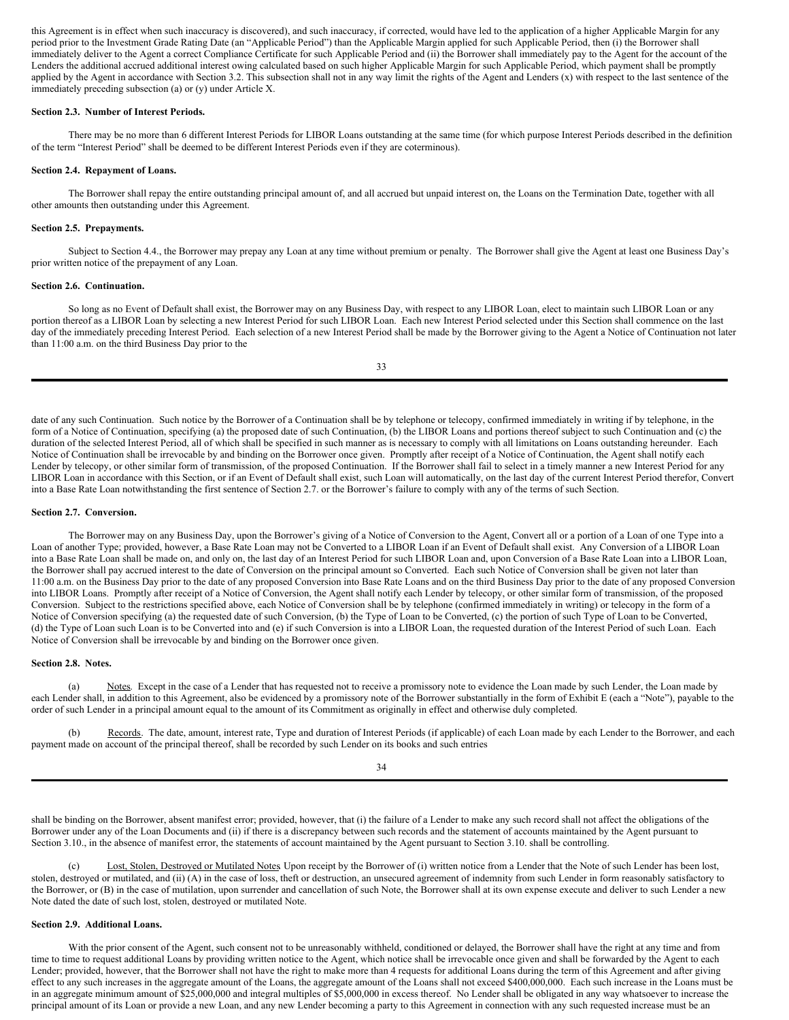this Agreement is in effect when such inaccuracy is discovered), and such inaccuracy, if corrected, would have led to the application of a higher Applicable Margin for any period prior to the Investment Grade Rating Date (an "Applicable Period") than the Applicable Margin applied for such Applicable Period, then (i) the Borrower shall immediately deliver to the Agent a correct Compliance Certificate for such Applicable Period and (ii) the Borrower shall immediately pay to the Agent for the account of the Lenders the additional accrued additional interest owing calculated based on such higher Applicable Margin for such Applicable Period, which payment shall be promptly applied by the Agent in accordance with Section 3.2. This subsection shall not in any way limit the rights of the Agent and Lenders (x) with respect to the last sentence of the immediately preceding subsection (a) or (y) under Article X.

## **Section 2.3. Number of Interest Periods.**

There may be no more than 6 different Interest Periods for LIBOR Loans outstanding at the same time (for which purpose Interest Periods described in the definition of the term "Interest Period" shall be deemed to be different Interest Periods even if they are coterminous).

## **Section 2.4. Repayment of Loans.**

The Borrower shall repay the entire outstanding principal amount of, and all accrued but unpaid interest on, the Loans on the Termination Date, together with all other amounts then outstanding under this Agreement.

## **Section 2.5. Prepayments.**

Subject to Section 4.4., the Borrower may prepay any Loan at any time without premium or penalty. The Borrower shall give the Agent at least one Business Day's prior written notice of the prepayment of any Loan.

#### **Section 2.6. Continuation.**

So long as no Event of Default shall exist, the Borrower may on any Business Day, with respect to any LIBOR Loan, elect to maintain such LIBOR Loan or any portion thereof as a LIBOR Loan by selecting a new Interest Period for such LIBOR Loan. Each new Interest Period selected under this Section shall commence on the last day of the immediately preceding Interest Period. Each selection of a new Interest Period shall be made by the Borrower giving to the Agent a Notice of Continuation not later than 11:00 a.m. on the third Business Day prior to the

33

date of any such Continuation. Such notice by the Borrower of a Continuation shall be by telephone or telecopy, confirmed immediately in writing if by telephone, in the form of a Notice of Continuation, specifying (a) the proposed date of such Continuation, (b) the LIBOR Loans and portions thereof subject to such Continuation and (c) the duration of the selected Interest Period, all of which shall be specified in such manner as is necessary to comply with all limitations on Loans outstanding hereunder. Each Notice of Continuation shall be irrevocable by and binding on the Borrower once given. Promptly after receipt of a Notice of Continuation, the Agent shall notify each Lender by telecopy, or other similar form of transmission, of the proposed Continuation. If the Borrower shall fail to select in a timely manner a new Interest Period for any LIBOR Loan in accordance with this Section, or if an Event of Default shall exist, such Loan will automatically, on the last day of the current Interest Period therefor, Convert into a Base Rate Loan notwithstanding the first sentence of Section 2.7. or the Borrower's failure to comply with any of the terms of such Section.

#### **Section 2.7. Conversion.**

The Borrower may on any Business Day, upon the Borrower's giving of a Notice of Conversion to the Agent, Convert all or a portion of a Loan of one Type into a Loan of another Type; provided, however, a Base Rate Loan may not be Converted to a LIBOR Loan if an Event of Default shall exist. Any Conversion of a LIBOR Loan into a Base Rate Loan shall be made on, and only on, the last day of an Interest Period for such LIBOR Loan and, upon Conversion of a Base Rate Loan into a LIBOR Loan, the Borrower shall pay accrued interest to the date of Conversion on the principal amount so Converted. Each such Notice of Conversion shall be given not later than 11:00 a.m. on the Business Day prior to the date of any proposed Conversion into Base Rate Loans and on the third Business Day prior to the date of any proposed Conversion into LIBOR Loans. Promptly after receipt of a Notice of Conversion, the Agent shall notify each Lender by telecopy, or other similar form of transmission, of the proposed Conversion. Subject to the restrictions specified above, each Notice of Conversion shall be by telephone (confirmed immediately in writing) or telecopy in the form of a Notice of Conversion specifying (a) the requested date of such Conversion, (b) the Type of Loan to be Converted, (c) the portion of such Type of Loan to be Converted, (d) the Type of Loan such Loan is to be Converted into and (e) if such Conversion is into a LIBOR Loan, the requested duration of the Interest Period of such Loan. Each Notice of Conversion shall be irrevocable by and binding on the Borrower once given.

#### **Section 2.8. Notes.**

(a) Notes. Except in the case of a Lender that has requested not to receive a promissory note to evidence the Loan made by such Lender, the Loan made by each Lender shall, in addition to this Agreement, also be evidenced by a promissory note of the Borrower substantially in the form of Exhibit E (each a "Note"), payable to the order of such Lender in a principal amount equal to the amount of its Commitment as originally in effect and otherwise duly completed.

(b) Records. The date, amount, interest rate, Type and duration of Interest Periods (if applicable) of each Loan made by each Lender to the Borrower, and each payment made on account of the principal thereof, shall be recorded by such Lender on its books and such entries

34

shall be binding on the Borrower, absent manifest error; provided, however, that (i) the failure of a Lender to make any such record shall not affect the obligations of the Borrower under any of the Loan Documents and (ii) if there is a discrepancy between such records and the statement of accounts maintained by the Agent pursuant to Section 3.10., in the absence of manifest error, the statements of account maintained by the Agent pursuant to Section 3.10. shall be controlling.

Lost, Stolen, Destroyed or Mutilated Notes. Upon receipt by the Borrower of (i) written notice from a Lender that the Note of such Lender has been lost, stolen, destroyed or mutilated, and (ii) (A) in the case of loss, theft or destruction, an unsecured agreement of indemnity from such Lender in form reasonably satisfactory to the Borrower, or (B) in the case of mutilation, upon surrender and cancellation of such Note, the Borrower shall at its own expense execute and deliver to such Lender a new Note dated the date of such lost, stolen, destroyed or mutilated Note.

#### **Section 2.9. Additional Loans.**

With the prior consent of the Agent, such consent not to be unreasonably withheld, conditioned or delayed, the Borrower shall have the right at any time and from time to time to request additional Loans by providing written notice to the Agent, which notice shall be irrevocable once given and shall be forwarded by the Agent to each Lender; provided, however, that the Borrower shall not have the right to make more than 4 requests for additional Loans during the term of this Agreement and after giving effect to any such increases in the aggregate amount of the Loans, the aggregate amount of the Loans shall not exceed \$400,000,000. Each such increase in the Loans must be in an aggregate minimum amount of \$25,000,000 and integral multiples of \$5,000,000 in excess thereof. No Lender shall be obligated in any way whatsoever to increase the principal amount of its Loan or provide a new Loan, and any new Lender becoming a party to this Agreement in connection with any such requested increase must be an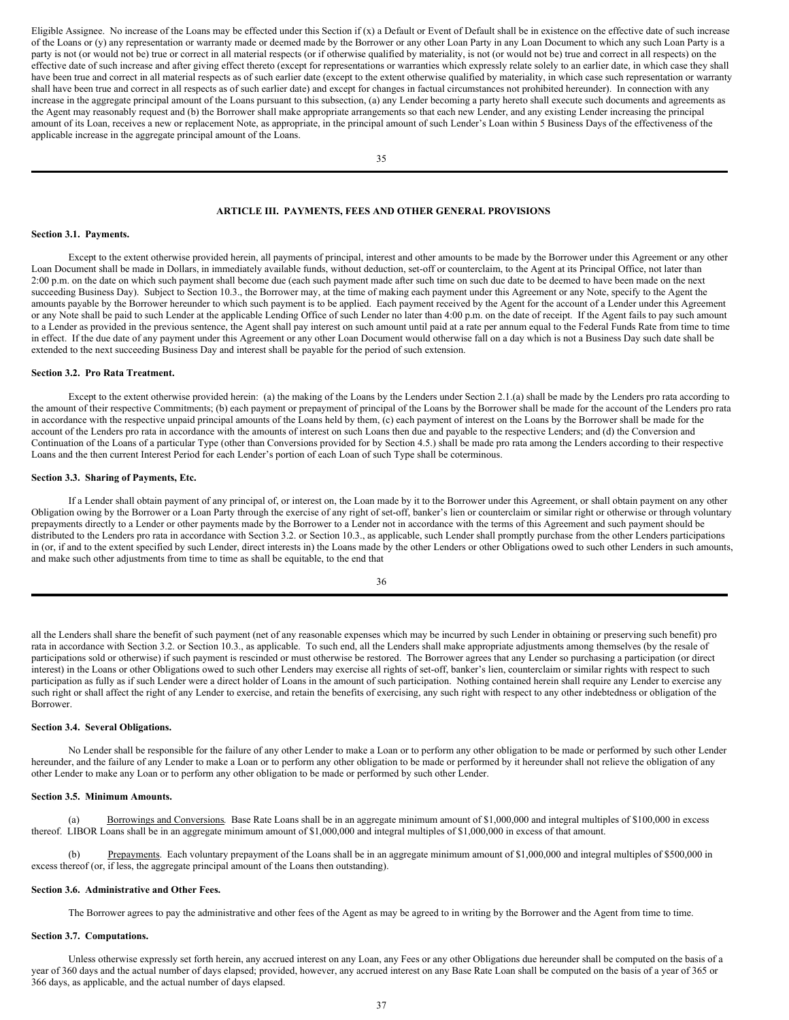Eligible Assignee. No increase of the Loans may be effected under this Section if  $(x)$  a Default or Event of Default shall be in existence on the effective date of such increase of the Loans or (y) any representation or warranty made or deemed made by the Borrower or any other Loan Party in any Loan Document to which any such Loan Party is a party is not (or would not be) true or correct in all material respects (or if otherwise qualified by materiality, is not (or would not be) true and correct in all respects) on the effective date of such increase and after giving effect thereto (except for representations or warranties which expressly relate solely to an earlier date, in which case they shall have been true and correct in all material respects as of such earlier date (except to the extent otherwise qualified by materiality, in which case such representation or warranty shall have been true and correct in all respects as of such earlier date) and except for changes in factual circumstances not prohibited hereunder). In connection with any increase in the aggregate principal amount of the Loans pursuant to this subsection, (a) any Lender becoming a party hereto shall execute such documents and agreements as the Agent may reasonably request and (b) the Borrower shall make appropriate arrangements so that each new Lender, and any existing Lender increasing the principal amount of its Loan, receives a new or replacement Note, as appropriate, in the principal amount of such Lender's Loan within 5 Business Days of the effectiveness of the applicable increase in the aggregate principal amount of the Loans.

## **ARTICLE III. PAYMENTS, FEES AND OTHER GENERAL PROVISIONS**

## **Section 3.1. Payments.**

Except to the extent otherwise provided herein, all payments of principal, interest and other amounts to be made by the Borrower under this Agreement or any other Loan Document shall be made in Dollars, in immediately available funds, without deduction, set-off or counterclaim, to the Agent at its Principal Office, not later than 2:00 p.m. on the date on which such payment shall become due (each such payment made after such time on such due date to be deemed to have been made on the next succeeding Business Day). Subject to Section 10.3., the Borrower may, at the time of making each payment under this Agreement or any Note, specify to the Agent the amounts payable by the Borrower hereunder to which such payment is to be applied. Each payment received by the Agent for the account of a Lender under this Agreement or any Note shall be paid to such Lender at the applicable Lending Office of such Lender no later than 4:00 p.m. on the date of receipt. If the Agent fails to pay such amount to a Lender as provided in the previous sentence, the Agent shall pay interest on such amount until paid at a rate per annum equal to the Federal Funds Rate from time to time in effect. If the due date of any payment under this Agreement or any other Loan Document would otherwise fall on a day which is not a Business Day such date shall be extended to the next succeeding Business Day and interest shall be payable for the period of such extension.

### **Section 3.2. Pro Rata Treatment.**

Except to the extent otherwise provided herein: (a) the making of the Loans by the Lenders under Section 2.1.(a) shall be made by the Lenders pro rata according to the amount of their respective Commitments; (b) each payment or prepayment of principal of the Loans by the Borrower shall be made for the account of the Lenders pro rata in accordance with the respective unpaid principal amounts of the Loans held by them, (c) each payment of interest on the Loans by the Borrower shall be made for the account of the Lenders pro rata in accordance with the amounts of interest on such Loans then due and payable to the respective Lenders; and (d) the Conversion and Continuation of the Loans of a particular Type (other than Conversions provided for by Section 4.5.) shall be made pro rata among the Lenders according to their respective Loans and the then current Interest Period for each Lender's portion of each Loan of such Type shall be coterminous.

#### **Section 3.3. Sharing of Payments, Etc.**

If a Lender shall obtain payment of any principal of, or interest on, the Loan made by it to the Borrower under this Agreement, or shall obtain payment on any other Obligation owing by the Borrower or a Loan Party through the exercise of any right of set-off, banker's lien or counterclaim or similar right or otherwise or through voluntary prepayments directly to a Lender or other payments made by the Borrower to a Lender not in accordance with the terms of this Agreement and such payment should be distributed to the Lenders pro rata in accordance with Section 3.2. or Section 10.3., as applicable, such Lender shall promptly purchase from the other Lenders participations in (or, if and to the extent specified by such Lender, direct interests in) the Loans made by the other Lenders or other Obligations owed to such other Lenders in such amounts, and make such other adjustments from time to time as shall be equitable, to the end that

| ٠                | ٠            |
|------------------|--------------|
| ı<br>ı<br>$\sim$ | I<br>I<br>۰, |

all the Lenders shall share the benefit of such payment (net of any reasonable expenses which may be incurred by such Lender in obtaining or preserving such benefit) pro rata in accordance with Section 3.2. or Section 10.3., as applicable. To such end, all the Lenders shall make appropriate adjustments among themselves (by the resale of participations sold or otherwise) if such payment is rescinded or must otherwise be restored. The Borrower agrees that any Lender so purchasing a participation (or direct interest) in the Loans or other Obligations owed to such other Lenders may exercise all rights of set-off, banker's lien, counterclaim or similar rights with respect to such participation as fully as if such Lender were a direct holder of Loans in the amount of such participation. Nothing contained herein shall require any Lender to exercise any such right or shall affect the right of any Lender to exercise, and retain the benefits of exercising, any such right with respect to any other indebtedness or obligation of the Borrower.

## **Section 3.4. Several Obligations.**

No Lender shall be responsible for the failure of any other Lender to make a Loan or to perform any other obligation to be made or performed by such other Lender hereunder, and the failure of any Lender to make a Loan or to perform any other obligation to be made or performed by it hereunder shall not relieve the obligation of any other Lender to make any Loan or to perform any other obligation to be made or performed by such other Lender.

# **Section 3.5. Minimum Amounts.**

(a) Borrowings and Conversions. Base Rate Loans shall be in an aggregate minimum amount of \$1,000,000 and integral multiples of \$100,000 in excess thereof. LIBOR Loans shall be in an aggregate minimum amount of \$1,000,000 and integral multiples of \$1,000,000 in excess of that amount.

(b) Prepayments. Each voluntary prepayment of the Loans shall be in an aggregate minimum amount of \$1,000,000 and integral multiples of \$500,000 in excess thereof (or, if less, the aggregate principal amount of the Loans then outstanding).

# **Section 3.6. Administrative and Other Fees.**

The Borrower agrees to pay the administrative and other fees of the Agent as may be agreed to in writing by the Borrower and the Agent from time to time.

## **Section 3.7. Computations.**

Unless otherwise expressly set forth herein, any accrued interest on any Loan, any Fees or any other Obligations due hereunder shall be computed on the basis of a year of 360 days and the actual number of days elapsed; provided, however, any accrued interest on any Base Rate Loan shall be computed on the basis of a year of 365 or 366 days, as applicable, and the actual number of days elapsed.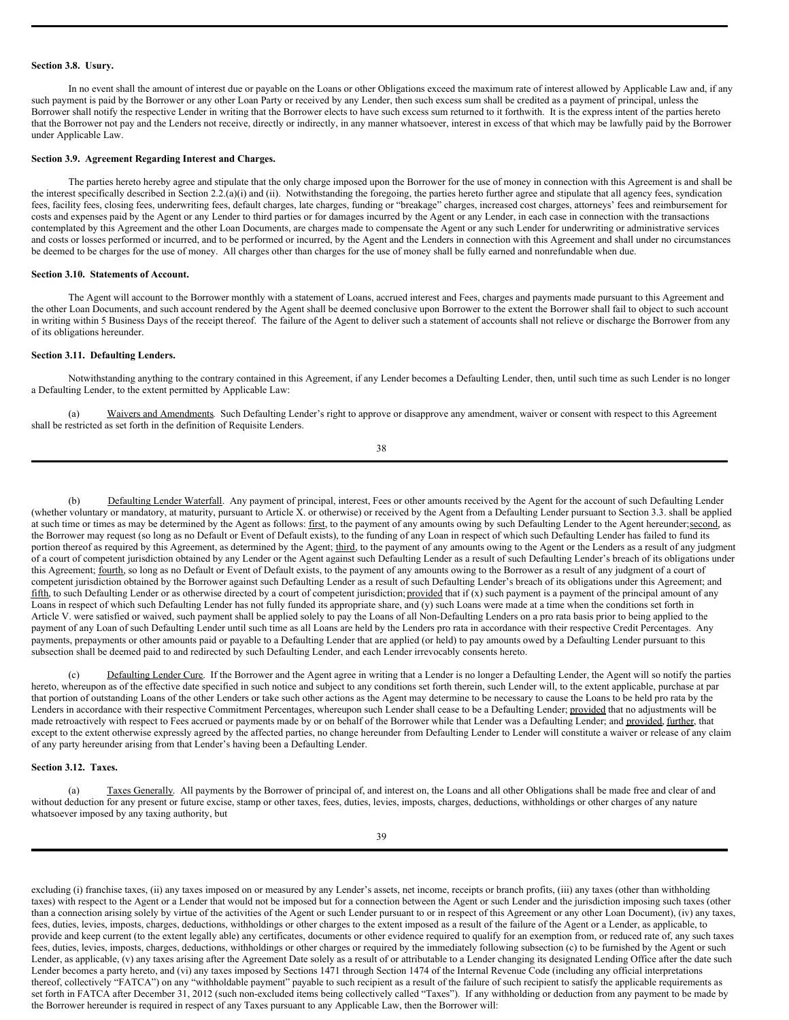#### **Section 3.8. Usury.**

In no event shall the amount of interest due or payable on the Loans or other Obligations exceed the maximum rate of interest allowed by Applicable Law and, if any such payment is paid by the Borrower or any other Loan Party or received by any Lender, then such excess sum shall be credited as a payment of principal, unless the Borrower shall notify the respective Lender in writing that the Borrower elects to have such excess sum returned to it forthwith. It is the express intent of the parties hereto that the Borrower not pay and the Lenders not receive, directly or indirectly, in any manner whatsoever, interest in excess of that which may be lawfully paid by the Borrower under Applicable Law.

#### **Section 3.9. Agreement Regarding Interest and Charges.**

The parties hereto hereby agree and stipulate that the only charge imposed upon the Borrower for the use of money in connection with this Agreement is and shall be the interest specifically described in Section 2.2.(a)(i) and (ii). Notwithstanding the foregoing, the parties hereto further agree and stipulate that all agency fees, syndication fees, facility fees, closing fees, underwriting fees, default charges, late charges, funding or "breakage" charges, increased cost charges, attorneys' fees and reimbursement for costs and expenses paid by the Agent or any Lender to third parties or for damages incurred by the Agent or any Lender, in each case in connection with the transactions contemplated by this Agreement and the other Loan Documents, are charges made to compensate the Agent or any such Lender for underwriting or administrative services and costs or losses performed or incurred, and to be performed or incurred, by the Agent and the Lenders in connection with this Agreement and shall under no circumstances be deemed to be charges for the use of money. All charges other than charges for the use of money shall be fully earned and nonrefundable when due.

## **Section 3.10. Statements of Account.**

The Agent will account to the Borrower monthly with a statement of Loans, accrued interest and Fees, charges and payments made pursuant to this Agreement and the other Loan Documents, and such account rendered by the Agent shall be deemed conclusive upon Borrower to the extent the Borrower shall fail to object to such account in writing within 5 Business Days of the receipt thereof. The failure of the Agent to deliver such a statement of accounts shall not relieve or discharge the Borrower from any of its obligations hereunder.

#### **Section 3.11. Defaulting Lenders.**

Notwithstanding anything to the contrary contained in this Agreement, if any Lender becomes a Defaulting Lender, then, until such time as such Lender is no longer a Defaulting Lender, to the extent permitted by Applicable Law:

(a) Waivers and Amendments. Such Defaulting Lender's right to approve or disapprove any amendment, waiver or consent with respect to this Agreement shall be restricted as set forth in the definition of Requisite Lenders.

38

(b) Defaulting Lender Waterfall. Any payment of principal, interest, Fees or other amounts received by the Agent for the account of such Defaulting Lender (whether voluntary or mandatory, at maturity, pursuant to Article X. or otherwise) or received by the Agent from a Defaulting Lender pursuant to Section 3.3. shall be applied at such time or times as may be determined by the Agent as follows: first, to the payment of any amounts owing by such Defaulting Lender to the Agent hereunder;second, as the Borrower may request (so long as no Default or Event of Default exists), to the funding of any Loan in respect of which such Defaulting Lender has failed to fund its portion thereof as required by this Agreement, as determined by the Agent; third, to the payment of any amounts owing to the Agent or the Lenders as a result of any judgment of a court of competent jurisdiction obtained by any Lender or the Agent against such Defaulting Lender as a result of such Defaulting Lender's breach of its obligations under this Agreement; fourth, so long as no Default or Event of Default exists, to the payment of any amounts owing to the Borrower as a result of any judgment of a court of competent jurisdiction obtained by the Borrower against such Defaulting Lender as a result of such Defaulting Lender's breach of its obligations under this Agreement; and fifth, to such Defaulting Lender or as otherwise directed by a court of competent jurisdiction; provided that if (x) such payment is a payment of the principal amount of any Loans in respect of which such Defaulting Lender has not fully funded its appropriate share, and (y) such Loans were made at a time when the conditions set forth in Article V. were satisfied or waived, such payment shall be applied solely to pay the Loans of all Non-Defaulting Lenders on a pro rata basis prior to being applied to the payment of any Loan of such Defaulting Lender until such time as all Loans are held by the Lenders pro rata in accordance with their respective Credit Percentages. Any payments, prepayments or other amounts paid or payable to a Defaulting Lender that are applied (or held) to pay amounts owed by a Defaulting Lender pursuant to this subsection shall be deemed paid to and redirected by such Defaulting Lender, and each Lender irrevocably consents hereto.

Defaulting Lender Cure. If the Borrower and the Agent agree in writing that a Lender is no longer a Defaulting Lender, the Agent will so notify the parties hereto, whereupon as of the effective date specified in such notice and subject to any conditions set forth therein, such Lender will, to the extent applicable, purchase at par that portion of outstanding Loans of the other Lenders or take such other actions as the Agent may determine to be necessary to cause the Loans to be held pro rata by the Lenders in accordance with their respective Commitment Percentages, whereupon such Lender shall cease to be a Defaulting Lender; provided that no adjustments will be made retroactively with respect to Fees accrued or payments made by or on behalf of the Borrower while that Lender was a Defaulting Lender; and provided, further, that except to the extent otherwise expressly agreed by the affected parties, no change hereunder from Defaulting Lender to Lender will constitute a waiver or release of any claim of any party hereunder arising from that Lender's having been a Defaulting Lender.

### **Section 3.12. Taxes.**

(a) Taxes Generally. All payments by the Borrower of principal of, and interest on, the Loans and all other Obligations shall be made free and clear of and without deduction for any present or future excise, stamp or other taxes, fees, duties, levies, imposts, charges, deductions, withholdings or other charges of any nature whatsoever imposed by any taxing authority, but

excluding (i) franchise taxes, (ii) any taxes imposed on or measured by any Lender's assets, net income, receipts or branch profits, (iii) any taxes (other than withholding taxes) with respect to the Agent or a Lender that would not be imposed but for a connection between the Agent or such Lender and the jurisdiction imposing such taxes (other than a connection arising solely by virtue of the activities of the Agent or such Lender pursuant to or in respect of this Agreement or any other Loan Document), (iv) any taxes, fees, duties, levies, imposts, charges, deductions, withholdings or other charges to the extent imposed as a result of the failure of the Agent or a Lender, as applicable, to provide and keep current (to the extent legally able) any certificates, documents or other evidence required to qualify for an exemption from, or reduced rate of, any such taxes fees, duties, levies, imposts, charges, deductions, withholdings or other charges or required by the immediately following subsection (c) to be furnished by the Agent or such Lender, as applicable, (v) any taxes arising after the Agreement Date solely as a result of or attributable to a Lender changing its designated Lending Office after the date such Lender becomes a party hereto, and (vi) any taxes imposed by Sections 1471 through Section 1474 of the Internal Revenue Code (including any official interpretations thereof, collectively "FATCA") on any "withholdable payment" payable to such recipient as a result of the failure of such recipient to satisfy the applicable requirements as set forth in FATCA after December 31, 2012 (such non-excluded items being collectively called "Taxes"). If any withholding or deduction from any payment to be made by the Borrower hereunder is required in respect of any Taxes pursuant to any Applicable Law, then the Borrower will: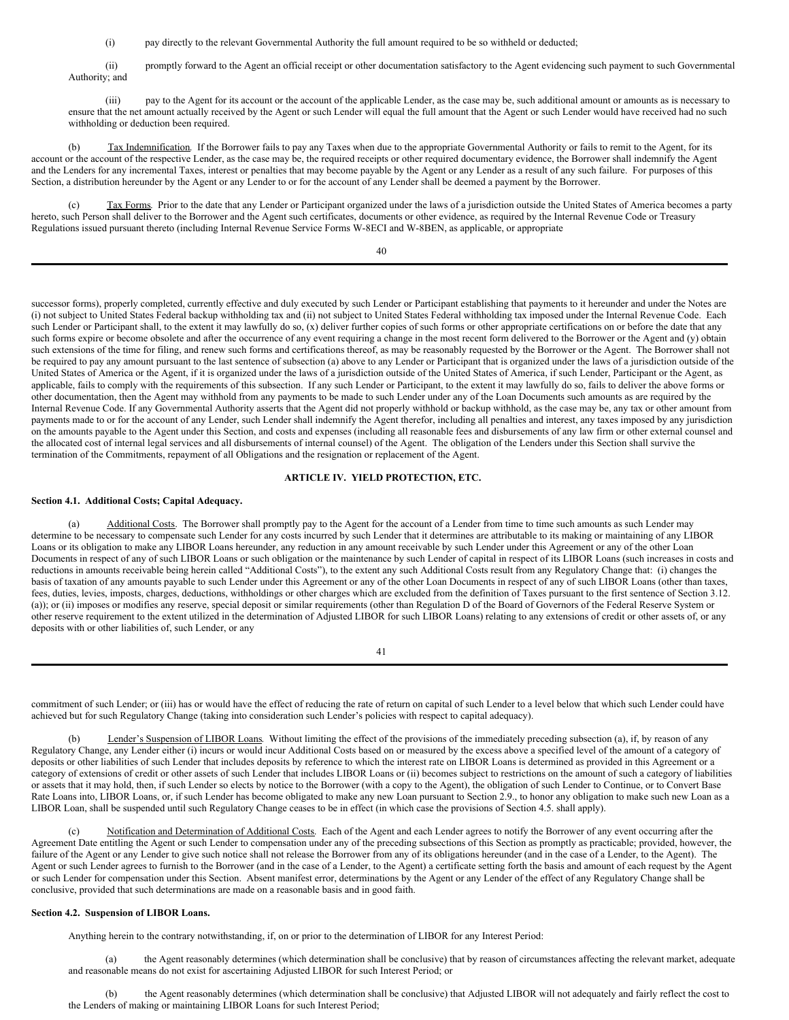(i) pay directly to the relevant Governmental Authority the full amount required to be so withheld or deducted;

(ii) promptly forward to the Agent an official receipt or other documentation satisfactory to the Agent evidencing such payment to such Governmental Authority; and

(iii) pay to the Agent for its account or the account of the applicable Lender, as the case may be, such additional amount or amounts as is necessary to ensure that the net amount actually received by the Agent or such Lender will equal the full amount that the Agent or such Lender would have received had no such withholding or deduction been required.

(b) Tax Indemnification. If the Borrower fails to pay any Taxes when due to the appropriate Governmental Authority or fails to remit to the Agent, for its account or the account of the respective Lender, as the case may be, the required receipts or other required documentary evidence, the Borrower shall indemnify the Agent and the Lenders for any incremental Taxes, interest or penalties that may become payable by the Agent or any Lender as a result of any such failure. For purposes of this Section, a distribution hereunder by the Agent or any Lender to or for the account of any Lender shall be deemed a payment by the Borrower.

(c) Tax Forms. Prior to the date that any Lender or Participant organized under the laws of a jurisdiction outside the United States of America becomes a party hereto, such Person shall deliver to the Borrower and the Agent such certificates, documents or other evidence, as required by the Internal Revenue Code or Treasury Regulations issued pursuant thereto (including Internal Revenue Service Forms W-8ECI and W-8BEN, as applicable, or appropriate

40

successor forms), properly completed, currently effective and duly executed by such Lender or Participant establishing that payments to it hereunder and under the Notes are (i) not subject to United States Federal backup withholding tax and (ii) not subject to United States Federal withholding tax imposed under the Internal Revenue Code. Each such Lender or Participant shall, to the extent it may lawfully do so, (x) deliver further copies of such forms or other appropriate certifications on or before the date that any such forms expire or become obsolete and after the occurrence of any event requiring a change in the most recent form delivered to the Borrower or the Agent and (y) obtain such extensions of the time for filing, and renew such forms and certifications thereof, as may be reasonably requested by the Borrower or the Agent. The Borrower shall not be required to pay any amount pursuant to the last sentence of subsection (a) above to any Lender or Participant that is organized under the laws of a jurisdiction outside of the United States of America or the Agent, if it is organized under the laws of a jurisdiction outside of the United States of America, if such Lender, Participant or the Agent, as applicable, fails to comply with the requirements of this subsection. If any such Lender or Participant, to the extent it may lawfully do so, fails to deliver the above forms or other documentation, then the Agent may withhold from any payments to be made to such Lender under any of the Loan Documents such amounts as are required by the Internal Revenue Code. If any Governmental Authority asserts that the Agent did not properly withhold or backup withhold, as the case may be, any tax or other amount from payments made to or for the account of any Lender, such Lender shall indemnify the Agent therefor, including all penalties and interest, any taxes imposed by any jurisdiction on the amounts payable to the Agent under this Section, and costs and expenses (including all reasonable fees and disbursements of any law firm or other external counsel and the allocated cost of internal legal services and all disbursements of internal counsel) of the Agent. The obligation of the Lenders under this Section shall survive the termination of the Commitments, repayment of all Obligations and the resignation or replacement of the Agent.

## **ARTICLE IV. YIELD PROTECTION, ETC.**

## **Section 4.1. Additional Costs; Capital Adequacy.**

(a) Additional Costs. The Borrower shall promptly pay to the Agent for the account of a Lender from time to time such amounts as such Lender may determine to be necessary to compensate such Lender for any costs incurred by such Lender that it determines are attributable to its making or maintaining of any LIBOR Loans or its obligation to make any LIBOR Loans hereunder, any reduction in any amount receivable by such Lender under this Agreement or any of the other Loan Documents in respect of any of such LIBOR Loans or such obligation or the maintenance by such Lender of capital in respect of its LIBOR Loans (such increases in costs and reductions in amounts receivable being herein called "Additional Costs"), to the extent any such Additional Costs result from any Regulatory Change that: (i) changes the basis of taxation of any amounts payable to such Lender under this Agreement or any of the other Loan Documents in respect of any of such LIBOR Loans (other than taxes, fees, duties, levies, imposts, charges, deductions, withholdings or other charges which are excluded from the definition of Taxes pursuant to the first sentence of Section 3.12. (a)); or (ii) imposes or modifies any reserve, special deposit or similar requirements (other than Regulation D of the Board of Governors of the Federal Reserve System or other reserve requirement to the extent utilized in the determination of Adjusted LIBOR for such LIBOR Loans) relating to any extensions of credit or other assets of, or any deposits with or other liabilities of, such Lender, or any

commitment of such Lender; or (iii) has or would have the effect of reducing the rate of return on capital of such Lender to a level below that which such Lender could have achieved but for such Regulatory Change (taking into consideration such Lender's policies with respect to capital adequacy).

(b) Lender's Suspension of LIBOR Loans. Without limiting the effect of the provisions of the immediately preceding subsection (a), if, by reason of any Regulatory Change, any Lender either (i) incurs or would incur Additional Costs based on or measured by the excess above a specified level of the amount of a category of deposits or other liabilities of such Lender that includes deposits by reference to which the interest rate on LIBOR Loans is determined as provided in this Agreement or a category of extensions of credit or other assets of such Lender that includes LIBOR Loans or (ii) becomes subject to restrictions on the amount of such a category of liabilities or assets that it may hold, then, if such Lender so elects by notice to the Borrower (with a copy to the Agent), the obligation of such Lender to Continue, or to Convert Base Rate Loans into, LIBOR Loans, or, if such Lender has become obligated to make any new Loan pursuant to Section 2.9, to honor any obligation to make such new Loan as a LIBOR Loan, shall be suspended until such Regulatory Change ceases to be in effect (in which case the provisions of Section 4.5. shall apply).

(c) Notification and Determination of Additional Costs. Each of the Agent and each Lender agrees to notify the Borrower of any event occurring after the Agreement Date entitling the Agent or such Lender to compensation under any of the preceding subsections of this Section as promptly as practicable; provided, however, the failure of the Agent or any Lender to give such notice shall not release the Borrower from any of its obligations hereunder (and in the case of a Lender, to the Agent). The Agent or such Lender agrees to furnish to the Borrower (and in the case of a Lender, to the Agent) a certificate setting forth the basis and amount of each request by the Agent or such Lender for compensation under this Section. Absent manifest error, determinations by the Agent or any Lender of the effect of any Regulatory Change shall be conclusive, provided that such determinations are made on a reasonable basis and in good faith.

# **Section 4.2. Suspension of LIBOR Loans.**

Anything herein to the contrary notwithstanding, if, on or prior to the determination of LIBOR for any Interest Period:

(a) the Agent reasonably determines (which determination shall be conclusive) that by reason of circumstances affecting the relevant market, adequate and reasonable means do not exist for ascertaining Adjusted LIBOR for such Interest Period; or

(b) the Agent reasonably determines (which determination shall be conclusive) that Adjusted LIBOR will not adequately and fairly reflect the cost to the Lenders of making or maintaining LIBOR Loans for such Interest Period;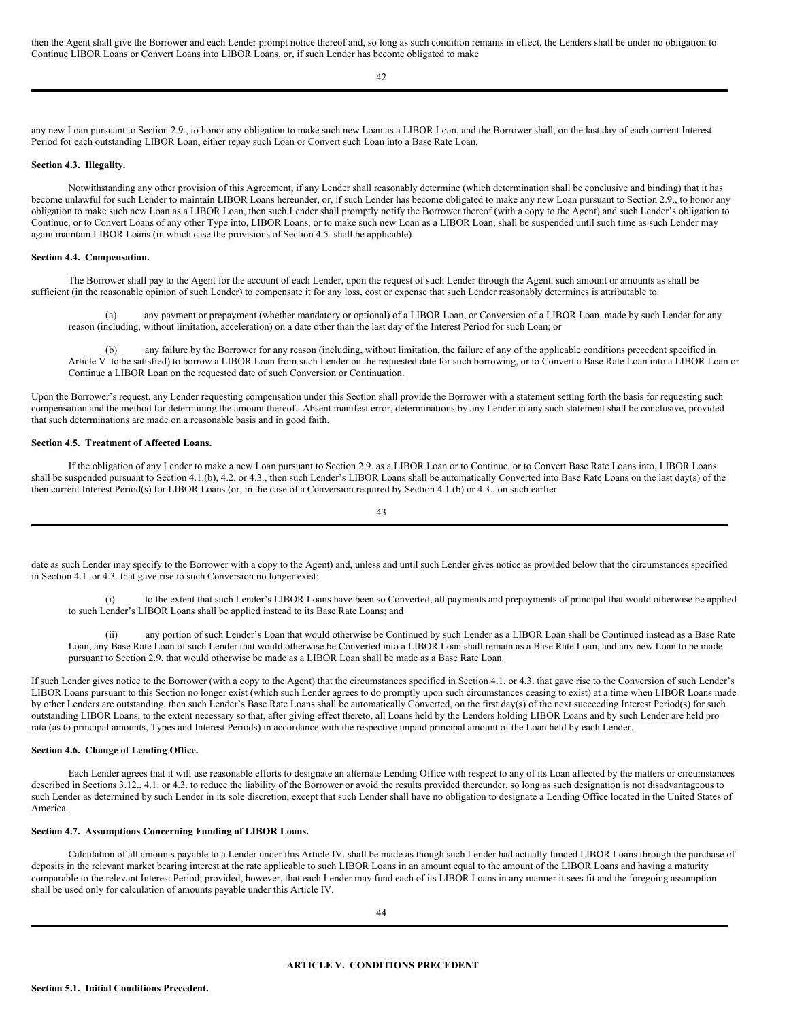then the Agent shall give the Borrower and each Lender prompt notice thereof and, so long as such condition remains in effect, the Lenders shall be under no obligation to Continue LIBOR Loans or Convert Loans into LIBOR Loans, or, if such Lender has become obligated to make

42

any new Loan pursuant to Section 2.9., to honor any obligation to make such new Loan as a LIBOR Loan, and the Borrower shall, on the last day of each current Interest Period for each outstanding LIBOR Loan, either repay such Loan or Convert such Loan into a Base Rate Loan.

#### **Section 4.3. Illegality.**

Notwithstanding any other provision of this Agreement, if any Lender shall reasonably determine (which determination shall be conclusive and binding) that it has become unlawful for such Lender to maintain LIBOR Loans hereunder, or, if such Lender has become obligated to make any new Loan pursuant to Section 2.9., to honor any obligation to make such new Loan as a LIBOR Loan, then such Lender shall promptly notify the Borrower thereof (with a copy to the Agent) and such Lender's obligation to Continue, or to Convert Loans of any other Type into, LIBOR Loans, or to make such new Loan as a LIBOR Loan, shall be suspended until such time as such Lender may again maintain LIBOR Loans (in which case the provisions of Section 4.5. shall be applicable).

### **Section 4.4. Compensation.**

The Borrower shall pay to the Agent for the account of each Lender, upon the request of such Lender through the Agent, such amount or amounts as shall be sufficient (in the reasonable opinion of such Lender) to compensate it for any loss, cost or expense that such Lender reasonably determines is attributable to:

(a) any payment or prepayment (whether mandatory or optional) of a LIBOR Loan, or Conversion of a LIBOR Loan, made by such Lender for any reason (including, without limitation, acceleration) on a date other than the last day of the Interest Period for such Loan; or

(b) any failure by the Borrower for any reason (including, without limitation, the failure of any of the applicable conditions precedent specified in Article V. to be satisfied) to borrow a LIBOR Loan from such Lender on the requested date for such borrowing, or to Convert a Base Rate Loan into a LIBOR Loan or Continue a LIBOR Loan on the requested date of such Conversion or Continuation.

Upon the Borrower's request, any Lender requesting compensation under this Section shall provide the Borrower with a statement setting forth the basis for requesting such compensation and the method for determining the amount thereof. Absent manifest error, determinations by any Lender in any such statement shall be conclusive, provided that such determinations are made on a reasonable basis and in good faith.

## **Section 4.5. Treatment of Affected Loans.**

If the obligation of any Lender to make a new Loan pursuant to Section 2.9. as a LIBOR Loan or to Continue, or to Convert Base Rate Loans into, LIBOR Loans shall be suspended pursuant to Section 4.1.(b), 4.2. or 4.3., then such Lender's LIBOR Loans shall be automatically Converted into Base Rate Loans on the last day(s) of the then current Interest Period(s) for LIBOR Loans (or, in the case of a Conversion required by Section 4.1.(b) or 4.3., on such earlier

43

date as such Lender may specify to the Borrower with a copy to the Agent) and, unless and until such Lender gives notice as provided below that the circumstances specified in Section 4.1. or 4.3. that gave rise to such Conversion no longer exist:

(i) to the extent that such Lender's LIBOR Loans have been so Converted, all payments and prepayments of principal that would otherwise be applied to such Lender's LIBOR Loans shall be applied instead to its Base Rate Loans; and

(ii) any portion of such Lender's Loan that would otherwise be Continued by such Lender as a LIBOR Loan shall be Continued instead as a Base Rate Loan, any Base Rate Loan of such Lender that would otherwise be Converted into a LIBOR Loan shall remain as a Base Rate Loan, and any new Loan to be made pursuant to Section 2.9. that would otherwise be made as a LIBOR Loan shall be made as a Base Rate Loan.

If such Lender gives notice to the Borrower (with a copy to the Agent) that the circumstances specified in Section 4.1. or 4.3. that gave rise to the Conversion of such Lender's LIBOR Loans pursuant to this Section no longer exist (which such Lender agrees to do promptly upon such circumstances ceasing to exist) at a time when LIBOR Loans made by other Lenders are outstanding, then such Lender's Base Rate Loans shall be automatically Converted, on the first day(s) of the next succeeding Interest Period(s) for such outstanding LIBOR Loans, to the extent necessary so that, after giving effect thereto, all Loans held by the Lenders holding LIBOR Loans and by such Lender are held pro rata (as to principal amounts, Types and Interest Periods) in accordance with the respective unpaid principal amount of the Loan held by each Lender.

#### **Section 4.6. Change of Lending Office.**

Each Lender agrees that it will use reasonable efforts to designate an alternate Lending Office with respect to any of its Loan affected by the matters or circumstances described in Sections 3.12., 4.1. or 4.3. to reduce the liability of the Borrower or avoid the results provided thereunder, so long as such designation is not disadvantageous to such Lender as determined by such Lender in its sole discretion, except that such Lender shall have no obligation to designate a Lending Office located in the United States of America.

#### **Section 4.7. Assumptions Concerning Funding of LIBOR Loans.**

Calculation of all amounts payable to a Lender under this Article IV. shall be made as though such Lender had actually funded LIBOR Loans through the purchase of deposits in the relevant market bearing interest at the rate applicable to such LIBOR Loans in an amount equal to the amount of the LIBOR Loans and having a maturity comparable to the relevant Interest Period; provided, however, that each Lender may fund each of its LIBOR Loans in any manner it sees fit and the foregoing assumption shall be used only for calculation of amounts payable under this Article IV.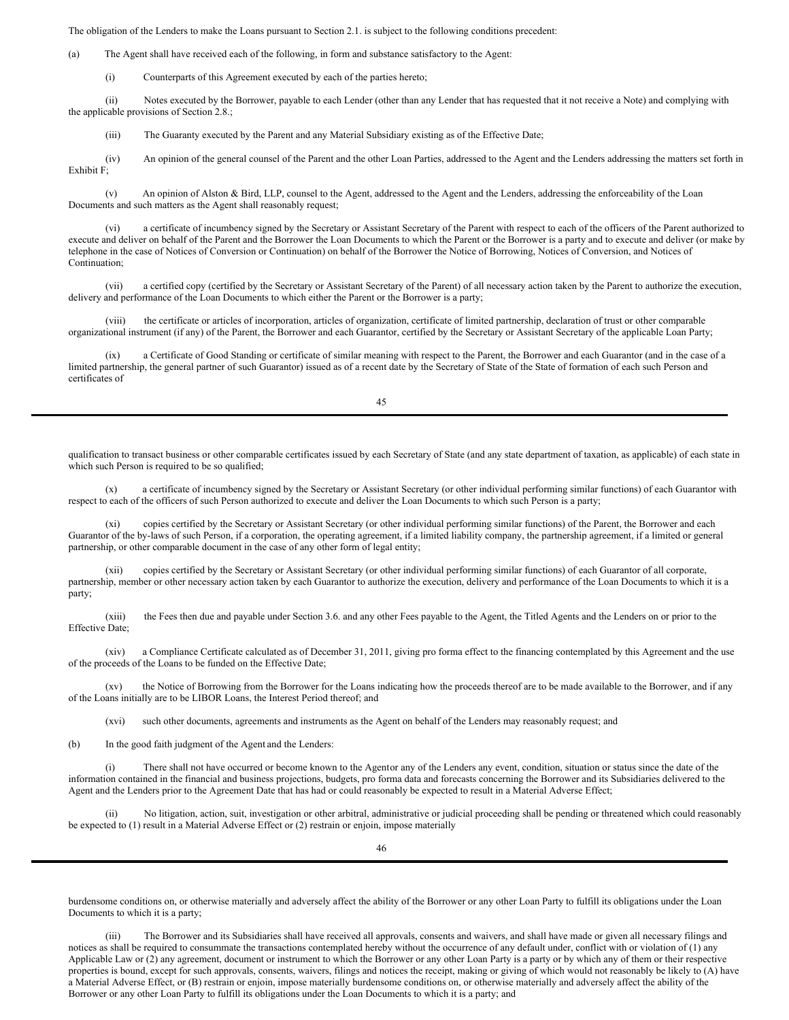The obligation of the Lenders to make the Loans pursuant to Section 2.1. is subject to the following conditions precedent:

(a) The Agent shall have received each of the following, in form and substance satisfactory to the Agent:

(i) Counterparts of this Agreement executed by each of the parties hereto;

(ii) Notes executed by the Borrower, payable to each Lender (other than any Lender that has requested that it not receive a Note) and complying with the applicable provisions of Section 2.8.;

(iii) The Guaranty executed by the Parent and any Material Subsidiary existing as of the Effective Date;

(iv) An opinion of the general counsel of the Parent and the other Loan Parties, addressed to the Agent and the Lenders addressing the matters set forth in Exhibit F;

(v) An opinion of Alston & Bird, LLP, counsel to the Agent, addressed to the Agent and the Lenders, addressing the enforceability of the Loan Documents and such matters as the Agent shall reasonably request;

(vi) a certificate of incumbency signed by the Secretary or Assistant Secretary of the Parent with respect to each of the officers of the Parent authorized to execute and deliver on behalf of the Parent and the Borrower the Loan Documents to which the Parent or the Borrower is a party and to execute and deliver (or make by telephone in the case of Notices of Conversion or Continuation) on behalf of the Borrower the Notice of Borrowing, Notices of Conversion, and Notices of Continuation;

(vii) a certified copy (certified by the Secretary or Assistant Secretary of the Parent) of all necessary action taken by the Parent to authorize the execution, delivery and performance of the Loan Documents to which either the Parent or the Borrower is a party;

(viii) the certificate or articles of incorporation, articles of organization, certificate of limited partnership, declaration of trust or other comparable organizational instrument (if any) of the Parent, the Borrower and each Guarantor, certified by the Secretary or Assistant Secretary of the applicable Loan Party;

a Certificate of Good Standing or certificate of similar meaning with respect to the Parent, the Borrower and each Guarantor (and in the case of a limited partnership, the general partner of such Guarantor) issued as of a recent date by the Secretary of State of the State of formation of each such Person and certificates of

45

qualification to transact business or other comparable certificates issued by each Secretary of State (and any state department of taxation, as applicable) of each state in which such Person is required to be so qualified;

(x) a certificate of incumbency signed by the Secretary or Assistant Secretary (or other individual performing similar functions) of each Guarantor with respect to each of the officers of such Person authorized to execute and deliver the Loan Documents to which such Person is a party;

(xi) copies certified by the Secretary or Assistant Secretary (or other individual performing similar functions) of the Parent, the Borrower and each Guarantor of the by-laws of such Person, if a corporation, the operating agreement, if a limited liability company, the partnership agreement, if a limited or general partnership, or other comparable document in the case of any other form of legal entity;

copies certified by the Secretary or Assistant Secretary (or other individual performing similar functions) of each Guarantor of all corporate, partnership, member or other necessary action taken by each Guarantor to authorize the execution, delivery and performance of the Loan Documents to which it is a party;

(xiii) the Fees then due and payable under Section 3.6. and any other Fees payable to the Agent, the Titled Agents and the Lenders on or prior to the Effective Date;

(xiv) a Compliance Certificate calculated as of December 31, 2011, giving pro forma effect to the financing contemplated by this Agreement and the use of the proceeds of the Loans to be funded on the Effective Date;

(xv) the Notice of Borrowing from the Borrower for the Loans indicating how the proceeds thereof are to be made available to the Borrower, and if any of the Loans initially are to be LIBOR Loans, the Interest Period thereof; and

(xvi) such other documents, agreements and instruments as the Agent on behalf of the Lenders may reasonably request; and

(b) In the good faith judgment of the Agent and the Lenders:

There shall not have occurred or become known to the Agentor any of the Lenders any event, condition, situation or status since the date of the information contained in the financial and business projections, budgets, pro forma data and forecasts concerning the Borrower and its Subsidiaries delivered to the Agent and the Lenders prior to the Agreement Date that has had or could reasonably be expected to result in a Material Adverse Effect;

No litigation, action, suit, investigation or other arbitral, administrative or judicial proceeding shall be pending or threatened which could reasonably be expected to (1) result in a Material Adverse Effect or (2) restrain or enjoin, impose materially

46

burdensome conditions on, or otherwise materially and adversely affect the ability of the Borrower or any other Loan Party to fulfill its obligations under the Loan Documents to which it is a party;

(iii) The Borrower and its Subsidiaries shall have received all approvals, consents and waivers, and shall have made or given all necessary filings and notices as shall be required to consummate the transactions contemplated hereby without the occurrence of any default under, conflict with or violation of (1) any Applicable Law or (2) any agreement, document or instrument to which the Borrower or any other Loan Party is a party or by which any of them or their respective properties is bound, except for such approvals, consents, waivers, filings and notices the receipt, making or giving of which would not reasonably be likely to (A) have a Material Adverse Effect, or (B) restrain or enjoin, impose materially burdensome conditions on, or otherwise materially and adversely affect the ability of the Borrower or any other Loan Party to fulfill its obligations under the Loan Documents to which it is a party; and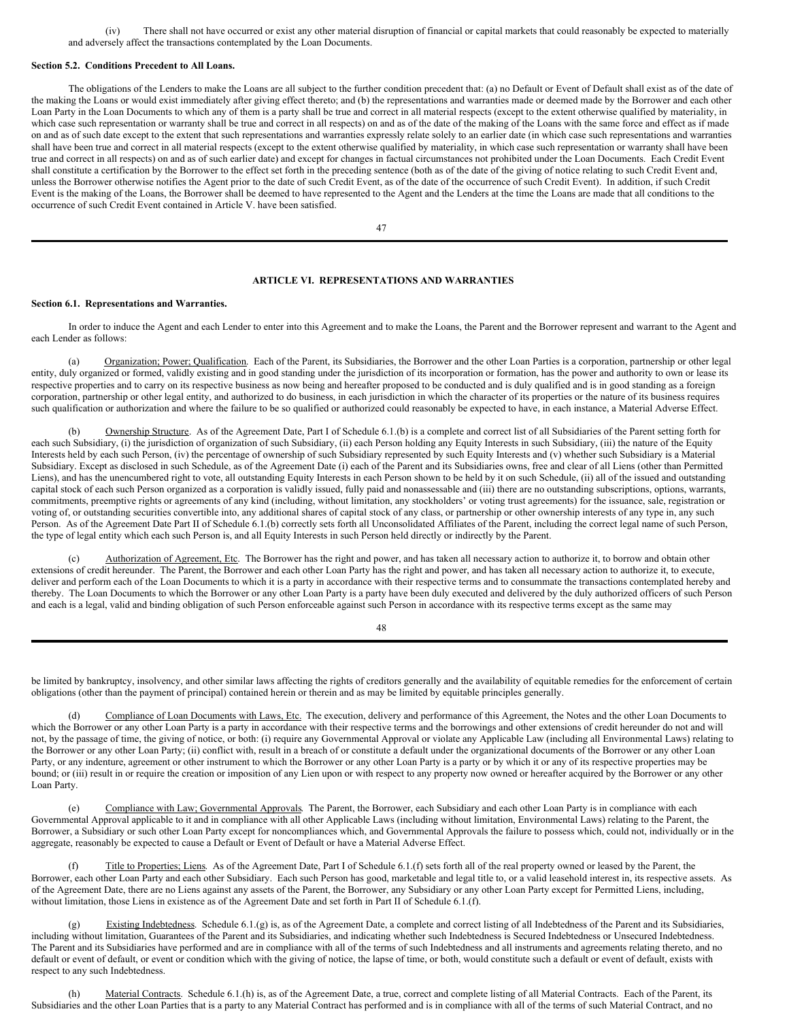(iv) There shall not have occurred or exist any other material disruption of financial or capital markets that could reasonably be expected to materially and adversely affect the transactions contemplated by the Loan Documents.

#### **Section 5.2. Conditions Precedent to All Loans.**

The obligations of the Lenders to make the Loans are all subject to the further condition precedent that: (a) no Default or Event of Default shall exist as of the date of the making the Loans or would exist immediately after giving effect thereto; and (b) the representations and warranties made or deemed made by the Borrower and each other Loan Party in the Loan Documents to which any of them is a party shall be true and correct in all material respects (except to the extent otherwise qualified by materiality, in which case such representation or warranty shall be true and correct in all respects) on and as of the date of the making of the Loans with the same force and effect as if made on and as of such date except to the extent that such representations and warranties expressly relate solely to an earlier date (in which case such representations and warranties shall have been true and correct in all material respects (except to the extent otherwise qualified by materiality, in which case such representation or warranty shall have been true and correct in all respects) on and as of such earlier date) and except for changes in factual circumstances not prohibited under the Loan Documents. Each Credit Event shall constitute a certification by the Borrower to the effect set forth in the preceding sentence (both as of the date of the giving of notice relating to such Credit Event and, unless the Borrower otherwise notifies the Agent prior to the date of such Credit Event, as of the date of the occurrence of such Credit Event). In addition, if such Credit Event is the making of the Loans, the Borrower shall be deemed to have represented to the Agent and the Lenders at the time the Loans are made that all conditions to the occurrence of such Credit Event contained in Article V. have been satisfied.

47

#### **ARTICLE VI. REPRESENTATIONS AND WARRANTIES**

#### **Section 6.1. Representations and Warranties.**

In order to induce the Agent and each Lender to enter into this Agreement and to make the Loans, the Parent and the Borrower represent and warrant to the Agent and each Lender as follows:

(a) Organization; Power; Qualification. Each of the Parent, its Subsidiaries, the Borrower and the other Loan Parties is a corporation, partnership or other legal entity, duly organized or formed, validly existing and in good standing under the jurisdiction of its incorporation or formation, has the power and authority to own or lease its respective properties and to carry on its respective business as now being and hereafter proposed to be conducted and is duly qualified and is in good standing as a foreign corporation, partnership or other legal entity, and authorized to do business, in each jurisdiction in which the character of its properties or the nature of its business requires such qualification or authorization and where the failure to be so qualified or authorized could reasonably be expected to have, in each instance, a Material Adverse Effect.

(b) Ownership Structure. As of the Agreement Date, Part I of Schedule 6.1.(b) is a complete and correct list of all Subsidiaries of the Parent setting forth for each such Subsidiary, (i) the jurisdiction of organization of such Subsidiary, (ii) each Person holding any Equity Interests in such Subsidiary, (iii) the nature of the Equity Interests held by each such Person, (iv) the percentage of ownership of such Subsidiary represented by such Equity Interests and (v) whether such Subsidiary is a Material Subsidiary. Except as disclosed in such Schedule, as of the Agreement Date (i) each of the Parent and its Subsidiaries owns, free and clear of all Liens (other than Permitted Liens), and has the unencumbered right to vote, all outstanding Equity Interests in each Person shown to be held by it on such Schedule, (ii) all of the issued and outstanding capital stock of each such Person organized as a corporation is validly issued, fully paid and nonassessable and (iii) there are no outstanding subscriptions, options, warrants, commitments, preemptive rights or agreements of any kind (including, without limitation, any stockholders' or voting trust agreements) for the issuance, sale, registration or voting of, or outstanding securities convertible into, any additional shares of capital stock of any class, or partnership or other ownership interests of any type in, any such Person. As of the Agreement Date Part II of Schedule 6.1.(b) correctly sets forth all Unconsolidated Affiliates of the Parent, including the correct legal name of such Person, the type of legal entity which each such Person is, and all Equity Interests in such Person held directly or indirectly by the Parent.

(c) Authorization of Agreement, Etc. The Borrower has the right and power, and has taken all necessary action to authorize it, to borrow and obtain other extensions of credit hereunder. The Parent, the Borrower and each other Loan Party has the right and power, and has taken all necessary action to authorize it, to execute, deliver and perform each of the Loan Documents to which it is a party in accordance with their respective terms and to consummate the transactions contemplated hereby and thereby. The Loan Documents to which the Borrower or any other Loan Party is a party have been duly executed and delivered by the duly authorized officers of such Person and each is a legal, valid and binding obligation of such Person enforceable against such Person in accordance with its respective terms except as the same may

48

be limited by bankruptcy, insolvency, and other similar laws affecting the rights of creditors generally and the availability of equitable remedies for the enforcement of certain obligations (other than the payment of principal) contained herein or therein and as may be limited by equitable principles generally.

(d) Compliance of Loan Documents with Laws, Etc. The execution, delivery and performance of this Agreement, the Notes and the other Loan Documents to which the Borrower or any other Loan Party is a party in accordance with their respective terms and the borrowings and other extensions of credit hereunder do not and will not, by the passage of time, the giving of notice, or both: (i) require any Governmental Approval or violate any Applicable Law (including all Environmental Laws) relating to the Borrower or any other Loan Party; (ii) conflict with, result in a breach of or constitute a default under the organizational documents of the Borrower or any other Loan Party, or any indenture, agreement or other instrument to which the Borrower or any other Loan Party is a party or by which it or any of its respective properties may be bound; or (iii) result in or require the creation or imposition of any Lien upon or with respect to any property now owned or hereafter acquired by the Borrower or any other Loan Party.

Compliance with Law; Governmental Approvals. The Parent, the Borrower, each Subsidiary and each other Loan Party is in compliance with each Governmental Approval applicable to it and in compliance with all other Applicable Laws (including without limitation, Environmental Laws) relating to the Parent, the Borrower, a Subsidiary or such other Loan Party except for noncompliances which, and Governmental Approvals the failure to possess which, could not, individually or in the aggregate, reasonably be expected to cause a Default or Event of Default or have a Material Adverse Effect.

Title to Properties; Liens. As of the Agreement Date, Part I of Schedule 6.1.(f) sets forth all of the real property owned or leased by the Parent, the Borrower, each other Loan Party and each other Subsidiary. Each such Person has good, marketable and legal title to, or a valid leasehold interest in, its respective assets. As of the Agreement Date, there are no Liens against any assets of the Parent, the Borrower, any Subsidiary or any other Loan Party except for Permitted Liens, including, without limitation, those Liens in existence as of the Agreement Date and set forth in Part II of Schedule 6.1.(f).

Existing Indebtedness. Schedule 6.1.(g) is, as of the Agreement Date, a complete and correct listing of all Indebtedness of the Parent and its Subsidiaries, including without limitation, Guarantees of the Parent and its Subsidiaries, and indicating whether such Indebtedness is Secured Indebtedness or Unsecured Indebtedness. The Parent and its Subsidiaries have performed and are in compliance with all of the terms of such Indebtedness and all instruments and agreements relating thereto, and no default or event of default, or event or condition which with the giving of notice, the lapse of time, or both, would constitute such a default or event of default, exists with respect to any such Indebtedness.

(h) Material Contracts. Schedule 6.1.(h) is, as of the Agreement Date, a true, correct and complete listing of all Material Contracts. Each of the Parent, its Subsidiaries and the other Loan Parties that is a party to any Material Contract has performed and is in compliance with all of the terms of such Material Contract, and no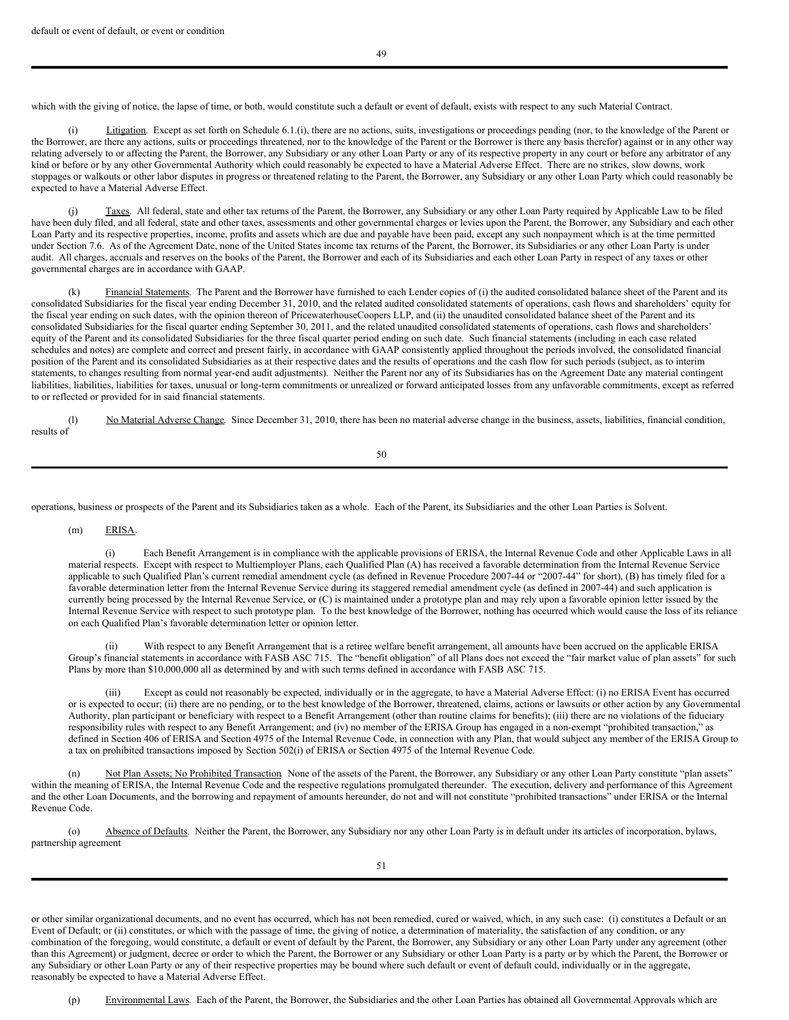which with the giving of notice, the lapse of time, or both, would constitute such a default or event of default, exists with respect to any such Material Contract.

Litigation. Except as set forth on Schedule 6.1.(i), there are no actions, suits, investigations or proceedings pending (nor, to the knowledge of the Parent or the Borrower, are there any actions, suits or proceedings threatened, nor to the knowledge of the Parent or the Borrower is there any basis therefor) against or in any other way relating adversely to or affecting the Parent, the Borrower, any Subsidiary or any other Loan Party or any of its respective property in any court or before any arbitrator of any kind or before or by any other Governmental Authority which could reasonably be expected to have a Material Adverse Effect. There are no strikes, slow downs, work stoppages or walkouts or other labor disputes in progress or threatened relating to the Parent, the Borrower, any Subsidiary or any other Loan Party which could reasonably be expected to have a Material Adverse Effect.

Taxes. All federal, state and other tax returns of the Parent, the Borrower, any Subsidiary or any other Loan Party required by Applicable Law to be filed have been duly filed, and all federal, state and other taxes, assessments and other governmental charges or levies upon the Parent, the Borrower, any Subsidiary and each other Loan Party and its respective properties, income, profits and assets which are due and payable have been paid, except any such nonpayment which is at the time permitted under Section 7.6. As of the Agreement Date, none of the United States income tax returns of the Parent, the Borrower, its Subsidiaries or any other Loan Party is under audit. All charges, accruals and reserves on the books of the Parent, the Borrower and each of its Subsidiaries and each other Loan Party in respect of any taxes or other governmental charges are in accordance with GAAP.

(k) Financial Statements. The Parent and the Borrower have furnished to each Lender copies of (i) the audited consolidated balance sheet of the Parent and its consolidated Subsidiaries for the fiscal year ending December 31, 2010, and the related audited consolidated statements of operations, cash flows and shareholders' equity for the fiscal year ending on such dates, with the opinion thereon of PricewaterhouseCoopers LLP, and (ii) the unaudited consolidated balance sheet of the Parent and its consolidated Subsidiaries for the fiscal quarter ending September 30, 2011, and the related unaudited consolidated statements of operations, cash flows and shareholders' equity of the Parent and its consolidated Subsidiaries for the three fiscal quarter period ending on such date. Such financial statements (including in each case related schedules and notes) are complete and correct and present fairly, in accordance with GAAP consistently applied throughout the periods involved, the consolidated financial position of the Parent and its consolidated Subsidiaries as at their respective dates and the results of operations and the cash flow for such periods (subject, as to interim statements, to changes resulting from normal year-end audit adjustments). Neither the Parent nor any of its Subsidiaries has on the Agreement Date any material contingent liabilities, liabilities, liabilities for taxes, unusual or long-term commitments or unrealized or forward anticipated losses from any unfavorable commitments, except as referred to or reflected or provided for in said financial statements.

(l) No Material Adverse Change. Since December 31, 2010, there has been no material adverse change in the business, assets, liabilities, financial condition, results of

50

operations, business or prospects of the Parent and its Subsidiaries taken as a whole. Each of the Parent, its Subsidiaries and the other Loan Parties is Solvent.

(m) ERISA.

(i) Each Benefit Arrangement is in compliance with the applicable provisions of ERISA, the Internal Revenue Code and other Applicable Laws in all material respects. Except with respect to Multiemployer Plans, each Qualified Plan (A) has received a favorable determination from the Internal Revenue Service applicable to such Qualified Plan's current remedial amendment cycle (as defined in Revenue Procedure 2007-44 or "2007-44" for short), (B) has timely filed for a favorable determination letter from the Internal Revenue Service during its staggered remedial amendment cycle (as defined in 2007-44) and such application is currently being processed by the Internal Revenue Service, or (C) is maintained under a prototype plan and may rely upon a favorable opinion letter issued by the Internal Revenue Service with respect to such prototype plan. To the best knowledge of the Borrower, nothing has occurred which would cause the loss of its reliance on each Qualified Plan's favorable determination letter or opinion letter.

With respect to any Benefit Arrangement that is a retiree welfare benefit arrangement, all amounts have been accrued on the applicable ERISA Group's financial statements in accordance with FASB ASC 715. The "benefit obligation" of all Plans does not exceed the "fair market value of plan assets" for such Plans by more than \$10,000,000 all as determined by and with such terms defined in accordance with FASB ASC 715.

Except as could not reasonably be expected, individually or in the aggregate, to have a Material Adverse Effect: (i) no ERISA Event has occurred or is expected to occur; (ii) there are no pending, or to the best knowledge of the Borrower, threatened, claims, actions or lawsuits or other action by any Governmental Authority, plan participant or beneficiary with respect to a Benefit Arrangement (other than routine claims for benefits); (iii) there are no violations of the fiduciary responsibility rules with respect to any Benefit Arrangement; and (iv) no member of the ERISA Group has engaged in a non-exempt "prohibited transaction," as defined in Section 406 of ERISA and Section 4975 of the Internal Revenue Code, in connection with any Plan, that would subject any member of the ERISA Group to a tax on prohibited transactions imposed by Section 502(i) of ERISA or Section 4975 of the Internal Revenue Code.

(n) Not Plan Assets; No Prohibited Transaction. None of the assets of the Parent, the Borrower, any Subsidiary or any other Loan Party constitute "plan assets" within the meaning of ERISA, the Internal Revenue Code and the respective regulations promulgated thereunder. The execution, delivery and performance of this Agreement and the other Loan Documents, and the borrowing and repayment of amounts hereunder, do not and will not constitute "prohibited transactions" under ERISA or the Internal Revenue Code.

(o) Absence of Defaults. Neither the Parent, the Borrower, any Subsidiary nor any other Loan Party is in default under its articles of incorporation, bylaws, partnership agreement

or other similar organizational documents, and no event has occurred, which has not been remedied, cured or waived, which, in any such case: (i) constitutes a Default or an Event of Default; or (ii) constitutes, or which with the passage of time, the giving of notice, a determination of materiality, the satisfaction of any condition, or any combination of the foregoing, would constitute, a default or event of default by the Parent, the Borrower, any Subsidiary or any other Loan Party under any agreement (other than this Agreement) or judgment, decree or order to which the Parent, the Borrower or any Subsidiary or other Loan Party is a party or by which the Parent, the Borrower or any Subsidiary or other Loan Party or any of their respective properties may be bound where such default or event of default could, individually or in the aggregate, reasonably be expected to have a Material Adverse Effect.

(p) Environmental Laws. Each of the Parent, the Borrower, the Subsidiaries and the other Loan Parties has obtained all Governmental Approvals which are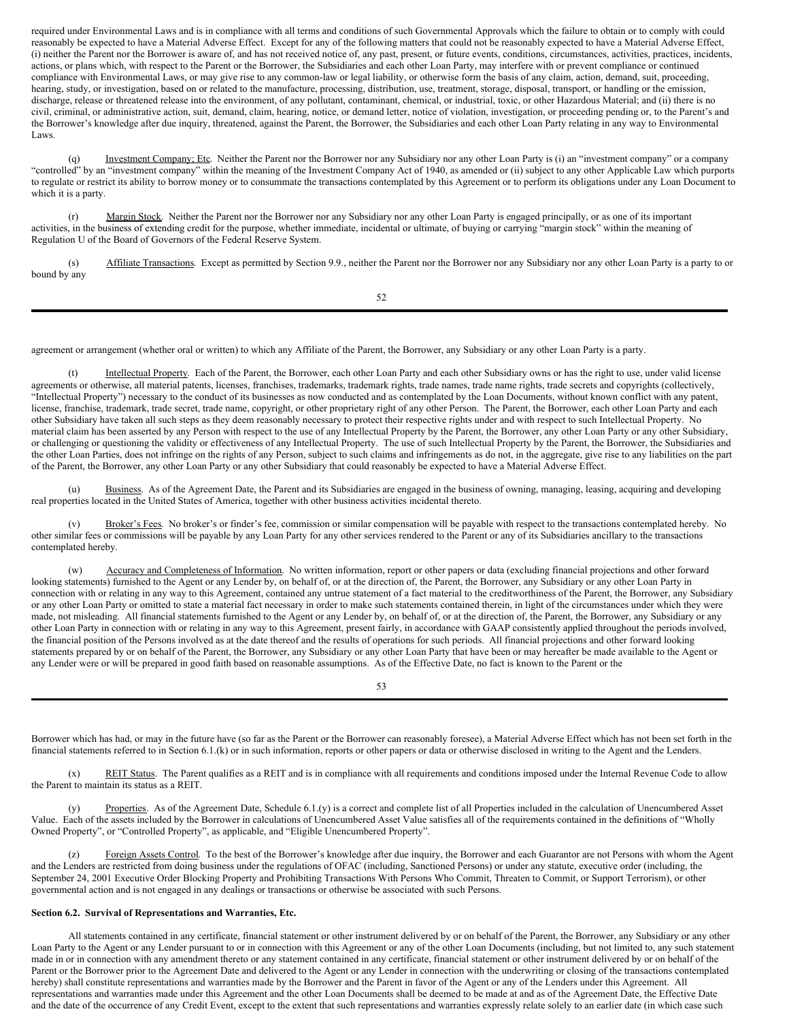required under Environmental Laws and is in compliance with all terms and conditions of such Governmental Approvals which the failure to obtain or to comply with could reasonably be expected to have a Material Adverse Effect. Except for any of the following matters that could not be reasonably expected to have a Material Adverse Effect, (i) neither the Parent nor the Borrower is aware of, and has not received notice of, any past, present, or future events, conditions, circumstances, activities, practices, incidents, actions, or plans which, with respect to the Parent or the Borrower, the Subsidiaries and each other Loan Party, may interfere with or prevent compliance or continued compliance with Environmental Laws, or may give rise to any common-law or legal liability, or otherwise form the basis of any claim, action, demand, suit, proceeding, hearing, study, or investigation, based on or related to the manufacture, processing, distribution, use, treatment, storage, disposal, transport, or handling or the emission, discharge, release or threatened release into the environment, of any pollutant, contaminant, chemical, or industrial, toxic, or other Hazardous Material; and (ii) there is no civil, criminal, or administrative action, suit, demand, claim, hearing, notice, or demand letter, notice of violation, investigation, or proceeding pending or, to the Parent's and the Borrower's knowledge after due inquiry, threatened, against the Parent, the Borrower, the Subsidiaries and each other Loan Party relating in any way to Environmental Laws.

Investment Company; Etc. Neither the Parent nor the Borrower nor any Subsidiary nor any other Loan Party is (i) an "investment company" or a company "controlled" by an "investment company" within the meaning of the Investment Company Act of 1940, as amended or (ii) subject to any other Applicable Law which purports to regulate or restrict its ability to borrow money or to consummate the transactions contemplated by this Agreement or to perform its obligations under any Loan Document to which it is a party.

(r) Margin Stock. Neither the Parent nor the Borrower nor any Subsidiary nor any other Loan Party is engaged principally, or as one of its important activities, in the business of extending credit for the purpose, whether immediate, incidental or ultimate, of buying or carrying "margin stock" within the meaning of Regulation U of the Board of Governors of the Federal Reserve System.

(s) Affiliate Transactions. Except as permitted by Section 9.9., neither the Parent nor the Borrower nor any Subsidiary nor any other Loan Party is a party to or bound by any

agreement or arrangement (whether oral or written) to which any Affiliate of the Parent, the Borrower, any Subsidiary or any other Loan Party is a party.

Intellectual Property. Each of the Parent, the Borrower, each other Loan Party and each other Subsidiary owns or has the right to use, under valid license agreements or otherwise, all material patents, licenses, franchises, trademarks, trademark rights, trade names, trade name rights, trade secrets and copyrights (collectively, "Intellectual Property") necessary to the conduct of its businesses as now conducted and as contemplated by the Loan Documents, without known conflict with any patent, license, franchise, trademark, trade secret, trade name, copyright, or other proprietary right of any other Person. The Parent, the Borrower, each other Loan Party and each other Subsidiary have taken all such steps as they deem reasonably necessary to protect their respective rights under and with respect to such Intellectual Property. No material claim has been asserted by any Person with respect to the use of any Intellectual Property by the Parent, the Borrower, any other Loan Party or any other Subsidiary, or challenging or questioning the validity or effectiveness of any Intellectual Property. The use of such Intellectual Property by the Parent, the Borrower, the Subsidiaries and the other Loan Parties, does not infringe on the rights of any Person, subject to such claims and infringements as do not, in the aggregate, give rise to any liabilities on the part of the Parent, the Borrower, any other Loan Party or any other Subsidiary that could reasonably be expected to have a Material Adverse Effect.

(u) Business. As of the Agreement Date, the Parent and its Subsidiaries are engaged in the business of owning, managing, leasing, acquiring and developing real properties located in the United States of America, together with other business activities incidental thereto.

(v) Broker's Fees. No broker's or finder's fee, commission or similar compensation will be payable with respect to the transactions contemplated hereby. No other similar fees or commissions will be payable by any Loan Party for any other services rendered to the Parent or any of its Subsidiaries ancillary to the transactions contemplated hereby.

Accuracy and Completeness of Information. No written information, report or other papers or data (excluding financial projections and other forward looking statements) furnished to the Agent or any Lender by, on behalf of, or at the direction of, the Parent, the Borrower, any Subsidiary or any other Loan Party in connection with or relating in any way to this Agreement, contained any untrue statement of a fact material to the creditworthiness of the Parent, the Borrower, any Subsidiary or any other Loan Party or omitted to state a material fact necessary in order to make such statements contained therein, in light of the circumstances under which they were made, not misleading. All financial statements furnished to the Agent or any Lender by, on behalf of, or at the direction of, the Parent, the Borrower, any Subsidiary or any other Loan Party in connection with or relating in any way to this Agreement, present fairly, in accordance with GAAP consistently applied throughout the periods involved, the financial position of the Persons involved as at the date thereof and the results of operations for such periods. All financial projections and other forward looking statements prepared by or on behalf of the Parent, the Borrower, any Subsidiary or any other Loan Party that have been or may hereafter be made available to the Agent or any Lender were or will be prepared in good faith based on reasonable assumptions. As of the Effective Date, no fact is known to the Parent or the

53

Borrower which has had, or may in the future have (so far as the Parent or the Borrower can reasonably foresee), a Material Adverse Effect which has not been set forth in the financial statements referred to in Section 6.1.(k) or in such information, reports or other papers or data or otherwise disclosed in writing to the Agent and the Lenders.

(x) REIT Status. The Parent qualifies as a REIT and is in compliance with all requirements and conditions imposed under the Internal Revenue Code to allow the Parent to maintain its status as a REIT.

(y) Properties. As of the Agreement Date, Schedule 6.1.(y) is a correct and complete list of all Properties included in the calculation of Unencumbered Asset Value. Each of the assets included by the Borrower in calculations of Unencumbered Asset Value satisfies all of the requirements contained in the definitions of "Wholly Owned Property", or "Controlled Property", as applicable, and "Eligible Unencumbered Property".

(z) Foreign Assets Control. To the best of the Borrower's knowledge after due inquiry, the Borrower and each Guarantor are not Persons with whom the Agent and the Lenders are restricted from doing business under the regulations of OFAC (including, Sanctioned Persons) or under any statute, executive order (including, the September 24, 2001 Executive Order Blocking Property and Prohibiting Transactions With Persons Who Commit, Threaten to Commit, or Support Terrorism), or other governmental action and is not engaged in any dealings or transactions or otherwise be associated with such Persons.

# **Section 6.2. Survival of Representations and Warranties, Etc.**

All statements contained in any certificate, financial statement or other instrument delivered by or on behalf of the Parent, the Borrower, any Subsidiary or any other Loan Party to the Agent or any Lender pursuant to or in connection with this Agreement or any of the other Loan Documents (including, but not limited to, any such statement made in or in connection with any amendment thereto or any statement contained in any certificate, financial statement or other instrument delivered by or on behalf of the Parent or the Borrower prior to the Agreement Date and delivered to the Agent or any Lender in connection with the underwriting or closing of the transactions contemplated hereby) shall constitute representations and warranties made by the Borrower and the Parent in favor of the Agent or any of the Lenders under this Agreement. All representations and warranties made under this Agreement and the other Loan Documents shall be deemed to be made at and as of the Agreement Date, the Effective Date and the date of the occurrence of any Credit Event, except to the extent that such representations and warranties expressly relate solely to an earlier date (in which case such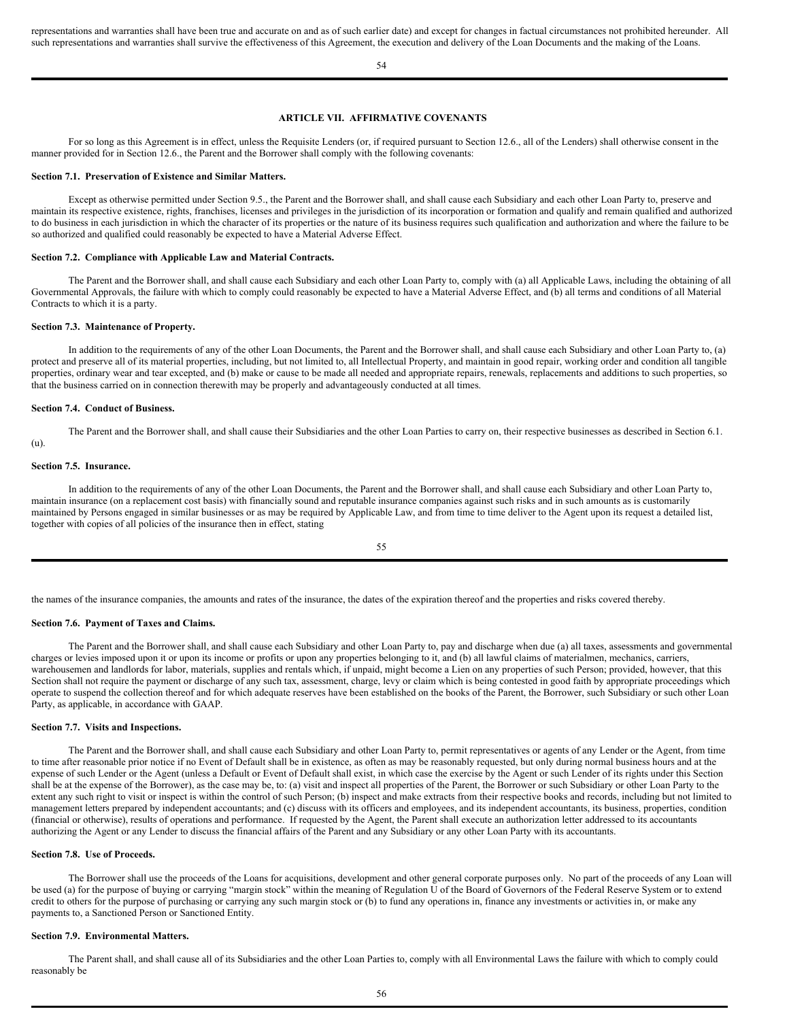representations and warranties shall have been true and accurate on and as of such earlier date) and except for changes in factual circumstances not prohibited hereunder. All such representations and warranties shall survive the effectiveness of this Agreement, the execution and delivery of the Loan Documents and the making of the Loans.

54

### **ARTICLE VII. AFFIRMATIVE COVENANTS**

For so long as this Agreement is in effect, unless the Requisite Lenders (or, if required pursuant to Section 12.6., all of the Lenders) shall otherwise consent in the manner provided for in Section 12.6., the Parent and the Borrower shall comply with the following covenants:

## **Section 7.1. Preservation of Existence and Similar Matters.**

Except as otherwise permitted under Section 9.5., the Parent and the Borrower shall, and shall cause each Subsidiary and each other Loan Party to, preserve and maintain its respective existence, rights, franchises, licenses and privileges in the jurisdiction of its incorporation or formation and qualify and remain qualified and authorized to do business in each jurisdiction in which the character of its properties or the nature of its business requires such qualification and authorization and where the failure to be so authorized and qualified could reasonably be expected to have a Material Adverse Effect.

#### **Section 7.2. Compliance with Applicable Law and Material Contracts.**

The Parent and the Borrower shall, and shall cause each Subsidiary and each other Loan Party to, comply with (a) all Applicable Laws, including the obtaining of all Governmental Approvals, the failure with which to comply could reasonably be expected to have a Material Adverse Effect, and (b) all terms and conditions of all Material Contracts to which it is a party.

## **Section 7.3. Maintenance of Property.**

In addition to the requirements of any of the other Loan Documents, the Parent and the Borrower shall, and shall cause each Subsidiary and other Loan Party to, (a) protect and preserve all of its material properties, including, but not limited to, all Intellectual Property, and maintain in good repair, working order and condition all tangible properties, ordinary wear and tear excepted, and (b) make or cause to be made all needed and appropriate repairs, renewals, replacements and additions to such properties, so that the business carried on in connection therewith may be properly and advantageously conducted at all times.

#### **Section 7.4. Conduct of Business.**

The Parent and the Borrower shall, and shall cause their Subsidiaries and the other Loan Parties to carry on, their respective businesses as described in Section 6.1. (u).

## **Section 7.5. Insurance.**

In addition to the requirements of any of the other Loan Documents, the Parent and the Borrower shall, and shall cause each Subsidiary and other Loan Party to, maintain insurance (on a replacement cost basis) with financially sound and reputable insurance companies against such risks and in such amounts as is customarily maintained by Persons engaged in similar businesses or as may be required by Applicable Law, and from time to time deliver to the Agent upon its request a detailed list, together with copies of all policies of the insurance then in effect, stating

55

the names of the insurance companies, the amounts and rates of the insurance, the dates of the expiration thereof and the properties and risks covered thereby.

## **Section 7.6. Payment of Taxes and Claims.**

The Parent and the Borrower shall, and shall cause each Subsidiary and other Loan Party to, pay and discharge when due (a) all taxes, assessments and governmental charges or levies imposed upon it or upon its income or profits or upon any properties belonging to it, and (b) all lawful claims of materialmen, mechanics, carriers, warehousemen and landlords for labor, materials, supplies and rentals which, if unpaid, might become a Lien on any properties of such Person; provided, however, that this Section shall not require the payment or discharge of any such tax, assessment, charge, levy or claim which is being contested in good faith by appropriate proceedings which operate to suspend the collection thereof and for which adequate reserves have been established on the books of the Parent, the Borrower, such Subsidiary or such other Loan Party, as applicable, in accordance with GAAP.

#### **Section 7.7. Visits and Inspections.**

The Parent and the Borrower shall, and shall cause each Subsidiary and other Loan Party to, permit representatives or agents of any Lender or the Agent, from time to time after reasonable prior notice if no Event of Default shall be in existence, as often as may be reasonably requested, but only during normal business hours and at the expense of such Lender or the Agent (unless a Default or Event of Default shall exist, in which case the exercise by the Agent or such Lender of its rights under this Section shall be at the expense of the Borrower), as the case may be, to: (a) visit and inspect all properties of the Parent, the Borrower or such Subsidiary or other Loan Party to the extent any such right to visit or inspect is within the control of such Person; (b) inspect and make extracts from their respective books and records, including but not limited to management letters prepared by independent accountants; and (c) discuss with its officers and employees, and its independent accountants, its business, properties, condition (financial or otherwise), results of operations and performance. If requested by the Agent, the Parent shall execute an authorization letter addressed to its accountants authorizing the Agent or any Lender to discuss the financial affairs of the Parent and any Subsidiary or any other Loan Party with its accountants.

## **Section 7.8. Use of Proceeds.**

The Borrower shall use the proceeds of the Loans for acquisitions, development and other general corporate purposes only. No part of the proceeds of any Loan will be used (a) for the purpose of buying or carrying "margin stock" within the meaning of Regulation U of the Board of Governors of the Federal Reserve System or to extend credit to others for the purpose of purchasing or carrying any such margin stock or (b) to fund any operations in, finance any investments or activities in, or make any payments to, a Sanctioned Person or Sanctioned Entity.

## **Section 7.9. Environmental Matters.**

The Parent shall, and shall cause all of its Subsidiaries and the other Loan Parties to, comply with all Environmental Laws the failure with which to comply could reasonably be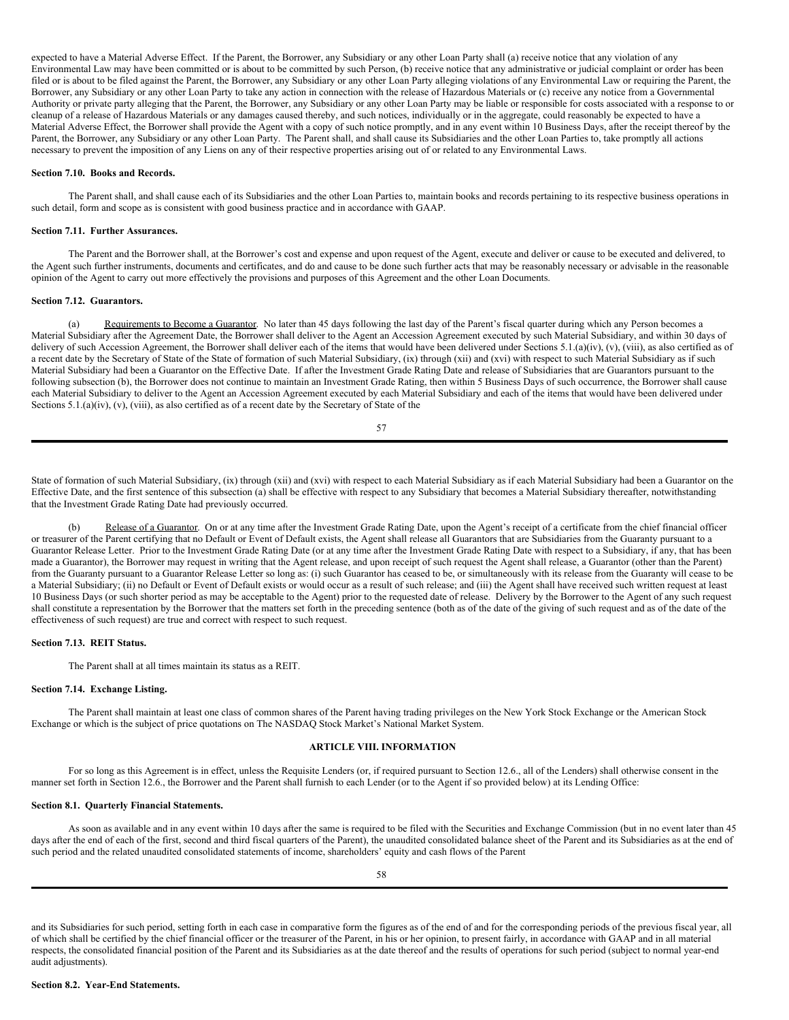expected to have a Material Adverse Effect. If the Parent, the Borrower, any Subsidiary or any other Loan Party shall (a) receive notice that any violation of any Environmental Law may have been committed or is about to be committed by such Person, (b) receive notice that any administrative or judicial complaint or order has been filed or is about to be filed against the Parent, the Borrower, any Subsidiary or any other Loan Party alleging violations of any Environmental Law or requiring the Parent, the Borrower, any Subsidiary or any other Loan Party to take any action in connection with the release of Hazardous Materials or (c) receive any notice from a Governmental Authority or private party alleging that the Parent, the Borrower, any Subsidiary or any other Loan Party may be liable or responsible for costs associated with a response to or cleanup of a release of Hazardous Materials or any damages caused thereby, and such notices, individually or in the aggregate, could reasonably be expected to have a Material Adverse Effect, the Borrower shall provide the Agent with a copy of such notice promptly, and in any event within 10 Business Days, after the receipt thereof by the Parent, the Borrower, any Subsidiary or any other Loan Party. The Parent shall, and shall cause its Subsidiaries and the other Loan Parties to, take promptly all actions necessary to prevent the imposition of any Liens on any of their respective properties arising out of or related to any Environmental Laws.

#### **Section 7.10. Books and Records.**

The Parent shall, and shall cause each of its Subsidiaries and the other Loan Parties to, maintain books and records pertaining to its respective business operations in such detail, form and scope as is consistent with good business practice and in accordance with GAAP.

## **Section 7.11. Further Assurances.**

The Parent and the Borrower shall, at the Borrower's cost and expense and upon request of the Agent, execute and deliver or cause to be executed and delivered, to the Agent such further instruments, documents and certificates, and do and cause to be done such further acts that may be reasonably necessary or advisable in the reasonable opinion of the Agent to carry out more effectively the provisions and purposes of this Agreement and the other Loan Documents.

#### **Section 7.12. Guarantors.**

Requirements to Become a Guarantor. No later than 45 days following the last day of the Parent's fiscal quarter during which any Person becomes a Material Subsidiary after the Agreement Date, the Borrower shall deliver to the Agent an Accession Agreement executed by such Material Subsidiary, and within 30 days of delivery of such Accession Agreement, the Borrower shall deliver each of the items that would have been delivered under Sections 5.1.(a)(iv), (v), (viii), as also certified as of a recent date by the Secretary of State of the State of formation of such Material Subsidiary, (ix) through (xii) and (xvi) with respect to such Material Subsidiary as if such Material Subsidiary had been a Guarantor on the Effective Date. If after the Investment Grade Rating Date and release of Subsidiaries that are Guarantors pursuant to the following subsection (b), the Borrower does not continue to maintain an Investment Grade Rating, then within 5 Business Days of such occurrence, the Borrower shall cause each Material Subsidiary to deliver to the Agent an Accession Agreement executed by each Material Subsidiary and each of the items that would have been delivered under Sections 5.1.(a)(iv), (v), (viii), as also certified as of a recent date by the Secretary of State of the

| ۰.<br>$\sim$ |  |
|--------------|--|

State of formation of such Material Subsidiary, (ix) through (xii) and (xvi) with respect to each Material Subsidiary as if each Material Subsidiary had been a Guarantor on the Effective Date, and the first sentence of this subsection (a) shall be effective with respect to any Subsidiary that becomes a Material Subsidiary thereafter, notwithstanding that the Investment Grade Rating Date had previously occurred.

(b) Release of a Guarantor. On or at any time after the Investment Grade Rating Date, upon the Agent's receipt of a certificate from the chief financial officer or treasurer of the Parent certifying that no Default or Event of Default exists, the Agent shall release all Guarantors that are Subsidiaries from the Guaranty pursuant to a Guarantor Release Letter. Prior to the Investment Grade Rating Date (or at any time after the Investment Grade Rating Date with respect to a Subsidiary, if any, that has been made a Guarantor), the Borrower may request in writing that the Agent release, and upon receipt of such request the Agent shall release, a Guarantor (other than the Parent) from the Guaranty pursuant to a Guarantor Release Letter so long as: (i) such Guarantor has ceased to be, or simultaneously with its release from the Guaranty will cease to be a Material Subsidiary; (ii) no Default or Event of Default exists or would occur as a result of such release; and (iii) the Agent shall have received such written request at least 10 Business Days (or such shorter period as may be acceptable to the Agent) prior to the requested date of release. Delivery by the Borrower to the Agent of any such request shall constitute a representation by the Borrower that the matters set forth in the preceding sentence (both as of the date of the giving of such request and as of the date of the effectiveness of such request) are true and correct with respect to such request.

# **Section 7.13. REIT Status.**

The Parent shall at all times maintain its status as a REIT.

## **Section 7.14. Exchange Listing.**

The Parent shall maintain at least one class of common shares of the Parent having trading privileges on the New York Stock Exchange or the American Stock Exchange or which is the subject of price quotations on The NASDAQ Stock Market's National Market System.

## **ARTICLE VIII. INFORMATION**

For so long as this Agreement is in effect, unless the Requisite Lenders (or, if required pursuant to Section 12.6., all of the Lenders) shall otherwise consent in the manner set forth in Section 12.6., the Borrower and the Parent shall furnish to each Lender (or to the Agent if so provided below) at its Lending Office:

# **Section 8.1. Quarterly Financial Statements.**

As soon as available and in any event within 10 days after the same is required to be filed with the Securities and Exchange Commission (but in no event later than 45 days after the end of each of the first, second and third fiscal quarters of the Parent), the unaudited consolidated balance sheet of the Parent and its Subsidiaries as at the end of such period and the related unaudited consolidated statements of income, shareholders' equity and cash flows of the Parent

and its Subsidiaries for such period, setting forth in each case in comparative form the figures as of the end of and for the corresponding periods of the previous fiscal year, all of which shall be certified by the chief financial officer or the treasurer of the Parent, in his or her opinion, to present fairly, in accordance with GAAP and in all material respects, the consolidated financial position of the Parent and its Subsidiaries as at the date thereof and the results of operations for such period (subject to normal year-end audit adjustments).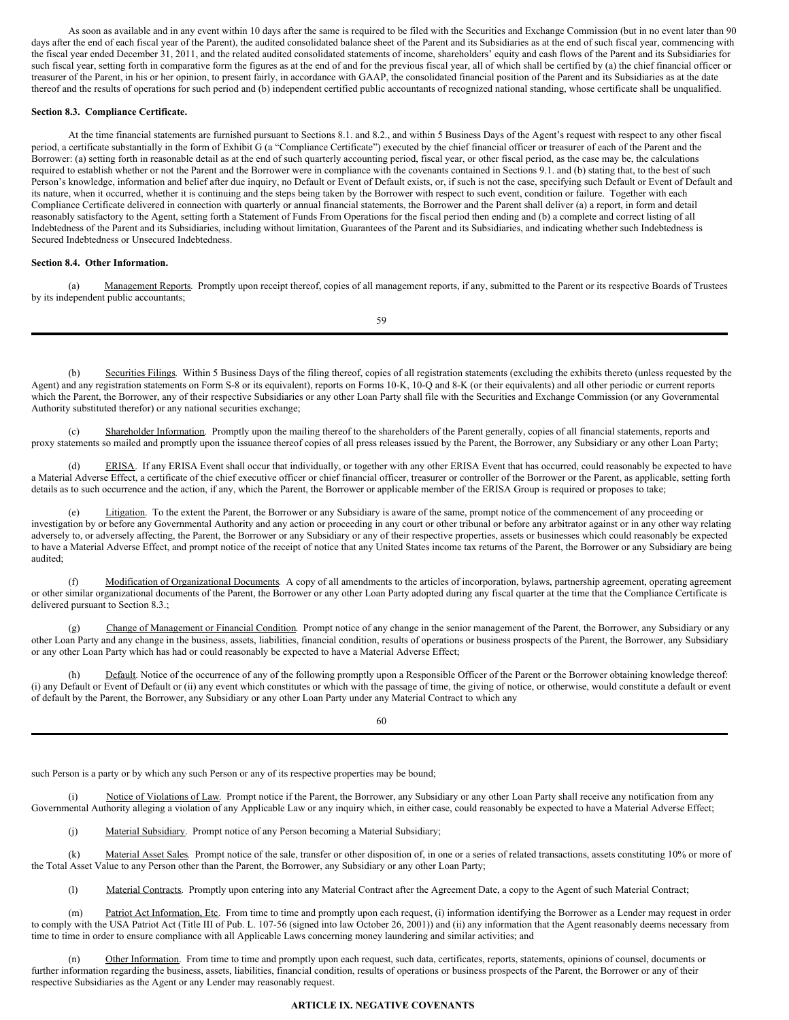As soon as available and in any event within 10 days after the same is required to be filed with the Securities and Exchange Commission (but in no event later than 90 days after the end of each fiscal year of the Parent), the audited consolidated balance sheet of the Parent and its Subsidiaries as at the end of such fiscal year, commencing with the fiscal year ended December 31, 2011, and the related audited consolidated statements of income, shareholders' equity and cash flows of the Parent and its Subsidiaries for such fiscal year, setting forth in comparative form the figures as at the end of and for the previous fiscal year, all of which shall be certified by (a) the chief financial officer or treasurer of the Parent, in his or her opinion, to present fairly, in accordance with GAAP, the consolidated financial position of the Parent and its Subsidiaries as at the date thereof and the results of operations for such period and (b) independent certified public accountants of recognized national standing, whose certificate shall be unqualified.

## **Section 8.3. Compliance Certificate.**

At the time financial statements are furnished pursuant to Sections 8.1. and 8.2., and within 5 Business Days of the Agent's request with respect to any other fiscal period, a certificate substantially in the form of Exhibit G (a "Compliance Certificate") executed by the chief financial officer or treasurer of each of the Parent and the Borrower: (a) setting forth in reasonable detail as at the end of such quarterly accounting period, fiscal year, or other fiscal period, as the case may be, the calculations required to establish whether or not the Parent and the Borrower were in compliance with the covenants contained in Sections 9.1. and (b) stating that, to the best of such Person's knowledge, information and belief after due inquiry, no Default or Event of Default exists, or, if such is not the case, specifying such Default or Event of Default and its nature, when it occurred, whether it is continuing and the steps being taken by the Borrower with respect to such event, condition or failure. Together with each Compliance Certificate delivered in connection with quarterly or annual financial statements, the Borrower and the Parent shall deliver (a) a report, in form and detail reasonably satisfactory to the Agent, setting forth a Statement of Funds From Operations for the fiscal period then ending and (b) a complete and correct listing of all Indebtedness of the Parent and its Subsidiaries, including without limitation, Guarantees of the Parent and its Subsidiaries, and indicating whether such Indebtedness is Secured Indebtedness or Unsecured Indebtedness.

## **Section 8.4. Other Information.**

(a) Management Reports. Promptly upon receipt thereof, copies of all management reports, if any, submitted to the Parent or its respective Boards of Trustees by its independent public accountants;

59

(b) Securities Filings. Within 5 Business Days of the filing thereof, copies of all registration statements (excluding the exhibits thereto (unless requested by the Agent) and any registration statements on Form S-8 or its equivalent), reports on Forms 10-K, 10-Q and 8-K (or their equivalents) and all other periodic or current reports which the Parent, the Borrower, any of their respective Subsidiaries or any other Loan Party shall file with the Securities and Exchange Commission (or any Governmental Authority substituted therefor) or any national securities exchange;

Shareholder Information. Promptly upon the mailing thereof to the shareholders of the Parent generally, copies of all financial statements, reports and proxy statements so mailed and promptly upon the issuance thereof copies of all press releases issued by the Parent, the Borrower, any Subsidiary or any other Loan Party;

(d) ERISA. If any ERISA Event shall occur that individually, or together with any other ERISA Event that has occurred, could reasonably be expected to have a Material Adverse Effect, a certificate of the chief executive officer or chief financial officer, treasurer or controller of the Borrower or the Parent, as applicable, setting forth details as to such occurrence and the action, if any, which the Parent, the Borrower or applicable member of the ERISA Group is required or proposes to take;

Litigation. To the extent the Parent, the Borrower or any Subsidiary is aware of the same, prompt notice of the commencement of any proceeding or investigation by or before any Governmental Authority and any action or proceeding in any court or other tribunal or before any arbitrator against or in any other way relating adversely to, or adversely affecting, the Parent, the Borrower or any Subsidiary or any of their respective properties, assets or businesses which could reasonably be expected to have a Material Adverse Effect, and prompt notice of the receipt of notice that any United States income tax returns of the Parent, the Borrower or any Subsidiary are being audited;

(f) Modification of Organizational Documents. A copy of all amendments to the articles of incorporation, bylaws, partnership agreement, operating agreement or other similar organizational documents of the Parent, the Borrower or any other Loan Party adopted during any fiscal quarter at the time that the Compliance Certificate is delivered pursuant to Section 8.3.;

(g) Change of Management or Financial Condition. Prompt notice of any change in the senior management of the Parent, the Borrower, any Subsidiary or any other Loan Party and any change in the business, assets, liabilities, financial condition, results of operations or business prospects of the Parent, the Borrower, any Subsidiary or any other Loan Party which has had or could reasonably be expected to have a Material Adverse Effect;

Default. Notice of the occurrence of any of the following promptly upon a Responsible Officer of the Parent or the Borrower obtaining knowledge thereof: (i) any Default or Event of Default or (ii) any event which constitutes or which with the passage of time, the giving of notice, or otherwise, would constitute a default or event of default by the Parent, the Borrower, any Subsidiary or any other Loan Party under any Material Contract to which any

60

such Person is a party or by which any such Person or any of its respective properties may be bound;

(i) Notice of Violations of Law. Prompt notice if the Parent, the Borrower, any Subsidiary or any other Loan Party shall receive any notification from any Governmental Authority alleging a violation of any Applicable Law or any inquiry which, in either case, could reasonably be expected to have a Material Adverse Effect;

(j) Material Subsidiary. Prompt notice of any Person becoming a Material Subsidiary;

(k) Material Asset Sales. Prompt notice of the sale, transfer or other disposition of, in one or a series of related transactions, assets constituting 10% or more of the Total Asset Value to any Person other than the Parent, the Borrower, any Subsidiary or any other Loan Party;

(l) Material Contracts. Promptly upon entering into any Material Contract after the Agreement Date, a copy to the Agent of such Material Contract;

(m) Patriot Act Information, Etc. From time to time and promptly upon each request, (i) information identifying the Borrower as a Lender may request in order to comply with the USA Patriot Act (Title III of Pub. L. 107-56 (signed into law October 26, 2001)) and (ii) any information that the Agent reasonably deems necessary from time to time in order to ensure compliance with all Applicable Laws concerning money laundering and similar activities; and

(n) Other Information. From time to time and promptly upon each request, such data, certificates, reports, statements, opinions of counsel, documents or further information regarding the business, assets, liabilities, financial condition, results of operations or business prospects of the Parent, the Borrower or any of their respective Subsidiaries as the Agent or any Lender may reasonably request.

# **ARTICLE IX. NEGATIVE COVENANTS**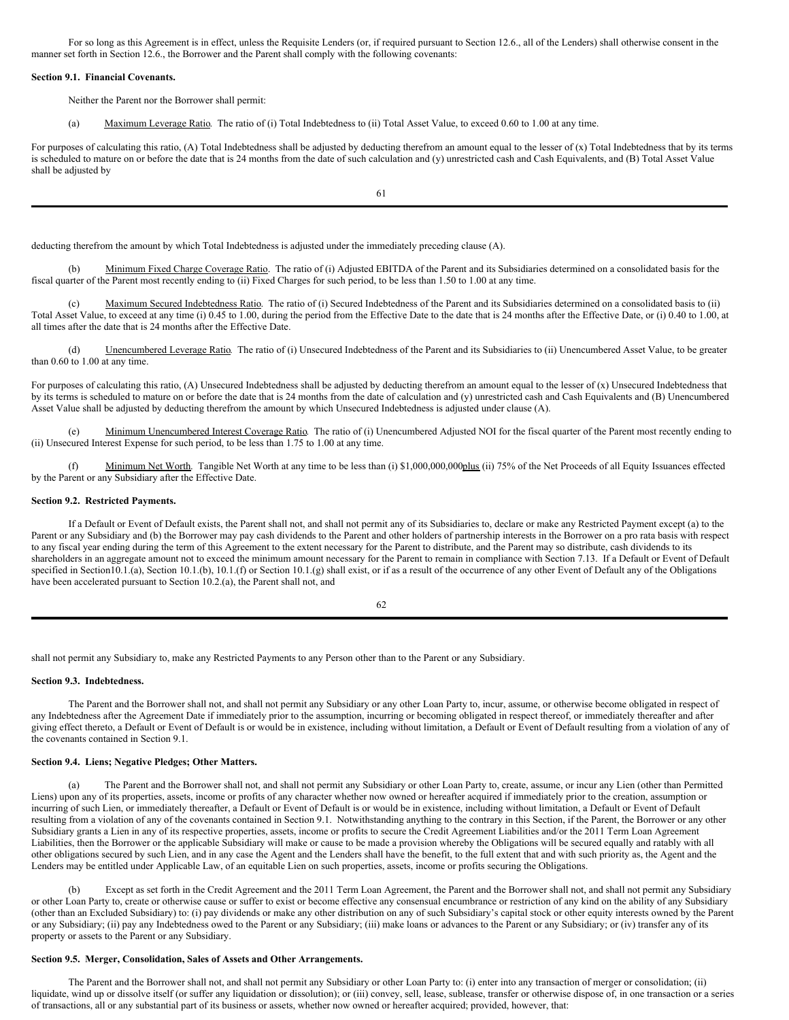For so long as this Agreement is in effect, unless the Requisite Lenders (or, if required pursuant to Section 12.6., all of the Lenders) shall otherwise consent in the manner set forth in Section 12.6., the Borrower and the Parent shall comply with the following covenants:

#### **Section 9.1. Financial Covenants.**

Neither the Parent nor the Borrower shall permit:

(a) Maximum Leverage Ratio. The ratio of (i) Total Indebtedness to (ii) Total Asset Value, to exceed 0.60 to 1.00 at any time.

For purposes of calculating this ratio, (A) Total Indebtedness shall be adjusted by deducting therefrom an amount equal to the lesser of (x) Total Indebtedness that by its terms is scheduled to mature on or before the date that is 24 months from the date of such calculation and (y) unrestricted cash and Cash Equivalents, and (B) Total Asset Value shall be adjusted by

deducting therefrom the amount by which Total Indebtedness is adjusted under the immediately preceding clause (A).

(b) Minimum Fixed Charge Coverage Ratio. The ratio of (i) Adjusted EBITDA of the Parent and its Subsidiaries determined on a consolidated basis for the fiscal quarter of the Parent most recently ending to (ii) Fixed Charges for such period, to be less than 1.50 to 1.00 at any time.

(c) Maximum Secured Indebtedness Ratio. The ratio of (i) Secured Indebtedness of the Parent and its Subsidiaries determined on a consolidated basis to (ii) Total Asset Value, to exceed at any time (i) 0.45 to 1.00, during the period from the Effective Date to the date that is 24 months after the Effective Date, or (i) 0.40 to 1.00, at all times after the date that is 24 months after the Effective Date.

(d) Unencumbered Leverage Ratio. The ratio of (i) Unsecured Indebtedness of the Parent and its Subsidiaries to (ii) Unencumbered Asset Value, to be greater than 0.60 to 1.00 at any time.

For purposes of calculating this ratio,  $(A)$  Unsecured Indebtedness shall be adjusted by deducting therefrom an amount equal to the lesser of  $(x)$  Unsecured Indebtedness that by its terms is scheduled to mature on or before the date that is 24 months from the date of calculation and (y) unrestricted cash and Cash Equivalents and (B) Unencumbered Asset Value shall be adjusted by deducting therefrom the amount by which Unsecured Indebtedness is adjusted under clause (A).

(e) Minimum Unencumbered Interest Coverage Ratio. The ratio of (i) Unencumbered Adjusted NOI for the fiscal quarter of the Parent most recently ending to (ii) Unsecured Interest Expense for such period, to be less than 1.75 to 1.00 at any time.

(f) Minimum Net Worth. Tangible Net Worth at any time to be less than (i) \$1,000,000,000 plus (ii) 75% of the Net Proceeds of all Equity Issuances effected by the Parent or any Subsidiary after the Effective Date.

## **Section 9.2. Restricted Payments.**

If a Default or Event of Default exists, the Parent shall not, and shall not permit any of its Subsidiaries to, declare or make any Restricted Payment except (a) to the Parent or any Subsidiary and (b) the Borrower may pay cash dividends to the Parent and other holders of partnership interests in the Borrower on a pro rata basis with respect to any fiscal year ending during the term of this Agreement to the extent necessary for the Parent to distribute, and the Parent may so distribute, cash dividends to its shareholders in an aggregate amount not to exceed the minimum amount necessary for the Parent to remain in compliance with Section 7.13. If a Default or Event of Default specified in Section10.1.(a), Section 10.1.(b), 10.1.(f) or Section 10.1.(g) shall exist, or if as a result of the occurrence of any other Event of Default any of the Obligations have been accelerated pursuant to Section 10.2.(a), the Parent shall not, and

62

shall not permit any Subsidiary to, make any Restricted Payments to any Person other than to the Parent or any Subsidiary.

# **Section 9.3. Indebtedness.**

The Parent and the Borrower shall not, and shall not permit any Subsidiary or any other Loan Party to, incur, assume, or otherwise become obligated in respect of any Indebtedness after the Agreement Date if immediately prior to the assumption, incurring or becoming obligated in respect thereof, or immediately thereafter and after giving effect thereto, a Default or Event of Default is or would be in existence, including without limitation, a Default or Event of Default resulting from a violation of any of the covenants contained in Section 9.1.

# **Section 9.4. Liens; Negative Pledges; Other Matters.**

The Parent and the Borrower shall not, and shall not permit any Subsidiary or other Loan Party to, create, assume, or incur any Lien (other than Permitted Liens) upon any of its properties, assets, income or profits of any character whether now owned or hereafter acquired if immediately prior to the creation, assumption or incurring of such Lien, or immediately thereafter, a Default or Event of Default is or would be in existence, including without limitation, a Default or Event of Default resulting from a violation of any of the covenants contained in Section 9.1. Notwithstanding anything to the contrary in this Section, if the Parent, the Borrower or any other Subsidiary grants a Lien in any of its respective properties, assets, income or profits to secure the Credit Agreement Liabilities and/or the 2011 Term Loan Agreement Liabilities, then the Borrower or the applicable Subsidiary will make or cause to be made a provision whereby the Obligations will be secured equally and ratably with all other obligations secured by such Lien, and in any case the Agent and the Lenders shall have the benefit, to the full extent that and with such priority as, the Agent and the Lenders may be entitled under Applicable Law, of an equitable Lien on such properties, assets, income or profits securing the Obligations.

Except as set forth in the Credit Agreement and the 2011 Term Loan Agreement, the Parent and the Borrower shall not, and shall not permit any Subsidiary or other Loan Party to, create or otherwise cause or suffer to exist or become effective any consensual encumbrance or restriction of any kind on the ability of any Subsidiary (other than an Excluded Subsidiary) to: (i) pay dividends or make any other distribution on any of such Subsidiary's capital stock or other equity interests owned by the Parent or any Subsidiary; (ii) pay any Indebtedness owed to the Parent or any Subsidiary; (iii) make loans or advances to the Parent or any Subsidiary; or (iv) transfer any of its property or assets to the Parent or any Subsidiary.

# **Section 9.5. Merger, Consolidation, Sales of Assets and Other Arrangements.**

The Parent and the Borrower shall not, and shall not permit any Subsidiary or other Loan Party to: (i) enter into any transaction of merger or consolidation; (ii) liquidate, wind up or dissolve itself (or suffer any liquidation or dissolution); or (iii) convey, sell, lease, sublease, transfer or otherwise dispose of, in one transaction or a series of transactions, all or any substantial part of its business or assets, whether now owned or hereafter acquired; provided, however, that: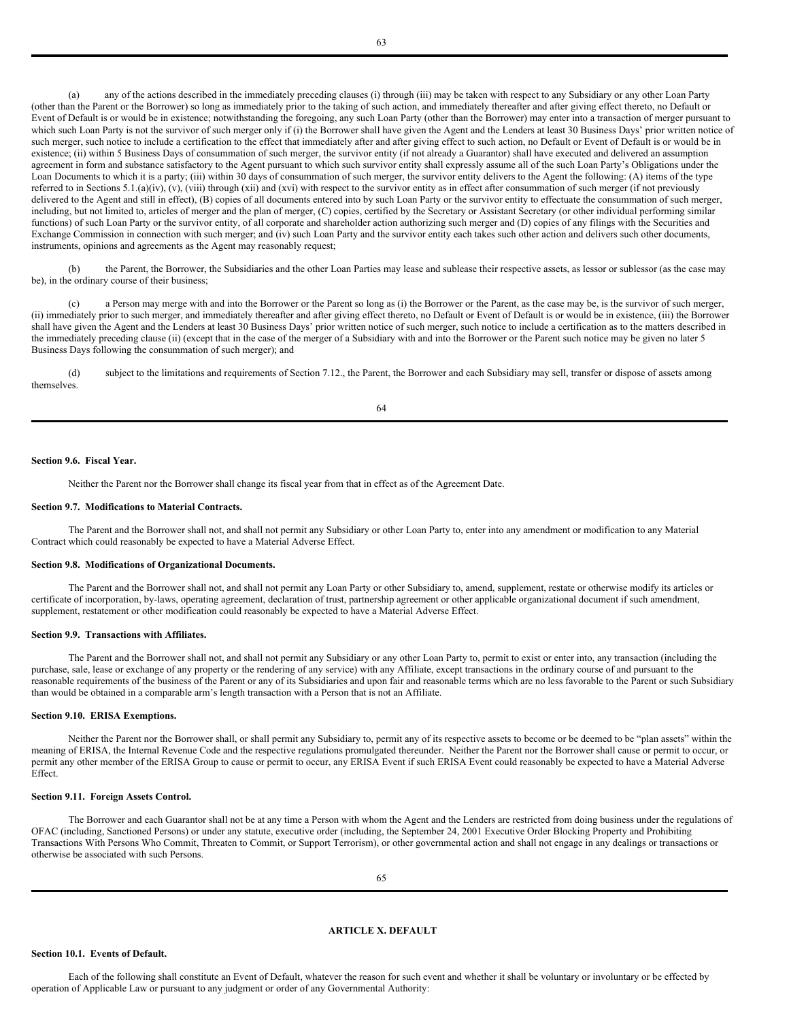(a) any of the actions described in the immediately preceding clauses (i) through (iii) may be taken with respect to any Subsidiary or any other Loan Party (other than the Parent or the Borrower) so long as immediately prior to the taking of such action, and immediately thereafter and after giving effect thereto, no Default or Event of Default is or would be in existence; notwithstanding the foregoing, any such Loan Party (other than the Borrower) may enter into a transaction of merger pursuant to which such Loan Party is not the survivor of such merger only if (i) the Borrower shall have given the Agent and the Lenders at least 30 Business Days' prior written notice of such merger, such notice to include a certification to the effect that immediately after and after giving effect to such action, no Default or Event of Default is or would be in existence; (ii) within 5 Business Days of consummation of such merger, the survivor entity (if not already a Guarantor) shall have executed and delivered an assumption agreement in form and substance satisfactory to the Agent pursuant to which such survivor entity shall expressly assume all of the such Loan Party's Obligations under the Loan Documents to which it is a party; (iii) within 30 days of consummation of such merger, the survivor entity delivers to the Agent the following: (A) items of the type referred to in Sections 5.1.(a)(iv), (v), (viii) through (xii) and (xvi) with respect to the survivor entity as in effect after consummation of such merger (if not previously delivered to the Agent and still in effect), (B) copies of all documents entered into by such Loan Party or the survivor entity to effectuate the consummation of such merger, including, but not limited to, articles of merger and the plan of merger, (C) copies, certified by the Secretary or Assistant Secretary (or other individual performing similar functions) of such Loan Party or the survivor entity, of all corporate and shareholder action authorizing such merger and (D) copies of any filings with the Securities and Exchange Commission in connection with such merger; and (iv) such Loan Party and the survivor entity each takes such other action and delivers such other documents, instruments, opinions and agreements as the Agent may reasonably request;

(b) the Parent, the Borrower, the Subsidiaries and the other Loan Parties may lease and sublease their respective assets, as lessor or sublessor (as the case may be), in the ordinary course of their business;

(c) a Person may merge with and into the Borrower or the Parent so long as (i) the Borrower or the Parent, as the case may be, is the survivor of such merger, (ii) immediately prior to such merger, and immediately thereafter and after giving effect thereto, no Default or Event of Default is or would be in existence, (iii) the Borrower shall have given the Agent and the Lenders at least 30 Business Days' prior written notice of such merger, such notice to include a certification as to the matters described in the immediately preceding clause (ii) (except that in the case of the merger of a Subsidiary with and into the Borrower or the Parent such notice may be given no later 5 Business Days following the consummation of such merger); and

(d) subject to the limitations and requirements of Section 7.12., the Parent, the Borrower and each Subsidiary may sell, transfer or dispose of assets among themselves.

#### **Section 9.6. Fiscal Year.**

Neither the Parent nor the Borrower shall change its fiscal year from that in effect as of the Agreement Date.

#### **Section 9.7. Modifications to Material Contracts.**

The Parent and the Borrower shall not, and shall not permit any Subsidiary or other Loan Party to, enter into any amendment or modification to any Material Contract which could reasonably be expected to have a Material Adverse Effect.

### **Section 9.8. Modifications of Organizational Documents.**

The Parent and the Borrower shall not, and shall not permit any Loan Party or other Subsidiary to, amend, supplement, restate or otherwise modify its articles or certificate of incorporation, by-laws, operating agreement, declaration of trust, partnership agreement or other applicable organizational document if such amendment, supplement, restatement or other modification could reasonably be expected to have a Material Adverse Effect.

#### **Section 9.9. Transactions with Affiliates.**

The Parent and the Borrower shall not, and shall not permit any Subsidiary or any other Loan Party to, permit to exist or enter into, any transaction (including the purchase, sale, lease or exchange of any property or the rendering of any service) with any Affiliate, except transactions in the ordinary course of and pursuant to the reasonable requirements of the business of the Parent or any of its Subsidiaries and upon fair and reasonable terms which are no less favorable to the Parent or such Subsidiary than would be obtained in a comparable arm's length transaction with a Person that is not an Affiliate.

## **Section 9.10. ERISA Exemptions.**

Neither the Parent nor the Borrower shall, or shall permit any Subsidiary to, permit any of its respective assets to become or be deemed to be "plan assets" within the meaning of ERISA, the Internal Revenue Code and the respective regulations promulgated thereunder. Neither the Parent nor the Borrower shall cause or permit to occur, or permit any other member of the ERISA Group to cause or permit to occur, any ERISA Event if such ERISA Event could reasonably be expected to have a Material Adverse Effect.

#### **Section 9.11. Foreign Assets Control.**

The Borrower and each Guarantor shall not be at any time a Person with whom the Agent and the Lenders are restricted from doing business under the regulations of OFAC (including, Sanctioned Persons) or under any statute, executive order (including, the September 24, 2001 Executive Order Blocking Property and Prohibiting Transactions With Persons Who Commit, Threaten to Commit, or Support Terrorism), or other governmental action and shall not engage in any dealings or transactions or otherwise be associated with such Persons.

## **ARTICLE X. DEFAULT**

# **Section 10.1. Events of Default.**

Each of the following shall constitute an Event of Default, whatever the reason for such event and whether it shall be voluntary or involuntary or be effected by operation of Applicable Law or pursuant to any judgment or order of any Governmental Authority: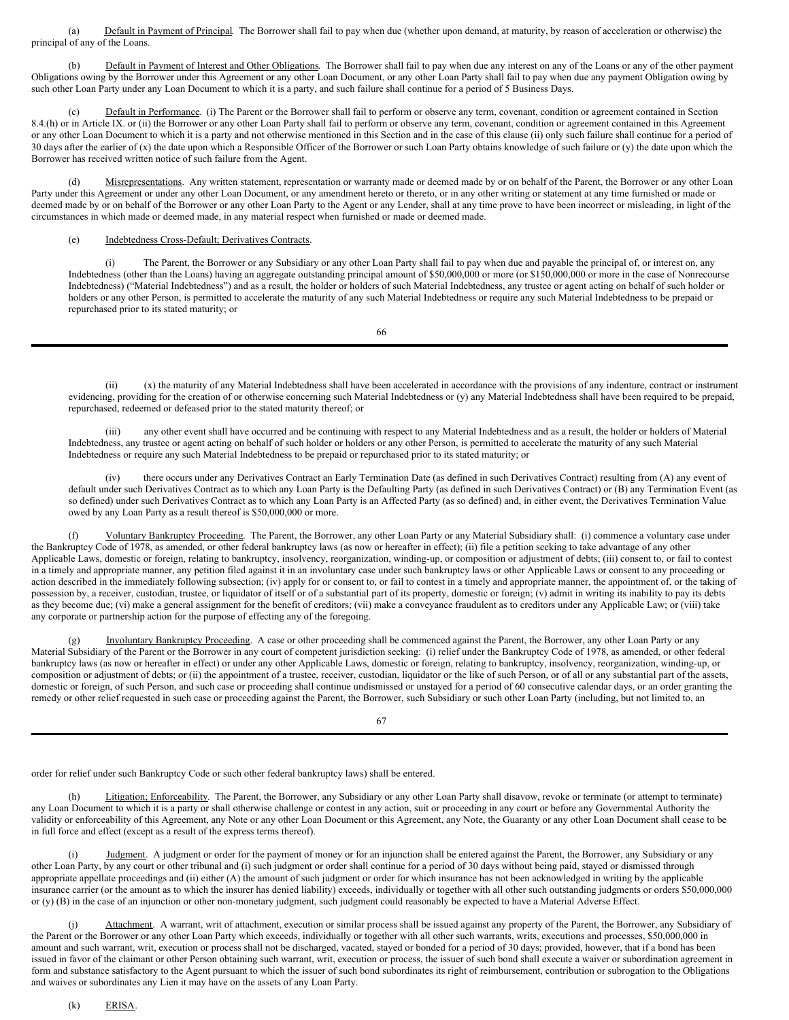(a) Default in Payment of Principal. The Borrower shall fail to pay when due (whether upon demand, at maturity, by reason of acceleration or otherwise) the principal of any of the Loans.

(b) Default in Payment of Interest and Other Obligations. The Borrower shall fail to pay when due any interest on any of the Loans or any of the other payment Obligations owing by the Borrower under this Agreement or any other Loan Document, or any other Loan Party shall fail to pay when due any payment Obligation owing by such other Loan Party under any Loan Document to which it is a party, and such failure shall continue for a period of 5 Business Days.

(c) Default in Performance. (i) The Parent or the Borrower shall fail to perform or observe any term, covenant, condition or agreement contained in Section 8.4.(h) or in Article IX. or (ii) the Borrower or any other Loan Party shall fail to perform or observe any term, covenant, condition or agreement contained in this Agreement or any other Loan Document to which it is a party and not otherwise mentioned in this Section and in the case of this clause (ii) only such failure shall continue for a period of 30 days after the earlier of (x) the date upon which a Responsible Officer of the Borrower or such Loan Party obtains knowledge of such failure or (y) the date upon which the Borrower has received written notice of such failure from the Agent.

(d) Misrepresentations. Any written statement, representation or warranty made or deemed made by or on behalf of the Parent, the Borrower or any other Loan Party under this Agreement or under any other Loan Document, or any amendment hereto or thereto, or in any other writing or statement at any time furnished or made or deemed made by or on behalf of the Borrower or any other Loan Party to the Agent or any Lender, shall at any time prove to have been incorrect or misleading, in light of the circumstances in which made or deemed made, in any material respect when furnished or made or deemed made.

### (e) Indebtedness Cross-Default; Derivatives Contracts.

(i) The Parent, the Borrower or any Subsidiary or any other Loan Party shall fail to pay when due and payable the principal of, or interest on, any Indebtedness (other than the Loans) having an aggregate outstanding principal amount of \$50,000,000 or more (or \$150,000,000 or more in the case of Nonrecourse Indebtedness) ("Material Indebtedness") and as a result, the holder or holders of such Material Indebtedness, any trustee or agent acting on behalf of such holder or holders or any other Person, is permitted to accelerate the maturity of any such Material Indebtedness or require any such Material Indebtedness to be prepaid or repurchased prior to its stated maturity; or

66

(ii) (x) the maturity of any Material Indebtedness shall have been accelerated in accordance with the provisions of any indenture, contract or instrument evidencing, providing for the creation of or otherwise concerning such Material Indebtedness or (y) any Material Indebtedness shall have been required to be prepaid, repurchased, redeemed or defeased prior to the stated maturity thereof; or

any other event shall have occurred and be continuing with respect to any Material Indebtedness and as a result, the holder or holders of Material Indebtedness, any trustee or agent acting on behalf of such holder or holders or any other Person, is permitted to accelerate the maturity of any such Material Indebtedness or require any such Material Indebtedness to be prepaid or repurchased prior to its stated maturity; or

(iv) there occurs under any Derivatives Contract an Early Termination Date (as defined in such Derivatives Contract) resulting from (A) any event of default under such Derivatives Contract as to which any Loan Party is the Defaulting Party (as defined in such Derivatives Contract) or (B) any Termination Event (as so defined) under such Derivatives Contract as to which any Loan Party is an Affected Party (as so defined) and, in either event, the Derivatives Termination Value owed by any Loan Party as a result thereof is \$50,000,000 or more.

(f) Voluntary Bankruptcy Proceeding. The Parent, the Borrower, any other Loan Party or any Material Subsidiary shall: (i) commence a voluntary case under the Bankruptcy Code of 1978, as amended, or other federal bankruptcy laws (as now or hereafter in effect); (ii) file a petition seeking to take advantage of any other Applicable Laws, domestic or foreign, relating to bankruptcy, insolvency, reorganization, winding-up, or composition or adjustment of debts; (iii) consent to, or fail to contest in a timely and appropriate manner, any petition filed against it in an involuntary case under such bankruptcy laws or other Applicable Laws or consent to any proceeding or action described in the immediately following subsection; (iv) apply for or consent to, or fail to contest in a timely and appropriate manner, the appointment of, or the taking of possession by, a receiver, custodian, trustee, or liquidator of itself or of a substantial part of its property, domestic or foreign; (v) admit in writing its inability to pay its debts as they become due; (vi) make a general assignment for the benefit of creditors; (vii) make a conveyance fraudulent as to creditors under any Applicable Law; or (viii) take any corporate or partnership action for the purpose of effecting any of the foregoing.

(g) Involuntary Bankruptcy Proceeding. A case or other proceeding shall be commenced against the Parent, the Borrower, any other Loan Party or any Material Subsidiary of the Parent or the Borrower in any court of competent jurisdiction seeking: (i) relief under the Bankruptcy Code of 1978, as amended, or other federal bankruptcy laws (as now or hereafter in effect) or under any other Applicable Laws, domestic or foreign, relating to bankruptcy, insolvency, reorganization, winding-up, or composition or adjustment of debts; or (ii) the appointment of a trustee, receiver, custodian, liquidator or the like of such Person, or of all or any substantial part of the assets, domestic or foreign, of such Person, and such case or proceeding shall continue undismissed or unstayed for a period of 60 consecutive calendar days, or an order granting the remedy or other relief requested in such case or proceeding against the Parent, the Borrower, such Subsidiary or such other Loan Party (including, but not limited to, an

67

order for relief under such Bankruptcy Code or such other federal bankruptcy laws) shall be entered.

(h) Litigation; Enforceability. The Parent, the Borrower, any Subsidiary or any other Loan Party shall disavow, revoke or terminate (or attempt to terminate) any Loan Document to which it is a party or shall otherwise challenge or contest in any action, suit or proceeding in any court or before any Governmental Authority the validity or enforceability of this Agreement, any Note or any other Loan Document or this Agreement, any Note, the Guaranty or any other Loan Document shall cease to be in full force and effect (except as a result of the express terms thereof).

**Judgment**. A judgment or order for the payment of money or for an injunction shall be entered against the Parent, the Borrower, any Subsidiary or any other Loan Party, by any court or other tribunal and (i) such judgment or order shall continue for a period of 30 days without being paid, stayed or dismissed through appropriate appellate proceedings and (ii) either (A) the amount of such judgment or order for which insurance has not been acknowledged in writing by the applicable insurance carrier (or the amount as to which the insurer has denied liability) exceeds, individually or together with all other such outstanding judgments or orders \$50,000,000 or (y) (B) in the case of an injunction or other non-monetary judgment, such judgment could reasonably be expected to have a Material Adverse Effect.

(j) Attachment. A warrant, writ of attachment, execution or similar process shall be issued against any property of the Parent, the Borrower, any Subsidiary of the Parent or the Borrower or any other Loan Party which exceeds, individually or together with all other such warrants, writs, executions and processes, \$50,000,000 in amount and such warrant, writ, execution or process shall not be discharged, vacated, stayed or bonded for a period of 30 days; provided, however, that if a bond has been issued in favor of the claimant or other Person obtaining such warrant, writ, execution or process, the issuer of such bond shall execute a waiver or subordination agreement in form and substance satisfactory to the Agent pursuant to which the issuer of such bond subordinates its right of reimbursement, contribution or subrogation to the Obligations and waives or subordinates any Lien it may have on the assets of any Loan Party.

 $(k)$  ERISA.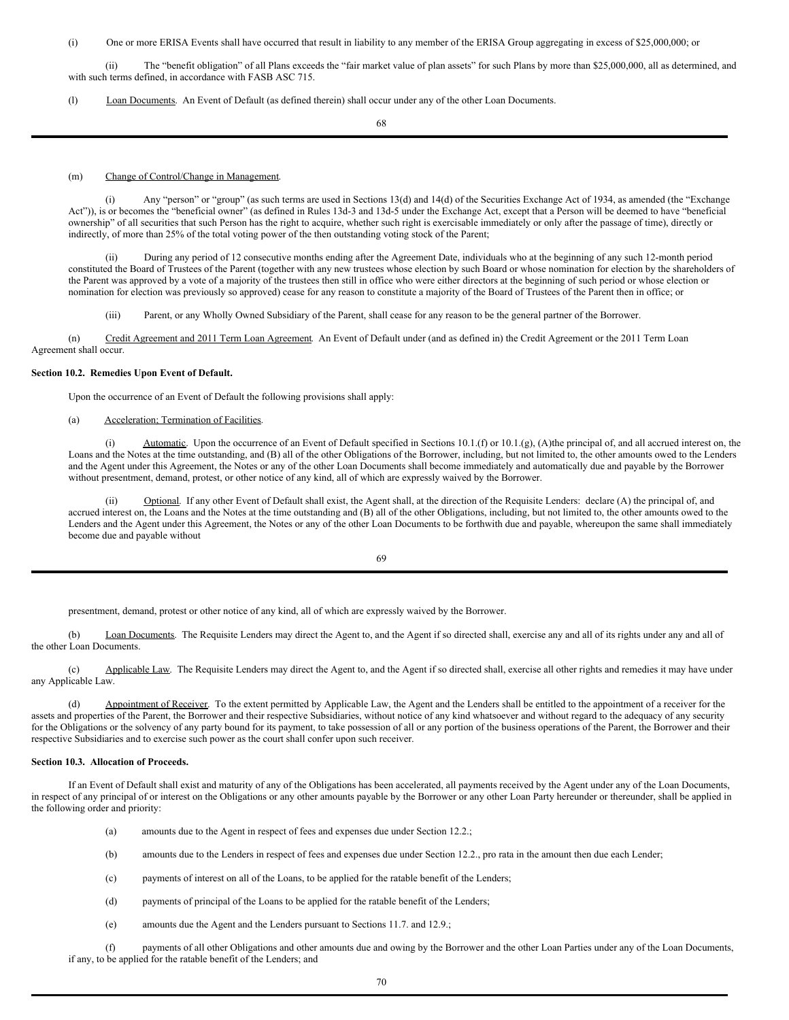(i) One or more ERISA Events shall have occurred that result in liability to any member of the ERISA Group aggregating in excess of \$25,000,000; or

(ii) The "benefit obligation" of all Plans exceeds the "fair market value of plan assets" for such Plans by more than \$25,000,000, all as determined, and with such terms defined, in accordance with FASB ASC 715.

(l) Loan Documents. An Event of Default (as defined therein) shall occur under any of the other Loan Documents.

68

## (m) Change of Control/Change in Management.

(i) Any "person" or "group" (as such terms are used in Sections 13(d) and 14(d) of the Securities Exchange Act of 1934, as amended (the "Exchange Act")), is or becomes the "beneficial owner" (as defined in Rules 13d-3 and 13d-5 under the Exchange Act, except that a Person will be deemed to have "beneficial ownership" of all securities that such Person has the right to acquire, whether such right is exercisable immediately or only after the passage of time), directly or indirectly, of more than 25% of the total voting power of the then outstanding voting stock of the Parent;

(ii) During any period of 12 consecutive months ending after the Agreement Date, individuals who at the beginning of any such 12-month period constituted the Board of Trustees of the Parent (together with any new trustees whose election by such Board or whose nomination for election by the shareholders of the Parent was approved by a vote of a majority of the trustees then still in office who were either directors at the beginning of such period or whose election or nomination for election was previously so approved) cease for any reason to constitute a majority of the Board of Trustees of the Parent then in office; or

(iii) Parent, or any Wholly Owned Subsidiary of the Parent, shall cease for any reason to be the general partner of the Borrower.

(n) Credit Agreement and 2011 Term Loan Agreement. An Event of Default under (and as defined in) the Credit Agreement or the 2011 Term Loan Agreement shall occur.

## **Section 10.2. Remedies Upon Event of Default.**

Upon the occurrence of an Event of Default the following provisions shall apply:

#### (a) Acceleration; Termination of Facilities.

(i) Automatic. Upon the occurrence of an Event of Default specified in Sections 10.1.(f) or 10.1.(g), (A)the principal of, and all accrued interest on, the Loans and the Notes at the time outstanding, and (B) all of the other Obligations of the Borrower, including, but not limited to, the other amounts owed to the Lenders and the Agent under this Agreement, the Notes or any of the other Loan Documents shall become immediately and automatically due and payable by the Borrower without presentment, demand, protest, or other notice of any kind, all of which are expressly waived by the Borrower.

(ii) Optional. If any other Event of Default shall exist, the Agent shall, at the direction of the Requisite Lenders: declare (A) the principal of, and accrued interest on, the Loans and the Notes at the time outstanding and (B) all of the other Obligations, including, but not limited to, the other amounts owed to the Lenders and the Agent under this Agreement, the Notes or any of the other Loan Documents to be forthwith due and payable, whereupon the same shall immediately become due and payable without

69

presentment, demand, protest or other notice of any kind, all of which are expressly waived by the Borrower.

(b) Loan Documents. The Requisite Lenders may direct the Agent to, and the Agent if so directed shall, exercise any and all of its rights under any and all of the other Loan Documents.

(c) Applicable Law. The Requisite Lenders may direct the Agent to, and the Agent if so directed shall, exercise all other rights and remedies it may have under any Applicable Law.

Appointment of Receiver. To the extent permitted by Applicable Law, the Agent and the Lenders shall be entitled to the appointment of a receiver for the assets and properties of the Parent, the Borrower and their respective Subsidiaries, without notice of any kind whatsoever and without regard to the adequacy of any security for the Obligations or the solvency of any party bound for its payment, to take possession of all or any portion of the business operations of the Parent, the Borrower and their respective Subsidiaries and to exercise such power as the court shall confer upon such receiver.

#### **Section 10.3. Allocation of Proceeds.**

If an Event of Default shall exist and maturity of any of the Obligations has been accelerated, all payments received by the Agent under any of the Loan Documents, in respect of any principal of or interest on the Obligations or any other amounts payable by the Borrower or any other Loan Party hereunder or thereunder, shall be applied in the following order and priority:

- (a) amounts due to the Agent in respect of fees and expenses due under Section 12.2.;
- (b) amounts due to the Lenders in respect of fees and expenses due under Section 12.2., pro rata in the amount then due each Lender;
- (c) payments of interest on all of the Loans, to be applied for the ratable benefit of the Lenders;
- (d) payments of principal of the Loans to be applied for the ratable benefit of the Lenders;
- (e) amounts due the Agent and the Lenders pursuant to Sections 11.7. and 12.9.;

(f) payments of all other Obligations and other amounts due and owing by the Borrower and the other Loan Parties under any of the Loan Documents, if any, to be applied for the ratable benefit of the Lenders; and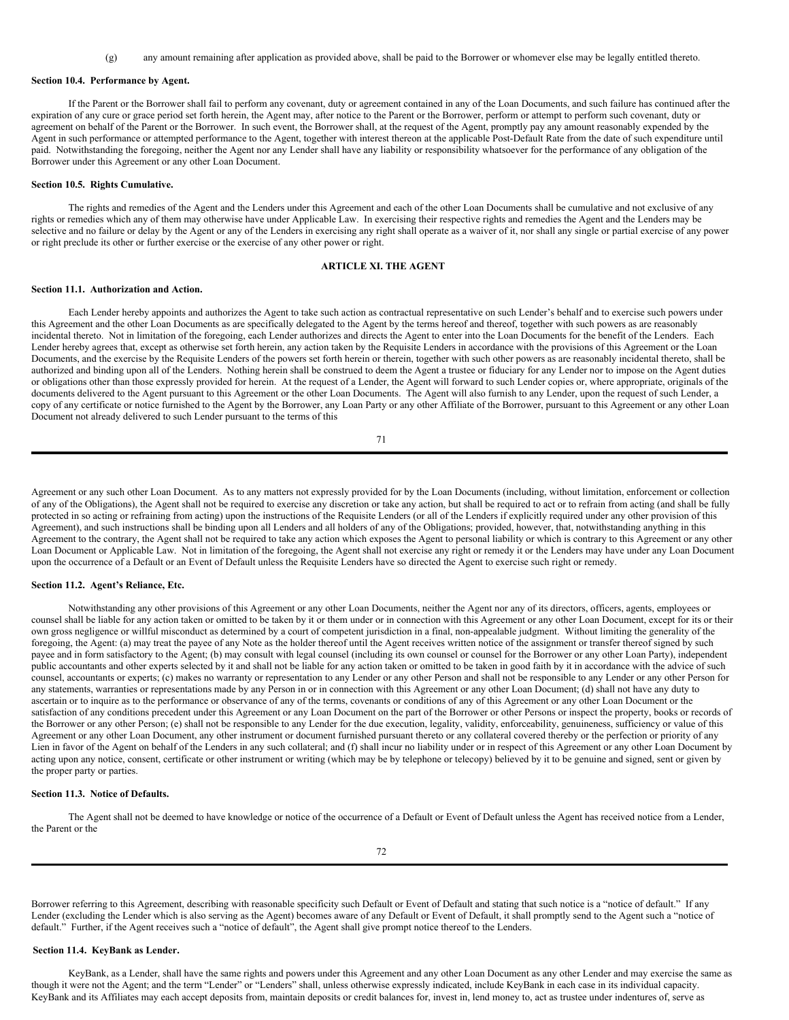#### **Section 10.4. Performance by Agent.**

If the Parent or the Borrower shall fail to perform any covenant, duty or agreement contained in any of the Loan Documents, and such failure has continued after the expiration of any cure or grace period set forth herein, the Agent may, after notice to the Parent or the Borrower, perform or attempt to perform such covenant, duty or agreement on behalf of the Parent or the Borrower. In such event, the Borrower shall, at the request of the Agent, promptly pay any amount reasonably expended by the Agent in such performance or attempted performance to the Agent, together with interest thereon at the applicable Post-Default Rate from the date of such expenditure until paid. Notwithstanding the foregoing, neither the Agent nor any Lender shall have any liability or responsibility whatsoever for the performance of any obligation of the Borrower under this Agreement or any other Loan Document.

## **Section 10.5. Rights Cumulative.**

The rights and remedies of the Agent and the Lenders under this Agreement and each of the other Loan Documents shall be cumulative and not exclusive of any rights or remedies which any of them may otherwise have under Applicable Law. In exercising their respective rights and remedies the Agent and the Lenders may be selective and no failure or delay by the Agent or any of the Lenders in exercising any right shall operate as a waiver of it, nor shall any single or partial exercise of any power or right preclude its other or further exercise or the exercise of any other power or right.

### **ARTICLE XI. THE AGENT**

#### **Section 11.1. Authorization and Action.**

Each Lender hereby appoints and authorizes the Agent to take such action as contractual representative on such Lender's behalf and to exercise such powers under this Agreement and the other Loan Documents as are specifically delegated to the Agent by the terms hereof and thereof, together with such powers as are reasonably incidental thereto. Not in limitation of the foregoing, each Lender authorizes and directs the Agent to enter into the Loan Documents for the benefit of the Lenders. Each Lender hereby agrees that, except as otherwise set forth herein, any action taken by the Requisite Lenders in accordance with the provisions of this Agreement or the Loan Documents, and the exercise by the Requisite Lenders of the powers set forth herein or therein, together with such other powers as are reasonably incidental thereto, shall be authorized and binding upon all of the Lenders. Nothing herein shall be construed to deem the Agent a trustee or fiduciary for any Lender nor to impose on the Agent duties or obligations other than those expressly provided for herein. At the request of a Lender, the Agent will forward to such Lender copies or, where appropriate, originals of the documents delivered to the Agent pursuant to this Agreement or the other Loan Documents. The Agent will also furnish to any Lender, upon the request of such Lender, a copy of any certificate or notice furnished to the Agent by the Borrower, any Loan Party or any other Affiliate of the Borrower, pursuant to this Agreement or any other Loan Document not already delivered to such Lender pursuant to the terms of this

Agreement or any such other Loan Document. As to any matters not expressly provided for by the Loan Documents (including, without limitation, enforcement or collection of any of the Obligations), the Agent shall not be required to exercise any discretion or take any action, but shall be required to act or to refrain from acting (and shall be fully protected in so acting or refraining from acting) upon the instructions of the Requisite Lenders (or all of the Lenders if explicitly required under any other provision of this Agreement), and such instructions shall be binding upon all Lenders and all holders of any of the Obligations; provided, however, that, notwithstanding anything in this Agreement to the contrary, the Agent shall not be required to take any action which exposes the Agent to personal liability or which is contrary to this Agreement or any other Loan Document or Applicable Law. Not in limitation of the foregoing, the Agent shall not exercise any right or remedy it or the Lenders may have under any Loan Document upon the occurrence of a Default or an Event of Default unless the Requisite Lenders have so directed the Agent to exercise such right or remedy.

#### **Section 11.2. Agent's Reliance, Etc.**

Notwithstanding any other provisions of this Agreement or any other Loan Documents, neither the Agent nor any of its directors, officers, agents, employees or counsel shall be liable for any action taken or omitted to be taken by it or them under or in connection with this Agreement or any other Loan Document, except for its or their own gross negligence or willful misconduct as determined by a court of competent jurisdiction in a final, non-appealable judgment. Without limiting the generality of the foregoing, the Agent: (a) may treat the payee of any Note as the holder thereof until the Agent receives written notice of the assignment or transfer thereof signed by such payee and in form satisfactory to the Agent; (b) may consult with legal counsel (including its own counsel or counsel for the Borrower or any other Loan Party), independent public accountants and other experts selected by it and shall not be liable for any action taken or omitted to be taken in good faith by it in accordance with the advice of such counsel, accountants or experts; (c) makes no warranty or representation to any Lender or any other Person and shall not be responsible to any Lender or any other Person for any statements, warranties or representations made by any Person in or in connection with this Agreement or any other Loan Document; (d) shall not have any duty to ascertain or to inquire as to the performance or observance of any of the terms, covenants or conditions of any of this Agreement or any other Loan Document or the satisfaction of any conditions precedent under this Agreement or any Loan Document on the part of the Borrower or other Persons or inspect the property, books or records of the Borrower or any other Person; (e) shall not be responsible to any Lender for the due execution, legality, validity, enforceability, genuineness, sufficiency or value of this Agreement or any other Loan Document, any other instrument or document furnished pursuant thereto or any collateral covered thereby or the perfection or priority of any Lien in favor of the Agent on behalf of the Lenders in any such collateral; and (f) shall incur no liability under or in respect of this Agreement or any other Loan Document by acting upon any notice, consent, certificate or other instrument or writing (which may be by telephone or telecopy) believed by it to be genuine and signed, sent or given by the proper party or parties.

## **Section 11.3. Notice of Defaults.**

The Agent shall not be deemed to have knowledge or notice of the occurrence of a Default or Event of Default unless the Agent has received notice from a Lender, the Parent or the

Borrower referring to this Agreement, describing with reasonable specificity such Default or Event of Default and stating that such notice is a "notice of default." If any Lender (excluding the Lender which is also serving as the Agent) becomes aware of any Default or Event of Default, it shall promptly send to the Agent such a "notice of default." Further, if the Agent receives such a "notice of default", the Agent shall give prompt notice thereof to the Lenders.

#### **Section 11.4. KeyBank as Lender.**

KeyBank, as a Lender, shall have the same rights and powers under this Agreement and any other Loan Document as any other Lender and may exercise the same as though it were not the Agent; and the term "Lender" or "Lenders" shall, unless otherwise expressly indicated, include KeyBank in each case in its individual capacity. KeyBank and its Affiliates may each accept deposits from, maintain deposits or credit balances for, invest in, lend money to, act as trustee under indentures of, serve as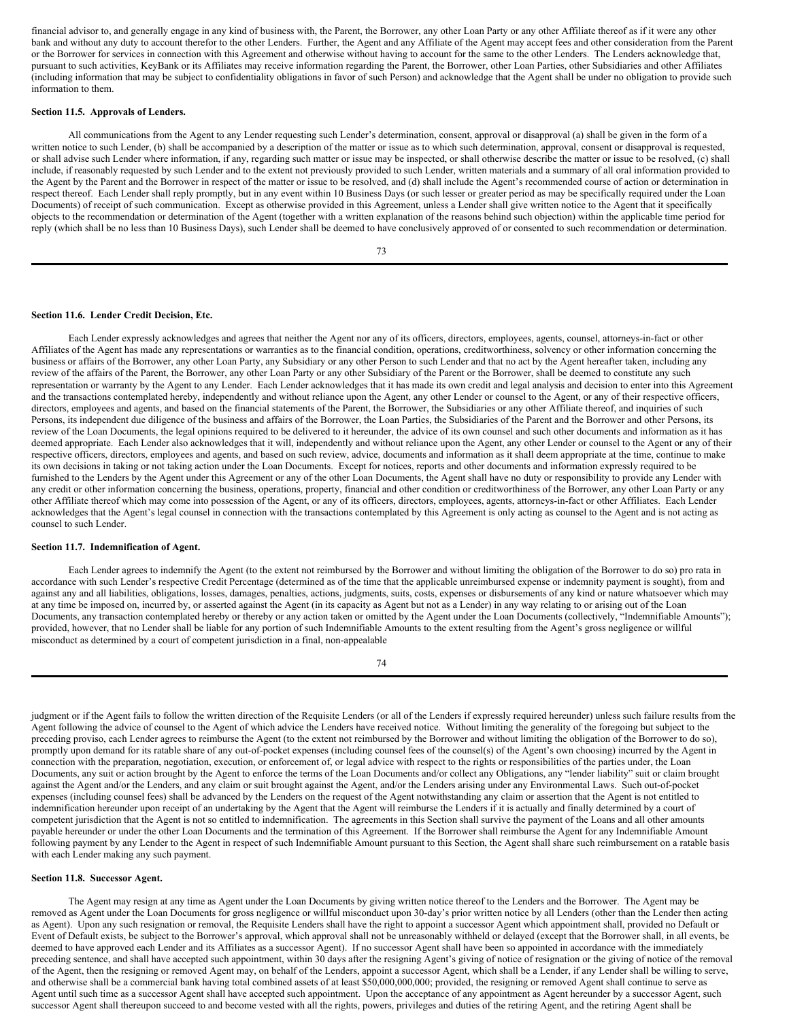financial advisor to, and generally engage in any kind of business with, the Parent, the Borrower, any other Loan Party or any other Affiliate thereof as if it were any other bank and without any duty to account therefor to the other Lenders. Further, the Agent and any Affiliate of the Agent may accept fees and other consideration from the Parent or the Borrower for services in connection with this Agreement and otherwise without having to account for the same to the other Lenders. The Lenders acknowledge that, pursuant to such activities, KeyBank or its Affiliates may receive information regarding the Parent, the Borrower, other Loan Parties, other Subsidiaries and other Affiliates (including information that may be subject to confidentiality obligations in favor of such Person) and acknowledge that the Agent shall be under no obligation to provide such information to them.

## **Section 11.5. Approvals of Lenders.**

All communications from the Agent to any Lender requesting such Lender's determination, consent, approval or disapproval (a) shall be given in the form of a written notice to such Lender, (b) shall be accompanied by a description of the matter or issue as to which such determination, approval, consent or disapproval is requested, or shall advise such Lender where information, if any, regarding such matter or issue may be inspected, or shall otherwise describe the matter or issue to be resolved, (c) shall include, if reasonably requested by such Lender and to the extent not previously provided to such Lender, written materials and a summary of all oral information provided to the Agent by the Parent and the Borrower in respect of the matter or issue to be resolved, and (d) shall include the Agent's recommended course of action or determination in respect thereof. Each Lender shall reply promptly, but in any event within 10 Business Days (or such lesser or greater period as may be specifically required under the Loan Documents) of receipt of such communication. Except as otherwise provided in this Agreement, unless a Lender shall give written notice to the Agent that it specifically objects to the recommendation or determination of the Agent (together with a written explanation of the reasons behind such objection) within the applicable time period for reply (which shall be no less than 10 Business Days), such Lender shall be deemed to have conclusively approved of or consented to such recommendation or determination.

73

#### **Section 11.6. Lender Credit Decision, Etc.**

Each Lender expressly acknowledges and agrees that neither the Agent nor any of its officers, directors, employees, agents, counsel, attorneys-in-fact or other Affiliates of the Agent has made any representations or warranties as to the financial condition, operations, creditworthiness, solvency or other information concerning the business or affairs of the Borrower, any other Loan Party, any Subsidiary or any other Person to such Lender and that no act by the Agent hereafter taken, including any review of the affairs of the Parent, the Borrower, any other Loan Party or any other Subsidiary of the Parent or the Borrower, shall be deemed to constitute any such representation or warranty by the Agent to any Lender. Each Lender acknowledges that it has made its own credit and legal analysis and decision to enter into this Agreement and the transactions contemplated hereby, independently and without reliance upon the Agent, any other Lender or counsel to the Agent, or any of their respective officers, directors, employees and agents, and based on the financial statements of the Parent, the Borrower, the Subsidiaries or any other Affiliate thereof, and inquiries of such Persons, its independent due diligence of the business and affairs of the Borrower, the Loan Parties, the Subsidiaries of the Parent and the Borrower and other Persons, its review of the Loan Documents, the legal opinions required to be delivered to it hereunder, the advice of its own counsel and such other documents and information as it has deemed appropriate. Each Lender also acknowledges that it will, independently and without reliance upon the Agent, any other Lender or counsel to the Agent or any of their respective officers, directors, employees and agents, and based on such review, advice, documents and information as it shall deem appropriate at the time, continue to make its own decisions in taking or not taking action under the Loan Documents. Except for notices, reports and other documents and information expressly required to be furnished to the Lenders by the Agent under this Agreement or any of the other Loan Documents, the Agent shall have no duty or responsibility to provide any Lender with any credit or other information concerning the business, operations, property, financial and other condition or creditworthiness of the Borrower, any other Loan Party or any other Affiliate thereof which may come into possession of the Agent, or any of its officers, directors, employees, agents, attorneys-in-fact or other Affiliates. Each Lender acknowledges that the Agent's legal counsel in connection with the transactions contemplated by this Agreement is only acting as counsel to the Agent and is not acting as counsel to such Lender.

## **Section 11.7. Indemnification of Agent.**

Each Lender agrees to indemnify the Agent (to the extent not reimbursed by the Borrower and without limiting the obligation of the Borrower to do so) pro rata in accordance with such Lender's respective Credit Percentage (determined as of the time that the applicable unreimbursed expense or indemnity payment is sought), from and against any and all liabilities, obligations, losses, damages, penalties, actions, judgments, suits, costs, expenses or disbursements of any kind or nature whatsoever which may at any time be imposed on, incurred by, or asserted against the Agent (in its capacity as Agent but not as a Lender) in any way relating to or arising out of the Loan Documents, any transaction contemplated hereby or thereby or any action taken or omitted by the Agent under the Loan Documents (collectively, "Indemnifiable Amounts"); provided, however, that no Lender shall be liable for any portion of such Indemnifiable Amounts to the extent resulting from the Agent's gross negligence or willful misconduct as determined by a court of competent jurisdiction in a final, non-appealable

#### 74

judgment or if the Agent fails to follow the written direction of the Requisite Lenders (or all of the Lenders if expressly required hereunder) unless such failure results from the Agent following the advice of counsel to the Agent of which advice the Lenders have received notice. Without limiting the generality of the foregoing but subject to the preceding proviso, each Lender agrees to reimburse the Agent (to the extent not reimbursed by the Borrower and without limiting the obligation of the Borrower to do so), promptly upon demand for its ratable share of any out-of-pocket expenses (including counsel fees of the counsel(s) of the Agent's own choosing) incurred by the Agent in connection with the preparation, negotiation, execution, or enforcement of, or legal advice with respect to the rights or responsibilities of the parties under, the Loan Documents, any suit or action brought by the Agent to enforce the terms of the Loan Documents and/or collect any Obligations, any "lender liability" suit or claim brought against the Agent and/or the Lenders, and any claim or suit brought against the Agent, and/or the Lenders arising under any Environmental Laws. Such out-of-pocket expenses (including counsel fees) shall be advanced by the Lenders on the request of the Agent notwithstanding any claim or assertion that the Agent is not entitled to indemnification hereunder upon receipt of an undertaking by the Agent that the Agent will reimburse the Lenders if it is actually and finally determined by a court of competent jurisdiction that the Agent is not so entitled to indemnification. The agreements in this Section shall survive the payment of the Loans and all other amounts payable hereunder or under the other Loan Documents and the termination of this Agreement. If the Borrower shall reimburse the Agent for any Indemnifiable Amount following payment by any Lender to the Agent in respect of such Indemnifiable Amount pursuant to this Section, the Agent shall share such reimbursement on a ratable basis with each Lender making any such payment.

## **Section 11.8. Successor Agent.**

The Agent may resign at any time as Agent under the Loan Documents by giving written notice thereof to the Lenders and the Borrower. The Agent may be removed as Agent under the Loan Documents for gross negligence or willful misconduct upon 30-day's prior written notice by all Lenders (other than the Lender then acting as Agent). Upon any such resignation or removal, the Requisite Lenders shall have the right to appoint a successor Agent which appointment shall, provided no Default or Event of Default exists, be subject to the Borrower's approval, which approval shall not be unreasonably withheld or delayed (except that the Borrower shall, in all events, be deemed to have approved each Lender and its Affiliates as a successor Agent). If no successor Agent shall have been so appointed in accordance with the immediately preceding sentence, and shall have accepted such appointment, within 30 days after the resigning Agent's giving of notice of resignation or the giving of notice of the removal of the Agent, then the resigning or removed Agent may, on behalf of the Lenders, appoint a successor Agent, which shall be a Lender, if any Lender shall be willing to serve, and otherwise shall be a commercial bank having total combined assets of at least \$50,000,000,000; provided, the resigning or removed Agent shall continue to serve as Agent until such time as a successor Agent shall have accepted such appointment. Upon the acceptance of any appointment as Agent hereunder by a successor Agent, such successor Agent shall thereupon succeed to and become vested with all the rights, powers, privileges and duties of the retiring Agent, and the retiring Agent shall be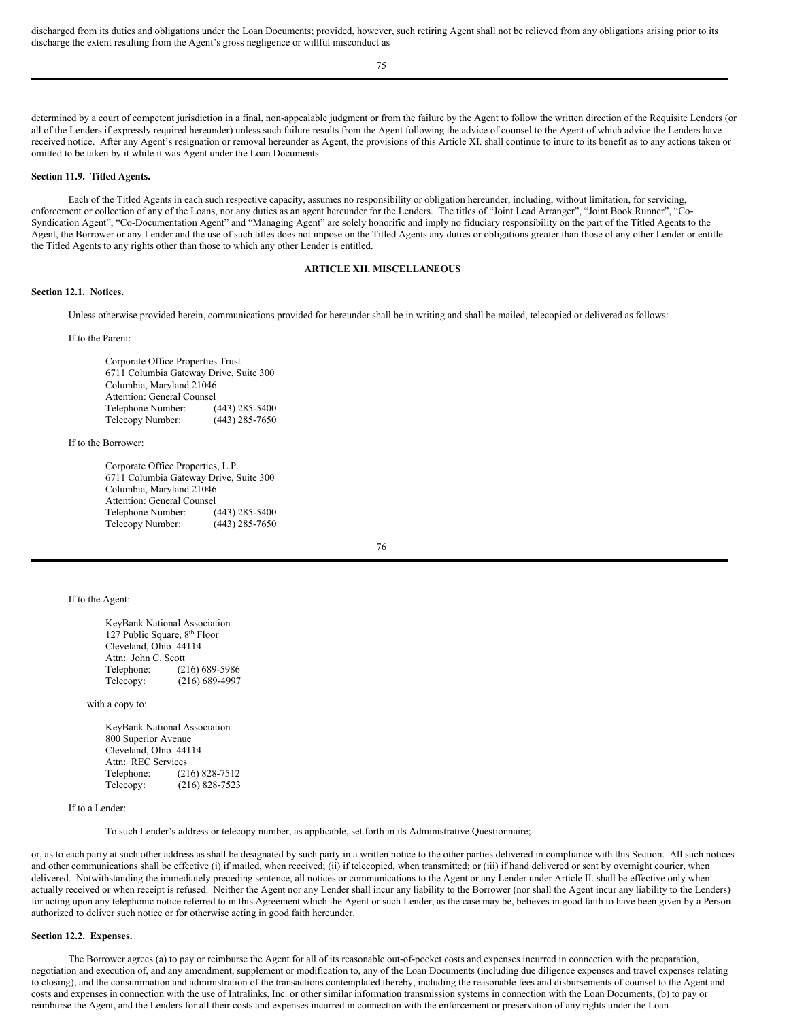discharged from its duties and obligations under the Loan Documents; provided, however, such retiring Agent shall not be relieved from any obligations arising prior to its discharge the extent resulting from the Agent's gross negligence or willful misconduct as

75

determined by a court of competent jurisdiction in a final, non-appealable judgment or from the failure by the Agent to follow the written direction of the Requisite Lenders (or all of the Lenders if expressly required hereunder) unless such failure results from the Agent following the advice of counsel to the Agent of which advice the Lenders have received notice. After any Agent's resignation or removal hereunder as Agent, the provisions of this Article XI. shall continue to inure to its benefit as to any actions taken or omitted to be taken by it while it was Agent under the Loan Documents.

## **Section 11.9. Titled Agents.**

Each of the Titled Agents in each such respective capacity, assumes no responsibility or obligation hereunder, including, without limitation, for servicing, enforcement or collection of any of the Loans, nor any duties as an agent hereunder for the Lenders. The titles of "Joint Lead Arranger", "Joint Book Runner", "Co-Syndication Agent", "Co-Documentation Agent" and "Managing Agent" are solely honorific and imply no fiduciary responsibility on the part of the Titled Agents to the Agent, the Borrower or any Lender and the use of such titles does not impose on the Titled Agents any duties or obligations greater than those of any other Lender or entitle the Titled Agents to any rights other than those to which any other Lender is entitled.

## **ARTICLE XII. MISCELLANEOUS**

## **Section 12.1. Notices.**

Unless otherwise provided herein, communications provided for hereunder shall be in writing and shall be mailed, telecopied or delivered as follows:

If to the Parent:

Corporate Office Properties Trust 6711 Columbia Gateway Drive, Suite 300 Columbia, Maryland 21046 Attention: General Counsel<br>Telephone Number: (443) 285-5400 Telephone Number: Telecopy Number: (443) 285-7650

#### If to the Borrower:

Corporate Office Properties, L.P. 6711 Columbia Gateway Drive, Suite 300 Columbia, Maryland 21046 Attention: General Counsel Telephone Number: (443) 285-5400<br>Telecopy Number: (443) 285-7650 Telecopy Number:

76

#### If to the Agent:

KeyBank National Association 127 Public Square, 8<sup>th</sup> Floor Cleveland, Ohio 44114 Attn: John C. Scott Telephone: (216) 689-5986<br>Telecopy: (216) 689-4997  $(216)$  689-4997

with a copy to:

KeyBank National Association 800 Superior Avenue Cleveland, Ohio 44114 Attn: REC Services Telephone: (216) 828-7512<br>Telecopy: (216) 828-7523  $(216)$  828-7523

#### If to a Lender:

To such Lender's address or telecopy number, as applicable, set forth in its Administrative Questionnaire;

or, as to each party at such other address as shall be designated by such party in a written notice to the other parties delivered in compliance with this Section. All such notices and other communications shall be effective (i) if mailed, when received; (ii) if telecopied, when transmitted; or (iii) if hand delivered or sent by overnight courier, when delivered. Notwithstanding the immediately preceding sentence, all notices or communications to the Agent or any Lender under Article II. shall be effective only when actually received or when receipt is refused. Neither the Agent nor any Lender shall incur any liability to the Borrower (nor shall the Agent incur any liability to the Lenders) for acting upon any telephonic notice referred to in this Agreement which the Agent or such Lender, as the case may be, believes in good faith to have been given by a Person authorized to deliver such notice or for otherwise acting in good faith hereunder.

#### **Section 12.2. Expenses.**

The Borrower agrees (a) to pay or reimburse the Agent for all of its reasonable out-of-pocket costs and expenses incurred in connection with the preparation, negotiation and execution of, and any amendment, supplement or modification to, any of the Loan Documents (including due diligence expenses and travel expenses relating to closing), and the consummation and administration of the transactions contemplated thereby, including the reasonable fees and disbursements of counsel to the Agent and costs and expenses in connection with the use of Intralinks, Inc. or other similar information transmission systems in connection with the Loan Documents, (b) to pay or reimburse the Agent, and the Lenders for all their costs and expenses incurred in connection with the enforcement or preservation of any rights under the Loan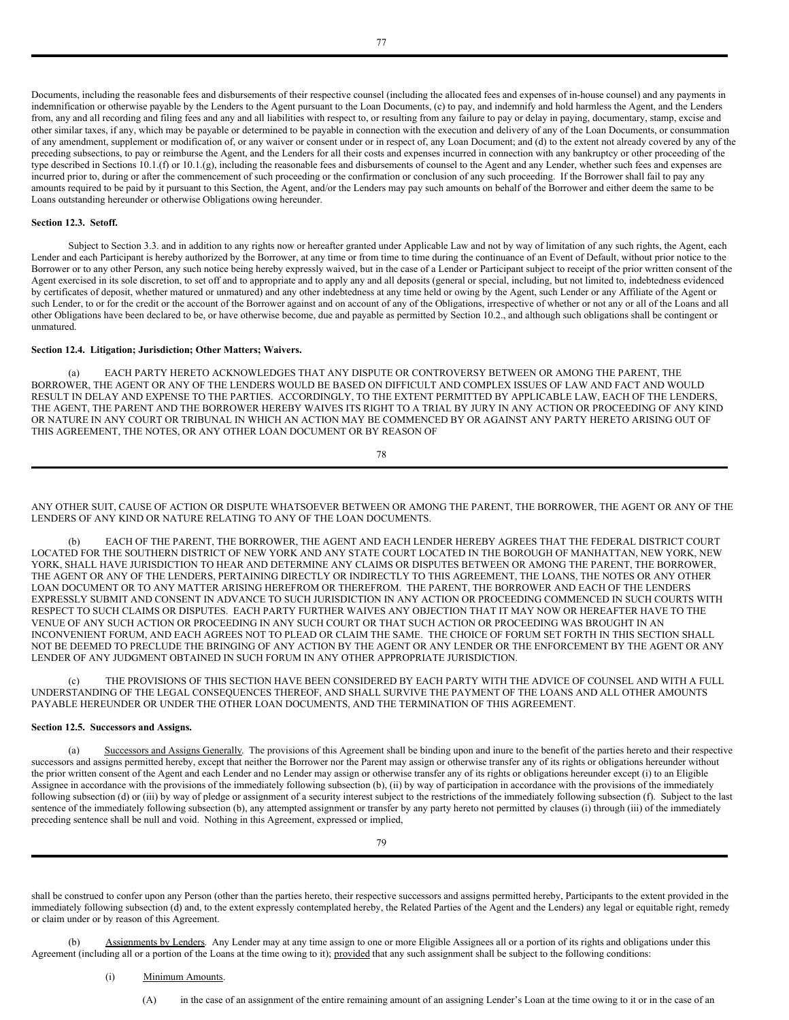Documents, including the reasonable fees and disbursements of their respective counsel (including the allocated fees and expenses of in-house counsel) and any payments in indemnification or otherwise payable by the Lenders to the Agent pursuant to the Loan Documents, (c) to pay, and indemnify and hold harmless the Agent, and the Lenders from, any and all recording and filing fees and any and all liabilities with respect to, or resulting from any failure to pay or delay in paying, documentary, stamp, excise and other similar taxes, if any, which may be payable or determined to be payable in connection with the execution and delivery of any of the Loan Documents, or consummation of any amendment, supplement or modification of, or any waiver or consent under or in respect of, any Loan Document; and (d) to the extent not already covered by any of the preceding subsections, to pay or reimburse the Agent, and the Lenders for all their costs and expenses incurred in connection with any bankruptcy or other proceeding of the type described in Sections 10.1.(f) or 10.1.(g), including the reasonable fees and disbursements of counsel to the Agent and any Lender, whether such fees and expenses are incurred prior to, during or after the commencement of such proceeding or the confirmation or conclusion of any such proceeding. If the Borrower shall fail to pay any amounts required to be paid by it pursuant to this Section, the Agent, and/or the Lenders may pay such amounts on behalf of the Borrower and either deem the same to be Loans outstanding hereunder or otherwise Obligations owing hereunder.

### **Section 12.3. Setoff.**

Subject to Section 3.3. and in addition to any rights now or hereafter granted under Applicable Law and not by way of limitation of any such rights, the Agent, each Lender and each Participant is hereby authorized by the Borrower, at any time or from time to time during the continuance of an Event of Default, without prior notice to the Borrower or to any other Person, any such notice being hereby expressly waived, but in the case of a Lender or Participant subject to receipt of the prior written consent of the Agent exercised in its sole discretion, to set off and to appropriate and to apply any and all deposits (general or special, including, but not limited to, indebtedness evidenced by certificates of deposit, whether matured or unmatured) and any other indebtedness at any time held or owing by the Agent, such Lender or any Affiliate of the Agent or such Lender, to or for the credit or the account of the Borrower against and on account of any of the Obligations, irrespective of whether or not any or all of the Loans and all other Obligations have been declared to be, or have otherwise become, due and payable as permitted by Section 10.2., and although such obligations shall be contingent or unmatured.

## **Section 12.4. Litigation; Jurisdiction; Other Matters; Waivers.**

EACH PARTY HERETO ACKNOWLEDGES THAT ANY DISPUTE OR CONTROVERSY BETWEEN OR AMONG THE PARENT, THE BORROWER, THE AGENT OR ANY OF THE LENDERS WOULD BE BASED ON DIFFICULT AND COMPLEX ISSUES OF LAW AND FACT AND WOULD RESULT IN DELAY AND EXPENSE TO THE PARTIES. ACCORDINGLY, TO THE EXTENT PERMITTED BY APPLICABLE LAW, EACH OF THE LENDERS, THE AGENT, THE PARENT AND THE BORROWER HEREBY WAIVES ITS RIGHT TO A TRIAL BY JURY IN ANY ACTION OR PROCEEDING OF ANY KIND OR NATURE IN ANY COURT OR TRIBUNAL IN WHICH AN ACTION MAY BE COMMENCED BY OR AGAINST ANY PARTY HERETO ARISING OUT OF THIS AGREEMENT, THE NOTES, OR ANY OTHER LOAN DOCUMENT OR BY REASON OF

78

ANY OTHER SUIT, CAUSE OF ACTION OR DISPUTE WHATSOEVER BETWEEN OR AMONG THE PARENT, THE BORROWER, THE AGENT OR ANY OF THE LENDERS OF ANY KIND OR NATURE RELATING TO ANY OF THE LOAN DOCUMENTS.

(b) EACH OF THE PARENT, THE BORROWER, THE AGENT AND EACH LENDER HEREBY AGREES THAT THE FEDERAL DISTRICT COURT LOCATED FOR THE SOUTHERN DISTRICT OF NEW YORK AND ANY STATE COURT LOCATED IN THE BOROUGH OF MANHATTAN, NEW YORK, NEW YORK, SHALL HAVE JURISDICTION TO HEAR AND DETERMINE ANY CLAIMS OR DISPUTES BETWEEN OR AMONG THE PARENT, THE BORROWER, THE AGENT OR ANY OF THE LENDERS, PERTAINING DIRECTLY OR INDIRECTLY TO THIS AGREEMENT, THE LOANS, THE NOTES OR ANY OTHER LOAN DOCUMENT OR TO ANY MATTER ARISING HEREFROM OR THEREFROM. THE PARENT, THE BORROWER AND EACH OF THE LENDERS EXPRESSLY SUBMIT AND CONSENT IN ADVANCE TO SUCH JURISDICTION IN ANY ACTION OR PROCEEDING COMMENCED IN SUCH COURTS WITH RESPECT TO SUCH CLAIMS OR DISPUTES. EACH PARTY FURTHER WAIVES ANY OBJECTION THAT IT MAY NOW OR HEREAFTER HAVE TO THE VENUE OF ANY SUCH ACTION OR PROCEEDING IN ANY SUCH COURT OR THAT SUCH ACTION OR PROCEEDING WAS BROUGHT IN AN INCONVENIENT FORUM, AND EACH AGREES NOT TO PLEAD OR CLAIM THE SAME. THE CHOICE OF FORUM SET FORTH IN THIS SECTION SHALL NOT BE DEEMED TO PRECLUDE THE BRINGING OF ANY ACTION BY THE AGENT OR ANY LENDER OR THE ENFORCEMENT BY THE AGENT OR ANY LENDER OF ANY JUDGMENT OBTAINED IN SUCH FORUM IN ANY OTHER APPROPRIATE JURISDICTION.

(c) THE PROVISIONS OF THIS SECTION HAVE BEEN CONSIDERED BY EACH PARTY WITH THE ADVICE OF COUNSEL AND WITH A FULL UNDERSTANDING OF THE LEGAL CONSEQUENCES THEREOF, AND SHALL SURVIVE THE PAYMENT OF THE LOANS AND ALL OTHER AMOUNTS PAYABLE HEREUNDER OR UNDER THE OTHER LOAN DOCUMENTS, AND THE TERMINATION OF THIS AGREEMENT.

## **Section 12.5. Successors and Assigns.**

(a) Successors and Assigns Generally. The provisions of this Agreement shall be binding upon and inure to the benefit of the parties hereto and their respective successors and assigns permitted hereby, except that neither the Borrower nor the Parent may assign or otherwise transfer any of its rights or obligations hereunder without the prior written consent of the Agent and each Lender and no Lender may assign or otherwise transfer any of its rights or obligations hereunder except (i) to an Eligible Assignee in accordance with the provisions of the immediately following subsection (b), (ii) by way of participation in accordance with the provisions of the immediately following subsection (d) or (iii) by way of pledge or assignment of a security interest subject to the restrictions of the immediately following subsection (f). Subject to the last sentence of the immediately following subsection (b), any attempted assignment or transfer by any party hereto not permitted by clauses (i) through (iii) of the immediately preceding sentence shall be null and void. Nothing in this Agreement, expressed or implied,

shall be construed to confer upon any Person (other than the parties hereto, their respective successors and assigns permitted hereby, Participants to the extent provided in the immediately following subsection (d) and, to the extent expressly contemplated hereby, the Related Parties of the Agent and the Lenders) any legal or equitable right, remedy or claim under or by reason of this Agreement.

Assignments by Lenders. Any Lender may at any time assign to one or more Eligible Assignees all or a portion of its rights and obligations under this Agreement (including all or a portion of the Loans at the time owing to it); provided that any such assignment shall be subject to the following conditions:

- (i) Minimum Amounts.
	- (A) in the case of an assignment of the entire remaining amount of an assigning Lender's Loan at the time owing to it or in the case of an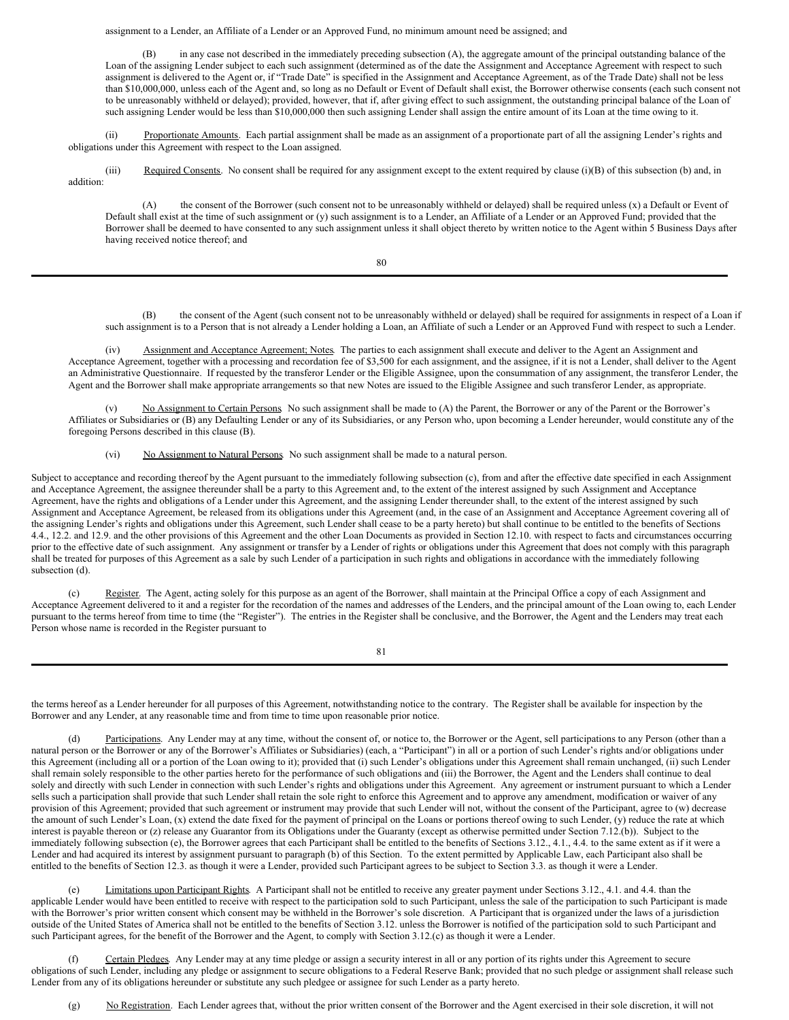assignment to a Lender, an Affiliate of a Lender or an Approved Fund, no minimum amount need be assigned; and

(B) in any case not described in the immediately preceding subsection (A), the aggregate amount of the principal outstanding balance of the Loan of the assigning Lender subject to each such assignment (determined as of the date the Assignment and Acceptance Agreement with respect to such assignment is delivered to the Agent or, if "Trade Date" is specified in the Assignment and Acceptance Agreement, as of the Trade Date) shall not be less than \$10,000,000, unless each of the Agent and, so long as no Default or Event of Default shall exist, the Borrower otherwise consents (each such consent not to be unreasonably withheld or delayed); provided, however, that if, after giving effect to such assignment, the outstanding principal balance of the Loan of such assigning Lender would be less than \$10,000,000 then such assigning Lender shall assign the entire amount of its Loan at the time owing to it.

(ii) Proportionate Amounts. Each partial assignment shall be made as an assignment of a proportionate part of all the assigning Lender's rights and obligations under this Agreement with respect to the Loan assigned.

(iii) Required Consents. No consent shall be required for any assignment except to the extent required by clause (i)(B) of this subsection (b) and, in addition:

(A) the consent of the Borrower (such consent not to be unreasonably withheld or delayed) shall be required unless (x) a Default or Event of Default shall exist at the time of such assignment or (y) such assignment is to a Lender, an Affiliate of a Lender or an Approved Fund; provided that the Borrower shall be deemed to have consented to any such assignment unless it shall object thereto by written notice to the Agent within 5 Business Days after having received notice thereof; and

80

(B) the consent of the Agent (such consent not to be unreasonably withheld or delayed) shall be required for assignments in respect of a Loan if such assignment is to a Person that is not already a Lender holding a Loan, an Affiliate of such a Lender or an Approved Fund with respect to such a Lender.

(iv) Assignment and Acceptance Agreement; Notes. The parties to each assignment shall execute and deliver to the Agent an Assignment and Acceptance Agreement, together with a processing and recordation fee of \$3,500 for each assignment, and the assignee, if it is not a Lender, shall deliver to the Agent an Administrative Questionnaire. If requested by the transferor Lender or the Eligible Assignee, upon the consummation of any assignment, the transferor Lender, the Agent and the Borrower shall make appropriate arrangements so that new Notes are issued to the Eligible Assignee and such transferor Lender, as appropriate.

(v) No Assignment to Certain Persons. No such assignment shall be made to (A) the Parent, the Borrower or any of the Parent or the Borrower's Affiliates or Subsidiaries or (B) any Defaulting Lender or any of its Subsidiaries, or any Person who, upon becoming a Lender hereunder, would constitute any of the foregoing Persons described in this clause (B).

## (vi) No Assignment to Natural Persons. No such assignment shall be made to a natural person.

Subject to acceptance and recording thereof by the Agent pursuant to the immediately following subsection (c), from and after the effective date specified in each Assignment and Acceptance Agreement, the assignee thereunder shall be a party to this Agreement and, to the extent of the interest assigned by such Assignment and Acceptance Agreement, have the rights and obligations of a Lender under this Agreement, and the assigning Lender thereunder shall, to the extent of the interest assigned by such Assignment and Acceptance Agreement, be released from its obligations under this Agreement (and, in the case of an Assignment and Acceptance Agreement covering all of the assigning Lender's rights and obligations under this Agreement, such Lender shall cease to be a party hereto) but shall continue to be entitled to the benefits of Sections 4.4., 12.2. and 12.9. and the other provisions of this Agreement and the other Loan Documents as provided in Section 12.10. with respect to facts and circumstances occurring prior to the effective date of such assignment. Any assignment or transfer by a Lender of rights or obligations under this Agreement that does not comply with this paragraph shall be treated for purposes of this Agreement as a sale by such Lender of a participation in such rights and obligations in accordance with the immediately following subsection (d).

Register. The Agent, acting solely for this purpose as an agent of the Borrower, shall maintain at the Principal Office a copy of each Assignment and Acceptance Agreement delivered to it and a register for the recordation of the names and addresses of the Lenders, and the principal amount of the Loan owing to, each Lender pursuant to the terms hereof from time to time (the "Register"). The entries in the Register shall be conclusive, and the Borrower, the Agent and the Lenders may treat each Person whose name is recorded in the Register pursuant to

81

the terms hereof as a Lender hereunder for all purposes of this Agreement, notwithstanding notice to the contrary. The Register shall be available for inspection by the Borrower and any Lender, at any reasonable time and from time to time upon reasonable prior notice.

(d) Participations. Any Lender may at any time, without the consent of, or notice to, the Borrower or the Agent, sell participations to any Person (other than a natural person or the Borrower or any of the Borrower's Affiliates or Subsidiaries) (each, a "Participant") in all or a portion of such Lender's rights and/or obligations under this Agreement (including all or a portion of the Loan owing to it); provided that (i) such Lender's obligations under this Agreement shall remain unchanged, (ii) such Lender shall remain solely responsible to the other parties hereto for the performance of such obligations and (iii) the Borrower, the Agent and the Lenders shall continue to deal solely and directly with such Lender in connection with such Lender's rights and obligations under this Agreement. Any agreement or instrument pursuant to which a Lender sells such a participation shall provide that such Lender shall retain the sole right to enforce this Agreement and to approve any amendment, modification or waiver of any provision of this Agreement; provided that such agreement or instrument may provide that such Lender will not, without the consent of the Participant, agree to (w) decrease the amount of such Lender's Loan,  $(x)$  extend the date fixed for the payment of principal on the Loans or portions thereof owing to such Lender,  $(y)$  reduce the rate at which interest is payable thereon or (z) release any Guarantor from its Obligations under the Guaranty (except as otherwise permitted under Section 7.12.(b)). Subject to the immediately following subsection (e), the Borrower agrees that each Participant shall be entitled to the benefits of Sections 3.12., 4.1., 4.4. to the same extent as if it were a Lender and had acquired its interest by assignment pursuant to paragraph (b) of this Section. To the extent permitted by Applicable Law, each Participant also shall be entitled to the benefits of Section 12.3. as though it were a Lender, provided such Participant agrees to be subject to Section 3.3. as though it were a Lender.

Limitations upon Participant Rights. A Participant shall not be entitled to receive any greater payment under Sections 3.12., 4.1. and 4.4. than the applicable Lender would have been entitled to receive with respect to the participation sold to such Participant, unless the sale of the participation to such Participant is made with the Borrower's prior written consent which consent may be withheld in the Borrower's sole discretion. A Participant that is organized under the laws of a jurisdiction outside of the United States of America shall not be entitled to the benefits of Section 3.12. unless the Borrower is notified of the participation sold to such Participant and such Participant agrees, for the benefit of the Borrower and the Agent, to comply with Section 3.12.(c) as though it were a Lender.

(f) Certain Pledges. Any Lender may at any time pledge or assign a security interest in all or any portion of its rights under this Agreement to secure obligations of such Lender, including any pledge or assignment to secure obligations to a Federal Reserve Bank; provided that no such pledge or assignment shall release such Lender from any of its obligations hereunder or substitute any such pledgee or assignee for such Lender as a party hereto.

(g) No Registration. Each Lender agrees that, without the prior written consent of the Borrower and the Agent exercised in their sole discretion, it will not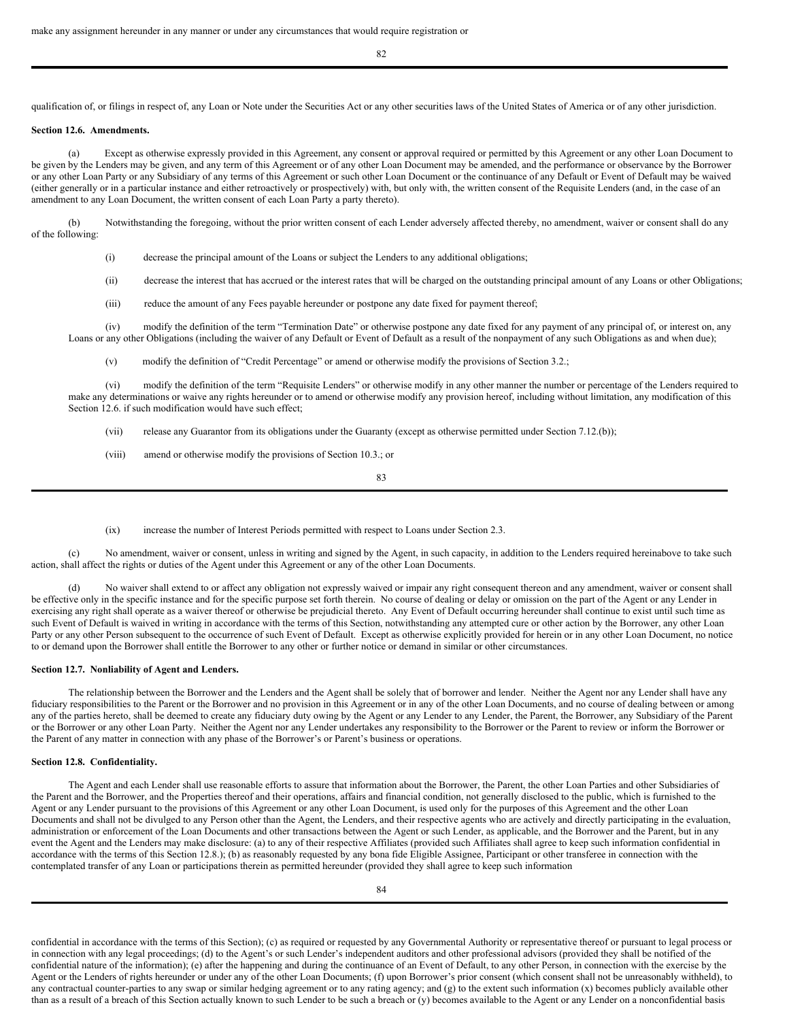qualification of, or filings in respect of, any Loan or Note under the Securities Act or any other securities laws of the United States of America or of any other jurisdiction.

#### **Section 12.6. Amendments.**

(a) Except as otherwise expressly provided in this Agreement, any consent or approval required or permitted by this Agreement or any other Loan Document to be given by the Lenders may be given, and any term of this Agreement or of any other Loan Document may be amended, and the performance or observance by the Borrower or any other Loan Party or any Subsidiary of any terms of this Agreement or such other Loan Document or the continuance of any Default or Event of Default may be waived (either generally or in a particular instance and either retroactively or prospectively) with, but only with, the written consent of the Requisite Lenders (and, in the case of an amendment to any Loan Document, the written consent of each Loan Party a party thereto).

(b) Notwithstanding the foregoing, without the prior written consent of each Lender adversely affected thereby, no amendment, waiver or consent shall do any of the following:

- (i) decrease the principal amount of the Loans or subject the Lenders to any additional obligations;
- (ii) decrease the interest that has accrued or the interest rates that will be charged on the outstanding principal amount of any Loans or other Obligations;
- (iii) reduce the amount of any Fees payable hereunder or postpone any date fixed for payment thereof;

(iv) modify the definition of the term "Termination Date" or otherwise postpone any date fixed for any payment of any principal of, or interest on, any Loans or any other Obligations (including the waiver of any Default or Event of Default as a result of the nonpayment of any such Obligations as and when due);

(v) modify the definition of "Credit Percentage" or amend or otherwise modify the provisions of Section 3.2.;

(vi) modify the definition of the term "Requisite Lenders" or otherwise modify in any other manner the number or percentage of the Lenders required to make any determinations or waive any rights hereunder or to amend or otherwise modify any provision hereof, including without limitation, any modification of this Section 12.6. if such modification would have such effect;

- (vii) release any Guarantor from its obligations under the Guaranty (except as otherwise permitted under Section 7.12.(b));
- (viii) amend or otherwise modify the provisions of Section 10.3.; or

83

(ix) increase the number of Interest Periods permitted with respect to Loans under Section 2.3.

(c) No amendment, waiver or consent, unless in writing and signed by the Agent, in such capacity, in addition to the Lenders required hereinabove to take such action, shall affect the rights or duties of the Agent under this Agreement or any of the other Loan Documents.

No waiver shall extend to or affect any obligation not expressly waived or impair any right consequent thereon and any amendment, waiver or consent shall be effective only in the specific instance and for the specific purpose set forth therein. No course of dealing or delay or omission on the part of the Agent or any Lender in exercising any right shall operate as a waiver thereof or otherwise be prejudicial thereto. Any Event of Default occurring hereunder shall continue to exist until such time as such Event of Default is waived in writing in accordance with the terms of this Section, notwithstanding any attempted cure or other action by the Borrower, any other Loan Party or any other Person subsequent to the occurrence of such Event of Default. Except as otherwise explicitly provided for herein or in any other Loan Document, no notice to or demand upon the Borrower shall entitle the Borrower to any other or further notice or demand in similar or other circumstances.

#### **Section 12.7. Nonliability of Agent and Lenders.**

The relationship between the Borrower and the Lenders and the Agent shall be solely that of borrower and lender. Neither the Agent nor any Lender shall have any fiduciary responsibilities to the Parent or the Borrower and no provision in this Agreement or in any of the other Loan Documents, and no course of dealing between or among any of the parties hereto, shall be deemed to create any fiduciary duty owing by the Agent or any Lender to any Lender, the Parent, the Borrower, any Subsidiary of the Parent or the Borrower or any other Loan Party. Neither the Agent nor any Lender undertakes any responsibility to the Borrower or the Parent to review or inform the Borrower or the Parent of any matter in connection with any phase of the Borrower's or Parent's business or operations.

#### **Section 12.8. Confidentiality.**

The Agent and each Lender shall use reasonable efforts to assure that information about the Borrower, the Parent, the other Loan Parties and other Subsidiaries of the Parent and the Borrower, and the Properties thereof and their operations, affairs and financial condition, not generally disclosed to the public, which is furnished to the Agent or any Lender pursuant to the provisions of this Agreement or any other Loan Document, is used only for the purposes of this Agreement and the other Loan Documents and shall not be divulged to any Person other than the Agent, the Lenders, and their respective agents who are actively and directly participating in the evaluation, administration or enforcement of the Loan Documents and other transactions between the Agent or such Lender, as applicable, and the Borrower and the Parent, but in any event the Agent and the Lenders may make disclosure: (a) to any of their respective Affiliates (provided such Affiliates shall agree to keep such information confidential in accordance with the terms of this Section 12.8.); (b) as reasonably requested by any bona fide Eligible Assignee, Participant or other transferee in connection with the contemplated transfer of any Loan or participations therein as permitted hereunder (provided they shall agree to keep such information

confidential in accordance with the terms of this Section); (c) as required or requested by any Governmental Authority or representative thereof or pursuant to legal process or in connection with any legal proceedings; (d) to the Agent's or such Lender's independent auditors and other professional advisors (provided they shall be notified of the confidential nature of the information); (e) after the happening and during the continuance of an Event of Default, to any other Person, in connection with the exercise by the Agent or the Lenders of rights hereunder or under any of the other Loan Documents; (f) upon Borrower's prior consent (which consent shall not be unreasonably withheld), to any contractual counter-parties to any swap or similar hedging agreement or to any rating agency; and (g) to the extent such information (x) becomes publicly available other than as a result of a breach of this Section actually known to such Lender to be such a breach or (y) becomes available to the Agent or any Lender on a nonconfidential basis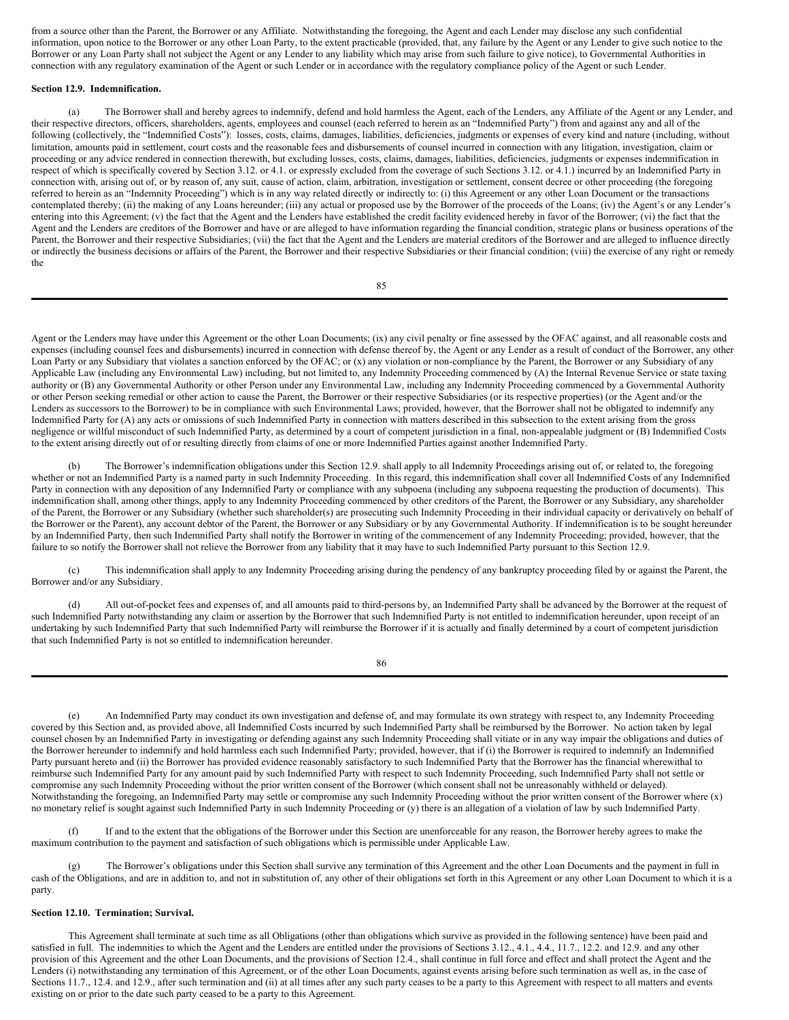from a source other than the Parent, the Borrower or any Affiliate. Notwithstanding the foregoing, the Agent and each Lender may disclose any such confidential information, upon notice to the Borrower or any other Loan Party, to the extent practicable (provided, that, any failure by the Agent or any Lender to give such notice to the Borrower or any Loan Party shall not subject the Agent or any Lender to any liability which may arise from such failure to give notice), to Governmental Authorities in connection with any regulatory examination of the Agent or such Lender or in accordance with the regulatory compliance policy of the Agent or such Lender.

## **Section 12.9. Indemnification.**

(a) The Borrower shall and hereby agrees to indemnify, defend and hold harmless the Agent, each of the Lenders, any Affiliate of the Agent or any Lender, and their respective directors, officers, shareholders, agents, employees and counsel (each referred to herein as an "Indemnified Party") from and against any and all of the following (collectively, the "Indemnified Costs"): losses, costs, claims, damages, liabilities, deficiencies, judgments or expenses of every kind and nature (including, without limitation, amounts paid in settlement, court costs and the reasonable fees and disbursements of counsel incurred in connection with any litigation, investigation, claim or proceeding or any advice rendered in connection therewith, but excluding losses, costs, claims, damages, liabilities, deficiencies, judgments or expenses indemnification in respect of which is specifically covered by Section 3.12. or 4.1. or expressly excluded from the coverage of such Sections 3.12. or 4.1.) incurred by an Indemnified Party in connection with, arising out of, or by reason of, any suit, cause of action, claim, arbitration, investigation or settlement, consent decree or other proceeding (the foregoing referred to herein as an "Indemnity Proceeding") which is in any way related directly or indirectly to: (i) this Agreement or any other Loan Document or the transactions contemplated thereby; (ii) the making of any Loans hereunder; (iii) any actual or proposed use by the Borrower of the proceeds of the Loans; (iv) the Agent's or any Lender's entering into this Agreement; (v) the fact that the Agent and the Lenders have established the credit facility evidenced hereby in favor of the Borrower; (vi) the fact that the Agent and the Lenders are creditors of the Borrower and have or are alleged to have information regarding the financial condition, strategic plans or business operations of the Parent, the Borrower and their respective Subsidiaries; (vii) the fact that the Agent and the Lenders are material creditors of the Borrower and are alleged to influence directly or indirectly the business decisions or affairs of the Parent, the Borrower and their respective Subsidiaries or their financial condition; (viii) the exercise of any right or remedy the

85

Agent or the Lenders may have under this Agreement or the other Loan Documents; (ix) any civil penalty or fine assessed by the OFAC against, and all reasonable costs and expenses (including counsel fees and disbursements) incurred in connection with defense thereof by, the Agent or any Lender as a result of conduct of the Borrower, any other Loan Party or any Subsidiary that violates a sanction enforced by the OFAC; or (x) any violation or non-compliance by the Parent, the Borrower or any Subsidiary of any Applicable Law (including any Environmental Law) including, but not limited to, any Indemnity Proceeding commenced by (A) the Internal Revenue Service or state taxing authority or (B) any Governmental Authority or other Person under any Environmental Law, including any Indemnity Proceeding commenced by a Governmental Authority or other Person seeking remedial or other action to cause the Parent, the Borrower or their respective Subsidiaries (or its respective properties) (or the Agent and/or the Lenders as successors to the Borrower) to be in compliance with such Environmental Laws; provided, however, that the Borrower shall not be obligated to indemnify any Indemnified Party for (A) any acts or omissions of such Indemnified Party in connection with matters described in this subsection to the extent arising from the gross negligence or willful misconduct of such Indemnified Party, as determined by a court of competent jurisdiction in a final, non-appealable judgment or (B) Indemnified Costs to the extent arising directly out of or resulting directly from claims of one or more Indemnified Parties against another Indemnified Party.

(b) The Borrower's indemnification obligations under this Section 12.9. shall apply to all Indemnity Proceedings arising out of, or related to, the foregoing whether or not an Indemnified Party is a named party in such Indemnity Proceeding. In this regard, this indemnification shall cover all Indemnified Costs of any Indemnified Party in connection with any deposition of any Indemnified Party or compliance with any subpoena (including any subpoena requesting the production of documents). This indemnification shall, among other things, apply to any Indemnity Proceeding commenced by other creditors of the Parent, the Borrower or any Subsidiary, any shareholder of the Parent, the Borrower or any Subsidiary (whether such shareholder(s) are prosecuting such Indemnity Proceeding in their individual capacity or derivatively on behalf of the Borrower or the Parent), any account debtor of the Parent, the Borrower or any Subsidiary or by any Governmental Authority. If indemnification is to be sought hereunder by an Indemnified Party, then such Indemnified Party shall notify the Borrower in writing of the commencement of any Indemnity Proceeding; provided, however, that the failure to so notify the Borrower shall not relieve the Borrower from any liability that it may have to such Indemnified Party pursuant to this Section 12.9.

(c) This indemnification shall apply to any Indemnity Proceeding arising during the pendency of any bankruptcy proceeding filed by or against the Parent, the Borrower and/or any Subsidiary.

(d) All out-of-pocket fees and expenses of, and all amounts paid to third-persons by, an Indemnified Party shall be advanced by the Borrower at the request of such Indemnified Party notwithstanding any claim or assertion by the Borrower that such Indemnified Party is not entitled to indemnification hereunder, upon receipt of an undertaking by such Indemnified Party that such Indemnified Party will reimburse the Borrower if it is actually and finally determined by a court of competent jurisdiction that such Indemnified Party is not so entitled to indemnification hereunder.

86

(e) An Indemnified Party may conduct its own investigation and defense of, and may formulate its own strategy with respect to, any Indemnity Proceeding covered by this Section and, as provided above, all Indemnified Costs incurred by such Indemnified Party shall be reimbursed by the Borrower. No action taken by legal counsel chosen by an Indemnified Party in investigating or defending against any such Indemnity Proceeding shall vitiate or in any way impair the obligations and duties of the Borrower hereunder to indemnify and hold harmless each such Indemnified Party; provided, however, that if (i) the Borrower is required to indemnify an Indemnified Party pursuant hereto and (ii) the Borrower has provided evidence reasonably satisfactory to such Indemnified Party that the Borrower has the financial wherewithal to reimburse such Indemnified Party for any amount paid by such Indemnified Party with respect to such Indemnity Proceeding, such Indemnified Party shall not settle or compromise any such Indemnity Proceeding without the prior written consent of the Borrower (which consent shall not be unreasonably withheld or delayed). Notwithstanding the foregoing, an Indemnified Party may settle or compromise any such Indemnity Proceeding without the prior written consent of the Borrower where (x) no monetary relief is sought against such Indemnified Party in such Indemnity Proceeding or (y) there is an allegation of a violation of law by such Indemnified Party.

(f) If and to the extent that the obligations of the Borrower under this Section are unenforceable for any reason, the Borrower hereby agrees to make the maximum contribution to the payment and satisfaction of such obligations which is permissible under Applicable Law.

(g) The Borrower's obligations under this Section shall survive any termination of this Agreement and the other Loan Documents and the payment in full in cash of the Obligations, and are in addition to, and not in substitution of, any other of their obligations set forth in this Agreement or any other Loan Document to which it is a party.

## **Section 12.10. Termination; Survival.**

This Agreement shall terminate at such time as all Obligations (other than obligations which survive as provided in the following sentence) have been paid and satisfied in full. The indemnities to which the Agent and the Lenders are entitled under the provisions of Sections 3.12., 4.1., 4.4., 11.7., 12.2. and 12.9. and any other provision of this Agreement and the other Loan Documents, and the provisions of Section 12.4., shall continue in full force and effect and shall protect the Agent and the Lenders (i) notwithstanding any termination of this Agreement, or of the other Loan Documents, against events arising before such termination as well as, in the case of Sections 11.7., 12.4. and 12.9., after such termination and (ii) at all times after any such party ceases to be a party to this Agreement with respect to all matters and events existing on or prior to the date such party ceased to be a party to this Agreement.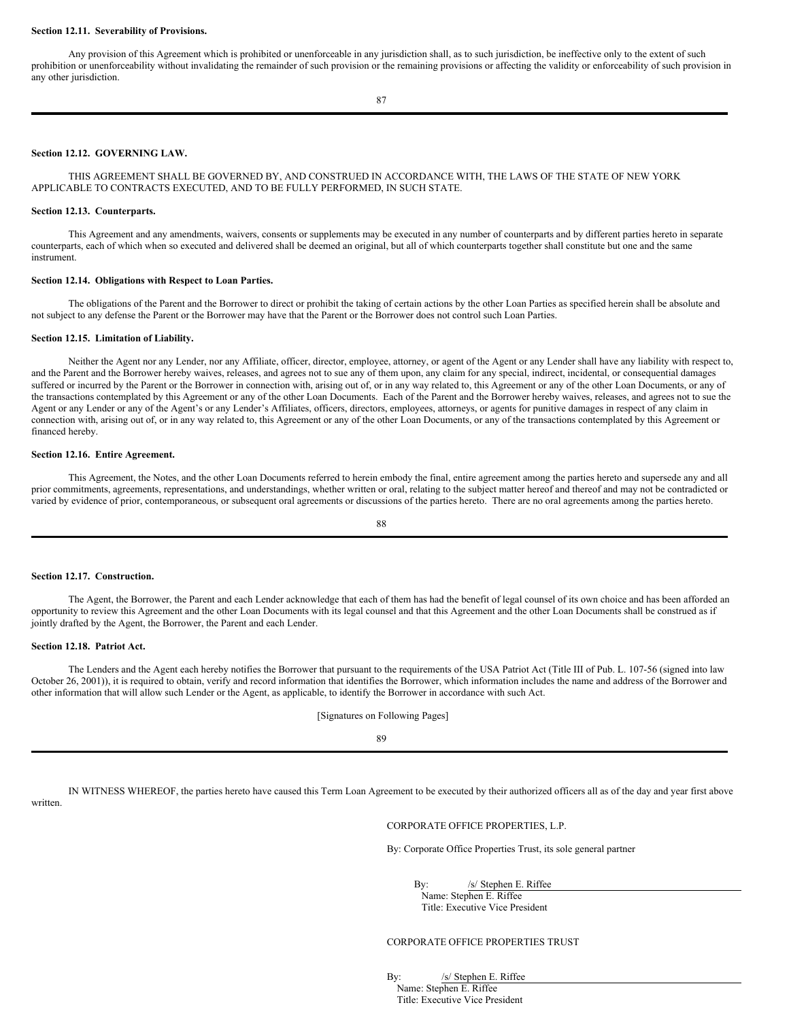#### **Section 12.11. Severability of Provisions.**

Any provision of this Agreement which is prohibited or unenforceable in any jurisdiction shall, as to such jurisdiction, be ineffective only to the extent of such prohibition or unenforceability without invalidating the remainder of such provision or the remaining provisions or affecting the validity or enforceability of such provision in any other jurisdiction.

87

#### **Section 12.12. GOVERNING LAW.**

THIS AGREEMENT SHALL BE GOVERNED BY, AND CONSTRUED IN ACCORDANCE WITH, THE LAWS OF THE STATE OF NEW YORK APPLICABLE TO CONTRACTS EXECUTED, AND TO BE FULLY PERFORMED, IN SUCH STATE.

## **Section 12.13. Counterparts.**

This Agreement and any amendments, waivers, consents or supplements may be executed in any number of counterparts and by different parties hereto in separate counterparts, each of which when so executed and delivered shall be deemed an original, but all of which counterparts together shall constitute but one and the same instrument.

## **Section 12.14. Obligations with Respect to Loan Parties.**

The obligations of the Parent and the Borrower to direct or prohibit the taking of certain actions by the other Loan Parties as specified herein shall be absolute and not subject to any defense the Parent or the Borrower may have that the Parent or the Borrower does not control such Loan Parties.

#### **Section 12.15. Limitation of Liability.**

Neither the Agent nor any Lender, nor any Affiliate, officer, director, employee, attorney, or agent of the Agent or any Lender shall have any liability with respect to, and the Parent and the Borrower hereby waives, releases, and agrees not to sue any of them upon, any claim for any special, indirect, incidental, or consequential damages suffered or incurred by the Parent or the Borrower in connection with, arising out of, or in any way related to, this Agreement or any of the other Loan Documents, or any of the transactions contemplated by this Agreement or any of the other Loan Documents. Each of the Parent and the Borrower hereby waives, releases, and agrees not to sue the Agent or any Lender or any of the Agent's or any Lender's Affiliates, officers, directors, employees, attorneys, or agents for punitive damages in respect of any claim in connection with, arising out of, or in any way related to, this Agreement or any of the other Loan Documents, or any of the transactions contemplated by this Agreement or financed hereby.

#### **Section 12.16. Entire Agreement.**

This Agreement, the Notes, and the other Loan Documents referred to herein embody the final, entire agreement among the parties hereto and supersede any and all prior commitments, agreements, representations, and understandings, whether written or oral, relating to the subject matter hereof and thereof and may not be contradicted or varied by evidence of prior, contemporaneous, or subsequent oral agreements or discussions of the parties hereto. There are no oral agreements among the parties hereto.

| ×<br>$-$ | ۰,<br>ï |  |
|----------|---------|--|

#### **Section 12.17. Construction.**

The Agent, the Borrower, the Parent and each Lender acknowledge that each of them has had the benefit of legal counsel of its own choice and has been afforded an opportunity to review this Agreement and the other Loan Documents with its legal counsel and that this Agreement and the other Loan Documents shall be construed as if jointly drafted by the Agent, the Borrower, the Parent and each Lender.

#### **Section 12.18. Patriot Act.**

The Lenders and the Agent each hereby notifies the Borrower that pursuant to the requirements of the USA Patriot Act (Title III of Pub. L. 107-56 (signed into law October 26, 2001)), it is required to obtain, verify and record information that identifies the Borrower, which information includes the name and address of the Borrower and other information that will allow such Lender or the Agent, as applicable, to identify the Borrower in accordance with such Act.

[Signatures on Following Pages]

89

IN WITNESS WHEREOF, the parties hereto have caused this Term Loan Agreement to be executed by their authorized officers all as of the day and year first above written.

CORPORATE OFFICE PROPERTIES, L.P.

By: Corporate Office Properties Trust, its sole general partner

By: /s/ Stephen E. Riffee

Name: Stephen E. Riffee Title: Executive Vice President

# CORPORATE OFFICE PROPERTIES TRUST

By: /s/ Stephen E. Riffee Name: Stephen E. Riffee Title: Executive Vice President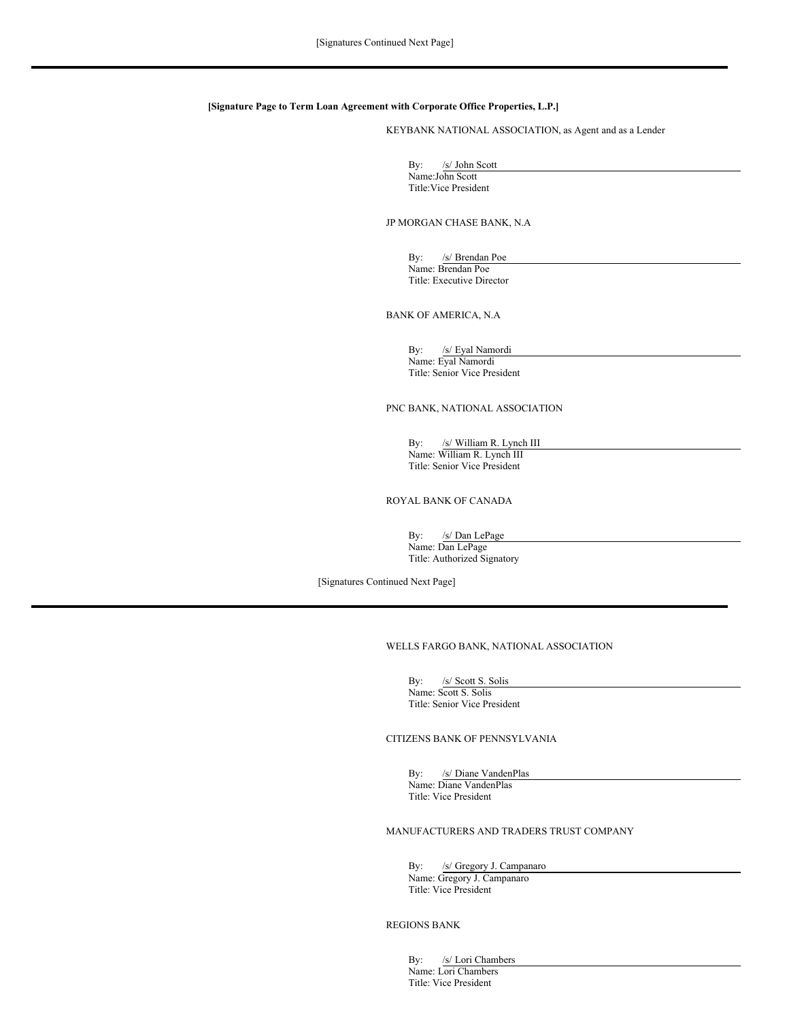# **[Signature Page to Term Loan Agreement with Corporate Office Properties, L.P.]**

KEYBANK NATIONAL ASSOCIATION, as Agent and as a Lender

By: /s/ John Scott Name:John Scott Title:Vice President

JP MORGAN CHASE BANK, N.A

By: /s/ Brendan Poe Name: Brendan Poe Title: Executive Director

BANK OF AMERICA, N.A

By: /s/ Eyal Namordi Name: Eyal Namordi Title: Senior Vice President

PNC BANK, NATIONAL ASSOCIATION

By: /s/ William R. Lynch III Name: William R. Lynch III Title: Senior Vice President

ROYAL BANK OF CANADA

By: /s/ Dan LePage Name: Dan LePage Title: Authorized Signatory

[Signatures Continued Next Page]

## WELLS FARGO BANK, NATIONAL ASSOCIATION

By: /s/ Scott S. Solis Name: Scott S. Solis Title: Senior Vice President

# CITIZENS BANK OF PENNSYLVANIA

By: /s/ Diane VandenPlas Name: Diane VandenPlas Title: Vice President

# MANUFACTURERS AND TRADERS TRUST COMPANY

By: /s/ Gregory J. Campanaro Name: Gregory J. Campanaro Title: Vice President

## REGIONS BANK

By: /s/ Lori Chambers Name: Lori Chambers Title: Vice President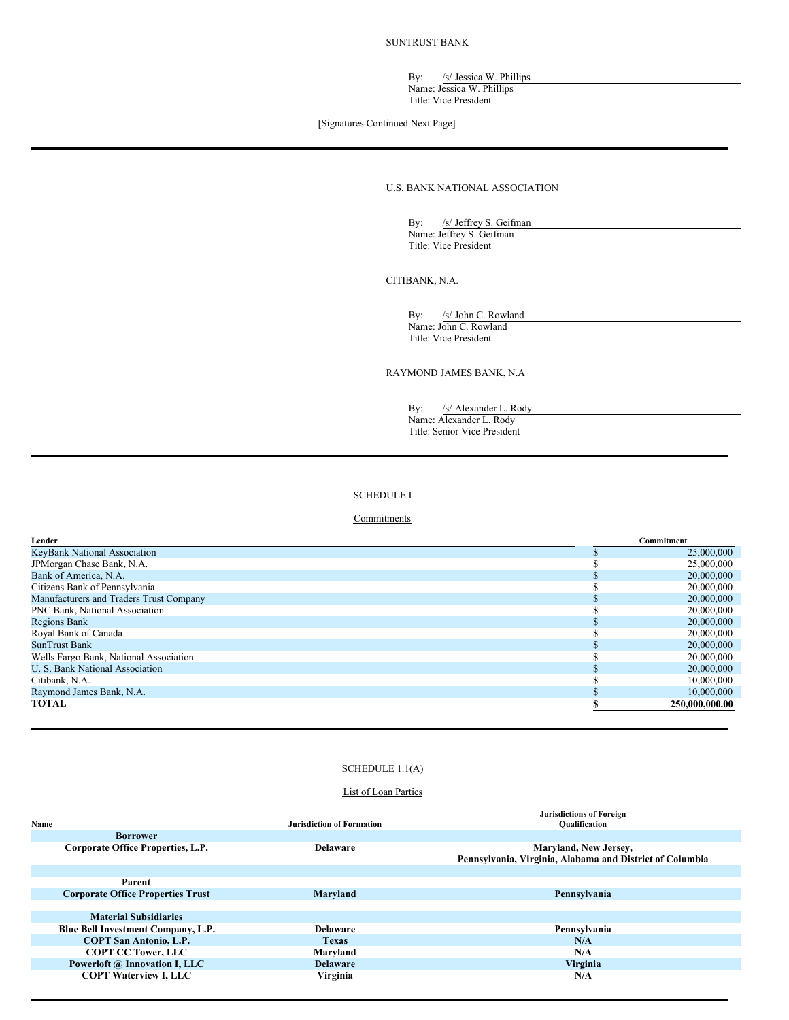SUNTRUST BANK

By: /s/ Jessica W. Phillips Name: Jessica W. Phillips Title: Vice President

[Signatures Continued Next Page]

U.S. BANK NATIONAL ASSOCIATION

By: /s/ Jeffrey S. Geifman Name: Jeffrey S. Geifman Title: Vice President

CITIBANK, N.A.

By: /s/ John C. Rowland Name: John C. Rowland Title: Vice President

## RAYMOND JAMES BANK, N.A

By: /s/ Alexander L. Rody Name: Alexander L. Rody Title: Senior Vice President

## SCHEDULE I

## **Commitments**

| <b>Commitment</b> |
|-------------------|
| 25,000,000        |
| 25,000,000        |
| 20,000,000        |
| 20,000,000        |
| 20,000,000        |
| 20,000,000        |
| 20,000,000        |
| 20,000,000        |
| 20,000,000        |
| 20,000,000        |
| 20,000,000        |
| 10,000,000        |
| 10,000,000        |
| 250,000,000.00    |
|                   |

# SCHEDULE 1.1(A)

# List of Loan Parties

| Name                                     | <b>Jurisdiction of Formation</b> | <b>Jurisdictions of Foreign</b><br><b>Oualification</b>                           |
|------------------------------------------|----------------------------------|-----------------------------------------------------------------------------------|
| <b>Borrower</b>                          |                                  |                                                                                   |
| Corporate Office Properties, L.P.        | <b>Delaware</b>                  | Maryland, New Jersey,<br>Pennsylvania, Virginia, Alabama and District of Columbia |
|                                          |                                  |                                                                                   |
| Parent                                   |                                  |                                                                                   |
| <b>Corporate Office Properties Trust</b> | Maryland                         | Pennsylvania                                                                      |
|                                          |                                  |                                                                                   |
| <b>Material Subsidiaries</b>             |                                  |                                                                                   |
| Blue Bell Investment Company, L.P.       | <b>Delaware</b>                  | Pennsylvania                                                                      |
| <b>COPT San Antonio, L.P.</b>            | <b>Texas</b>                     | N/A                                                                               |
| <b>COPT CC Tower, LLC</b>                | Maryland                         | N/A                                                                               |
| Powerloft @ Innovation I, LLC            | <b>Delaware</b>                  | Virginia                                                                          |
| <b>COPT Waterview I, LLC</b>             | Virginia                         | N/A                                                                               |
|                                          |                                  |                                                                                   |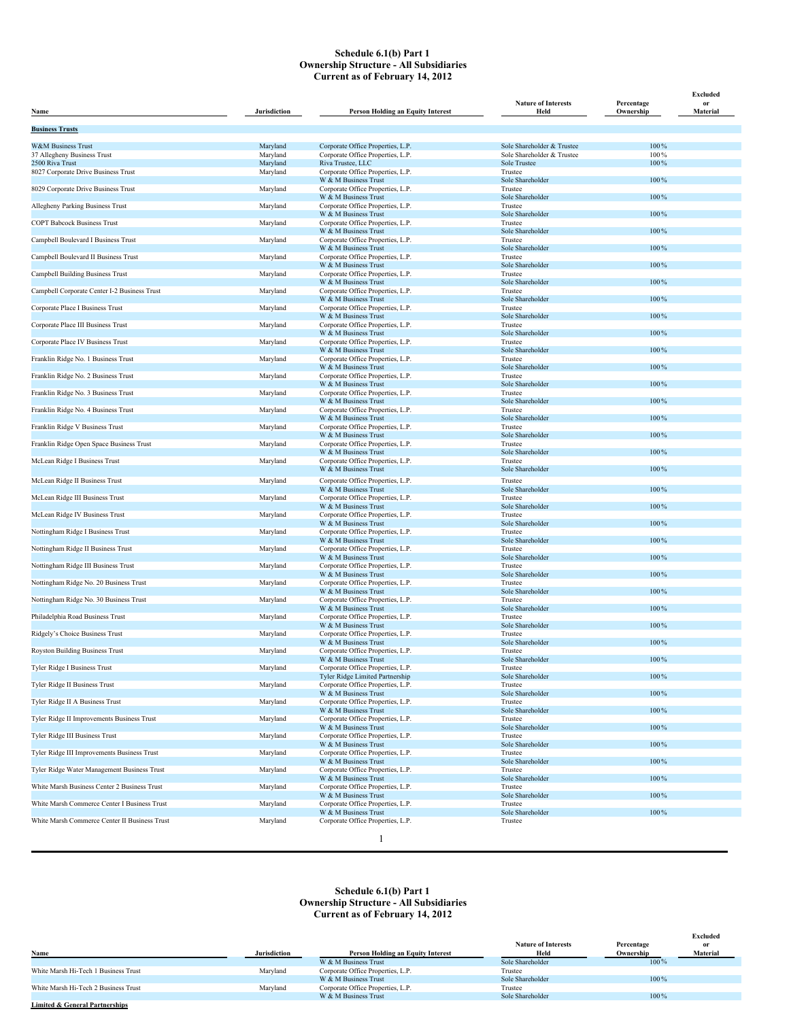## **Schedule 6.1(b) Part 1 Ownership Structure - All Subsidiaries Current as of February 14, 2012**

| <u>Name</u>                                   | Jurisdiction | <b>Person Holding an Equity Interest</b>                  | <b>Nature of Interests</b><br>Held | <b>Excluded</b><br>Percentage<br>$\mathbf{or}$<br>Ownership<br>Material |
|-----------------------------------------------|--------------|-----------------------------------------------------------|------------------------------------|-------------------------------------------------------------------------|
| <b>Business Trusts</b>                        |              |                                                           |                                    |                                                                         |
| <b>W&amp;M Business Trust</b>                 | Maryland     | Corporate Office Properties, L.P.                         | Sole Shareholder & Trustee         | 100%                                                                    |
| 37 Allegheny Business Trust                   | Maryland     | Corporate Office Properties, L.P.                         | Sole Shareholder & Trustee         | 100%                                                                    |
| 2500 Riva Trust                               | Maryland     | Riva Trustee, LLC                                         | Sole Trustee                       | 100%                                                                    |
| 8027 Corporate Drive Business Trust           | Maryland     | Corporate Office Properties, L.P.                         | Trustee                            |                                                                         |
|                                               |              | W & M Business Trust                                      | Sole Shareholder                   | 100%                                                                    |
| 8029 Corporate Drive Business Trust           | Maryland     | Corporate Office Properties, L.P.                         | Trustee                            |                                                                         |
|                                               |              | W & M Business Trust                                      | Sole Shareholder                   | 100%                                                                    |
| Allegheny Parking Business Trust              | Maryland     | Corporate Office Properties, L.P.<br>W & M Business Trust | Trustee<br>Sole Shareholder        | 100%                                                                    |
| <b>COPT Babcock Business Trust</b>            | Maryland     | Corporate Office Properties, L.P.                         | Trustee                            |                                                                         |
|                                               |              | W & M Business Trust                                      | Sole Shareholder                   | 100%                                                                    |
| Campbell Boulevard I Business Trust           | Maryland     | Corporate Office Properties, L.P.                         | Trustee                            |                                                                         |
|                                               |              | W & M Business Trust                                      | Sole Shareholder                   | 100%                                                                    |
| Campbell Boulevard II Business Trust          | Maryland     | Corporate Office Properties, L.P.                         | Trustee                            |                                                                         |
| Campbell Building Business Trust              | Maryland     | W & M Business Trust<br>Corporate Office Properties, L.P. | Sole Shareholder<br>Trustee        | 100%                                                                    |
|                                               |              | W & M Business Trust                                      | Sole Shareholder                   | 100%                                                                    |
| Campbell Corporate Center I-2 Business Trust  | Maryland     | Corporate Office Properties, L.P.                         | Trustee                            |                                                                         |
|                                               |              | W & M Business Trust                                      | Sole Shareholder                   | 100%                                                                    |
| Corporate Place I Business Trust              | Maryland     | Corporate Office Properties, L.P.                         | Trustee                            |                                                                         |
|                                               |              | W & M Business Trust                                      | Sole Shareholder                   | 100%                                                                    |
| Corporate Place III Business Trust            | Maryland     | Corporate Office Properties, L.P.                         | Trustee                            |                                                                         |
| Corporate Place IV Business Trust             |              | W & M Business Trust<br>Corporate Office Properties, L.P. | Sole Shareholder<br>Trustee        | 100%                                                                    |
|                                               | Maryland     | W & M Business Trust                                      | Sole Shareholder                   | 100%                                                                    |
| Franklin Ridge No. 1 Business Trust           | Maryland     | Corporate Office Properties, L.P.                         | Trustee                            |                                                                         |
|                                               |              | W & M Business Trust                                      | Sole Shareholder                   | 100%                                                                    |
| Franklin Ridge No. 2 Business Trust           | Maryland     | Corporate Office Properties, L.P.                         | Trustee                            |                                                                         |
|                                               |              | W & M Business Trust                                      | Sole Shareholder                   | 100%                                                                    |
| Franklin Ridge No. 3 Business Trust           | Maryland     | Corporate Office Properties, L.P.                         | Trustee                            |                                                                         |
|                                               |              | W & M Business Trust<br>Corporate Office Properties, L.P. | Sole Shareholder<br>Trustee        | 100%                                                                    |
| Franklin Ridge No. 4 Business Trust           | Maryland     | W & M Business Trust                                      | Sole Shareholder                   | 100%                                                                    |
| Franklin Ridge V Business Trust               | Maryland     | Corporate Office Properties, L.P.                         | Trustee                            |                                                                         |
|                                               |              | W & M Business Trust                                      | Sole Shareholder                   | 100%                                                                    |
| Franklin Ridge Open Space Business Trust      | Maryland     | Corporate Office Properties, L.P.                         | Trustee                            |                                                                         |
|                                               |              | W & M Business Trust                                      | Sole Shareholder                   | 100%                                                                    |
| McLean Ridge I Business Trust                 | Maryland     | Corporate Office Properties, L.P.                         | Trustee                            |                                                                         |
|                                               |              | W & M Business Trust                                      | Sole Shareholder                   | 100%                                                                    |
| McLean Ridge II Business Trust                | Maryland     | Corporate Office Properties, L.P.                         | Trustee                            |                                                                         |
| McLean Ridge III Business Trust               | Maryland     | W & M Business Trust                                      | Sole Shareholder<br>Trustee        | 100%                                                                    |
|                                               |              | Corporate Office Properties, L.P.<br>W & M Business Trust | Sole Shareholder                   | 100%                                                                    |
| McLean Ridge IV Business Trust                | Maryland     | Corporate Office Properties, L.P.                         | Trustee                            |                                                                         |
|                                               |              | W & M Business Trust                                      | Sole Shareholder                   | 100%                                                                    |
| Nottingham Ridge I Business Trust             | Maryland     | Corporate Office Properties, L.P.                         | Trustee                            |                                                                         |
|                                               |              | W & M Business Trust                                      | Sole Shareholder                   | 100%                                                                    |
| Nottingham Ridge II Business Trust            | Maryland     | Corporate Office Properties, L.P.                         | Trustee                            | 100%                                                                    |
| Nottingham Ridge III Business Trust           | Maryland     | W & M Business Trust<br>Corporate Office Properties, L.P. | Sole Shareholder<br>Trustee        |                                                                         |
|                                               |              | W & M Business Trust                                      | Sole Shareholder                   | 100%                                                                    |
| Nottingham Ridge No. 20 Business Trust        | Maryland     | Corporate Office Properties, L.P.                         | Trustee                            |                                                                         |
|                                               |              | W & M Business Trust                                      | Sole Shareholder                   | 100%                                                                    |
| Nottingham Ridge No. 30 Business Trust        | Maryland     | Corporate Office Properties, L.P.                         | Trustee                            |                                                                         |
|                                               |              | W & M Business Trust                                      | Sole Shareholder                   | 100%                                                                    |
| Philadelphia Road Business Trust              | Maryland     | Corporate Office Properties, L.P.                         | Trustee<br>Sole Shareholder        | 100%                                                                    |
| Ridgely's Choice Business Trust               | Maryland     | W & M Business Trust<br>Corporate Office Properties, L.P. | Trustee                            |                                                                         |
|                                               |              | W & M Business Trust                                      | Sole Shareholder                   | 100%                                                                    |
| <b>Royston Building Business Trust</b>        | Maryland     | Corporate Office Properties, L.P.                         | Trustee                            |                                                                         |
|                                               |              | W & M Business Trust                                      | Sole Shareholder                   | 100%                                                                    |
| Tyler Ridge I Business Trust                  | Maryland     | Corporate Office Properties, L.P.                         | Trustee                            |                                                                         |
| <b>Tyler Ridge II Business Trust</b>          |              | Tyler Ridge Limited Partnership                           | Sole Shareholder                   | 100%                                                                    |
|                                               | Maryland     | Corporate Office Properties, L.P.<br>W & M Business Trust | Trustee<br>Sole Shareholder        | 100%                                                                    |
| Tyler Ridge II A Business Trust               | Maryland     | Corporate Office Properties, L.P.                         | Trustee                            |                                                                         |
|                                               |              | W & M Business Trust                                      | Sole Shareholder                   | $100\,\%$                                                               |
| Tyler Ridge II Improvements Business Trust    | Maryland     | Corporate Office Properties, L.P.                         | Trustee                            |                                                                         |
|                                               |              | W & M Business Trust                                      | Sole Shareholder                   | 100%                                                                    |
| Tyler Ridge III Business Trust                | Maryland     | Corporate Office Properties, L.P.                         | Trustee                            |                                                                         |
|                                               |              | W & M Business Trust                                      | Sole Shareholder                   | $100\,\%$                                                               |
| Tyler Ridge III Improvements Business Trust   | Maryland     | Corporate Office Properties, L.P.<br>W & M Business Trust | Trustee<br>Sole Shareholder        | $100\,\%$                                                               |
| Tyler Ridge Water Management Business Trust   | Maryland     | Corporate Office Properties, L.P.                         | Trustee                            |                                                                         |
|                                               |              | W & M Business Trust                                      | Sole Shareholder                   | 100%                                                                    |
| White Marsh Business Center 2 Business Trust  | Maryland     | Corporate Office Properties, L.P.                         | Trustee                            |                                                                         |
|                                               |              | W & M Business Trust                                      | Sole Shareholder                   | $100\,\%$                                                               |
| White Marsh Commerce Center I Business Trust  | Maryland     | Corporate Office Properties, L.P.                         | Trustee                            |                                                                         |
|                                               |              | W & M Business Trust                                      | Sole Shareholder<br>Trustee        | $100\,\%$                                                               |
| White Marsh Commerce Center II Business Trust | Maryland     | Corporate Office Properties, L.P.                         |                                    |                                                                         |
|                                               |              |                                                           |                                    |                                                                         |

### **Schedule 6.1(b) Part 1 Ownership Structure - All Subsidiaries Current as of February 14, 2012**

|                                      |              |                                   | <b>Nature of Interests</b> | Percentage | <b>Excluded</b><br><sub>or</sub> |
|--------------------------------------|--------------|-----------------------------------|----------------------------|------------|----------------------------------|
| Name                                 | Jurisdiction | Person Holding an Equity Interest | Held                       | Ownership  | Material                         |
|                                      |              | W & M Business Trust              | Sole Shareholder           | $100\%$    |                                  |
| White Marsh Hi-Tech 1 Business Trust | Marvland     | Corporate Office Properties, L.P. | Trustee                    |            |                                  |
|                                      |              | W & M Business Trust              | Sole Shareholder           | $100\%$    |                                  |
| White Marsh Hi-Tech 2 Business Trust | Maryland     | Corporate Office Properties, L.P. | Trustee                    |            |                                  |
|                                      |              | W & M Business Trust              | Sole Shareholder           | $100\%$    |                                  |
|                                      |              |                                   |                            |            |                                  |

**Limited & General Partnerships**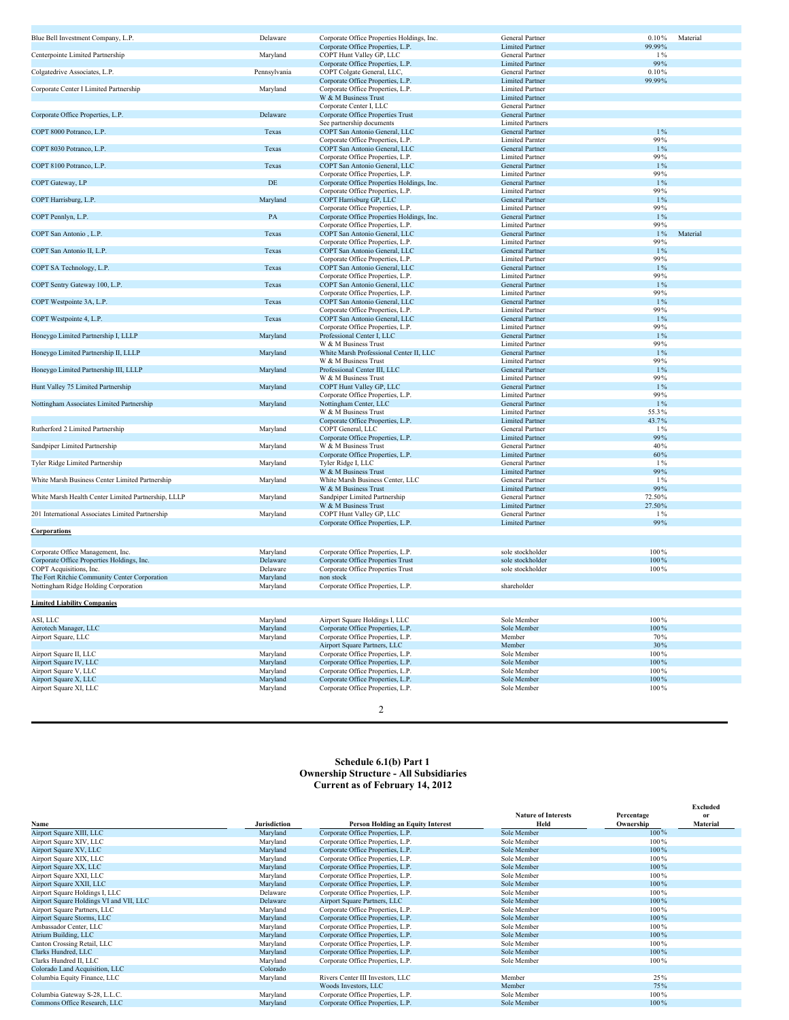| Blue Bell Investment Company, L.P.                                    | Delaware             | Corporate Office Properties Holdings, Inc.                                      | General Partner                           | $0.10\,\%$<br>Material   |
|-----------------------------------------------------------------------|----------------------|---------------------------------------------------------------------------------|-------------------------------------------|--------------------------|
|                                                                       |                      | Corporate Office Properties, L.P.                                               | <b>Limited Partner</b>                    | 99.99%                   |
| Centerpointe Limited Partnership                                      | Maryland             | COPT Hunt Valley GP, LLC<br>Corporate Office Properties, L.P.                   | General Partner<br><b>Limited Partner</b> | $1\%$<br>99%             |
| Colgatedrive Associates, L.P.                                         | Pennsylvania         | COPT Colgate General, LLC,                                                      | General Partner                           | 0.10%                    |
|                                                                       |                      | Corporate Office Properties, L.P.                                               | <b>Limited Partner</b>                    | 99.99%                   |
| Corporate Center I Limited Partnership                                | Maryland             | Corporate Office Properties, L.P.                                               | <b>Limited Partner</b>                    |                          |
|                                                                       |                      | W & M Business Trust                                                            | <b>Limited Partner</b>                    |                          |
|                                                                       |                      | Corporate Center I, LLC                                                         | General Partner<br>General Partner        |                          |
| Corporate Office Properties, L.P.                                     | Delaware             | Corporate Office Properties Trust<br>See partnership documents                  | <b>Limited Partners</b>                   |                          |
| COPT 8000 Potranco, L.P.                                              | Texas                | COPT San Antonio General, LLC                                                   | General Partner                           | $1\%$                    |
|                                                                       |                      | Corporate Office Properties, L.P.                                               | <b>Limited Parnter</b>                    | 99%                      |
| COPT 8030 Potranco, L.P.                                              | Texas                | COPT San Antonio General, LLC                                                   | General Partner                           | $1\%$                    |
|                                                                       |                      | Corporate Office Properties, L.P.                                               | <b>Limited Partner</b>                    | 99%                      |
| COPT 8100 Potranco, L.P.                                              | Texas                | COPT San Antonio General, LLC                                                   | General Partner<br><b>Limited Partner</b> | $1\%$<br>99%             |
| COPT Gateway, LP                                                      | DE                   | Corporate Office Properties, L.P.<br>Corporate Office Properties Holdings, Inc. | General Partner                           | $1\%$                    |
|                                                                       |                      | Corporate Office Properties, L.P.                                               | <b>Limited Partner</b>                    | 99%                      |
| COPT Harrisburg, L.P.                                                 | Maryland             | COPT Harrisburg GP, LLC                                                         | General Partner                           | $1\%$                    |
|                                                                       |                      | Corporate Office Properties, L.P.                                               | Limited Partner                           | 99%                      |
| COPT Pennlyn, L.P.                                                    | PA                   | Corporate Office Properties Holdings, Inc.                                      | General Partner                           | $1\%$                    |
| COPT San Antonio, L.P.                                                | Texas                | Corporate Office Properties, L.P.<br>COPT San Antonio General, LLC              | Limited Partner<br>General Partner        | 99%<br>$1\%$<br>Material |
|                                                                       |                      | Corporate Office Properties, L.P.                                               | <b>Limited Partner</b>                    | 99%                      |
| COPT San Antonio II, L.P.                                             | Texas                | COPT San Antonio General, LLC                                                   | General Partner                           | $1\%$                    |
|                                                                       |                      | Corporate Office Properties, L.P.                                               | <b>Limited Partner</b>                    | 99%                      |
| COPT SA Technology, L.P.                                              | Texas                | COPT San Antonio General, LLC                                                   | General Partner                           | $1\%$                    |
|                                                                       |                      | Corporate Office Properties, L.P.                                               | <b>Limited Partner</b>                    | 99%                      |
| COPT Sentry Gateway 100, L.P.                                         | Texas                | COPT San Antonio General, LLC                                                   | General Partner                           | $1\%$                    |
|                                                                       |                      | Corporate Office Properties, L.P.                                               | Limited Partner                           | 99%                      |
| COPT Westpointe 3A, L.P.                                              | Texas                | COPT San Antonio General, LLC                                                   | <b>General Partner</b>                    | $1\%$<br>99%             |
| COPT Westpointe 4, L.P.                                               | Texas                | Corporate Office Properties, L.P.<br>COPT San Antonio General, LLC              | Limited Partner<br>General Partner        | $1\%$                    |
|                                                                       |                      | Corporate Office Properties, L.P.                                               | <b>Limited Partner</b>                    | 99%                      |
| Honeygo Limited Partnership I, LLLP                                   | Maryland             | Professional Center I, LLC                                                      | General Partner                           | $1\%$                    |
|                                                                       |                      | W & M Business Trust                                                            | <b>Limited Partner</b>                    | 99%                      |
| Honeygo Limited Partnership II, LLLP                                  | Maryland             | White Marsh Professional Center II, LLC                                         | General Partner                           | $1\%$                    |
|                                                                       |                      | W & M Business Trust                                                            | <b>Limited Partner</b>                    | 99%                      |
| Honeygo Limited Partnership III, LLLP                                 | Maryland             | Professional Center III, LLC                                                    | General Partner                           | $1\%$                    |
| Hunt Valley 75 Limited Partnership                                    | Maryland             | W & M Business Trust<br>COPT Hunt Valley GP, LLC                                | <b>Limited Partner</b><br>General Partner | 99%<br>$1\%$             |
|                                                                       |                      | Corporate Office Properties, L.P.                                               | Limited Partner                           | 99%                      |
| Nottingham Associates Limited Partnership                             | Maryland             | Nottingham Center, LLC                                                          | General Partner                           | $1\%$                    |
|                                                                       |                      | W & M Business Trust                                                            | <b>Limited Partner</b>                    | 55.3%                    |
|                                                                       |                      | Corporate Office Properties, L.P.                                               | <b>Limited Partner</b>                    | 43.7%                    |
| Rutherford 2 Limited Partnership                                      | Maryland             | COPT General, LLC                                                               | General Partner                           | $1\%$                    |
|                                                                       |                      | Corporate Office Properties, L.P.                                               | <b>Limited Partner</b>                    | 99%                      |
| Sandpiper Limited Partnership                                         | Maryland             | W & M Business Trust                                                            | General Partner                           | 40%<br>60%               |
| Tyler Ridge Limited Partnership                                       | Maryland             | Corporate Office Properties, L.P.<br>Tyler Ridge I, LLC                         | <b>Limited Partner</b><br>General Partner | $1\%$                    |
|                                                                       |                      | W & M Business Trust                                                            | <b>Limited Partner</b>                    | 99%                      |
| White Marsh Business Center Limited Partnership                       | Maryland             | White Marsh Business Center, LLC                                                | General Partner                           | $1\%$                    |
|                                                                       |                      | W & M Business Trust                                                            | <b>Limited Partner</b>                    | 99%                      |
| White Marsh Health Center Limited Partnership, LLLP                   | Maryland             | Sandpiper Limited Partnership                                                   | General Partner                           | 72.50%                   |
|                                                                       |                      | W & M Business Trust                                                            | <b>Limited Partner</b>                    | 27.50%                   |
| 201 International Associates Limited Partnership                      | Maryland             | COPT Hunt Valley GP, LLC                                                        | General Partner                           | $1\%$                    |
|                                                                       |                      | Corporate Office Properties, L.P.                                               | <b>Limited Partner</b>                    | 99%                      |
| Corporations                                                          |                      |                                                                                 |                                           |                          |
|                                                                       |                      |                                                                                 |                                           |                          |
| Corporate Office Management, Inc.                                     | Maryland             | Corporate Office Properties, L.P.                                               | sole stockholder                          | 100%                     |
| Corporate Office Properties Holdings, Inc.<br>COPT Acquisitions, Inc. | Delaware<br>Delaware | Corporate Office Properties Trust                                               | sole stockholder<br>sole stockholder      | 100%<br>100%             |
| The Fort Ritchie Community Center Corporation                         | Maryland             | Corporate Office Properties Trust<br>non stock                                  |                                           |                          |
| Nottingham Ridge Holding Corporation                                  | Maryland             | Corporate Office Properties, L.P.                                               | shareholder                               |                          |
|                                                                       |                      |                                                                                 |                                           |                          |
| <b>Limited Liability Companies</b>                                    |                      |                                                                                 |                                           |                          |
|                                                                       |                      |                                                                                 |                                           |                          |
| ASI, LLC                                                              | Maryland             | Airport Square Holdings I, LLC                                                  | Sole Member                               | 100%                     |
| Aerotech Manager, LLC                                                 | Maryland             | Corporate Office Properties, L.P.<br>Corporate Office Properties, L.P.          | Sole Member                               | 100%                     |
| Airport Square, LLC                                                   | Maryland             | Airport Square Partners, LLC                                                    | Member<br>Member                          | 70%<br>30%               |
| Airport Square II, LLC                                                | Maryland             | Corporate Office Properties, L.P.                                               | Sole Member                               | 100%                     |
| Airport Square IV, LLC                                                | Maryland             | Corporate Office Properties, L.P.                                               | Sole Member                               | 100%                     |
| Airport Square V, LLC                                                 | Maryland             | Corporate Office Properties, L.P.                                               | Sole Member                               | 100%                     |
| Airport Square X, LLC                                                 | Maryland             | Corporate Office Properties, L.P.                                               | Sole Member                               | 100%                     |
| Airport Square XI, LLC                                                | Maryland             | Corporate Office Properties, L.P.                                               | Sole Member                               | 100%                     |
|                                                                       |                      |                                                                                 |                                           |                          |
|                                                                       |                      | 2                                                                               |                                           |                          |

#### **Schedule 6.1(b) Part 1 Ownership Structure - All Subsidiaries Current as of February 14, 2012**

| Name                                    | Jurisdiction | <b>Person Holding an Equity Interest</b> | <b>Nature of Interests</b><br>Held | Percentage<br>Ownership | <b>Excluded</b><br>or<br>Material |
|-----------------------------------------|--------------|------------------------------------------|------------------------------------|-------------------------|-----------------------------------|
| Airport Square XIII, LLC                | Maryland     | Corporate Office Properties, L.P.        | Sole Member                        | $100\%$                 |                                   |
| Airport Square XIV, LLC                 | Maryland     | Corporate Office Properties, L.P.        | Sole Member                        | 100%                    |                                   |
| Airport Square XV, LLC                  | Maryland     | Corporate Office Properties, L.P.        | Sole Member                        | 100 %                   |                                   |
| Airport Square XIX, LLC                 | Maryland     | Corporate Office Properties, L.P.        | Sole Member                        | 100%                    |                                   |
| Airport Square XX, LLC                  | Maryland     | Corporate Office Properties, L.P.        | Sole Member                        | 100 %                   |                                   |
| Airport Square XXI, LLC                 | Maryland     | Corporate Office Properties, L.P.        | Sole Member                        | 100%                    |                                   |
| Airport Square XXII, LLC                | Maryland     | Corporate Office Properties, L.P.        | Sole Member                        | 100%                    |                                   |
| Airport Square Holdings I, LLC          | Delaware     | Corporate Office Properties, L.P.        | Sole Member                        | $100\%$                 |                                   |
| Airport Square Holdings VI and VII, LLC | Delaware     | Airport Square Partners, LLC             | Sole Member                        | 100%                    |                                   |
| Airport Square Partners, LLC            | Maryland     | Corporate Office Properties, L.P.        | Sole Member                        | $100\%$                 |                                   |
| Airport Square Storms, LLC              | Maryland     | Corporate Office Properties, L.P.        | Sole Member                        | $100\%$                 |                                   |
| Ambassador Center, LLC                  | Maryland     | Corporate Office Properties, L.P.        | Sole Member                        | $100\%$                 |                                   |
| Atrium Building, LLC                    | Maryland     | Corporate Office Properties, L.P.        | Sole Member                        | 100 %                   |                                   |
| Canton Crossing Retail, LLC             | Maryland     | Corporate Office Properties, L.P.        | Sole Member                        | $100\%$                 |                                   |
| Clarks Hundred, LLC                     | Maryland     | Corporate Office Properties, L.P.        | Sole Member                        | 100 %                   |                                   |
| Clarks Hundred II, LLC                  | Maryland     | Corporate Office Properties, L.P.        | Sole Member                        | 100%                    |                                   |
| Colorado Land Acquisition, LLC          | Colorado     |                                          |                                    |                         |                                   |
| Columbia Equity Finance, LLC            | Maryland     | Rivers Center III Investors, LLC         | Member                             | 25%                     |                                   |
|                                         |              | Woods Investors, LLC                     | Member                             | 75%                     |                                   |
| Columbia Gateway S-28, L.L.C.           | Maryland     | Corporate Office Properties, L.P.        | Sole Member                        | $100\%$                 |                                   |
| Commons Office Research, LLC            | Maryland     | Corporate Office Properties, L.P.        | Sole Member                        | 100%                    |                                   |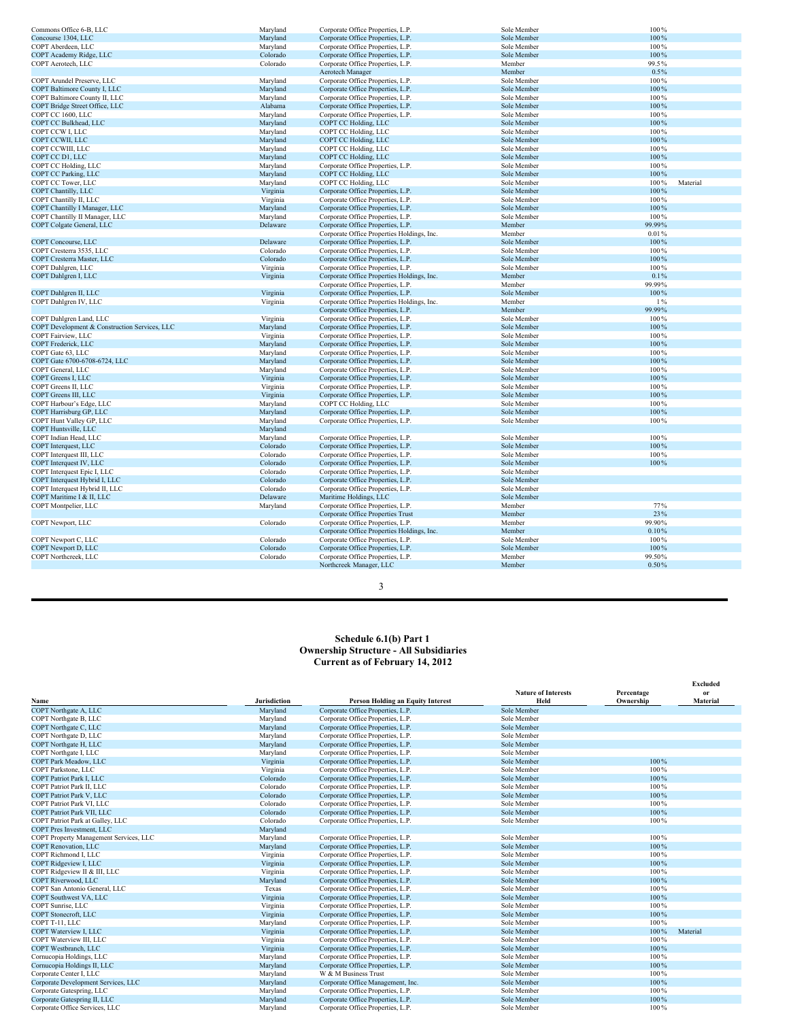| Commons Office 6-B, LLC                       | Maryland | Corporate Office Properties, L.P.          | Sole Member | 100%             |
|-----------------------------------------------|----------|--------------------------------------------|-------------|------------------|
| Concourse 1304, LLC                           | Maryland | Corporate Office Properties, L.P.          | Sole Member | 100%             |
| COPT Aberdeen, LLC                            | Maryland | Corporate Office Properties, L.P.          | Sole Member | 100%             |
| COPT Academy Ridge, LLC                       | Colorado | Corporate Office Properties, L.P.          | Sole Member | 100%             |
| COPT Aerotech, LLC                            | Colorado | Corporate Office Properties, L.P.          | Member      | 99.5%            |
|                                               |          | Aerotech Manager                           | Member      | 0.5%             |
| COPT Arundel Preserve, LLC                    | Maryland | Corporate Office Properties, L.P.          | Sole Member | 100%             |
| <b>COPT Baltimore County I, LLC</b>           | Maryland | Corporate Office Properties, L.P.          | Sole Member | 100%             |
| COPT Baltimore County II, LLC                 | Maryland | Corporate Office Properties, L.P.          | Sole Member | 100%             |
| COPT Bridge Street Office, LLC                | Alabama  | Corporate Office Properties, L.P.          | Sole Member | 100%             |
| COPT CC 1600, LLC                             | Maryland | Corporate Office Properties, L.P.          | Sole Member | 100%             |
| COPT CC Bulkhead, LLC                         | Maryland | COPT CC Holding, LLC                       | Sole Member | 100%             |
| COPT CCW I, LLC                               | Maryland | COPT CC Holding, LLC                       | Sole Member | 100%             |
| COPT CCWII, LLC                               | Maryland | COPT CC Holding, LLC                       | Sole Member | 100%             |
| COPT CCWIII, LLC                              | Maryland | COPT CC Holding, LLC                       | Sole Member | 100%             |
| COPT CC D1, LLC                               | Maryland | COPT CC Holding, LLC                       | Sole Member | 100%             |
|                                               | Maryland |                                            |             | 100%             |
| COPT CC Holding, LLC                          |          | Corporate Office Properties, L.P.          | Sole Member |                  |
| COPT CC Parking, LLC                          | Maryland | COPT CC Holding, LLC                       | Sole Member | 100%             |
| COPT CC Tower, LLC                            | Maryland | COPT CC Holding, LLC                       | Sole Member | 100%<br>Material |
| COPT Chantilly, LLC                           | Virginia | Corporate Office Properties, L.P.          | Sole Member | 100%<br>100%     |
| COPT Chantilly II, LLC                        | Virginia | Corporate Office Properties, L.P.          | Sole Member |                  |
| COPT Chantilly I Manager, LLC                 | Maryland | Corporate Office Properties, L.P.          | Sole Member | 100%             |
| COPT Chantilly II Manager, LLC                | Maryland | Corporate Office Properties, L.P.          | Sole Member | 100%             |
| COPT Colgate General, LLC                     | Delaware | Corporate Office Properties, L.P.          | Member      | 99.99%           |
|                                               |          | Corporate Office Properties Holdings, Inc. | Member      | 0.01%            |
| COPT Concourse, LLC                           | Delaware | Corporate Office Properties, L.P.          | Sole Member | 100%             |
| COPT Cresterra 3535, LLC                      | Colorado | Corporate Office Properties, L.P.          | Sole Member | 100%             |
| COPT Cresterra Master, LLC                    | Colorado | Corporate Office Properties, L.P.          | Sole Member | 100%             |
| COPT Dahlgren, LLC                            | Virginia | Corporate Office Properties, L.P.          | Sole Member | 100%             |
| COPT Dahlgren I, LLC                          | Virginia | Corporate Office Properties Holdings, Inc. | Member      | 0.1%             |
|                                               |          | Corporate Office Properties, L.P.          | Member      | 99.99%           |
| COPT Dahlgren II, LLC                         | Virginia | Corporate Office Properties, L.P.          | Sole Member | 100%             |
| COPT Dahlgren IV, LLC                         | Virginia | Corporate Office Properties Holdings, Inc. | Member      | $1\%$            |
|                                               |          | Corporate Office Properties, L.P.          | Member      | 99.99%           |
| COPT Dahlgren Land, LLC                       | Virginia | Corporate Office Properties, L.P.          | Sole Member | 100%             |
| COPT Development & Construction Services, LLC | Maryland | Corporate Office Properties, L.P.          | Sole Member | 100%             |
| COPT Fairview, LLC                            | Virginia | Corporate Office Properties, L.P.          | Sole Member | 100%             |
| <b>COPT Frederick, LLC</b>                    | Maryland | Corporate Office Properties, L.P.          | Sole Member | 100%             |
| COPT Gate 63, LLC                             | Maryland | Corporate Office Properties, L.P.          | Sole Member | 100%             |
| COPT Gate 6700-6708-6724, LLC                 | Maryland | Corporate Office Properties, L.P.          | Sole Member | 100%             |
| COPT General, LLC                             | Maryland | Corporate Office Properties, L.P.          | Sole Member | 100%             |
| COPT Greens I, LLC                            | Virginia | Corporate Office Properties, L.P.          | Sole Member | 100%             |
| COPT Greens II, LLC                           | Virginia | Corporate Office Properties, L.P.          | Sole Member | 100%             |
| COPT Greens III, LLC                          | Virginia | Corporate Office Properties, L.P.          | Sole Member | 100%             |
| COPT Harbour's Edge, LLC                      | Maryland | COPT CC Holding, LLC                       | Sole Member | 100%             |
| COPT Harrisburg GP, LLC                       | Maryland | Corporate Office Properties, L.P.          | Sole Member | 100%             |
| COPT Hunt Valley GP, LLC                      | Maryland | Corporate Office Properties, L.P.          | Sole Member | 100%             |
| COPT Huntsville, LLC                          | Maryland |                                            |             |                  |
| COPT Indian Head, LLC                         | Maryland | Corporate Office Properties, L.P.          | Sole Member | 100%             |
| COPT Interquest, LLC                          | Colorado | Corporate Office Properties, L.P.          | Sole Member | 100%             |
| COPT Interquest III, LLC                      | Colorado | Corporate Office Properties, L.P.          | Sole Member | 100%             |
| COPT Interquest IV, LLC                       | Colorado | Corporate Office Properties, L.P.          | Sole Member | 100%             |
| COPT Interquest Epic I, LLC                   | Colorado | Corporate Office Properties, L.P.          | Sole Member |                  |
| COPT Interquest Hybrid I, LLC                 | Colorado | Corporate Office Properties, L.P.          | Sole Member |                  |
| COPT Interquest Hybrid II, LLC                | Colorado | Corporate Office Properties, L.P.          | Sole Member |                  |
| COPT Maritime I & II, LLC                     | Delaware | Maritime Holdings, LLC                     | Sole Member |                  |
| COPT Montpelier, LLC                          | Maryland | Corporate Office Properties, L.P.          | Member      | 77%              |
|                                               |          | Corporate Office Properties Trust          | Member      | 23%              |
| COPT Newport, LLC                             | Colorado | Corporate Office Properties, L.P.          | Member      | 99.90%           |
|                                               |          | Corporate Office Properties Holdings, Inc. | Member      | 0.10%            |
| COPT Newport C, LLC                           | Colorado | Corporate Office Properties, L.P.          | Sole Member | 100%             |
| COPT Newport D, LLC                           | Colorado | Corporate Office Properties, L.P.          | Sole Member | 100%             |
| COPT Northcreek, LLC                          | Colorado | Corporate Office Properties, L.P.          | Member      | 99.50%           |
|                                               |          | Northcreek Manager, LLC                    | Member      | 0.50%            |
|                                               |          |                                            |             |                  |

# 3

### **Schedule 6.1(b) Part 1 Ownership Structure - All Subsidiaries Current as of February 14, 2012**

**Excluded**

|                                        |                     |                                          | <b>Nature of Interests</b> | Percentage | <sub>or</sub> |
|----------------------------------------|---------------------|------------------------------------------|----------------------------|------------|---------------|
| Name                                   | <b>Jurisdiction</b> | <b>Person Holding an Equity Interest</b> | Held                       | Ownership  | Material      |
| COPT Northgate A, LLC                  | Maryland            | Corporate Office Properties, L.P.        | Sole Member                |            |               |
| COPT Northgate B, LLC                  | Maryland            | Corporate Office Properties, L.P.        | Sole Member                |            |               |
| COPT Northgate C, LLC                  | Maryland            | Corporate Office Properties, L.P.        | Sole Member                |            |               |
| COPT Northgate D, LLC                  | Maryland            | Corporate Office Properties, L.P.        | Sole Member                |            |               |
| COPT Northgate H, LLC                  | Maryland            | Corporate Office Properties, L.P.        | Sole Member                |            |               |
| COPT Northgate I, LLC                  | Maryland            | Corporate Office Properties, L.P.        | Sole Member                |            |               |
| <b>COPT Park Meadow, LLC</b>           | Virginia            | Corporate Office Properties, L.P.        | Sole Member                | 100%       |               |
| COPT Parkstone, LLC                    | Virginia            | Corporate Office Properties, L.P.        | Sole Member                | 100%       |               |
| <b>COPT Patriot Park I, LLC</b>        | Colorado            | Corporate Office Properties, L.P.        | Sole Member                | 100%       |               |
| COPT Patriot Park II, LLC              | Colorado            | Corporate Office Properties, L.P.        | Sole Member                | 100%       |               |
| COPT Patriot Park V, LLC               | Colorado            | Corporate Office Properties, L.P.        | Sole Member                | 100%       |               |
| COPT Patriot Park VI, LLC              | Colorado            | Corporate Office Properties, L.P.        | Sole Member                | 100%       |               |
| COPT Patriot Park VII, LLC             | Colorado            | Corporate Office Properties, L.P.        | Sole Member                | 100%       |               |
| COPT Patriot Park at Galley, LLC       | Colorado            | Corporate Office Properties, L.P.        | Sole Member                | 100%       |               |
| <b>COPT Pres Investment, LLC</b>       | Maryland            |                                          |                            |            |               |
| COPT Property Management Services, LLC | Maryland            | Corporate Office Properties, L.P.        | Sole Member                | 100%       |               |
| <b>COPT Renovation, LLC</b>            | Maryland            | Corporate Office Properties, L.P.        | Sole Member                | 100%       |               |
| COPT Richmond I. LLC                   | Virginia            | Corporate Office Properties, L.P.        | Sole Member                | 100%       |               |
| <b>COPT Ridgeview I, LLC</b>           | Virginia            | Corporate Office Properties, L.P.        | Sole Member                | 100%       |               |
| COPT Ridgeview II & III, LLC           | Virginia            | Corporate Office Properties, L.P.        | Sole Member                | 100%       |               |
| <b>COPT Riverwood, LLC</b>             | Maryland            | Corporate Office Properties, L.P.        | Sole Member                | 100%       |               |
| COPT San Antonio General, LLC          | Texas               | Corporate Office Properties, L.P.        | Sole Member                | 100%       |               |
| <b>COPT Southwest VA, LLC</b>          | Virginia            | Corporate Office Properties, L.P.        | Sole Member                | 100%       |               |
| COPT Sunrise, LLC                      | Virginia            | Corporate Office Properties, L.P.        | Sole Member                | 100%       |               |
| COPT Stonecroft, LLC                   | Virginia            | Corporate Office Properties, L.P.        | Sole Member                | 100%       |               |
| COPT T-11, LLC                         | Maryland            | Corporate Office Properties, L.P.        | Sole Member                | 100%       |               |
| <b>COPT Waterview I, LLC</b>           | Virginia            | Corporate Office Properties, L.P.        | Sole Member                | 100%       | Material      |
| COPT Waterview III, LLC                | Virginia            | Corporate Office Properties, L.P.        | Sole Member                | 100%       |               |
| COPT Westbranch, LLC                   | Virginia            | Corporate Office Properties, L.P.        | Sole Member                | 100%       |               |
| Cornucopia Holdings, LLC               | Maryland            | Corporate Office Properties, L.P.        | Sole Member                | 100%       |               |
| Cornucopia Holdings II, LLC            | Maryland            | Corporate Office Properties, L.P.        | Sole Member                | 100%       |               |
| Corporate Center I, LLC                | Maryland            | W & M Business Trust                     | Sole Member                | 100%       |               |
| Corporate Development Services, LLC    | Maryland            | Corporate Office Management, Inc.        | Sole Member                | 100%       |               |
| Corporate Gatespring, LLC              | Maryland            | Corporate Office Properties, L.P.        | Sole Member                | 100%       |               |
| Corporate Gatespring II, LLC           | Maryland            | Corporate Office Properties, L.P.        | Sole Member                | 100%       |               |
| Corporate Office Services, LLC         | Maryland            | Corporate Office Properties, L.P.        | Sole Member                | 100%       |               |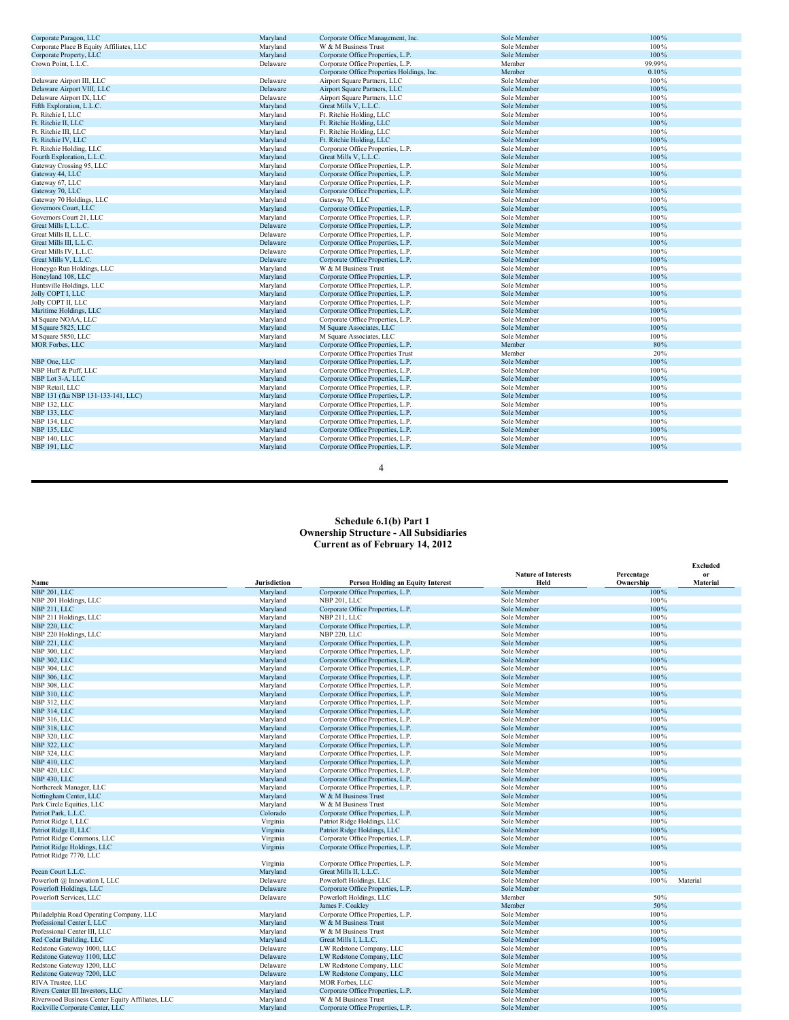| Corporate Paragon, LLC                   | Maryland | Corporate Office Management, Inc.          | Sole Member | 100%     |
|------------------------------------------|----------|--------------------------------------------|-------------|----------|
| Corporate Place B Equity Affiliates, LLC | Maryland | W & M Business Trust                       | Sole Member | 100%     |
| Corporate Property, LLC                  | Maryland | Corporate Office Properties, L.P.          | Sole Member | 100%     |
| Crown Point, L.L.C.                      | Delaware | Corporate Office Properties, L.P.          | Member      | 99.99%   |
|                                          |          | Corporate Office Properties Holdings, Inc. | Member      | $0.10\%$ |
| Delaware Airport III, LLC                | Delaware | Airport Square Partners, LLC               | Sole Member | 100%     |
| Delaware Airport VIII, LLC               | Delaware | Airport Square Partners, LLC               | Sole Member | $100\%$  |
| Delaware Airport IX, LLC                 | Delaware | Airport Square Partners, LLC               | Sole Member | 100%     |
| Fifth Exploration, L.L.C.                | Maryland | Great Mills V, L.L.C.                      | Sole Member | $100\%$  |
| Ft. Ritchie I, LLC                       | Maryland | Ft. Ritchie Holding, LLC                   | Sole Member | 100%     |
| Ft. Ritchie II, LLC                      | Maryland | Ft. Ritchie Holding, LLC                   | Sole Member | 100%     |
| Ft. Ritchie III, LLC                     | Maryland | Ft. Ritchie Holding, LLC                   | Sole Member | 100%     |
| Ft. Ritchie IV, LLC                      | Maryland | Ft. Ritchie Holding, LLC                   | Sole Member | $100\%$  |
| Ft. Ritchie Holding, LLC                 | Maryland | Corporate Office Properties, L.P.          | Sole Member | 100%     |
| Fourth Exploration, L.L.C.               | Maryland | Great Mills V, L.L.C.                      | Sole Member | 100%     |
| Gateway Crossing 95, LLC                 | Maryland | Corporate Office Properties, L.P.          | Sole Member | 100%     |
| Gateway 44, LLC                          | Maryland | Corporate Office Properties, L.P.          | Sole Member | 100%     |
| Gateway 67, LLC                          | Maryland | Corporate Office Properties, L.P.          | Sole Member | 100%     |
| Gateway 70, LLC                          | Maryland | Corporate Office Properties, L.P.          | Sole Member | 100%     |
| Gateway 70 Holdings, LLC                 | Maryland | Gateway 70, LLC                            | Sole Member | 100%     |
| Governors Court, LLC                     | Maryland | Corporate Office Properties, L.P.          | Sole Member | $100\%$  |
| Governors Court 21, LLC                  | Maryland | Corporate Office Properties, L.P.          | Sole Member | 100%     |
| Great Mills I, L.L.C.                    | Delaware | Corporate Office Properties, L.P.          | Sole Member | $100\%$  |
| Great Mills II, L.L.C.                   | Delaware | Corporate Office Properties, L.P.          | Sole Member | 100%     |
| Great Mills III, L.L.C.                  | Delaware | Corporate Office Properties, L.P.          | Sole Member | $100\%$  |
| Great Mills IV, L.L.C.                   | Delaware | Corporate Office Properties, L.P.          | Sole Member | 100%     |
| Great Mills V, L.L.C.                    | Delaware | Corporate Office Properties, L.P.          | Sole Member | $100\%$  |
| Honeygo Run Holdings, LLC                | Maryland | W & M Business Trust                       | Sole Member | 100%     |
| Honeyland 108, LLC                       | Maryland | Corporate Office Properties, L.P.          | Sole Member | $100\%$  |
| Huntsville Holdings, LLC                 | Maryland | Corporate Office Properties, L.P.          | Sole Member | 100%     |
| Jolly COPT I, LLC                        | Maryland | Corporate Office Properties, L.P.          | Sole Member | 100%     |
| Jolly COPT II, LLC                       | Maryland | Corporate Office Properties, L.P.          | Sole Member | 100%     |
| Maritime Holdings, LLC                   | Maryland | Corporate Office Properties, L.P.          | Sole Member | 100%     |
| M Square NOAA, LLC                       | Maryland | Corporate Office Properties, L.P.          | Sole Member | 100%     |
| M Square 5825, LLC                       | Maryland | M Square Associates, LLC                   | Sole Member | 100%     |
| M Square 5850, LLC                       | Maryland | M Square Associates, LLC                   | Sole Member | 100%     |
| <b>MOR Forbes, LLC</b>                   | Maryland | Corporate Office Properties, L.P.          | Member      | 80%      |
|                                          |          | Corporate Office Properties Trust          | Member      | 20%      |
| NBP One, LLC                             | Maryland | Corporate Office Properties, L.P.          | Sole Member | 100%     |
| NBP Huff & Puff, LLC                     | Maryland | Corporate Office Properties, L.P.          | Sole Member | 100%     |
| NBP Lot 3-A, LLC                         | Maryland | Corporate Office Properties, L.P.          | Sole Member | $100\%$  |
| NBP Retail, LLC                          | Maryland | Corporate Office Properties, L.P.          | Sole Member | 100%     |
| NBP 131 (fka NBP 131-133-141, LLC)       | Maryland | Corporate Office Properties, L.P.          | Sole Member | $100\%$  |
| <b>NBP 132, LLC</b>                      | Maryland | Corporate Office Properties, L.P.          | Sole Member | 100%     |
| <b>NBP 133, LLC</b>                      | Maryland | Corporate Office Properties, L.P.          | Sole Member | 100%     |
| <b>NBP 134, LLC</b>                      | Maryland | Corporate Office Properties, L.P.          | Sole Member | 100%     |
| <b>NBP 135, LLC</b>                      | Maryland | Corporate Office Properties, L.P.          | Sole Member | 100%     |
| <b>NBP 140, LLC</b>                      | Maryland | Corporate Office Properties, L.P.          | Sole Member | 100%     |
| <b>NBP 191, LLC</b>                      | Maryland | Corporate Office Properties, L.P.          | Sole Member | 100%     |

4

#### **Schedule 6.1(b) Part 1 Ownership Structure - All Subsidiaries Current as of February 14, 2012**

|                                                  |                     |                                          |                            | <b>Excluded</b>       |
|--------------------------------------------------|---------------------|------------------------------------------|----------------------------|-----------------------|
|                                                  |                     |                                          | <b>Nature of Interests</b> | Percentage<br>or      |
| Name                                             | <b>Jurisdiction</b> | <b>Person Holding an Equity Interest</b> | Held                       | Ownership<br>Material |
| <b>NBP 201, LLC</b>                              | Maryland            | Corporate Office Properties, L.P.        | Sole Member                | 100%                  |
| NBP 201 Holdings, LLC                            | Maryland            | NBP 201, LLC                             | Sole Member                | 100%                  |
| <b>NBP 211, LLC</b>                              | Maryland            | Corporate Office Properties, L.P.        | Sole Member                | 100%                  |
| NBP 211 Holdings, LLC                            | Maryland            | <b>NBP 211, LLC</b>                      | Sole Member                | 100%                  |
| <b>NBP 220, LLC</b>                              | Maryland            | Corporate Office Properties, L.P.        | Sole Member                | 100%                  |
| NBP 220 Holdings, LLC                            | Maryland            | <b>NBP 220, LLC</b>                      | Sole Member                | 100%                  |
| <b>NBP 221, LLC</b>                              | Maryland            | Corporate Office Properties, L.P.        | Sole Member                | 100%                  |
| <b>NBP 300, LLC</b>                              | Maryland            | Corporate Office Properties, L.P.        | Sole Member                | 100%                  |
| <b>NBP 302, LLC</b>                              | Maryland            | Corporate Office Properties, L.P.        | Sole Member                | 100%                  |
| NBP 304, LLC                                     | Maryland            | Corporate Office Properties, L.P.        | Sole Member                | 100%                  |
| <b>NBP 306, LLC</b>                              | Maryland            | Corporate Office Properties, L.P.        | Sole Member                | 100%                  |
| <b>NBP 308, LLC</b>                              | Maryland            | Corporate Office Properties, L.P.        | Sole Member                | 100%                  |
| <b>NBP 310, LLC</b>                              | Maryland            | Corporate Office Properties, L.P.        | Sole Member                | 100%                  |
| <b>NBP 312, LLC</b>                              | Maryland            | Corporate Office Properties, L.P.        | Sole Member                | 100%                  |
| <b>NBP 314, LLC</b>                              | Maryland            | Corporate Office Properties, L.P.        | Sole Member                | 100%                  |
| <b>NBP 316, LLC</b>                              | Maryland            | Corporate Office Properties, L.P.        | Sole Member                | $100\%$               |
| <b>NBP 318, LLC</b>                              | Maryland            | Corporate Office Properties, L.P.        | Sole Member                | 100%                  |
| <b>NBP 320, LLC</b>                              | Maryland            | Corporate Office Properties, L.P.        | Sole Member                | 100%                  |
| <b>NBP 322, LLC</b>                              | Maryland            | Corporate Office Properties, L.P.        | Sole Member                | 100%                  |
| <b>NBP 324, LLC</b>                              | Maryland            | Corporate Office Properties, L.P.        | Sole Member                | 100%                  |
| <b>NBP 410, LLC</b>                              | Maryland            | Corporate Office Properties, L.P.        | Sole Member                | 100%                  |
| <b>NBP 420, LLC</b>                              | Maryland            | Corporate Office Properties, L.P.        | Sole Member                | 100%                  |
| <b>NBP 430, LLC</b>                              | Maryland            | Corporate Office Properties, L.P.        | Sole Member                | 100%                  |
| Northcreek Manager, LLC                          | Maryland            | Corporate Office Properties, L.P.        | Sole Member                | 100%                  |
| Nottingham Center, LLC                           | Maryland            | W & M Business Trust                     | Sole Member                | 100%                  |
| Park Circle Equities, LLC                        | Maryland            | W & M Business Trust                     | Sole Member                | 100%                  |
| Patriot Park, L.L.C.                             | Colorado            | Corporate Office Properties, L.P.        | Sole Member                | 100%                  |
| Patriot Ridge I, LLC                             | Virginia            | Patriot Ridge Holdings, LLC              | Sole Member                | 100%                  |
| Patriot Ridge II, LLC                            | Virginia            | Patriot Ridge Holdings, LLC              | Sole Member                | 100%                  |
| Patriot Ridge Commons, LLC                       | Virginia            | Corporate Office Properties, L.P.        | Sole Member                | 100%                  |
| Patriot Ridge Holdings, LLC                      | Virginia            | Corporate Office Properties, L.P.        | Sole Member                | 100%                  |
| Patriot Ridge 7770, LLC                          |                     |                                          |                            |                       |
|                                                  | Virginia            | Corporate Office Properties, L.P.        | Sole Member                | 100%                  |
| Pecan Court L.L.C.                               | Maryland            | Great Mills II, L.L.C.                   | Sole Member                | 100%                  |
| Powerloft @ Innovation I, LLC                    | Delaware            | Powerloft Holdings, LLC                  | Sole Member                | 100%<br>Material      |
| Powerloft Holdings, LLC                          | Delaware            | Corporate Office Properties, L.P.        | Sole Member                |                       |
| Powerloft Services, LLC                          | Delaware            | Powerloft Holdings, LLC                  | Member                     | 50%                   |
|                                                  |                     | James F. Coakley                         | Member                     | 50%                   |
| Philadelphia Road Operating Company, LLC         | Maryland            | Corporate Office Properties, L.P.        | Sole Member                | 100%                  |
| Professional Center I, LLC                       | Maryland            | W & M Business Trust                     | Sole Member                | 100%                  |
| Professional Center III, LLC                     | Maryland            | W & M Business Trust                     | Sole Member                | 100%                  |
| Red Cedar Building, LLC                          | Maryland            | Great Mills I, L.L.C.                    | Sole Member                | 100%                  |
| Redstone Gateway 1000, LLC                       | Delaware            | LW Redstone Company, LLC                 | Sole Member                | 100%                  |
| Redstone Gateway 1100, LLC                       | Delaware            | LW Redstone Company, LLC                 | Sole Member                | 100%                  |
| Redstone Gateway 1200, LLC                       | Delaware            | LW Redstone Company, LLC                 | Sole Member                | 100%                  |
| Redstone Gateway 7200, LLC                       | Delaware            | LW Redstone Company, LLC                 | Sole Member                | 100%                  |
| RIVA Trustee, LLC                                | Maryland            | MOR Forbes, LLC                          | Sole Member                | 100%                  |
| Rivers Center III Investors, LLC                 | Maryland            | Corporate Office Properties, L.P.        | Sole Member                | 100%                  |
| Riverwood Business Center Equity Affiliates, LLC | Maryland            | W & M Business Trust                     | Sole Member                | 100%                  |
| Rockville Corporate Center, LLC                  | Maryland            | Corporate Office Properties, L.P.        | Sole Member                | 100%                  |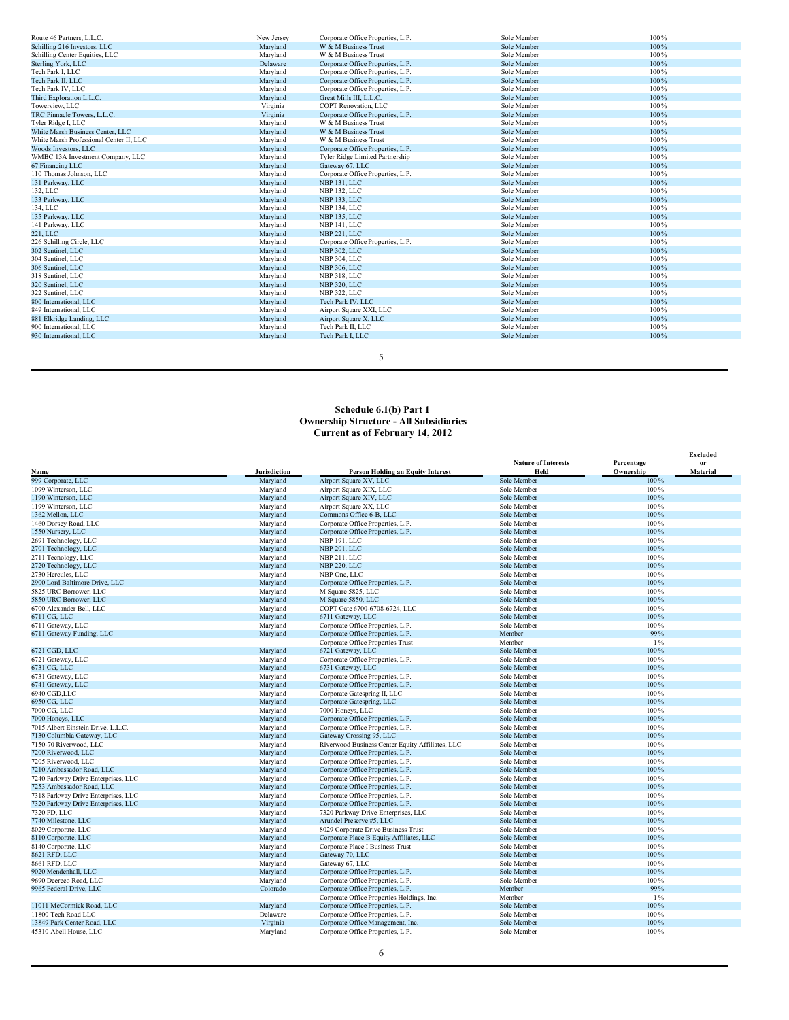| Route 46 Partners, L.L.C.               | New Jersey | Corporate Office Properties, L.P. | Sole Member | 100%    |
|-----------------------------------------|------------|-----------------------------------|-------------|---------|
| Schilling 216 Investors, LLC            | Maryland   | W & M Business Trust              | Sole Member | 100%    |
| Schilling Center Equities, LLC          | Maryland   | W & M Business Trust              | Sole Member | 100%    |
| Sterling York, LLC                      | Delaware   | Corporate Office Properties, L.P. | Sole Member | 100%    |
| Tech Park I, LLC                        | Maryland   | Corporate Office Properties, L.P. | Sole Member | 100%    |
| Tech Park II, LLC                       | Maryland   | Corporate Office Properties, L.P. | Sole Member | 100%    |
| Tech Park IV. LLC                       | Maryland   | Corporate Office Properties, L.P. | Sole Member | 100%    |
| Third Exploration L.L.C.                | Maryland   | Great Mills III, L.L.C.           | Sole Member | 100%    |
| Towerview, LLC                          | Virginia   | COPT Renovation, LLC              | Sole Member | 100%    |
| TRC Pinnacle Towers, L.L.C.             | Virginia   | Corporate Office Properties, L.P. | Sole Member | 100%    |
| Tyler Ridge I, LLC                      | Maryland   | W & M Business Trust              | Sole Member | 100%    |
| White Marsh Business Center, LLC        | Maryland   | W & M Business Trust              | Sole Member | 100%    |
| White Marsh Professional Center II, LLC | Maryland   | W & M Business Trust              | Sole Member | $100\%$ |
| Woods Investors, LLC                    | Maryland   | Corporate Office Properties, L.P. | Sole Member | 100%    |
| WMBC 13A Investment Company, LLC        | Maryland   | Tyler Ridge Limited Partnership   | Sole Member | 100%    |
| 67 Financing LLC                        | Maryland   | Gateway 67, LLC                   | Sole Member | 100%    |
| 110 Thomas Johnson, LLC                 | Maryland   | Corporate Office Properties, L.P. | Sole Member | 100%    |
| 131 Parkway, LLC                        | Maryland   | <b>NBP 131, LLC</b>               | Sole Member | 100%    |
| 132, LLC                                | Maryland   | <b>NBP 132, LLC</b>               | Sole Member | 100%    |
| 133 Parkway, LLC                        | Maryland   | <b>NBP 133, LLC</b>               | Sole Member | 100%    |
| 134, LLC                                | Maryland   | <b>NBP 134, LLC</b>               | Sole Member | 100%    |
| 135 Parkway, LLC                        | Maryland   | <b>NBP 135, LLC</b>               | Sole Member | 100%    |
| 141 Parkway, LLC                        | Maryland   | <b>NBP 141, LLC</b>               | Sole Member | 100%    |
| 221, LLC                                | Maryland   | <b>NBP 221, LLC</b>               | Sole Member | 100%    |
| 226 Schilling Circle, LLC               | Maryland   | Corporate Office Properties, L.P. | Sole Member | 100%    |
| 302 Sentinel, LLC                       | Maryland   | <b>NBP 302, LLC</b>               | Sole Member | 100%    |
| 304 Sentinel, LLC                       | Maryland   | <b>NBP 304, LLC</b>               | Sole Member | 100%    |
| 306 Sentinel, LLC                       | Maryland   | <b>NBP 306, LLC</b>               | Sole Member | 100%    |
| 318 Sentinel, LLC                       | Maryland   | <b>NBP 318, LLC</b>               | Sole Member | 100%    |
| 320 Sentinel, LLC                       | Maryland   | <b>NBP 320, LLC</b>               | Sole Member | 100%    |
| 322 Sentinel, LLC                       | Maryland   | <b>NBP 322, LLC</b>               | Sole Member | 100%    |
| 800 International, LLC                  | Maryland   | Tech Park IV, LLC                 | Sole Member | 100%    |
| 849 International, LLC                  | Maryland   | Airport Square XXI, LLC           | Sole Member | 100%    |
| 881 Elkridge Landing, LLC               | Maryland   | Airport Square X, LLC             | Sole Member | 100%    |
| 900 International, LLC                  | Maryland   | Tech Park II, LLC                 | Sole Member | 100%    |
| 930 International, LLC                  | Maryland   | Tech Park I. LLC                  | Sole Member | $100\%$ |
|                                         |            | 5                                 |             |         |
|                                         |            |                                   |             |         |

#### **Schedule 6.1(b) Part 1 Ownership Structure - All Subsidiaries** Current as of February 14, 2012

**E x c l u d e d**

|                                                 |                                                  | <b>Nature of Interests</b> | Percentage | or       |
|-------------------------------------------------|--------------------------------------------------|----------------------------|------------|----------|
| <b>Jurisdiction</b><br>Name                     | <b>Person Holding an Equity Interest</b>         | Held                       | Ownership  | Material |
| 999 Corporate, LLC<br>Maryland                  | Airport Square XV, LLC                           | Sole Member                | 100%       |          |
| 1099 Winterson, LLC<br>Maryland                 | Airport Square XIX, LLC                          | Sole Member                | 100%       |          |
| 1190 Winterson, LLC<br>Maryland                 | Airport Square XIV, LLC                          | Sole Member                | 100%       |          |
| 1199 Winterson, LLC<br>Maryland                 | Airport Square XX, LLC                           | Sole Member                | 100%       |          |
| Maryland<br>1362 Mellon, LLC                    | Commons Office 6-B, LLC                          | Sole Member                | 100%       |          |
| 1460 Dorsey Road, LLC<br>Maryland               | Corporate Office Properties, L.P.                | Sole Member                | 100%       |          |
| Maryland<br>1550 Nursery, LLC                   | Corporate Office Properties, L.P.                | Sole Member                | 100%       |          |
| Maryland<br>2691 Technology, LLC                | <b>NBP 191, LLC</b>                              | Sole Member                | 100%       |          |
| Maryland<br>2701 Technology, LLC                | <b>NBP 201, LLC</b>                              | Sole Member                | 100%       |          |
| Maryland<br>2711 Tecnology, LLC                 | <b>NBP 211, LLC</b>                              | Sole Member                | 100%       |          |
| Maryland<br>2720 Technology, LLC                | <b>NBP 220, LLC</b>                              | Sole Member                | 100%       |          |
| 2730 Hercules, LLC<br>Maryland                  | NBP One, LLC                                     | Sole Member                | 100%       |          |
| 2900 Lord Baltimore Drive, LLC<br>Maryland      | Corporate Office Properties, L.P.                | Sole Member                | 100%       |          |
| Maryland<br>5825 URC Borrower, LLC              | M Square 5825, LLC                               | Sole Member                | 100%       |          |
| Maryland<br>5850 URC Borrower, LLC              | M Square 5850, LLC                               | Sole Member                | 100%       |          |
| 6700 Alexander Bell, LLC<br>Maryland            | COPT Gate 6700-6708-6724, LLC                    | Sole Member                | 100%       |          |
| Maryland<br>6711 CG, LLC                        | 6711 Gateway, LLC                                | Sole Member                | 100%       |          |
| 6711 Gateway, LLC<br>Maryland                   | Corporate Office Properties, L.P.                | Sole Member                | 100%       |          |
| 6711 Gateway Funding, LLC<br>Maryland           | Corporate Office Properties, L.P.                | Member                     | 99%        |          |
|                                                 | Corporate Office Properties Trust                | Member                     | $1\%$      |          |
| 6721 CGD, LLC<br>Maryland                       | 6721 Gateway, LLC                                | Sole Member                | 100%       |          |
| Maryland<br>6721 Gateway, LLC                   | Corporate Office Properties, L.P.                | Sole Member                | 100%       |          |
| 6731 CG, LLC<br>Maryland                        | 6731 Gateway, LLC                                | Sole Member                | 100%       |          |
| 6731 Gateway, LLC<br>Maryland                   | Corporate Office Properties, L.P.                | Sole Member                | 100%       |          |
| Maryland<br>6741 Gateway, LLC                   | Corporate Office Properties, L.P.                | Sole Member                | 100%       |          |
| 6940 CGD,LLC<br>Maryland                        | Corporate Gatespring II, LLC                     | Sole Member                | 100%       |          |
| Maryland<br>6950 CG, LLC                        | Corporate Gatespring, LLC                        | Sole Member                | 100%       |          |
| 7000 CG, LLC<br>Maryland                        | 7000 Honeys, LLC                                 | Sole Member                | 100%       |          |
| Maryland<br>7000 Honeys, LLC                    | Corporate Office Properties, L.P.                | Sole Member                | 100%       |          |
| Maryland<br>7015 Albert Einstein Drive, L.L.C.  | Corporate Office Properties, L.P.                | Sole Member                | 100%       |          |
| 7130 Columbia Gateway, LLC<br>Maryland          | Gateway Crossing 95, LLC                         | Sole Member                | 100%       |          |
| Maryland<br>7150-70 Riverwood, LLC              | Riverwood Business Center Equity Affiliates, LLC | Sole Member                | 100%       |          |
| 7200 Riverwood, LLC<br>Maryland                 | Corporate Office Properties, L.P.                | Sole Member                | 100%       |          |
| 7205 Riverwood, LLC<br>Maryland                 | Corporate Office Properties, L.P.                | Sole Member                | 100%       |          |
| Maryland<br>7210 Ambassador Road, LLC           | Corporate Office Properties, L.P.                | Sole Member                | 100%       |          |
| 7240 Parkway Drive Enterprises, LLC<br>Maryland | Corporate Office Properties, L.P.                | Sole Member                | 100%       |          |
| Maryland<br>7253 Ambassador Road, LLC           | Corporate Office Properties, L.P.                | Sole Member                | 100%       |          |
| 7318 Parkway Drive Enterprises, LLC<br>Maryland | Corporate Office Properties, L.P.                | Sole Member                | 100%       |          |
| Maryland<br>7320 Parkway Drive Enterprises, LLC | Corporate Office Properties, L.P.                | Sole Member                | 100%       |          |
| 7320 PD, LLC<br>Maryland                        | 7320 Parkway Drive Enterprises, LLC              | Sole Member                | 100%       |          |
| 7740 Milestone, LLC<br>Maryland                 | Arundel Preserve #5, LLC                         | Sole Member                | 100%       |          |
| 8029 Corporate, LLC<br>Maryland                 | 8029 Corporate Drive Business Trust              | Sole Member                | 100%       |          |
| Maryland<br>8110 Corporate, LLC                 | Corporate Place B Equity Affiliates, LLC         | Sole Member                | 100%       |          |
| Maryland<br>8140 Corporate, LLC                 | Corporate Place I Business Trust                 | Sole Member                | 100%       |          |
| 8621 RFD, LLC<br>Maryland                       | Gateway 70, LLC                                  | Sole Member                | 100%       |          |
| Maryland<br>8661 RFD, LLC                       | Gateway 67, LLC                                  | Sole Member                | 100%       |          |
| Maryland<br>9020 Mendenhall, LLC                | Corporate Office Properties, L.P.                | Sole Member                | $100\%$    |          |
| Maryland<br>9690 Deereco Road, LLC              | Corporate Office Properties, L.P.                | Sole Member                | 100%       |          |
| Colorado<br>9965 Federal Drive, LLC             | Corporate Office Properties, L.P.                | Member                     | 99%        |          |
|                                                 | Corporate Office Properties Holdings, Inc.       | Member                     | $1\%$      |          |
| 11011 McCormick Road, LLC<br>Maryland           | Corporate Office Properties, L.P.                | Sole Member                | 100%       |          |
| 11800 Tech Road LLC<br>Delaware                 | Corporate Office Properties, L.P.                | Sole Member                | 100%       |          |
| 13849 Park Center Road, LLC<br>Virginia         | Corporate Office Management, Inc.                | Sole Member                | 100%       |          |
| 45310 Abell House, LLC<br>Maryland              | Corporate Office Properties, L.P.                | Sole Member                | 100%       |          |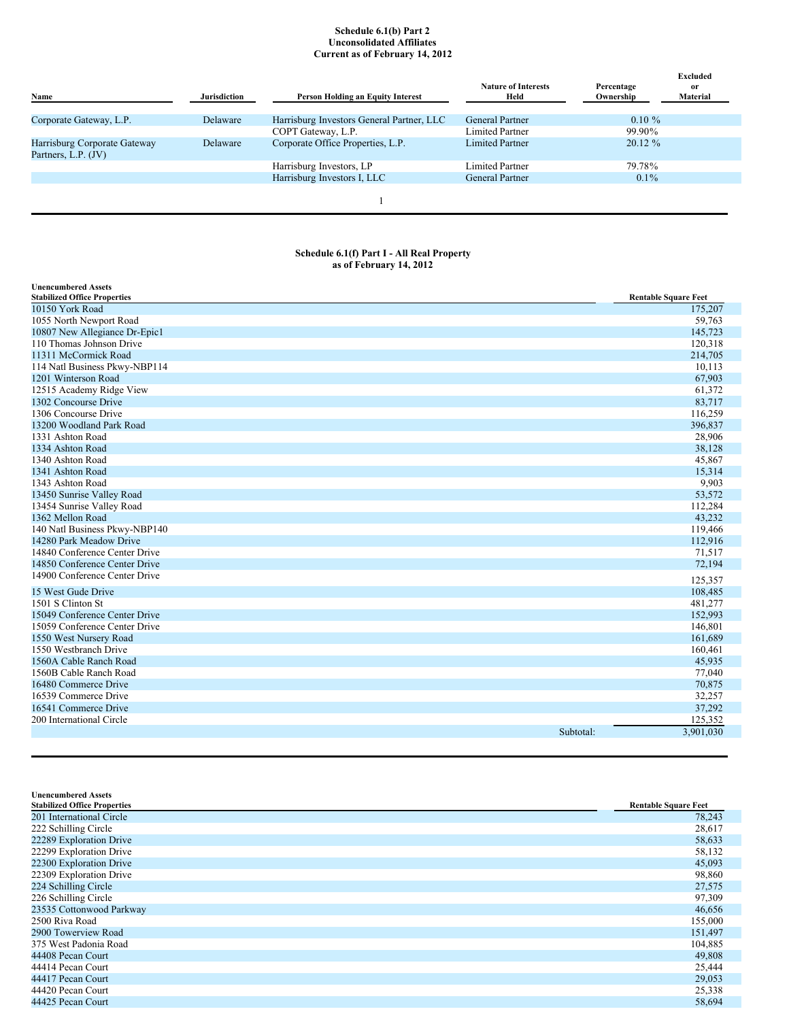## **Schedule 6.1(b) Part 2 Unconsolidated Affiliates Current as of February 14, 2012**

| Name                                                | Jurisdiction | Person Holding an Equity Interest         | <b>Nature of Interests</b><br>Held | Percentage<br>Ownership | Excluded<br>or<br>Material |
|-----------------------------------------------------|--------------|-------------------------------------------|------------------------------------|-------------------------|----------------------------|
| Corporate Gateway, L.P.                             | Delaware     | Harrisburg Investors General Partner, LLC | <b>General Partner</b>             | $0.10 \%$               |                            |
|                                                     |              | COPT Gateway, L.P.                        | <b>Limited Partner</b>             | 99.90%                  |                            |
| Harrisburg Corporate Gateway<br>Partners, L.P. (JV) | Delaware     | Corporate Office Properties, L.P.         | <b>Limited Partner</b>             | $20.12 \%$              |                            |
|                                                     |              | Harrisburg Investors, LP                  | <b>Limited Partner</b>             | 79.78%                  |                            |
|                                                     |              | Harrisburg Investors I, LLC               | <b>General Partner</b>             | $0.1\%$                 |                            |
|                                                     |              |                                           |                                    |                         |                            |

#### **Schedule 6.1(f) Part I - All Real Property as of February 14, 2012**

| <b>Unencumbered Assets</b>          |           |                             |
|-------------------------------------|-----------|-----------------------------|
| <b>Stabilized Office Properties</b> |           | <b>Rentable Square Feet</b> |
| 10150 York Road                     |           | 175,207                     |
| 1055 North Newport Road             |           | 59,763                      |
| 10807 New Allegiance Dr-Epic1       |           | 145,723                     |
| 110 Thomas Johnson Drive            |           | 120,318                     |
| 11311 McCormick Road                |           | 214,705                     |
| 114 Natl Business Pkwy-NBP114       |           | 10,113                      |
| 1201 Winterson Road                 |           | 67,903                      |
| 12515 Academy Ridge View            |           | 61,372                      |
| 1302 Concourse Drive                |           | 83,717                      |
| 1306 Concourse Drive                |           | 116,259                     |
| 13200 Woodland Park Road            |           | 396,837                     |
| 1331 Ashton Road                    |           | 28,906                      |
| 1334 Ashton Road                    |           | 38,128                      |
| 1340 Ashton Road                    |           | 45,867                      |
| 1341 Ashton Road                    |           | 15,314                      |
| 1343 Ashton Road                    |           | 9,903                       |
| 13450 Sunrise Valley Road           |           | 53,572                      |
| 13454 Sunrise Valley Road           |           | 112,284                     |
| 1362 Mellon Road                    |           | 43,232                      |
| 140 Natl Business Pkwy-NBP140       |           | 119,466                     |
| 14280 Park Meadow Drive             |           | 112,916                     |
| 14840 Conference Center Drive       |           | 71,517                      |
| 14850 Conference Center Drive       |           | 72,194                      |
| 14900 Conference Center Drive       |           | 125,357                     |
| 15 West Gude Drive                  |           | 108,485                     |
| 1501 S Clinton St                   |           | 481,277                     |
| 15049 Conference Center Drive       |           | 152,993                     |
| 15059 Conference Center Drive       |           | 146,801                     |
| 1550 West Nursery Road              |           | 161,689                     |
| 1550 Westbranch Drive               |           | 160,461                     |
| 1560A Cable Ranch Road              |           | 45,935                      |
| 1560B Cable Ranch Road              |           | 77,040                      |
| 16480 Commerce Drive                |           | 70,875                      |
| 16539 Commerce Drive                |           | 32,257                      |
| 16541 Commerce Drive                |           | 37,292                      |
| 200 International Circle            |           | 125,352                     |
|                                     | Subtotal: | 3,901,030                   |

| <b>Unencumbered Assets</b>          |                             |
|-------------------------------------|-----------------------------|
| <b>Stabilized Office Properties</b> | <b>Rentable Square Feet</b> |
| 201 International Circle            | 78,243                      |
| 222 Schilling Circle                | 28,617                      |
| 22289 Exploration Drive             | 58,633                      |
| 22299 Exploration Drive             | 58,132                      |
| 22300 Exploration Drive             | 45,093                      |
| 22309 Exploration Drive             | 98,860                      |
| 224 Schilling Circle                | 27,575                      |
| 226 Schilling Circle                | 97,309                      |
| 23535 Cottonwood Parkway            | 46,656                      |
| 2500 Riva Road                      | 155,000                     |
| 2900 Towerview Road                 | 151,497                     |
| 375 West Padonia Road               | 104,885                     |
| 44408 Pecan Court                   | 49,808                      |
| 44414 Pecan Court                   | 25,444                      |
| 44417 Pecan Court                   | 29,053                      |
| 44420 Pecan Court                   | 25,338                      |
| 44425 Pecan Court                   | 58,694                      |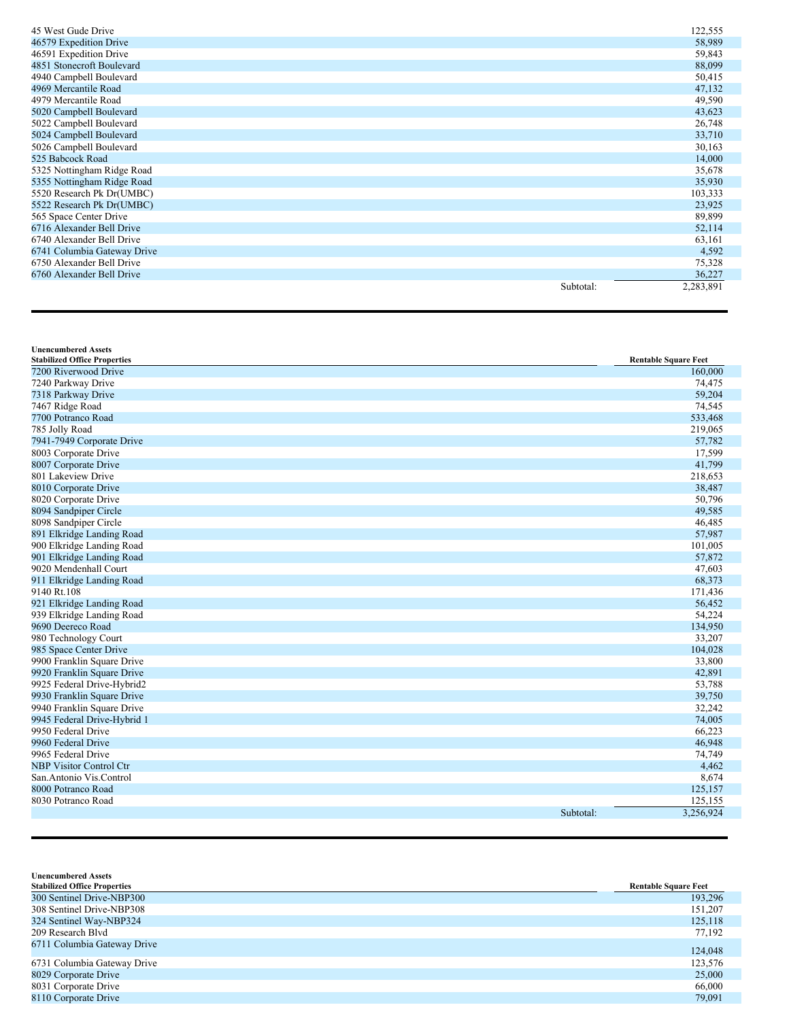| 45 West Gude Drive          | 122,555   |
|-----------------------------|-----------|
| 46579 Expedition Drive      | 58,989    |
| 46591 Expedition Drive      | 59,843    |
| 4851 Stonecroft Boulevard   | 88,099    |
| 4940 Campbell Boulevard     | 50,415    |
| 4969 Mercantile Road        | 47,132    |
| 4979 Mercantile Road        | 49,590    |
| 5020 Campbell Boulevard     | 43,623    |
| 5022 Campbell Boulevard     | 26,748    |
| 5024 Campbell Boulevard     | 33,710    |
| 5026 Campbell Boulevard     | 30,163    |
| 525 Babcock Road            | 14,000    |
| 5325 Nottingham Ridge Road  | 35,678    |
| 5355 Nottingham Ridge Road  | 35,930    |
| 5520 Research Pk Dr(UMBC)   | 103,333   |
| 5522 Research Pk Dr(UMBC)   | 23,925    |
| 565 Space Center Drive      | 89,899    |
| 6716 Alexander Bell Drive   | 52,114    |
| 6740 Alexander Bell Drive   | 63,161    |
| 6741 Columbia Gateway Drive | 4,592     |
| 6750 Alexander Bell Drive   | 75,328    |
| 6760 Alexander Bell Drive   | 36,227    |
| Subtotal:                   | 2,283,891 |

| <b>Unencumbered Assets</b>          |           |                             |
|-------------------------------------|-----------|-----------------------------|
| <b>Stabilized Office Properties</b> |           | <b>Rentable Square Feet</b> |
| 7200 Riverwood Drive                |           | 160,000                     |
| 7240 Parkway Drive                  |           | 74,475                      |
| 7318 Parkway Drive                  |           | 59,204                      |
| 7467 Ridge Road                     |           | 74,545                      |
| 7700 Potranco Road                  |           | 533,468                     |
| 785 Jolly Road                      |           | 219,065                     |
| 7941-7949 Corporate Drive           |           | 57,782                      |
| 8003 Corporate Drive                |           | 17,599                      |
| 8007 Corporate Drive                |           | 41,799                      |
| 801 Lakeview Drive                  |           | 218,653                     |
| 8010 Corporate Drive                |           | 38,487                      |
| 8020 Corporate Drive                |           | 50,796                      |
| 8094 Sandpiper Circle               |           | 49,585                      |
| 8098 Sandpiper Circle               |           | 46,485                      |
| 891 Elkridge Landing Road           |           | 57,987                      |
| 900 Elkridge Landing Road           |           | 101,005                     |
| 901 Elkridge Landing Road           |           | 57,872                      |
| 9020 Mendenhall Court               |           | 47,603                      |
| 911 Elkridge Landing Road           |           | 68,373                      |
| 9140 Rt.108                         |           | 171,436                     |
| 921 Elkridge Landing Road           |           | 56,452                      |
| 939 Elkridge Landing Road           |           | 54,224                      |
| 9690 Deereco Road                   |           | 134,950                     |
| 980 Technology Court                |           | 33,207                      |
| 985 Space Center Drive              |           | 104,028                     |
| 9900 Franklin Square Drive          |           | 33,800                      |
| 9920 Franklin Square Drive          |           | 42,891                      |
| 9925 Federal Drive-Hybrid2          |           | 53,788                      |
| 9930 Franklin Square Drive          |           | 39,750                      |
| 9940 Franklin Square Drive          |           | 32,242                      |
| 9945 Federal Drive-Hybrid 1         |           | 74,005                      |
| 9950 Federal Drive                  |           | 66,223                      |
| 9960 Federal Drive                  |           | 46,948                      |
| 9965 Federal Drive                  |           | 74,749                      |
| <b>NBP Visitor Control Ctr</b>      |           | 4,462                       |
| San.Antonio Vis.Control             |           | 8,674                       |
| 8000 Potranco Road                  |           | 125,157                     |
| 8030 Potranco Road                  |           | 125,155                     |
|                                     | Subtotal: | 3,256,924                   |

| <b>Unencumbered Assets</b>          |                             |
|-------------------------------------|-----------------------------|
| <b>Stabilized Office Properties</b> | <b>Rentable Square Feet</b> |
| 300 Sentinel Drive-NBP300           | 193,296                     |
| 308 Sentinel Drive-NBP308           | 151.207                     |
| 324 Sentinel Way-NBP324             | 125,118                     |
| 209 Research Blvd                   | 77,192                      |
| 6711 Columbia Gateway Drive         | 124,048                     |
| 6731 Columbia Gateway Drive         | 123,576                     |
| 8029 Corporate Drive                | 25,000                      |
| 8031 Corporate Drive                | 66,000                      |
| 8110 Corporate Drive                | 79.091                      |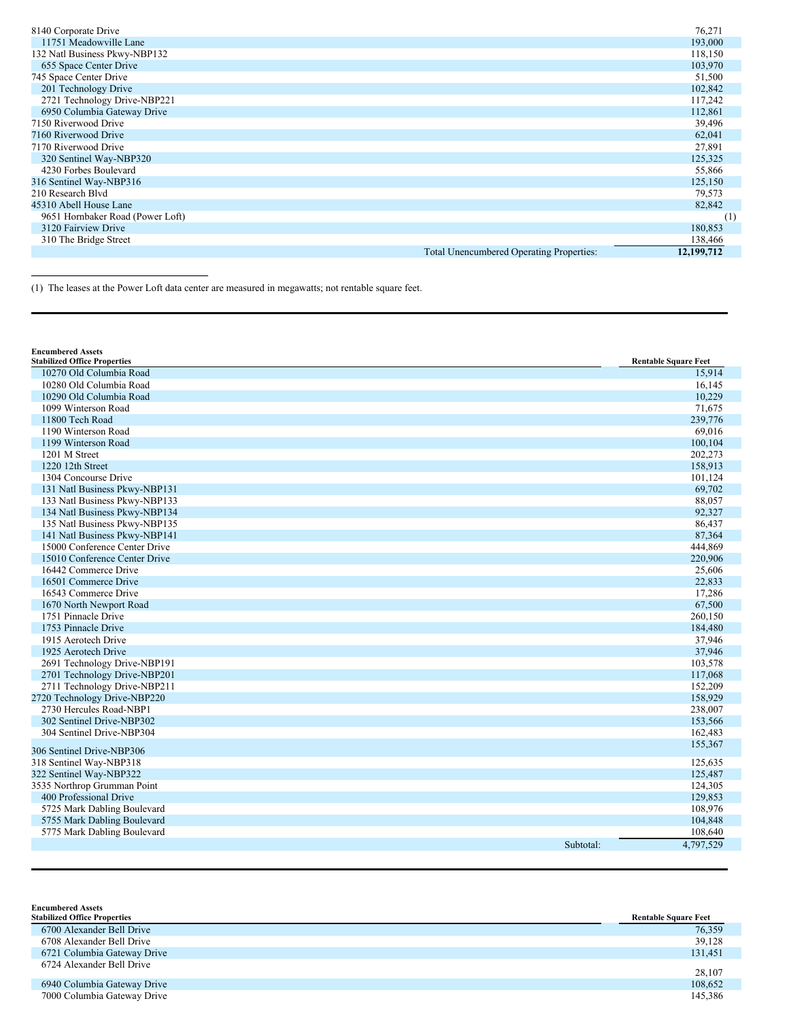| 8140 Corporate Drive             |                                          | 76,271     |
|----------------------------------|------------------------------------------|------------|
| 11751 Meadowville Lane           |                                          | 193,000    |
| 132 Natl Business Pkwy-NBP132    |                                          | 118,150    |
| 655 Space Center Drive           |                                          | 103,970    |
| 745 Space Center Drive           |                                          | 51,500     |
| 201 Technology Drive             |                                          | 102,842    |
| 2721 Technology Drive-NBP221     |                                          | 117,242    |
| 6950 Columbia Gateway Drive      |                                          | 112,861    |
| 7150 Riverwood Drive             |                                          | 39,496     |
| 7160 Riverwood Drive             |                                          | 62,041     |
| 7170 Riverwood Drive             |                                          | 27,891     |
| 320 Sentinel Way-NBP320          |                                          | 125,325    |
| 4230 Forbes Boulevard            |                                          | 55,866     |
| 316 Sentinel Way-NBP316          |                                          | 125,150    |
| 210 Research Blvd                |                                          | 79,573     |
| 45310 Abell House Lane           |                                          | 82,842     |
| 9651 Hornbaker Road (Power Loft) |                                          | (1)        |
| 3120 Fairview Drive              |                                          | 180,853    |
| 310 The Bridge Street            |                                          | 138,466    |
|                                  | Total Unencumbered Operating Properties: | 12,199,712 |
|                                  |                                          |            |

(1) The leases at the Power Loft data center are measured in megawatts; not rentable square feet.

| <b>Encumbered Assets</b><br><b>Stabilized Office Properties</b> |           | <b>Rentable Square Feet</b> |
|-----------------------------------------------------------------|-----------|-----------------------------|
| 10270 Old Columbia Road                                         |           | 15,914                      |
| 10280 Old Columbia Road                                         |           | 16,145                      |
| 10290 Old Columbia Road                                         |           | 10,229                      |
| 1099 Winterson Road                                             |           | 71,675                      |
| 11800 Tech Road                                                 |           | 239,776                     |
| 1190 Winterson Road                                             |           | 69,016                      |
| 1199 Winterson Road                                             |           | 100,104                     |
| 1201 M Street                                                   |           | 202,273                     |
| 1220 12th Street                                                |           | 158,913                     |
| 1304 Concourse Drive                                            |           | 101,124                     |
| 131 Natl Business Pkwy-NBP131                                   |           | 69,702                      |
| 133 Natl Business Pkwy-NBP133                                   |           | 88,057                      |
| 134 Natl Business Pkwy-NBP134                                   |           | 92,327                      |
| 135 Natl Business Pkwy-NBP135                                   |           | 86,437                      |
| 141 Natl Business Pkwy-NBP141                                   |           | 87,364                      |
| 15000 Conference Center Drive                                   |           | 444,869                     |
| 15010 Conference Center Drive                                   |           | 220,906                     |
| 16442 Commerce Drive                                            |           | 25,606                      |
| 16501 Commerce Drive                                            |           | 22,833                      |
| 16543 Commerce Drive                                            |           | 17,286                      |
| 1670 North Newport Road                                         |           | 67,500                      |
| 1751 Pinnacle Drive                                             |           | 260,150                     |
| 1753 Pinnacle Drive                                             |           | 184,480                     |
| 1915 Aerotech Drive                                             |           | 37,946                      |
| 1925 Aerotech Drive                                             |           | 37,946                      |
| 2691 Technology Drive-NBP191                                    |           | 103,578                     |
| 2701 Technology Drive-NBP201                                    |           | 117,068                     |
| 2711 Technology Drive-NBP211                                    |           | 152,209                     |
| 2720 Technology Drive-NBP220                                    |           | 158,929                     |
| 2730 Hercules Road-NBP1                                         |           | 238,007                     |
| 302 Sentinel Drive-NBP302                                       |           | 153,566                     |
| 304 Sentinel Drive-NBP304                                       |           | 162,483                     |
| 306 Sentinel Drive-NBP306                                       |           | 155,367                     |
| 318 Sentinel Way-NBP318                                         |           | 125,635                     |
| 322 Sentinel Way-NBP322                                         |           | 125,487                     |
| 3535 Northrop Grumman Point                                     |           | 124,305                     |
| 400 Professional Drive                                          |           | 129,853                     |
| 5725 Mark Dabling Boulevard                                     |           | 108,976                     |
| 5755 Mark Dabling Boulevard                                     |           | 104,848                     |
| 5775 Mark Dabling Boulevard                                     |           | 108,640                     |
|                                                                 | Subtotal: | 4,797,529                   |

| <b>Encumbered Assets</b><br><b>Stabilized Office Properties</b> | <b>Rentable Square Feet</b> |
|-----------------------------------------------------------------|-----------------------------|
| 6700 Alexander Bell Drive                                       | 76,359                      |
| 6708 Alexander Bell Drive                                       | 39,128                      |
| 6721 Columbia Gateway Drive                                     | 131,451                     |
| 6724 Alexander Bell Drive                                       | 28,107                      |
| 6940 Columbia Gateway Drive                                     | 108,652                     |
| 7000 Columbia Gateway Drive                                     | 145,386                     |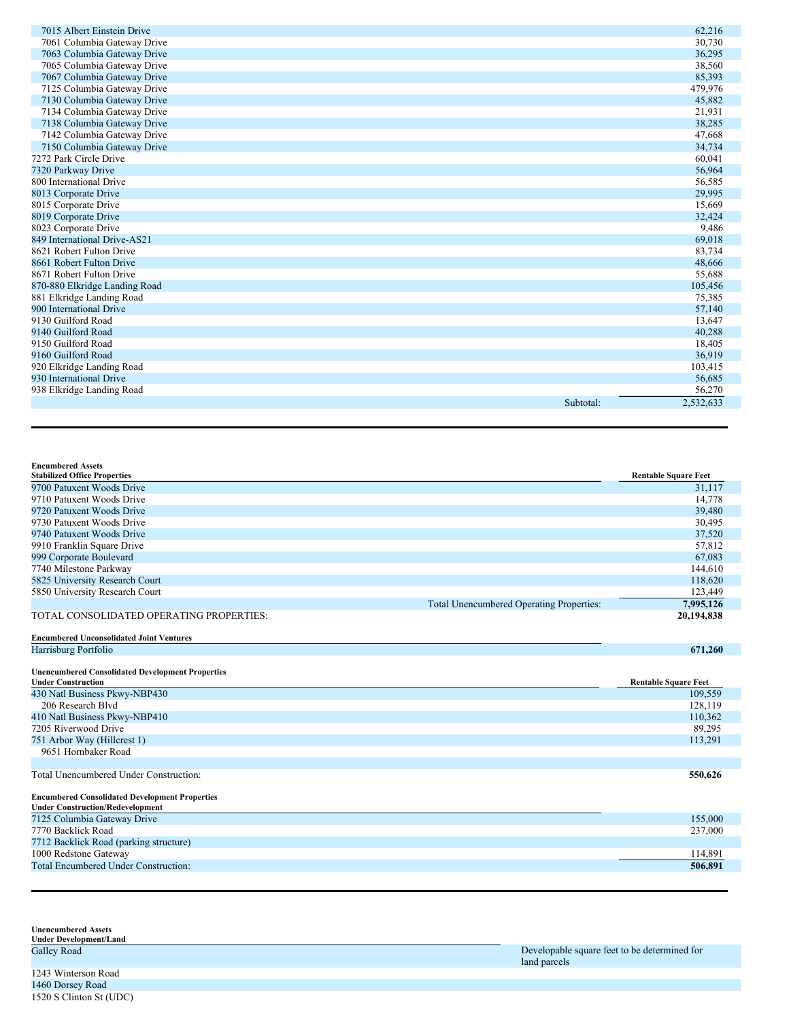| 7015 Albert Einstein Drive    |           | 62,216    |
|-------------------------------|-----------|-----------|
| 7061 Columbia Gateway Drive   |           | 30,730    |
| 7063 Columbia Gateway Drive   |           | 36,295    |
| 7065 Columbia Gateway Drive   |           | 38,560    |
| 7067 Columbia Gateway Drive   |           | 85,393    |
| 7125 Columbia Gateway Drive   |           | 479,976   |
| 7130 Columbia Gateway Drive   |           | 45,882    |
| 7134 Columbia Gateway Drive   |           | 21,931    |
| 7138 Columbia Gateway Drive   |           | 38,285    |
| 7142 Columbia Gateway Drive   |           | 47,668    |
| 7150 Columbia Gateway Drive   |           | 34,734    |
| 7272 Park Circle Drive        |           | 60,041    |
| 7320 Parkway Drive            |           | 56,964    |
| 800 International Drive       |           | 56,585    |
| 8013 Corporate Drive          |           | 29,995    |
| 8015 Corporate Drive          |           | 15,669    |
| 8019 Corporate Drive          |           | 32,424    |
| 8023 Corporate Drive          |           | 9,486     |
| 849 International Drive-AS21  |           | 69,018    |
| 8621 Robert Fulton Drive      |           | 83,734    |
| 8661 Robert Fulton Drive      |           | 48,666    |
| 8671 Robert Fulton Drive      |           | 55,688    |
| 870-880 Elkridge Landing Road |           | 105,456   |
| 881 Elkridge Landing Road     |           | 75,385    |
| 900 International Drive       |           | 57,140    |
| 9130 Guilford Road            |           | 13,647    |
| 9140 Guilford Road            |           | 40,288    |
| 9150 Guilford Road            |           | 18,405    |
| 9160 Guilford Road            |           | 36,919    |
| 920 Elkridge Landing Road     |           | 103,415   |
| 930 International Drive       |           | 56,685    |
| 938 Elkridge Landing Road     |           | 56,270    |
|                               | Subtotal: | 2,532,633 |

| <b>Encumbered Assets</b>                                |                                                 |                             |
|---------------------------------------------------------|-------------------------------------------------|-----------------------------|
| <b>Stabilized Office Properties</b>                     |                                                 | <b>Rentable Square Feet</b> |
| 9700 Patuxent Woods Drive                               |                                                 | 31,117                      |
| 9710 Patuxent Woods Drive                               |                                                 | 14,778                      |
| 9720 Patuxent Woods Drive                               |                                                 | 39,480                      |
| 9730 Patuxent Woods Drive                               |                                                 | 30,495                      |
| 9740 Patuxent Woods Drive                               |                                                 | 37,520                      |
| 9910 Franklin Square Drive                              |                                                 | 57,812                      |
| 999 Corporate Boulevard                                 |                                                 | 67,083                      |
| 7740 Milestone Parkway                                  |                                                 | 144,610                     |
| 5825 University Research Court                          |                                                 | 118,620                     |
| 5850 University Research Court                          |                                                 | 123,449                     |
|                                                         | <b>Total Unencumbered Operating Properties:</b> | 7,995,126                   |
| TOTAL CONSOLIDATED OPERATING PROPERTIES:                |                                                 | 20,194,838                  |
| <b>Encumbered Unconsolidated Joint Ventures</b>         |                                                 |                             |
| Harrisburg Portfolio                                    |                                                 | 671,260                     |
| <b>Unencumbered Consolidated Development Properties</b> |                                                 |                             |
| <b>Under Construction</b>                               |                                                 | <b>Rentable Square Feet</b> |
| 430 Natl Business Pkwy-NBP430                           |                                                 | 109,559                     |
|                                                         |                                                 |                             |

| 206 Research Blyd                      | 128,119 |
|----------------------------------------|---------|
| 410 Natl Business Pkwy-NBP410          | 110,362 |
| 7205 Riverwood Drive                   | 89.295  |
| 751 Arbor Way (Hillcrest 1)            | 113.291 |
| 9651 Hornbaker Road                    |         |
|                                        |         |
| Total Unencumbered Under Construction: | 550,626 |

# **Encumbered Consolidated Development Properties**

| <b>Under Construction/Redevelopment</b>     |         |
|---------------------------------------------|---------|
| 7125 Columbia Gateway Drive                 | 155,000 |
| 7770 Backlick Road                          | 237,000 |
| 7712 Backlick Road (parking structure)      |         |
| 1000 Redstone Gateway                       | 114.891 |
| <b>Total Encumbered Under Construction:</b> | 506.891 |

| <b>Unencumbered Assets</b><br><b>Under Development/Land</b> |                                                              |
|-------------------------------------------------------------|--------------------------------------------------------------|
| <b>Galley Road</b>                                          | Developable square feet to be determined for<br>land parcels |
| 1243 Winterson Road                                         |                                                              |
| 1460 Dorsey Road                                            |                                                              |
| 1520 S Clinton St (UDC)                                     |                                                              |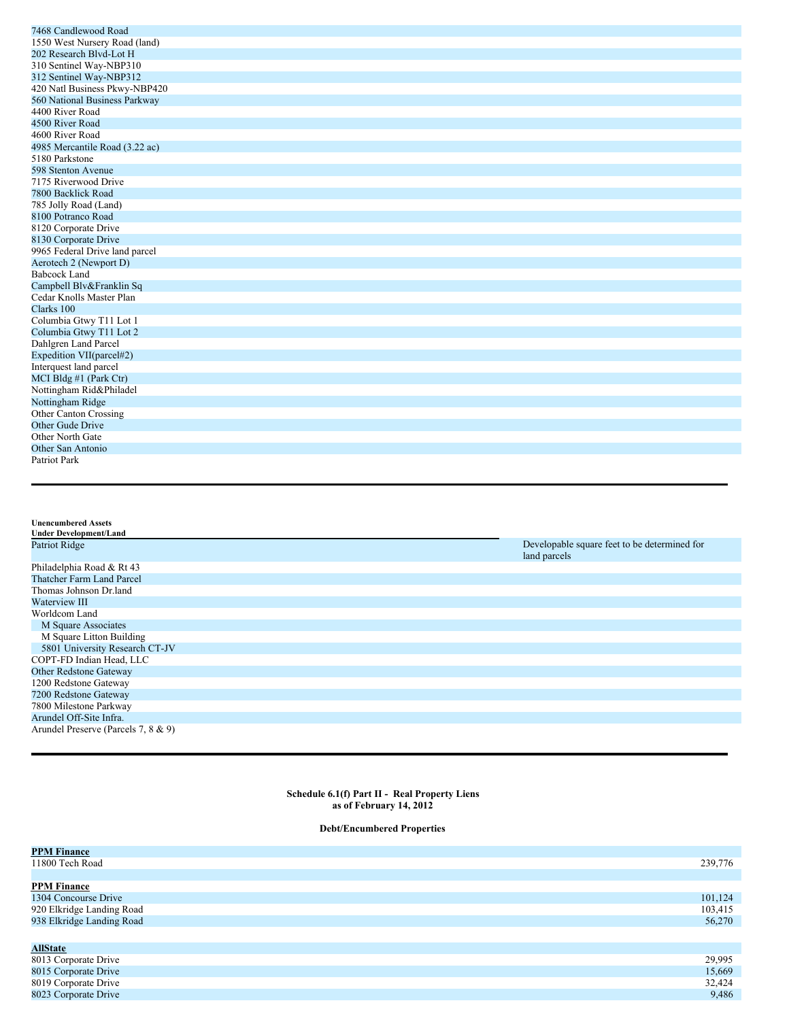| 7468 Candlewood Road           |
|--------------------------------|
| 1550 West Nursery Road (land)  |
| 202 Research Blvd-Lot H        |
| 310 Sentinel Way-NBP310        |
| 312 Sentinel Way-NBP312        |
| 420 Natl Business Pkwy-NBP420  |
| 560 National Business Parkway  |
| 4400 River Road                |
| 4500 River Road                |
| 4600 River Road                |
| 4985 Mercantile Road (3.22 ac) |
| 5180 Parkstone                 |
| 598 Stenton Avenue             |
| 7175 Riverwood Drive           |
| 7800 Backlick Road             |
| 785 Jolly Road (Land)          |
| 8100 Potranco Road             |
| 8120 Corporate Drive           |
| 8130 Corporate Drive           |
| 9965 Federal Drive land parcel |
| Aerotech 2 (Newport D)         |
| <b>Babcock Land</b>            |
| Campbell Blv&Franklin Sq       |
| Cedar Knolls Master Plan       |
| Clarks 100                     |
| Columbia Gtwy T11 Lot 1        |
| Columbia Gtwy T11 Lot 2        |
| Dahlgren Land Parcel           |
| Expedition VII(parcel#2)       |
| Interquest land parcel         |
| MCI Bldg #1 (Park Ctr)         |
| Nottingham Rid&Philadel        |
| Nottingham Ridge               |
| Other Canton Crossing          |
| Other Gude Drive               |
| Other North Gate               |
| Other San Antonio              |
| <b>Patriot Park</b>            |
|                                |

| <b>Unencumbered Assets</b>          |                                                              |
|-------------------------------------|--------------------------------------------------------------|
| <b>Under Development/Land</b>       |                                                              |
| Patriot Ridge                       | Developable square feet to be determined for<br>land parcels |
| Philadelphia Road & Rt 43           |                                                              |
| Thatcher Farm Land Parcel           |                                                              |
| Thomas Johnson Dr.land              |                                                              |
| Waterview III                       |                                                              |
| Worldcom Land                       |                                                              |
| M Square Associates                 |                                                              |
| M Square Litton Building            |                                                              |
| 5801 University Research CT-JV      |                                                              |
| COPT-FD Indian Head, LLC            |                                                              |
| Other Redstone Gateway              |                                                              |
| 1200 Redstone Gateway               |                                                              |
| 7200 Redstone Gateway               |                                                              |
| 7800 Milestone Parkway              |                                                              |
| Arundel Off-Site Infra.             |                                                              |
| Arundel Preserve (Parcels 7, 8 & 9) |                                                              |

**Schedule 6.1(f) Part II - Real Property Liens as of February 14, 2012**

# **Debt/Encumbered Properties**

| <b>PPM Finance</b>        |         |
|---------------------------|---------|
| 11800 Tech Road           | 239,776 |
|                           |         |
| <b>PPM Finance</b>        |         |
| 1304 Concourse Drive      | 101,124 |
| 920 Elkridge Landing Road | 103,415 |
| 938 Elkridge Landing Road | 56,270  |
|                           |         |
| <b>AllState</b>           |         |
| 8013 Corporate Drive      | 29,995  |
| 8015 Corporate Drive      | 15,669  |
| 8019 Corporate Drive      | 32,424  |
| 8023 Corporate Drive      | 9,486   |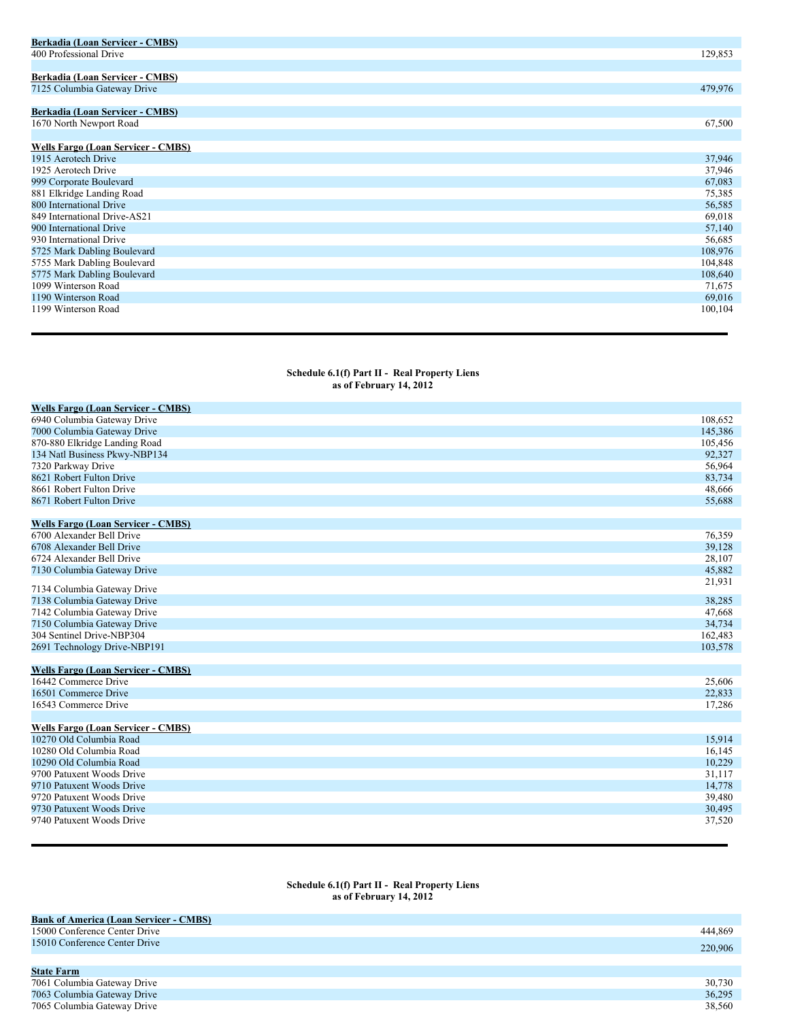| Berkadia (Loan Servicer - CMBS)           |         |
|-------------------------------------------|---------|
| 400 Professional Drive                    | 129,853 |
|                                           |         |
| Berkadia (Loan Servicer - CMBS)           |         |
| 7125 Columbia Gateway Drive               | 479,976 |
|                                           |         |
| Berkadia (Loan Servicer - CMBS)           |         |
| 1670 North Newport Road                   | 67,500  |
|                                           |         |
| <b>Wells Fargo (Loan Servicer - CMBS)</b> |         |
| 1915 Aerotech Drive                       | 37,946  |
| 1925 Aerotech Drive                       | 37,946  |
| 999 Corporate Boulevard                   | 67,083  |
| 881 Elkridge Landing Road                 | 75,385  |
| 800 International Drive                   | 56,585  |
| 849 International Drive-AS21              | 69,018  |
| 900 International Drive                   | 57,140  |
| 930 International Drive                   | 56,685  |
| 5725 Mark Dabling Boulevard               | 108,976 |
| 5755 Mark Dabling Boulevard               | 104,848 |
| 5775 Mark Dabling Boulevard               | 108,640 |
| 1099 Winterson Road                       | 71,675  |
| 1190 Winterson Road                       | 69,016  |
| 1199 Winterson Road                       | 100,104 |
|                                           |         |

### Schedule 6.1(f) Part II - Real Property Liens **a s o f F e b r u a r y 1 4 , 2 0 1 2**

| <b>Wells Fargo (Loan Servicer - CMBS)</b>                              |         |
|------------------------------------------------------------------------|---------|
| 6940 Columbia Gateway Drive                                            | 108,652 |
| 7000 Columbia Gateway Drive                                            | 145,386 |
| 870-880 Elkridge Landing Road                                          | 105,456 |
| 134 Natl Business Pkwy-NBP134                                          | 92,327  |
| 7320 Parkway Drive                                                     | 56,964  |
| 8621 Robert Fulton Drive                                               | 83,734  |
| 8661 Robert Fulton Drive                                               | 48,666  |
| 8671 Robert Fulton Drive                                               | 55,688  |
|                                                                        |         |
| <b>Wells Fargo (Loan Servicer - CMBS)</b><br>6700 Alexander Bell Drive |         |
| 6708 Alexander Bell Drive                                              | 76,359  |
|                                                                        | 39,128  |
| 6724 Alexander Bell Drive                                              | 28,107  |
| 7130 Columbia Gateway Drive                                            | 45,882  |
| 7134 Columbia Gateway Drive                                            | 21,931  |
| 7138 Columbia Gateway Drive                                            | 38,285  |
| 7142 Columbia Gateway Drive                                            | 47,668  |
| 7150 Columbia Gateway Drive                                            | 34,734  |
| 304 Sentinel Drive-NBP304                                              | 162,483 |
| 2691 Technology Drive-NBP191                                           | 103,578 |
|                                                                        |         |
| <b>Wells Fargo (Loan Servicer - CMBS)</b>                              |         |
| 16442 Commerce Drive                                                   | 25,606  |
| 16501 Commerce Drive                                                   | 22,833  |
| 16543 Commerce Drive                                                   | 17,286  |
|                                                                        |         |
| <b>Wells Fargo (Loan Servicer - CMBS)</b>                              |         |
| 10270 Old Columbia Road                                                | 15,914  |
| 10280 Old Columbia Road                                                | 16,145  |
| 10290 Old Columbia Road                                                | 10,229  |
| 9700 Patuxent Woods Drive                                              | 31,117  |
| 9710 Patuxent Woods Drive                                              | 14,778  |
| 9720 Patuxent Woods Drive                                              | 39,480  |
| 9730 Patuxent Woods Drive                                              | 30,495  |
| 9740 Patuxent Woods Drive                                              | 37,520  |

### Schedule 6.1(f) Part II - Real Property Liens **a s o f F e b r u a r y 1 4 , 2 0 1 2**

| <b>Bank of America (Loan Servicer - CMBS)</b> |         |
|-----------------------------------------------|---------|
| 15000 Conference Center Drive                 | 444,869 |
| 15010 Conference Center Drive                 | 220,906 |
|                                               |         |
| <b>State Farm</b>                             |         |
| 7061 Columbia Gateway Drive                   | 30,730  |
| 7063 Columbia Gateway Drive                   | 36,295  |
| 7065 Columbia Gateway Drive                   | 38,560  |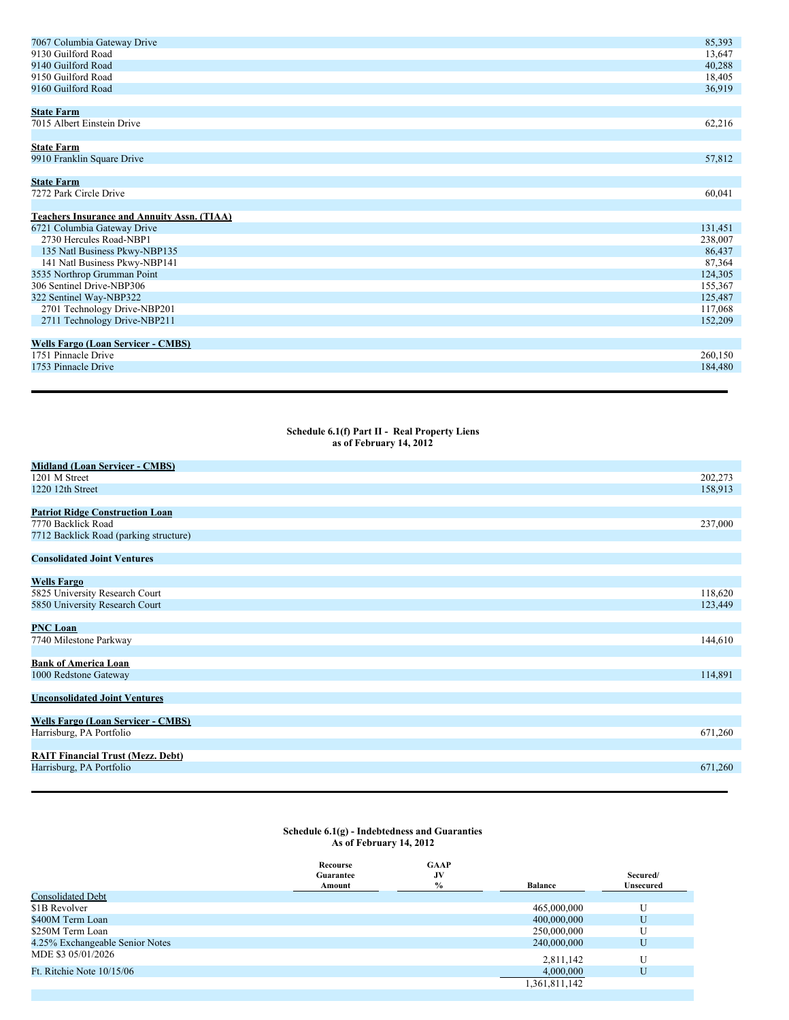| 7067 Columbia Gateway Drive                        | 85,393  |
|----------------------------------------------------|---------|
| 9130 Guilford Road                                 | 13,647  |
| 9140 Guilford Road                                 | 40,288  |
| 9150 Guilford Road                                 | 18,405  |
| 9160 Guilford Road                                 | 36,919  |
|                                                    |         |
| <b>State Farm</b>                                  |         |
| 7015 Albert Einstein Drive                         | 62,216  |
|                                                    |         |
| <b>State Farm</b>                                  |         |
| 9910 Franklin Square Drive                         | 57,812  |
|                                                    |         |
| <b>State Farm</b>                                  |         |
| 7272 Park Circle Drive                             | 60,041  |
|                                                    |         |
| <b>Teachers Insurance and Annuity Assn. (TIAA)</b> |         |
| 6721 Columbia Gateway Drive                        | 131,451 |
| 2730 Hercules Road-NBP1                            | 238,007 |
| 135 Natl Business Pkwy-NBP135                      | 86,437  |
| 141 Natl Business Pkwy-NBP141                      | 87,364  |
| 3535 Northrop Grumman Point                        | 124,305 |
| 306 Sentinel Drive-NBP306                          | 155,367 |
| 322 Sentinel Way-NBP322                            | 125,487 |
| 2701 Technology Drive-NBP201                       | 117,068 |
| 2711 Technology Drive-NBP211                       | 152,209 |
|                                                    |         |
| <b>Wells Fargo (Loan Servicer - CMBS)</b>          |         |
| 1751 Pinnacle Drive                                | 260,150 |
| 1753 Pinnacle Drive                                | 184,480 |
|                                                    |         |

### **Schedule 6.1(f) Part II - Real Property Liens as of February 14, 2012**

| <b>Midland (Loan Servicer - CMBS)</b>     |         |
|-------------------------------------------|---------|
| 1201 M Street                             | 202,273 |
| 1220 12th Street                          | 158,913 |
|                                           |         |
| <b>Patriot Ridge Construction Loan</b>    |         |
| 7770 Backlick Road                        | 237,000 |
| 7712 Backlick Road (parking structure)    |         |
|                                           |         |
| <b>Consolidated Joint Ventures</b>        |         |
|                                           |         |
| <b>Wells Fargo</b>                        |         |
| 5825 University Research Court            | 118,620 |
| 5850 University Research Court            | 123,449 |
|                                           |         |
| <b>PNC Loan</b>                           |         |
| 7740 Milestone Parkway                    | 144,610 |
|                                           |         |
| <b>Bank of America Loan</b>               |         |
| 1000 Redstone Gateway                     | 114,891 |
|                                           |         |
| <b>Unconsolidated Joint Ventures</b>      |         |
|                                           |         |
| <b>Wells Fargo (Loan Servicer - CMBS)</b> |         |
| Harrisburg, PA Portfolio                  | 671,260 |
|                                           |         |
| <b>RAIT Financial Trust (Mezz. Debt)</b>  |         |
| Harrisburg, PA Portfolio                  | 671,260 |
|                                           |         |

### **Schedule 6.1(g) - Indebtedness and Guaranties As of February 14, 2012**

|                                 | Recourse<br>Guarantee | <b>GAAP</b><br>JV |                | Secured/  |
|---------------------------------|-----------------------|-------------------|----------------|-----------|
|                                 | Amount                | $\frac{6}{6}$     | <b>Balance</b> | Unsecured |
| <b>Consolidated Debt</b>        |                       |                   |                |           |
| \$1B Revolver                   |                       |                   | 465,000,000    | U         |
| \$400M Term Loan                |                       |                   | 400,000,000    | U         |
| \$250M Term Loan                |                       |                   | 250,000,000    | U         |
| 4.25% Exchangeable Senior Notes |                       |                   | 240,000,000    | U         |
| MDE \$3 05/01/2026              |                       |                   | 2,811,142      | U         |
| Ft. Ritchie Note 10/15/06       |                       |                   | 4,000,000      | U         |
|                                 |                       |                   | 1,361,811,142  |           |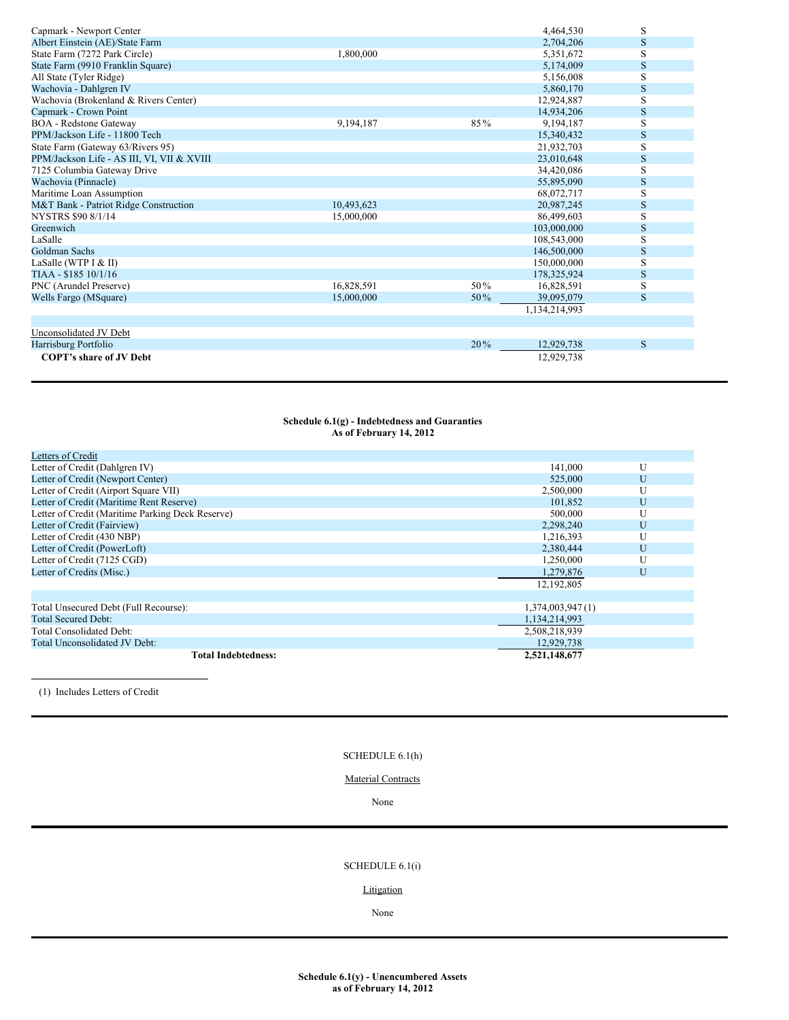| Capmark - Newport Center                   |            |        | 4,464,530     | S |  |
|--------------------------------------------|------------|--------|---------------|---|--|
| Albert Einstein (AE)/State Farm            |            |        | 2,704,206     | S |  |
| State Farm (7272 Park Circle)              | 1,800,000  |        | 5,351,672     | S |  |
| State Farm (9910 Franklin Square)          |            |        | 5,174,009     | S |  |
| All State (Tyler Ridge)                    |            |        | 5,156,008     | S |  |
| Wachovia - Dahlgren IV                     |            |        | 5,860,170     | S |  |
| Wachovia (Brokenland & Rivers Center)      |            |        | 12,924,887    | S |  |
| Capmark - Crown Point                      |            |        | 14,934,206    | S |  |
| <b>BOA</b> - Redstone Gateway              | 9,194,187  | 85%    | 9,194,187     | S |  |
| PPM/Jackson Life - 11800 Tech              |            |        | 15,340,432    | S |  |
| State Farm (Gateway 63/Rivers 95)          |            |        | 21,932,703    | S |  |
| PPM/Jackson Life - AS III, VI, VII & XVIII |            |        | 23,010,648    | S |  |
| 7125 Columbia Gateway Drive                |            |        | 34,420,086    | S |  |
| Wachovia (Pinnacle)                        |            |        | 55,895,090    | S |  |
| Maritime Loan Assumption                   |            |        | 68,072,717    | S |  |
| M&T Bank - Patriot Ridge Construction      | 10,493,623 |        | 20.987.245    | S |  |
| <b>NYSTRS \$90 8/1/14</b>                  | 15,000,000 |        | 86,499,603    | S |  |
| Greenwich                                  |            |        | 103,000,000   | S |  |
| LaSalle                                    |            |        | 108,543,000   | S |  |
| Goldman Sachs                              |            |        | 146,500,000   | S |  |
| LaSalle (WTP $I & II$ )                    |            |        | 150,000,000   | S |  |
| TIAA - \$185 10/1/16                       |            |        | 178,325,924   | S |  |
| PNC (Arundel Preserve)                     | 16,828,591 | 50%    | 16,828,591    | S |  |
| Wells Fargo (MSquare)                      | 15,000,000 | $50\%$ | 39,095,079    | S |  |
|                                            |            |        | 1,134,214,993 |   |  |
|                                            |            |        |               |   |  |
| Unconsolidated JV Debt                     |            |        |               |   |  |
| Harrisburg Portfolio                       |            | 20%    | 12,929,738    | S |  |
| <b>COPT's share of JV Debt</b>             |            |        | 12,929,738    |   |  |

### **Schedule 6.1(g) - Indebtedness and Guaranties As of February 14, 2012**

| Letters of Credit                                |                  |   |
|--------------------------------------------------|------------------|---|
| Letter of Credit (Dahlgren IV)                   | 141,000          | U |
| Letter of Credit (Newport Center)                | 525,000          | U |
| Letter of Credit (Airport Square VII)            | 2,500,000        | U |
| Letter of Credit (Maritime Rent Reserve)         | 101,852          | U |
| Letter of Credit (Maritime Parking Deck Reserve) | 500,000          | U |
| Letter of Credit (Fairview)                      | 2,298,240        | U |
| Letter of Credit (430 NBP)                       | 1,216,393        | U |
| Letter of Credit (PowerLoft)                     | 2,380,444        | U |
| Letter of Credit (7125 CGD)                      | 1,250,000        |   |
| Letter of Credits (Misc.)                        | 1,279,876        | U |
|                                                  | 12,192,805       |   |
|                                                  |                  |   |
| Total Unsecured Debt (Full Recourse):            | 1,374,003,947(1) |   |
| <b>Total Secured Debt:</b>                       | 1,134,214,993    |   |
| Total Consolidated Debt:                         | 2,508,218,939    |   |
| Total Unconsolidated JV Debt:                    | 12,929,738       |   |
| <b>Total Indebtedness:</b>                       | 2,521,148,677    |   |

(1) Includes Letters of Credit

# SCHEDULE 6.1(h)

# Material Contracts

None

# SCHEDULE 6.1(i)

## **Litigation**

None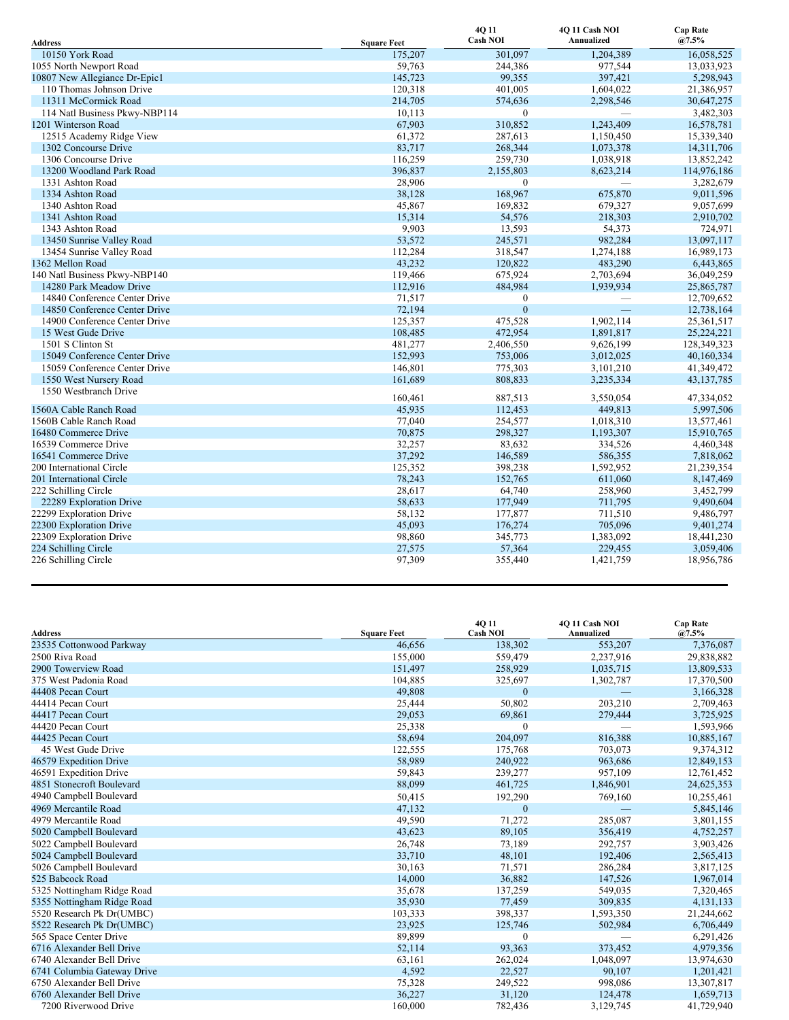|                               |                    | 4Q 11        | 4Q 11 Cash NOI | <b>Cap Rate</b> |
|-------------------------------|--------------------|--------------|----------------|-----------------|
| <b>Address</b>                | <b>Square Feet</b> | Cash NOI     | Annualized     | $@7.5\%$        |
| 10150 York Road               | 175,207            | 301,097      | 1,204,389      | 16,058,525      |
| 1055 North Newport Road       | 59,763             | 244,386      | 977,544        | 13,033,923      |
| 10807 New Allegiance Dr-Epic1 | 145,723            | 99,355       | 397,421        | 5,298,943       |
| 110 Thomas Johnson Drive      | 120,318            | 401,005      | 1,604,022      | 21,386,957      |
| 11311 McCormick Road          | 214,705            | 574,636      | 2,298,546      | 30,647,275      |
| 114 Natl Business Pkwy-NBP114 | 10,113             | $\mathbf{0}$ |                | 3,482,303       |
| 1201 Winterson Road           | 67,903             | 310,852      | 1,243,409      | 16,578,781      |
| 12515 Academy Ridge View      | 61,372             | 287,613      | 1,150,450      | 15,339,340      |
| 1302 Concourse Drive          | 83,717             | 268,344      | 1,073,378      | 14,311,706      |
| 1306 Concourse Drive          | 116,259            | 259,730      | 1,038,918      | 13,852,242      |
| 13200 Woodland Park Road      | 396,837            | 2,155,803    | 8,623,214      | 114,976,186     |
| 1331 Ashton Road              | 28,906             | $\mathbf{0}$ |                | 3,282,679       |
| 1334 Ashton Road              | 38,128             | 168,967      | 675,870        | 9,011,596       |
| 1340 Ashton Road              | 45,867             | 169,832      | 679,327        | 9,057,699       |
| 1341 Ashton Road              | 15,314             | 54,576       | 218,303        | 2,910,702       |
| 1343 Ashton Road              | 9,903              | 13,593       | 54,373         | 724,971         |
| 13450 Sunrise Valley Road     | 53,572             | 245,571      | 982,284        | 13,097,117      |
| 13454 Sunrise Valley Road     | 112,284            | 318,547      | 1,274,188      | 16,989,173      |
| 1362 Mellon Road              | 43,232             | 120,822      | 483,290        | 6,443,865       |
| 140 Natl Business Pkwy-NBP140 | 119,466            | 675,924      | 2,703,694      | 36,049,259      |
| 14280 Park Meadow Drive       | 112,916            | 484,984      | 1,939,934      | 25,865,787      |
| 14840 Conference Center Drive | 71,517             | $\mathbf{0}$ |                | 12,709,652      |
| 14850 Conference Center Drive | 72,194             | $\mathbf{0}$ | $\equiv$       | 12,738,164      |
| 14900 Conference Center Drive | 125,357            | 475,528      | 1,902,114      | 25,361,517      |
| 15 West Gude Drive            | 108,485            | 472,954      | 1,891,817      | 25,224,221      |
| 1501 S Clinton St             | 481,277            | 2,406,550    | 9,626,199      | 128,349,323     |
| 15049 Conference Center Drive | 152,993            | 753,006      | 3,012,025      | 40,160,334      |
| 15059 Conference Center Drive | 146,801            | 775,303      | 3,101,210      | 41,349,472      |
| 1550 West Nursery Road        | 161,689            | 808,833      | 3,235,334      | 43,137,785      |
| 1550 Westbranch Drive         |                    |              |                |                 |
|                               | 160,461            | 887,513      | 3,550,054      | 47,334,052      |
| 1560A Cable Ranch Road        | 45,935             | 112,453      | 449,813        | 5,997,506       |
| 1560B Cable Ranch Road        | 77,040             | 254,577      | 1,018,310      | 13,577,461      |
| 16480 Commerce Drive          | 70,875             | 298,327      | 1,193,307      | 15,910,765      |
| 16539 Commerce Drive          | 32,257             | 83,632       | 334,526        | 4,460,348       |
| 16541 Commerce Drive          | 37,292             | 146,589      | 586,355        | 7,818,062       |
| 200 International Circle      | 125,352            | 398,238      | 1,592,952      | 21,239,354      |
| 201 International Circle      | 78,243             | 152,765      | 611,060        | 8,147,469       |
| 222 Schilling Circle          | 28,617             | 64,740       | 258,960        | 3,452,799       |
| 22289 Exploration Drive       | 58,633             | 177,949      | 711,795        | 9,490,604       |
| 22299 Exploration Drive       | 58,132             | 177,877      | 711,510        | 9,486,797       |
| 22300 Exploration Drive       | 45,093             | 176,274      | 705,096        | 9,401,274       |
| 22309 Exploration Drive       | 98,860             | 345,773      | 1,383,092      | 18,441,230      |
| 224 Schilling Circle          | 27,575             | 57,364       | 229,455        | 3,059,406       |
| 226 Schilling Circle          | 97,309             | 355,440      | 1,421,759      | 18,956,786      |

| <b>Address</b>              | <b>Square Feet</b> | 4Q 11<br><b>Cash NOI</b> | 40 11 Cash NOI<br>Annualized | <b>Cap Rate</b><br>(a) 7.5% |
|-----------------------------|--------------------|--------------------------|------------------------------|-----------------------------|
| 23535 Cottonwood Parkway    | 46,656             | 138,302                  | 553,207                      | 7,376,087                   |
| 2500 Riva Road              | 155,000            | 559,479                  | 2,237,916                    | 29,838,882                  |
| 2900 Towerview Road         | 151,497            | 258,929                  | 1,035,715                    | 13,809,533                  |
| 375 West Padonia Road       | 104,885            | 325,697                  | 1,302,787                    | 17,370,500                  |
| 44408 Pecan Court           | 49,808             | $\mathbf{0}$             |                              | 3,166,328                   |
| 44414 Pecan Court           | 25,444             | 50,802                   | 203,210                      | 2,709,463                   |
| 44417 Pecan Court           | 29,053             | 69,861                   | 279,444                      | 3,725,925                   |
| 44420 Pecan Court           | 25,338             | $\mathbf{0}$             |                              | 1,593,966                   |
| 44425 Pecan Court           | 58,694             | 204,097                  | 816,388                      | 10,885,167                  |
| 45 West Gude Drive          | 122,555            | 175,768                  | 703,073                      | 9,374,312                   |
| 46579 Expedition Drive      | 58,989             | 240,922                  | 963,686                      | 12,849,153                  |
| 46591 Expedition Drive      | 59,843             | 239,277                  | 957,109                      | 12,761,452                  |
| 4851 Stonecroft Boulevard   | 88,099             | 461,725                  | 1,846,901                    | 24,625,353                  |
| 4940 Campbell Boulevard     | 50,415             | 192,290                  | 769,160                      | 10,255,461                  |
| 4969 Mercantile Road        | 47,132             | $\mathbf{0}$             |                              | 5,845,146                   |
| 4979 Mercantile Road        | 49,590             | 71,272                   | 285,087                      | 3,801,155                   |
| 5020 Campbell Boulevard     | 43,623             | 89,105                   | 356,419                      | 4,752,257                   |
| 5022 Campbell Boulevard     | 26,748             | 73,189                   | 292,757                      | 3,903,426                   |
| 5024 Campbell Boulevard     | 33,710             | 48,101                   | 192,406                      | 2,565,413                   |
| 5026 Campbell Boulevard     | 30,163             | 71,571                   | 286,284                      | 3,817,125                   |
| 525 Babcock Road            | 14,000             | 36,882                   | 147,526                      | 1,967,014                   |
| 5325 Nottingham Ridge Road  | 35,678             | 137,259                  | 549,035                      | 7,320,465                   |
| 5355 Nottingham Ridge Road  | 35,930             | 77,459                   | 309,835                      | 4, 131, 133                 |
| 5520 Research Pk Dr(UMBC)   | 103,333            | 398,337                  | 1,593,350                    | 21,244,662                  |
| 5522 Research Pk Dr(UMBC)   | 23,925             | 125,746                  | 502,984                      | 6,706,449                   |
| 565 Space Center Drive      | 89,899             | $\mathbf{0}$             |                              | 6,291,426                   |
| 6716 Alexander Bell Drive   | 52,114             | 93,363                   | 373,452                      | 4,979,356                   |
| 6740 Alexander Bell Drive   | 63,161             | 262,024                  | 1,048,097                    | 13,974,630                  |
| 6741 Columbia Gateway Drive | 4,592              | 22,527                   | 90,107                       | 1,201,421                   |
| 6750 Alexander Bell Drive   | 75,328             | 249,522                  | 998,086                      | 13,307,817                  |
| 6760 Alexander Bell Drive   | 36,227             | 31,120                   | 124,478                      | 1,659,713                   |
| 7200 Riverwood Drive        | 160,000            | 782,436                  | 3,129,745                    | 41,729,940                  |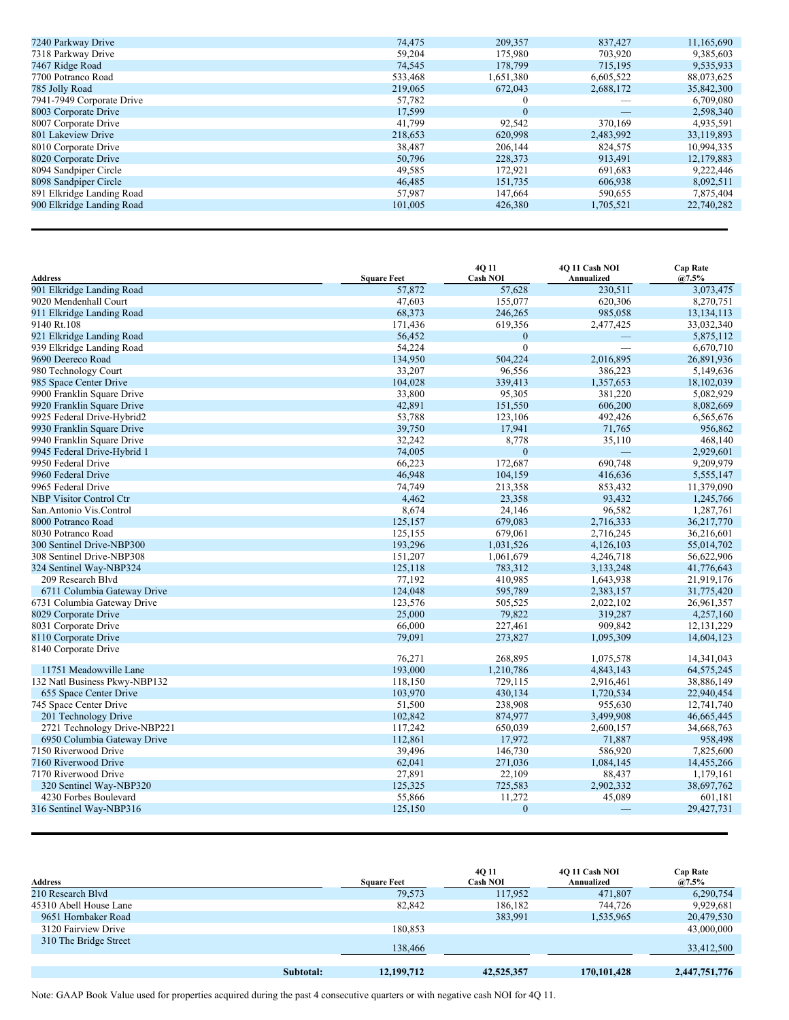| 7240 Parkway Drive        | 74,475  | 209,357      | 837,427                  | 11,165,690 |
|---------------------------|---------|--------------|--------------------------|------------|
| 7318 Parkway Drive        | 59,204  | 175,980      | 703,920                  | 9,385,603  |
| 7467 Ridge Road           | 74.545  | 178,799      | 715,195                  | 9,535,933  |
| 7700 Potranco Road        | 533,468 | 1,651,380    | 6,605,522                | 88,073,625 |
| 785 Jolly Road            | 219,065 | 672,043      | 2,688,172                | 35,842,300 |
| 7941-7949 Corporate Drive | 57,782  | 0            |                          | 6,709,080  |
| 8003 Corporate Drive      | 17,599  | $\mathbf{0}$ | $\overline{\phantom{a}}$ | 2,598,340  |
| 8007 Corporate Drive      | 41,799  | 92,542       | 370,169                  | 4,935,591  |
| 801 Lakeview Drive        | 218,653 | 620,998      | 2,483,992                | 33,119,893 |
| 8010 Corporate Drive      | 38,487  | 206,144      | 824,575                  | 10,994,335 |
| 8020 Corporate Drive      | 50,796  | 228,373      | 913,491                  | 12,179,883 |
| 8094 Sandpiper Circle     | 49,585  | 172,921      | 691,683                  | 9,222,446  |
| 8098 Sandpiper Circle     | 46,485  | 151,735      | 606,938                  | 8,092,511  |
| 891 Elkridge Landing Road | 57,987  | 147,664      | 590,655                  | 7,875,404  |
| 900 Elkridge Landing Road | 101,005 | 426,380      | 1,705,521                | 22,740,282 |
|                           |         |              |                          |            |

| Address                        | <b>Square Feet</b> | 4Q 11<br><b>Cash NOI</b> | 4Q 11 Cash NOI<br>Annualized | <b>Cap Rate</b><br>$@7.5\%$ |
|--------------------------------|--------------------|--------------------------|------------------------------|-----------------------------|
| 901 Elkridge Landing Road      | 57,872             | 57,628                   | 230,511                      | 3,073,475                   |
| 9020 Mendenhall Court          | 47,603             | 155,077                  | 620,306                      | 8,270,751                   |
| 911 Elkridge Landing Road      | 68,373             | 246,265                  | 985,058                      | 13, 134, 113                |
| 9140 Rt.108                    | 171,436            | 619,356                  | 2,477,425                    | 33,032,340                  |
| 921 Elkridge Landing Road      | 56,452             | $\boldsymbol{0}$         |                              | 5,875,112                   |
| 939 Elkridge Landing Road      | 54,224             | $\mathbf{0}$             |                              | 6,670,710                   |
| 9690 Deereco Road              | 134,950            | 504,224                  | 2,016,895                    | 26,891,936                  |
| 980 Technology Court           | 33,207             | 96,556                   | 386,223                      | 5,149,636                   |
| 985 Space Center Drive         | 104,028            | 339,413                  | 1,357,653                    | 18,102,039                  |
| 9900 Franklin Square Drive     | 33,800             | 95.305                   | 381,220                      | 5,082,929                   |
| 9920 Franklin Square Drive     | 42,891             | 151,550                  | 606,200                      | 8,082,669                   |
| 9925 Federal Drive-Hybrid2     | 53,788             | 123,106                  | 492,426                      | 6,565,676                   |
| 9930 Franklin Square Drive     | 39,750             | 17,941                   | 71,765                       | 956,862                     |
| 9940 Franklin Square Drive     | 32,242             | 8,778                    | 35,110                       | 468,140                     |
| 9945 Federal Drive-Hybrid 1    | 74,005             | $\mathbf{0}$             |                              | 2,929,601                   |
| 9950 Federal Drive             | 66,223             | 172,687                  | 690,748                      | 9,209,979                   |
| 9960 Federal Drive             | 46,948             | 104,159                  | 416,636                      | 5,555,147                   |
| 9965 Federal Drive             | 74,749             | 213,358                  | 853,432                      | 11,379,090                  |
| <b>NBP Visitor Control Ctr</b> | 4,462              | 23,358                   | 93,432                       | 1,245,766                   |
| San.Antonio Vis.Control        | 8,674              | 24,146                   | 96,582                       | 1,287,761                   |
| 8000 Potranco Road             | 125,157            | 679,083                  | 2,716,333                    | 36,217,770                  |
| 8030 Potranco Road             | 125,155            | 679,061                  | 2,716,245                    | 36,216,601                  |
| 300 Sentinel Drive-NBP300      | 193,296            | 1,031,526                | 4,126,103                    | 55,014,702                  |
| 308 Sentinel Drive-NBP308      | 151,207            | 1,061,679                | 4,246,718                    | 56,622,906                  |
| 324 Sentinel Way-NBP324        | 125,118            | 783,312                  | 3,133,248                    | 41,776,643                  |
| 209 Research Blvd              | 77,192             | 410,985                  | 1,643,938                    | 21,919,176                  |
| 6711 Columbia Gateway Drive    | 124,048            | 595,789                  | 2,383,157                    | 31,775,420                  |
| 6731 Columbia Gateway Drive    | 123,576            | 505,525                  | 2,022,102                    | 26,961,357                  |
| 8029 Corporate Drive           | 25,000             | 79,822                   | 319,287                      | 4,257,160                   |
| 8031 Corporate Drive           | 66,000             | 227,461                  | 909,842                      | 12, 131, 229                |
| 8110 Corporate Drive           | 79,091             | 273,827                  | 1,095,309                    | 14,604,123                  |
| 8140 Corporate Drive           | 76,271             | 268,895                  | 1,075,578                    | 14,341,043                  |
| 11751 Meadowville Lane         | 193,000            | 1,210,786                | 4,843,143                    | 64, 575, 245                |
| 132 Natl Business Pkwy-NBP132  | 118,150            | 729,115                  | 2,916,461                    | 38,886,149                  |
| 655 Space Center Drive         | 103,970            | 430,134                  | 1,720,534                    | 22,940,454                  |
| 745 Space Center Drive         | 51,500             | 238,908                  | 955,630                      | 12,741,740                  |
| 201 Technology Drive           | 102,842            | 874,977                  | 3,499,908                    | 46,665,445                  |
| 2721 Technology Drive-NBP221   | 117,242            | 650,039                  | 2,600,157                    | 34,668,763                  |
| 6950 Columbia Gateway Drive    | 112,861            | 17,972                   | 71,887                       | 958,498                     |
| 7150 Riverwood Drive           | 39,496             | 146,730                  | 586,920                      | 7,825,600                   |
| 7160 Riverwood Drive           | 62,041             | 271,036                  | 1,084,145                    | 14,455,266                  |
| 7170 Riverwood Drive           | 27,891             | 22,109                   | 88,437                       | 1,179,161                   |
| 320 Sentinel Way-NBP320        | 125,325            | 725,583                  | 2,902,332                    | 38,697,762                  |
| 4230 Forbes Boulevard          | 55,866             | 11,272                   | 45,089                       | 601,181                     |
| 316 Sentinel Way-NBP316        | 125,150            | $\boldsymbol{0}$         |                              | 29,427,731                  |
|                                |                    |                          |                              |                             |

| <b>Address</b>         |           | <b>Square Feet</b> | 4Q 11<br><b>Cash NOI</b> | 40 11 Cash NOI<br>Annualized | <b>Cap Rate</b><br>$@7.5\%$ |
|------------------------|-----------|--------------------|--------------------------|------------------------------|-----------------------------|
| 210 Research Blyd      |           | 79,573             | 117,952                  | 471,807                      | 6,290,754                   |
| 45310 Abell House Lane |           | 82,842             | 186,182                  | 744,726                      | 9,929,681                   |
| 9651 Hornbaker Road    |           |                    | 383.991                  | 1,535,965                    | 20,479,530                  |
| 3120 Fairview Drive    |           | 180.853            |                          |                              | 43,000,000                  |
| 310 The Bridge Street  |           | 138,466            |                          |                              | 33,412,500                  |
|                        |           |                    |                          |                              |                             |
|                        | Subtotal: | 12,199,712         | 42,525,357               | 170,101,428                  | 2.447.751.776               |

Note: GAAP Book Value used for properties acquired during the past 4 consecutive quarters or with negative cash NOI for 4Q 11.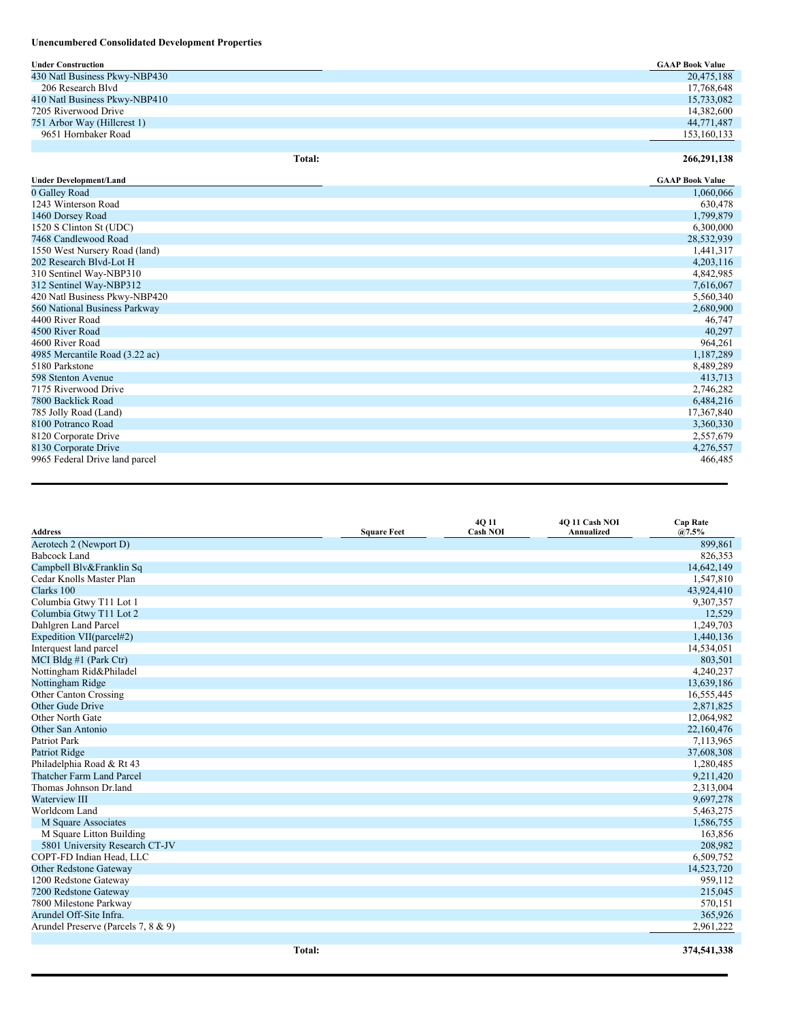### **Unencumbered Consolidated Development Properties**

| <b>GAAP Book Value</b> |
|------------------------|
| 20,475,188             |
| 17,768,648             |
| 15,733,082             |
| 14,382,600             |
| 44,771,487             |
| 153,160,133            |
|                        |

**l: 2**

**6 6 , 2 9 1 , 1 3 8**

**T o t a**

| <b>Under Development/Land</b>  | <b>GAAP Book Value</b> |
|--------------------------------|------------------------|
| 0 Galley Road                  | 1,060,066              |
| 1243 Winterson Road            | 630,478                |
| 1460 Dorsey Road               | 1,799,879              |
| 1520 S Clinton St (UDC)        | 6,300,000              |
| 7468 Candlewood Road           | 28,532,939             |
| 1550 West Nursery Road (land)  | 1,441,317              |
| 202 Research Blvd-Lot H        | 4,203,116              |
| 310 Sentinel Way-NBP310        | 4,842,985              |
| 312 Sentinel Way-NBP312        | 7,616,067              |
| 420 Natl Business Pkwy-NBP420  | 5,560,340              |
| 560 National Business Parkway  | 2,680,900              |
| 4400 River Road                | 46,747                 |
| 4500 River Road                | 40,297                 |
| 4600 River Road                | 964,261                |
| 4985 Mercantile Road (3.22 ac) | 1,187,289              |
| 5180 Parkstone                 | 8,489,289              |
| 598 Stenton Avenue             | 413,713                |
| 7175 Riverwood Drive           | 2,746,282              |
| 7800 Backlick Road             | 6,484,216              |
| 785 Jolly Road (Land)          | 17,367,840             |
| 8100 Potranco Road             | 3,360,330              |
| 8120 Corporate Drive           | 2,557,679              |
| 8130 Corporate Drive           | 4,276,557              |
| 9965 Federal Drive land parcel | 466,485                |

| <b>Address</b>                      | <b>Square Feet</b> | 4Q 11<br><b>Cash NOI</b> | 4Q 11 Cash NOI<br>Annualized | <b>Cap Rate</b><br>(a) 7.5% |
|-------------------------------------|--------------------|--------------------------|------------------------------|-----------------------------|
| Aerotech 2 (Newport D)              |                    |                          |                              | 899,861                     |
| <b>Babcock Land</b>                 |                    |                          |                              | 826,353                     |
| Campbell Blv&Franklin Sq            |                    |                          |                              | 14,642,149                  |
| Cedar Knolls Master Plan            |                    |                          |                              | 1,547,810                   |
| Clarks 100                          |                    |                          |                              | 43,924,410                  |
| Columbia Gtwy T11 Lot 1             |                    |                          |                              | 9,307,357                   |
| Columbia Gtwy T11 Lot 2             |                    |                          |                              | 12,529                      |
| Dahlgren Land Parcel                |                    |                          |                              | 1,249,703                   |
| Expedition VII(parcel#2)            |                    |                          |                              | 1,440,136                   |
| Interquest land parcel              |                    |                          |                              | 14,534,051                  |
| MCI Bldg #1 (Park Ctr)              |                    |                          |                              | 803,501                     |
| Nottingham Rid&Philadel             |                    |                          |                              | 4,240,237                   |
| Nottingham Ridge                    |                    |                          |                              | 13,639,186                  |
| Other Canton Crossing               |                    |                          |                              | 16,555,445                  |
| Other Gude Drive                    |                    |                          |                              | 2,871,825                   |
| Other North Gate                    |                    |                          |                              | 12,064,982                  |
| Other San Antonio                   |                    |                          |                              | 22,160,476                  |
| <b>Patriot Park</b>                 |                    |                          |                              | 7,113,965                   |
| Patriot Ridge                       |                    |                          |                              | 37,608,308                  |
| Philadelphia Road & Rt 43           |                    |                          |                              | 1,280,485                   |
| <b>Thatcher Farm Land Parcel</b>    |                    |                          |                              | 9,211,420                   |
| Thomas Johnson Dr.land              |                    |                          |                              | 2,313,004                   |
| <b>Waterview III</b>                |                    |                          |                              | 9,697,278                   |
| Worldcom Land                       |                    |                          |                              | 5,463,275                   |
| M Square Associates                 |                    |                          |                              | 1,586,755                   |
| M Square Litton Building            |                    |                          |                              | 163,856                     |
| 5801 University Research CT-JV      |                    |                          |                              | 208,982                     |
| COPT-FD Indian Head, LLC            |                    |                          |                              | 6,509,752                   |
| Other Redstone Gateway              |                    |                          |                              | 14,523,720                  |
| 1200 Redstone Gateway               |                    |                          |                              | 959,112                     |
| 7200 Redstone Gateway               |                    |                          |                              | 215,045                     |
| 7800 Milestone Parkway              |                    |                          |                              | 570,151                     |
| Arundel Off-Site Infra.             |                    |                          |                              | 365,926                     |
| Arundel Preserve (Parcels 7, 8 & 9) |                    |                          |                              | 2,961,222                   |
|                                     |                    |                          |                              |                             |
| Total:                              |                    |                          |                              | 374,541,338                 |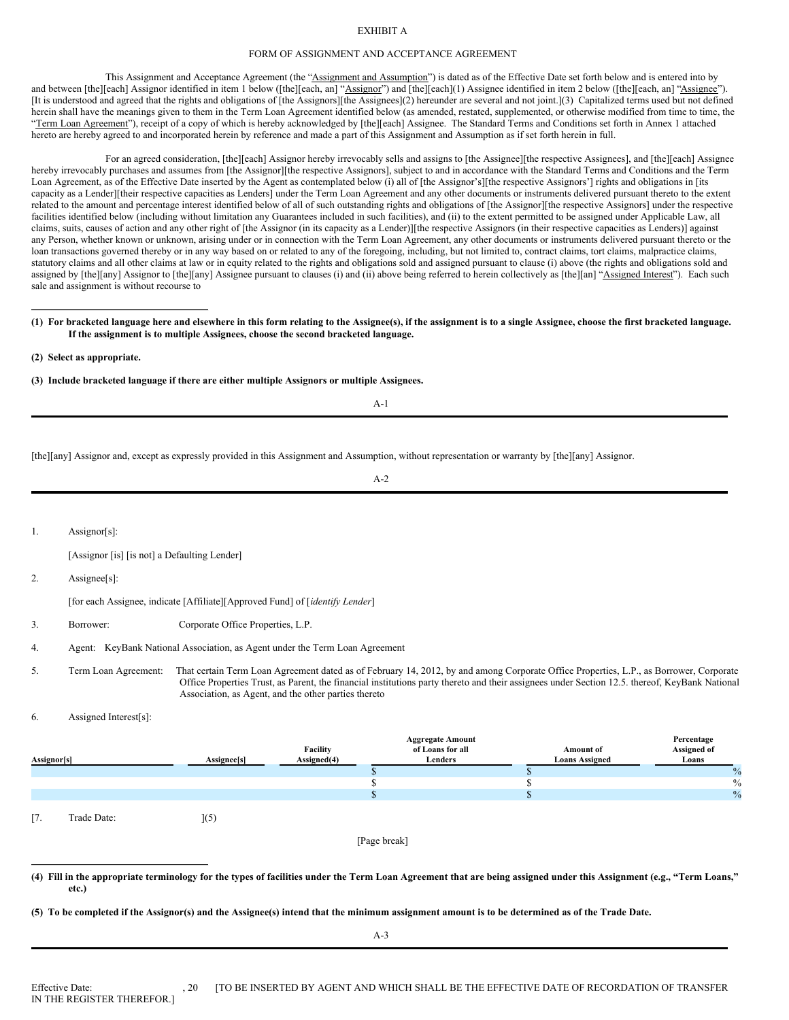### EXHIBIT A

## FORM OF ASSIGNMENT AND ACCEPTANCE AGREEMENT

This Assignment and Acceptance Agreement (the "Assignment and Assumption") is dated as of the Effective Date set forth below and is entered into by and between [the][each] Assignor identified in item 1 below ([the][each, an] "Assignor") and [the][each](1) Assignee identified in item 2 below ([the][each, an] "Assignee"). [It is understood and agreed that the rights and obligations of [the Assignors][the Assignees](2) hereunder are several and not joint.](3) Capitalized terms used but not defined herein shall have the meanings given to them in the Term Loan Agreement identified below (as amended, restated, supplemented, or otherwise modified from time to time, the "Term Loan Agreement"), receipt of a copy of which is hereby acknowledged by [the][each] Assignee. The Standard Terms and Conditions set forth in Annex 1 attached hereto are hereby agreed to and incorporated herein by reference and made a part of this Assignment and Assumption as if set forth herein in full.

For an agreed consideration, [the][each] Assignor hereby irrevocably sells and assigns to [the Assignee][the respective Assignees], and [the][each] Assignee hereby irrevocably purchases and assumes from [the Assignor][the respective Assignors], subject to and in accordance with the Standard Terms and Conditions and the Term Loan Agreement, as of the Effective Date inserted by the Agent as contemplated below (i) all of [the Assignor's][the respective Assignors'] rights and obligations in [its capacity as a Lender][their respective capacities as Lenders] under the Term Loan Agreement and any other documents or instruments delivered pursuant thereto to the extent related to the amount and percentage interest identified below of all of such outstanding rights and obligations of [the Assignor][the respective Assignors] under the respective facilities identified below (including without limitation any Guarantees included in such facilities), and (ii) to the extent permitted to be assigned under Applicable Law, all claims, suits, causes of action and any other right of [the Assignor (in its capacity as a Lender)][the respective Assignors (in their respective capacities as Lenders)] against any Person, whether known or unknown, arising under or in connection with the Term Loan Agreement, any other documents or instruments delivered pursuant thereto or the loan transactions governed thereby or in any way based on or related to any of the foregoing, including, but not limited to, contract claims, tort claims, malpractice claims, statutory claims and all other claims at law or in equity related to the rights and obligations sold and assigned pursuant to clause (i) above (the rights and obligations sold and assigned by [the][any] Assignor to [the][any] Assignee pursuant to clauses (i) and (ii) above being referred to herein collectively as [the][an] "Assigned Interest"). Each such sale and assignment is without recourse to

### (1) For bracketed language here and elsewhere in this form relating to the Assignee(s), if the assignment is to a single Assignee, choose the first bracketed language. **If the assignment is to multiple Assignees, choose the second bracketed language.**

#### **(2) Select as appropriate.**

## **(3) Include bracketed language if there are either multiple Assignors or multiple Assignees.**

A-1

[the][any] Assignor and, except as expressly provided in this Assignment and Assumption, without representation or warranty by [the][any] Assignor.

A-2

1. Assignor[s]:

[Assignor [is] [is not] a Defaulting Lender]

2. Assignee[s]:

[for each Assignee, indicate [Affiliate][Approved Fund] of [*identify Lender*]

- 3. Borrower: Corporate Office Properties, L.P.
- 4. Agent: KeyBank National Association, as Agent under the Term Loan Agreement

5. Term Loan Agreement: That certain Term Loan Agreement dated as of February 14, 2012, by and among Corporate Office Properties, L.P., as Borrower, Corporate Office Properties Trust, as Parent, the financial institutions party thereto and their assignees under Section 12.5. thereof, KeyBank National Association, as Agent, and the other parties thereto

6. Assigned Interest[s]:

| Assignor[s] |             | Assignee[s] | Facility<br>Assigned(4) | <b>Aggregate Amount</b><br>of Loans for all<br>Lenders | Amount of<br><b>Loans Assigned</b> | Percentage<br>Assigned of<br>Loans |
|-------------|-------------|-------------|-------------------------|--------------------------------------------------------|------------------------------------|------------------------------------|
|             |             |             |                         |                                                        |                                    | $\frac{0}{0}$                      |
|             |             |             |                         |                                                        |                                    | $\frac{0}{0}$                      |
|             |             |             |                         |                                                        |                                    | $\frac{0}{0}$                      |
| $\lceil 7.$ | Trade Date: | ](5)        |                         |                                                        |                                    |                                    |

(4) Fill in the appropriate terminology for the types of facilities under the Term Loan Agreement that are being assigned under this Assignment (e.g., "Term Loans," **etc.)**

[Page break]

(5) To be completed if the Assignor(s) and the Assignee(s) intend that the minimum assignment amount is to be determined as of the Trade Date.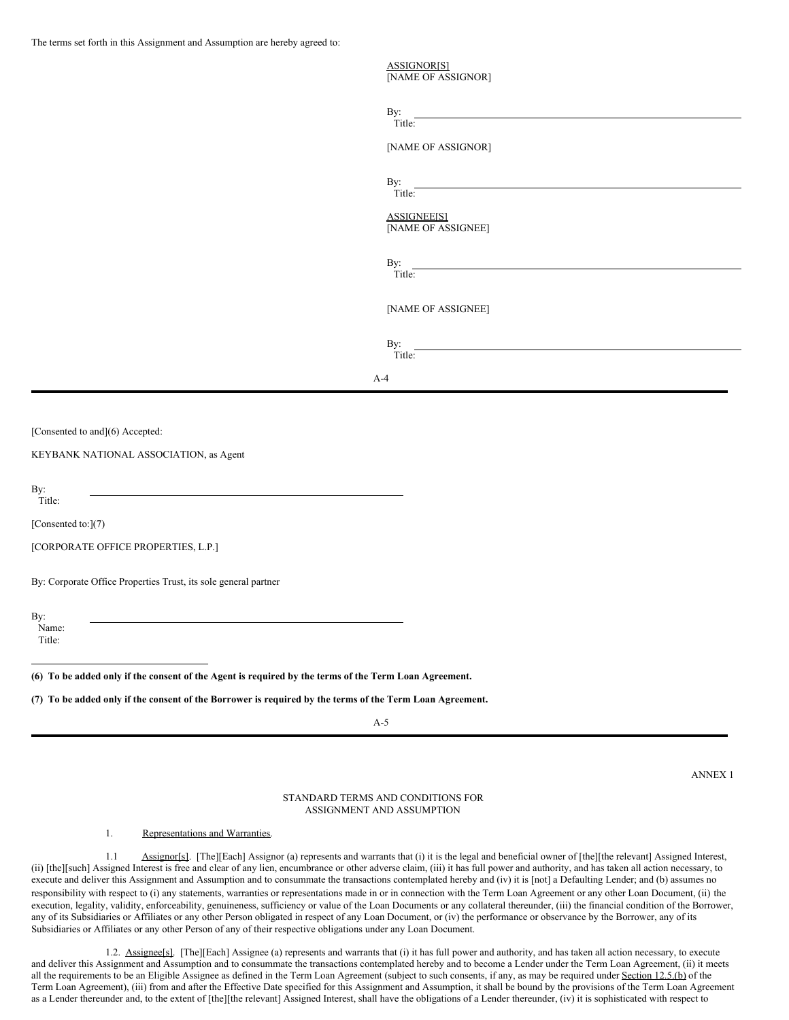The terms set forth in this Assignment and Assumption are hereby agreed to:

ASSIGNOR[S] [NAME OF ASSIGNOR]

| п |  |
|---|--|

[NAME OF ASSIGNOR]

By: Title:

ASSIGNEE[S] [NAME OF ASSIGNEE]

By: Title:

[NAME OF ASSIGNEE]

By: Title:

A-4

[Consented to and](6) Accepted:

KEYBANK NATIONAL ASSOCIATION, as Agent

By: Title:

[Consented to:](7)

[CORPORATE OFFICE PROPERTIES, L.P.]

By: Corporate Office Properties Trust, its sole general partner

By: Name: Title:

(6) To be added only if the consent of the Agent is required by the terms of the Term Loan Agreement.

(7) To be added only if the consent of the Borrower is required by the terms of the Term Loan Agreement.

A-5

ANNEX 1

STANDARD TERMS AND CONDITIONS FOR ASSIGNMENT AND ASSUMPTION

1. Representations and Warranties.

1.1 Assignor[s]. [The][Each] Assignor (a) represents and warrants that (i) it is the legal and beneficial owner of [the][the relevant] Assigned Interest, (ii) [the][such] Assigned Interest is free and clear of any lien, encumbrance or other adverse claim, (iii) it has full power and authority, and has taken all action necessary, to execute and deliver this Assignment and Assumption and to consummate the transactions contemplated hereby and (iv) it is [not] a Defaulting Lender; and (b) assumes no responsibility with respect to (i) any statements, warranties or representations made in or in connection with the Term Loan Agreement or any other Loan Document, (ii) the execution, legality, validity, enforceability, genuineness, sufficiency or value of the Loan Documents or any collateral thereunder, (iii) the financial condition of the Borrower, any of its Subsidiaries or Affiliates or any other Person obligated in respect of any Loan Document, or (iv) the performance or observance by the Borrower, any of its Subsidiaries or Affiliates or any other Person of any of their respective obligations under any Loan Document.

1.2. Assignee[s]. [The][Each] Assignee (a) represents and warrants that (i) it has full power and authority, and has taken all action necessary, to execute and deliver this Assignment and Assumption and to consummate the transactions contemplated hereby and to become a Lender under the Term Loan Agreement, (ii) it meets all the requirements to be an Eligible Assignee as defined in the Term Loan Agreement (subject to such consents, if any, as may be required under Section 12.5.(b) of the Term Loan Agreement), (iii) from and after the Effective Date specified for this Assignment and Assumption, it shall be bound by the provisions of the Term Loan Agreement as a Lender thereunder and, to the extent of [the][the relevant] Assigned Interest, shall have the obligations of a Lender thereunder, (iv) it is sophisticated with respect to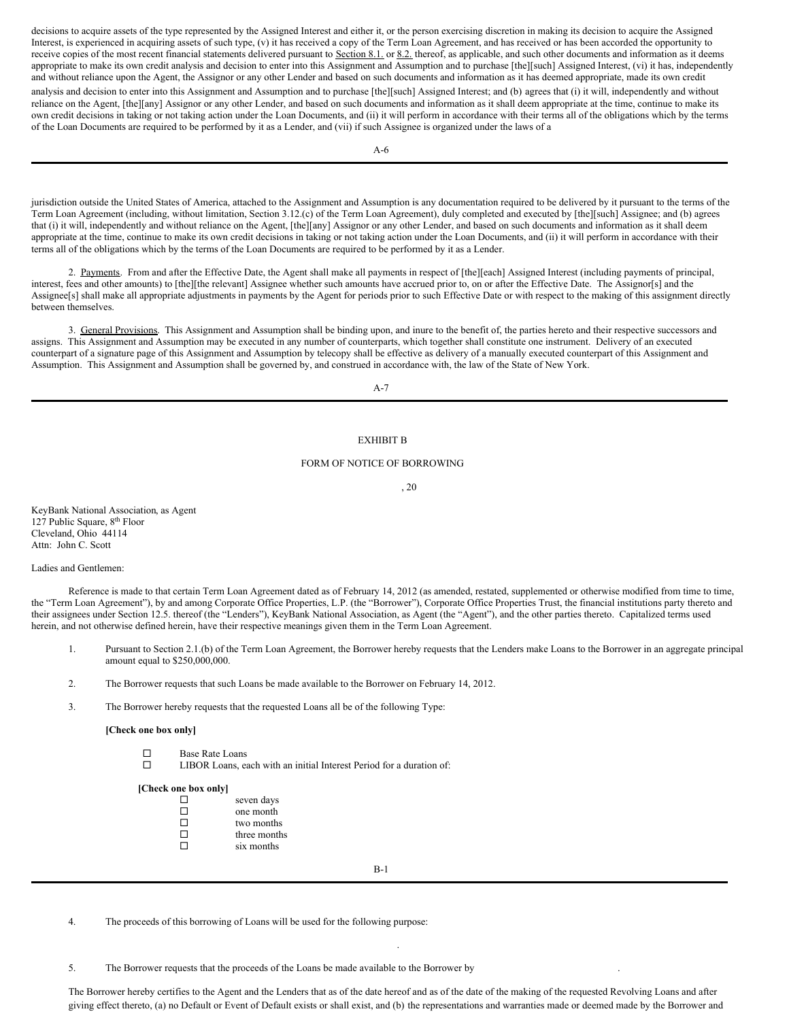decisions to acquire assets of the type represented by the Assigned Interest and either it, or the person exercising discretion in making its decision to acquire the Assigned Interest, is experienced in acquiring assets of such type, (v) it has received a copy of the Term Loan Agreement, and has received or has been accorded the opportunity to receive copies of the most recent financial statements delivered pursuant to Section 8.1, or 8.2, thereof, as applicable, and such other documents and information as it deems appropriate to make its own credit analysis and decision to enter into this Assignment and Assumption and to purchase [the][such] Assigned Interest, (vi) it has, independently and without reliance upon the Agent, the Assignor or any other Lender and based on such documents and information as it has deemed appropriate, made its own credit analysis and decision to enter into this Assignment and Assumption and to purchase [the][such] Assigned Interest; and (b) agrees that (i) it will, independently and without reliance on the Agent, [the][any] Assignor or any other Lender, and based on such documents and information as it shall deem appropriate at the time, continue to make its own credit decisions in taking or not taking action under the Loan Documents, and (ii) it will perform in accordance with their terms all of the obligations which by the terms of the Loan Documents are required to be performed by it as a Lender, and (vii) if such Assignee is organized under the laws of a

jurisdiction outside the United States of America, attached to the Assignment and Assumption is any documentation required to be delivered by it pursuant to the terms of the Term Loan Agreement (including, without limitation, Section 3.12.(c) of the Term Loan Agreement), duly completed and executed by [the][such] Assignee; and (b) agrees that (i) it will, independently and without reliance on the Agent, [the][any] Assignor or any other Lender, and based on such documents and information as it shall deem appropriate at the time, continue to make its own credit decisions in taking or not taking action under the Loan Documents, and (ii) it will perform in accordance with their terms all of the obligations which by the terms of the Loan Documents are required to be performed by it as a Lender.

2. Payments. From and after the Effective Date, the Agent shall make all payments in respect of [the][each] Assigned Interest (including payments of principal, interest, fees and other amounts) to [the][the relevant] Assignee whether such amounts have accrued prior to, on or after the Effective Date. The Assignor[s] and the Assignee[s] shall make all appropriate adjustments in payments by the Agent for periods prior to such Effective Date or with respect to the making of this assignment directly between themselves.

3. General Provisions. This Assignment and Assumption shall be binding upon, and inure to the benefit of, the parties hereto and their respective successors and assigns. This Assignment and Assumption may be executed in any number of counterparts, which together shall constitute one instrument. Delivery of an executed counterpart of a signature page of this Assignment and Assumption by telecopy shall be effective as delivery of a manually executed counterpart of this Assignment and Assumption. This Assignment and Assumption shall be governed by, and construed in accordance with, the law of the State of New York.

A-7

### EXHIBIT B

### FORM OF NOTICE OF BORROWING

, 20

KeyBank National Association, as Agent 127 Public Square, 8th Floor Cleveland, Ohio 44114 Attn: John C. Scott

Ladies and Gentlemen:

Reference is made to that certain Term Loan Agreement dated as of February 14, 2012 (as amended, restated, supplemented or otherwise modified from time to time, the "Term Loan Agreement"), by and among Corporate Office Properties, L.P. (the "Borrower"), Corporate Office Properties Trust, the financial institutions party thereto and their assignees under Section 12.5. thereof (the "Lenders"), KeyBank National Association, as Agent (the "Agent"), and the other parties thereto. Capitalized terms used herein, and not otherwise defined herein, have their respective meanings given them in the Term Loan Agreement.

- 1. Pursuant to Section 2.1.(b) of the Term Loan Agreement, the Borrower hereby requests that the Lenders make Loans to the Borrower in an aggregate principal amount equal to \$250,000,000.
- 2. The Borrower requests that such Loans be made available to the Borrower on February 14, 2012.
- 3. The Borrower hereby requests that the requested Loans all be of the following Type:

### **[Check one box only]**

- □ Base Rate Loans
- $\square$  LIBOR Loans, each with an initial Interest Period for a duration of:

### **[Check one box only]**

- $\square$  seven days  $\square$  one month  $\square$  two months  $\square$  three months
- $\Box$  six months
	-

B-1

4. The proceeds of this borrowing of Loans will be used for the following purpose:

5. The Borrower requests that the proceeds of the Loans be made available to the Borrower by .

The Borrower hereby certifies to the Agent and the Lenders that as of the date hereof and as of the date of the making of the requested Revolving Loans and after giving effect thereto, (a) no Default or Event of Default exists or shall exist, and (b) the representations and warranties made or deemed made by the Borrower and

.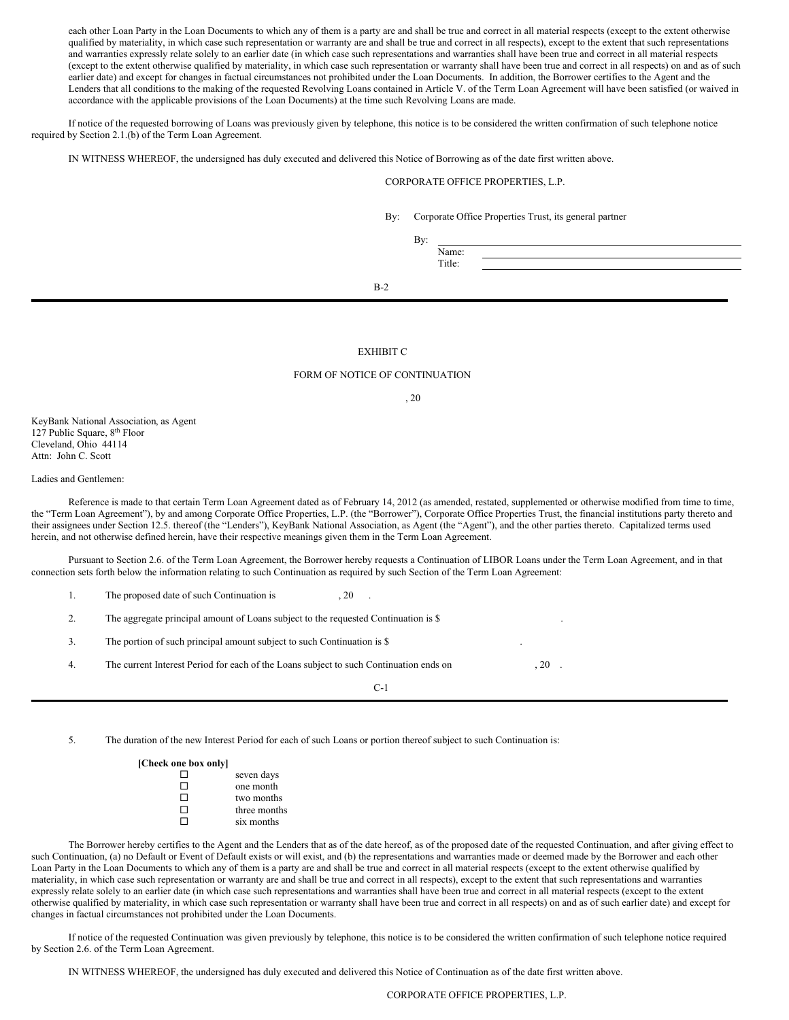each other Loan Party in the Loan Documents to which any of them is a party are and shall be true and correct in all material respects (except to the extent otherwise qualified by materiality, in which case such representation or warranty are and shall be true and correct in all respects), except to the extent that such representations and warranties expressly relate solely to an earlier date (in which case such representations and warranties shall have been true and correct in all material respects (except to the extent otherwise qualified by materiality, in which case such representation or warranty shall have been true and correct in all respects) on and as of such earlier date) and except for changes in factual circumstances not prohibited under the Loan Documents. In addition, the Borrower certifies to the Agent and the Lenders that all conditions to the making of the requested Revolving Loans contained in Article V. of the Term Loan Agreement will have been satisfied (or waived in accordance with the applicable provisions of the Loan Documents) at the time such Revolving Loans are made.

If notice of the requested borrowing of Loans was previously given by telephone, this notice is to be considered the written confirmation of such telephone notice required by Section 2.1.(b) of the Term Loan Agreement.

IN WITNESS WHEREOF, the undersigned has duly executed and delivered this Notice of Borrowing as of the date first written above.

### CORPORATE OFFICE PROPERTIES, L.P.

By: Corporate Office Properties Trust, its general partner

| By: |                    |
|-----|--------------------|
|     | Name:              |
|     | Title <sup>.</sup> |

B-2

## EXHIBIT C

## FORM OF NOTICE OF CONTINUATION

, 20

KeyBank National Association, as Agent 127 Public Square, 8th Floor Cleveland, Ohio 44114 Attn: John C. Scott

Ladies and Gentlemen:

Reference is made to that certain Term Loan Agreement dated as of February 14, 2012 (as amended, restated, supplemented or otherwise modified from time to time, the "Term Loan Agreement"), by and among Corporate Office Properties, L.P. (the "Borrower"), Corporate Office Properties Trust, the financial institutions party thereto and their assignees under Section 12.5. thereof (the "Lenders"), KeyBank National Association, as Agent (the "Agent"), and the other parties thereto. Capitalized terms used herein, and not otherwise defined herein, have their respective meanings given them in the Term Loan Agreement.

Pursuant to Section 2.6. of the Term Loan Agreement, the Borrower hereby requests a Continuation of LIBOR Loans under the Term Loan Agreement, and in that connection sets forth below the information relating to such Continuation as required by such Section of the Term Loan Agreement:

1. The proposed date of such Continuation is , 20

2. The aggregate principal amount of Loans subject to the requested Continuation is \$

3. The portion of such principal amount subject to such Continuation is \$ .

4. The current Interest Period for each of the Loans subject to such Continuation ends on , 20 .

 $C-1$ 

5. The duration of the new Interest Period for each of such Loans or portion thereof subject to such Continuation is:

#### **[Check one box only]**

|              | seven days   |
|--------------|--------------|
| $\mathsf{L}$ | one month    |
| $\mathsf{L}$ | two months   |
| $\mathsf{L}$ | three months |
|              | six months   |
|              |              |

The Borrower hereby certifies to the Agent and the Lenders that as of the date hereof, as of the proposed date of the requested Continuation, and after giving effect to such Continuation, (a) no Default or Event of Default exists or will exist, and (b) the representations and warranties made or deemed made by the Borrower and each other Loan Party in the Loan Documents to which any of them is a party are and shall be true and correct in all material respects (except to the extent otherwise qualified by materiality, in which case such representation or warranty are and shall be true and correct in all respects), except to the extent that such representations and warranties expressly relate solely to an earlier date (in which case such representations and warranties shall have been true and correct in all material respects (except to the extent otherwise qualified by materiality, in which case such representation or warranty shall have been true and correct in all respects) on and as of such earlier date) and except for changes in factual circumstances not prohibited under the Loan Documents.

If notice of the requested Continuation was given previously by telephone, this notice is to be considered the written confirmation of such telephone notice required by Section 2.6. of the Term Loan Agreement.

IN WITNESS WHEREOF, the undersigned has duly executed and delivered this Notice of Continuation as of the date first written above.

CORPORATE OFFICE PROPERTIES, L.P.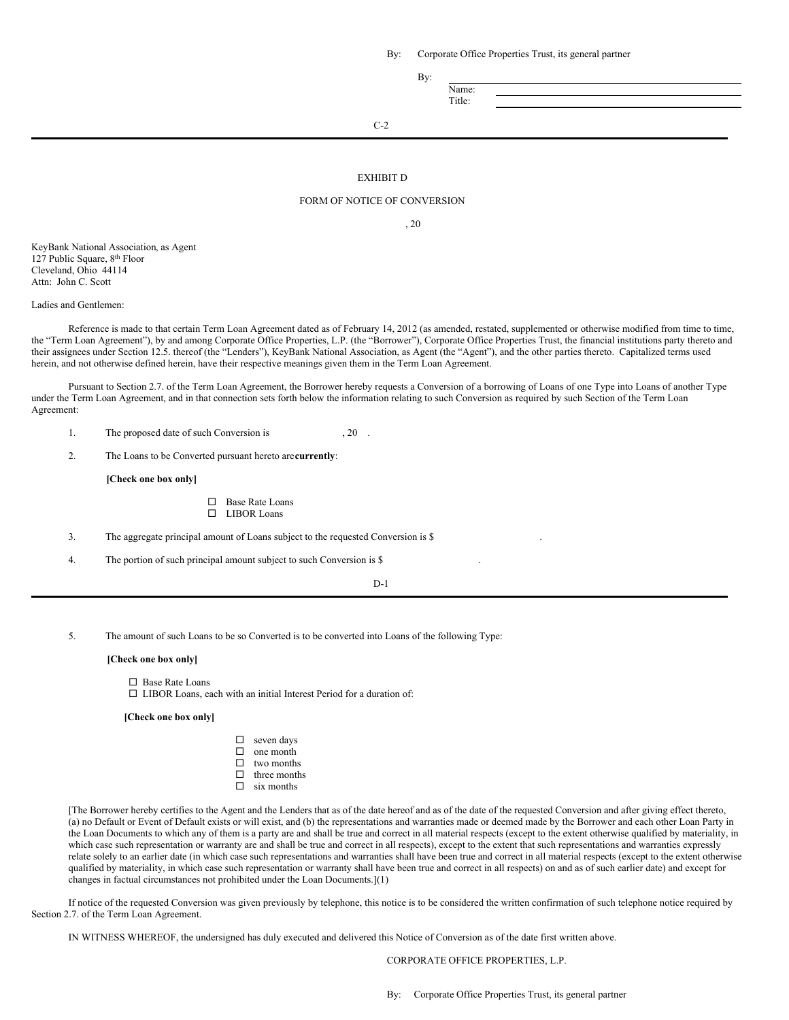By: Corporate Office Properties Trust, its general partner

By:

Name: Title:

 $C-2$ 

## EXHIBIT D

## FORM OF NOTICE OF CONVERSION

, 20

KeyBank National Association, as Agent 127 Public Square, 8th Floor Cleveland, Ohio 44114 Attn: John C. Scott

Ladies and Gentlemen:

Reference is made to that certain Term Loan Agreement dated as of February 14, 2012 (as amended, restated, supplemented or otherwise modified from time to time, the "Term Loan Agreement"), by and among Corporate Office Properties, L.P. (the "Borrower"), Corporate Office Properties Trust, the financial institutions party thereto and their assignees under Section 12.5. thereof (the "Lenders"), KeyBank National Association, as Agent (the "Agent"), and the other parties thereto. Capitalized terms used herein, and not otherwise defined herein, have their respective meanings given them in the Term Loan Agreement.

Pursuant to Section 2.7. of the Term Loan Agreement, the Borrower hereby requests a Conversion of a borrowing of Loans of one Type into Loans of another Type under the Term Loan Agreement, and in that connection sets forth below the information relating to such Conversion as required by such Section of the Term Loan Agreement:

1. The proposed date of such Conversion is  $, 20$ .

2. The Loans to be Converted pursuant hereto are**currently**:

**[Check one box only]**

□ Base Rate Loans □ LIBOR Loans

3. The aggregate principal amount of Loans subject to the requested Conversion is \$ .

4. The portion of such principal amount subject to such Conversion is \$

D-1

5. The amount of such Loans to be so Converted is to be converted into Loans of the following Type:

## **[Check one box only]**

 $\square$  Base Rate Loans

 $\square$  LIBOR Loans, each with an initial Interest Period for a duration of:

**[Check one box only]**

 $\square$  seven days  $\square$  one month  $\square$  two months<br> $\square$  three month  $\Box$  three months<br> $\Box$  six months six months

[The Borrower hereby certifies to the Agent and the Lenders that as of the date hereof and as of the date of the requested Conversion and after giving effect thereto, (a) no Default or Event of Default exists or will exist, and (b) the representations and warranties made or deemed made by the Borrower and each other Loan Party in the Loan Documents to which any of them is a party are and shall be true and correct in all material respects (except to the extent otherwise qualified by materiality, in which case such representation or warranty are and shall be true and correct in all respects), except to the extent that such representations and warranties expressly relate solely to an earlier date (in which case such representations and warranties shall have been true and correct in all material respects (except to the extent otherwise qualified by materiality, in which case such representation or warranty shall have been true and correct in all respects) on and as of such earlier date) and except for changes in factual circumstances not prohibited under the Loan Documents.](1)

If notice of the requested Conversion was given previously by telephone, this notice is to be considered the written confirmation of such telephone notice required by Section 2.7. of the Term Loan Agreement.

IN WITNESS WHEREOF, the undersigned has duly executed and delivered this Notice of Conversion as of the date first written above.

CORPORATE OFFICE PROPERTIES, L.P.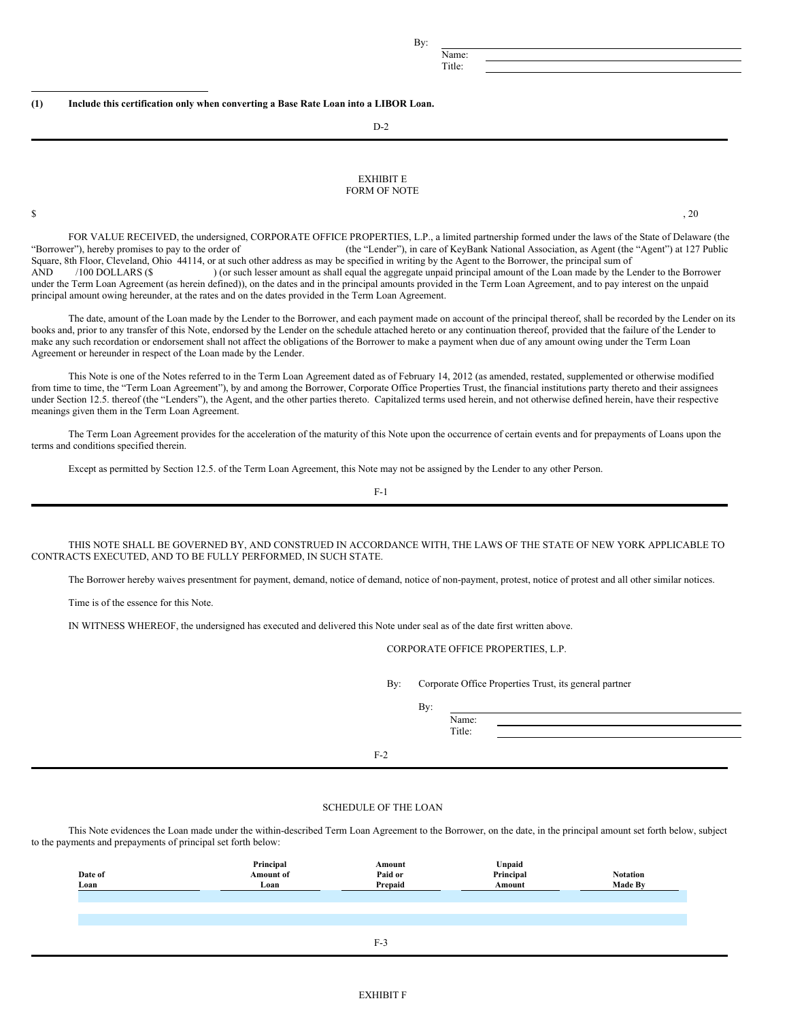By:

Name: Title:

**(1) Include this certification only when converting a Base Rate Loan into a LIBOR Loan.**

 $D-2$ 

### EXHIBIT E FORM OF NOTE

 $\sqrt{20}$ , 20

FOR VALUE RECEIVED, the undersigned, CORPORATE OFFICE PROPERTIES, L.P., a limited partnership formed under the laws of the State of Delaware (the (the "Lender"), in care of KeyBank National Association, as Agent (the "Agent") at 127 Public Square, 8th Floor, Cleveland, Ohio 44114, or at such other address as may be specified in writing by the Agent to the Borrower, the principal sum of AND /100 DOLLARS (\$) (or such lesser amount as shall equal the aggregate unpaid principal amount of the Loan made by the Lender to the Borrower under the Term Loan Agreement (as herein defined)), on the dates and in the principal amounts provided in the Term Loan Agreement, and to pay interest on the unpaid principal amount owing hereunder, at the rates and on the dates provided in the Term Loan Agreement.

The date, amount of the Loan made by the Lender to the Borrower, and each payment made on account of the principal thereof, shall be recorded by the Lender on its books and, prior to any transfer of this Note, endorsed by the Lender on the schedule attached hereto or any continuation thereof, provided that the failure of the Lender to make any such recordation or endorsement shall not affect the obligations of the Borrower to make a payment when due of any amount owing under the Term Loan Agreement or hereunder in respect of the Loan made by the Lender.

This Note is one of the Notes referred to in the Term Loan Agreement dated as of February 14, 2012 (as amended, restated, supplemented or otherwise modified from time to time, the "Term Loan Agreement"), by and among the Borrower, Corporate Office Properties Trust, the financial institutions party thereto and their assignees under Section 12.5. thereof (the "Lenders"), the Agent, and the other parties thereto. Capitalized terms used herein, and not otherwise defined herein, have their respective meanings given them in the Term Loan Agreement.

The Term Loan Agreement provides for the acceleration of the maturity of this Note upon the occurrence of certain events and for prepayments of Loans upon the terms and conditions specified therein.

Except as permitted by Section 12.5. of the Term Loan Agreement, this Note may not be assigned by the Lender to any other Person.

F-1

THIS NOTE SHALL BE GOVERNED BY, AND CONSTRUED IN ACCORDANCE WITH, THE LAWS OF THE STATE OF NEW YORK APPLICABLE TO CONTRACTS EXECUTED, AND TO BE FULLY PERFORMED, IN SUCH STATE.

The Borrower hereby waives presentment for payment, demand, notice of demand, notice of non-payment, protest, notice of protest and all other similar notices.

Time is of the essence for this Note.

IN WITNESS WHEREOF, the undersigned has executed and delivered this Note under seal as of the date first written above.

CORPORATE OFFICE PROPERTIES, L.P.

By: Corporate Office Properties Trust, its general partner

By:

Title:

Name:

F-2

## SCHEDULE OF THE LOAN

This Note evidences the Loan made under the within-described Term Loan Agreement to the Borrower, on the date, in the principal amount set forth below, subject to the payments and prepayments of principal set forth below:

| Date of<br>Loan | Principal<br><b>Amount</b> of<br>Loan | Amount<br>Paid or<br>Prepaid | Unpaid<br>Principal<br>Amount | <b>Notation</b><br>Made By |
|-----------------|---------------------------------------|------------------------------|-------------------------------|----------------------------|
|                 |                                       |                              |                               |                            |
|                 |                                       | $F-3$                        |                               |                            |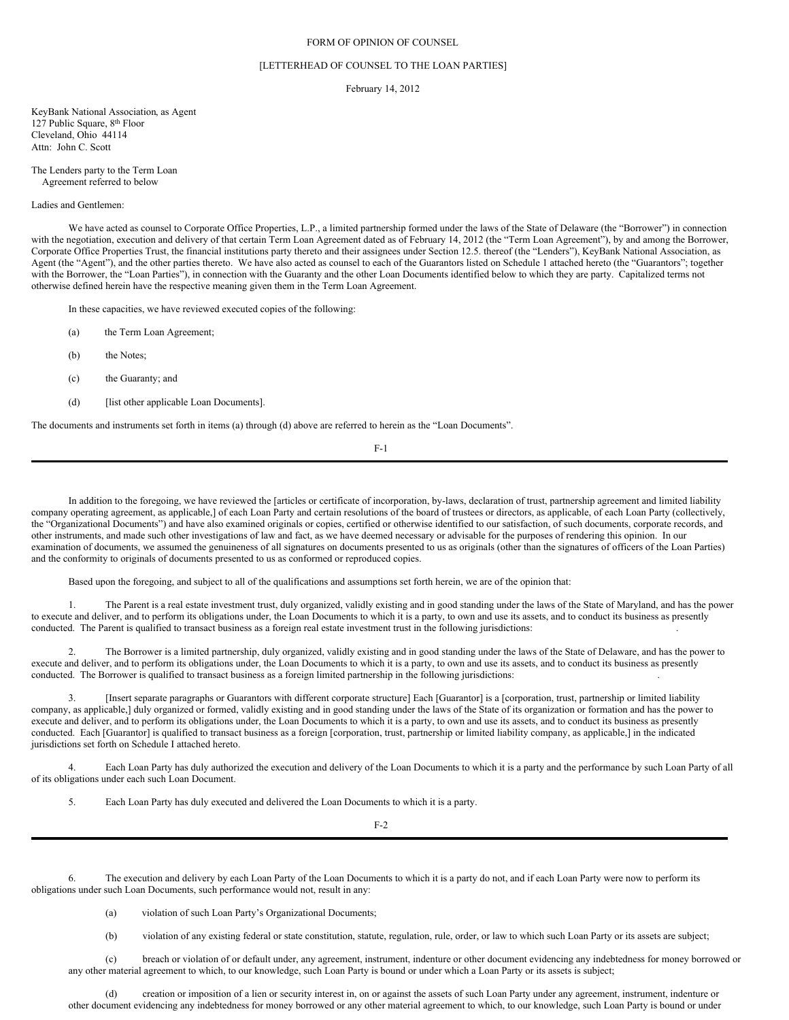## FORM OF OPINION OF COUNSEL

## [LETTERHEAD OF COUNSEL TO THE LOAN PARTIES]

#### February 14, 2012

KeyBank National Association, as Agent 127 Public Square, 8th Floor Cleveland, Ohio 44114 Attn: John C. Scott

The Lenders party to the Term Loan Agreement referred to below

## Ladies and Gentlemen:

We have acted as counsel to Corporate Office Properties, L.P., a limited partnership formed under the laws of the State of Delaware (the "Borrower") in connection with the negotiation, execution and delivery of that certain Term Loan Agreement dated as of February 14, 2012 (the "Term Loan Agreement"), by and among the Borrower, Corporate Office Properties Trust, the financial institutions party thereto and their assignees under Section 12.5. thereof (the "Lenders"), KeyBank National Association, as Agent (the "Agent"), and the other parties thereto. We have also acted as counsel to each of the Guarantors listed on Schedule 1 attached hereto (the "Guarantors"; together with the Borrower, the "Loan Parties"), in connection with the Guaranty and the other Loan Documents identified below to which they are party. Capitalized terms not otherwise defined herein have the respective meaning given them in the Term Loan Agreement.

In these capacities, we have reviewed executed copies of the following:

- (a) the Term Loan Agreement;
- (b) the Notes;
- (c) the Guaranty; and
- (d) [list other applicable Loan Documents].

The documents and instruments set forth in items (a) through (d) above are referred to herein as the "Loan Documents".

F-1

In addition to the foregoing, we have reviewed the [articles or certificate of incorporation, by-laws, declaration of trust, partnership agreement and limited liability company operating agreement, as applicable,] of each Loan Party and certain resolutions of the board of trustees or directors, as applicable, of each Loan Party (collectively, the "Organizational Documents") and have also examined originals or copies, certified or otherwise identified to our satisfaction, of such documents, corporate records, and other instruments, and made such other investigations of law and fact, as we have deemed necessary or advisable for the purposes of rendering this opinion. In our examination of documents, we assumed the genuineness of all signatures on documents presented to us as originals (other than the signatures of officers of the Loan Parties) and the conformity to originals of documents presented to us as conformed or reproduced copies.

Based upon the foregoing, and subject to all of the qualifications and assumptions set forth herein, we are of the opinion that:

1. The Parent is a real estate investment trust, duly organized, validly existing and in good standing under the laws of the State of Maryland, and has the power to execute and deliver, and to perform its obligations under, the Loan Documents to which it is a party, to own and use its assets, and to conduct its business as presently conducted. The Parent is qualified to transact business as a foreign real estate investment trust in the following jurisdictions: .

The Borrower is a limited partnership, duly organized, validly existing and in good standing under the laws of the State of Delaware, and has the power to execute and deliver, and to perform its obligations under, the Loan Documents to which it is a party, to own and use its assets, and to conduct its business as presently conducted. The Borrower is qualified to transact business as a foreign limited partnership in the following jurisdictions: .

3. [Insert separate paragraphs or Guarantors with different corporate structure] Each [Guarantor] is a [corporation, trust, partnership or limited liability company, as applicable,] duly organized or formed, validly existing and in good standing under the laws of the State of its organization or formation and has the power to execute and deliver, and to perform its obligations under, the Loan Documents to which it is a party, to own and use its assets, and to conduct its business as presently conducted. Each [Guarantor] is qualified to transact business as a foreign [corporation, trust, partnership or limited liability company, as applicable,] in the indicated jurisdictions set forth on Schedule I attached hereto.

4. Each Loan Party has duly authorized the execution and delivery of the Loan Documents to which it is a party and the performance by such Loan Party of all of its obligations under each such Loan Document.

5. Each Loan Party has duly executed and delivered the Loan Documents to which it is a party.

F-2

6. The execution and delivery by each Loan Party of the Loan Documents to which it is a party do not, and if each Loan Party were now to perform its obligations under such Loan Documents, such performance would not, result in any:

- (a) violation of such Loan Party's Organizational Documents;
- (b) violation of any existing federal or state constitution, statute, regulation, rule, order, or law to which such Loan Party or its assets are subject;

(c) breach or violation of or default under, any agreement, instrument, indenture or other document evidencing any indebtedness for money borrowed or any other material agreement to which, to our knowledge, such Loan Party is bound or under which a Loan Party or its assets is subject;

(d) creation or imposition of a lien or security interest in, on or against the assets of such Loan Party under any agreement, instrument, indenture or other document evidencing any indebtedness for money borrowed or any other material agreement to which, to our knowledge, such Loan Party is bound or under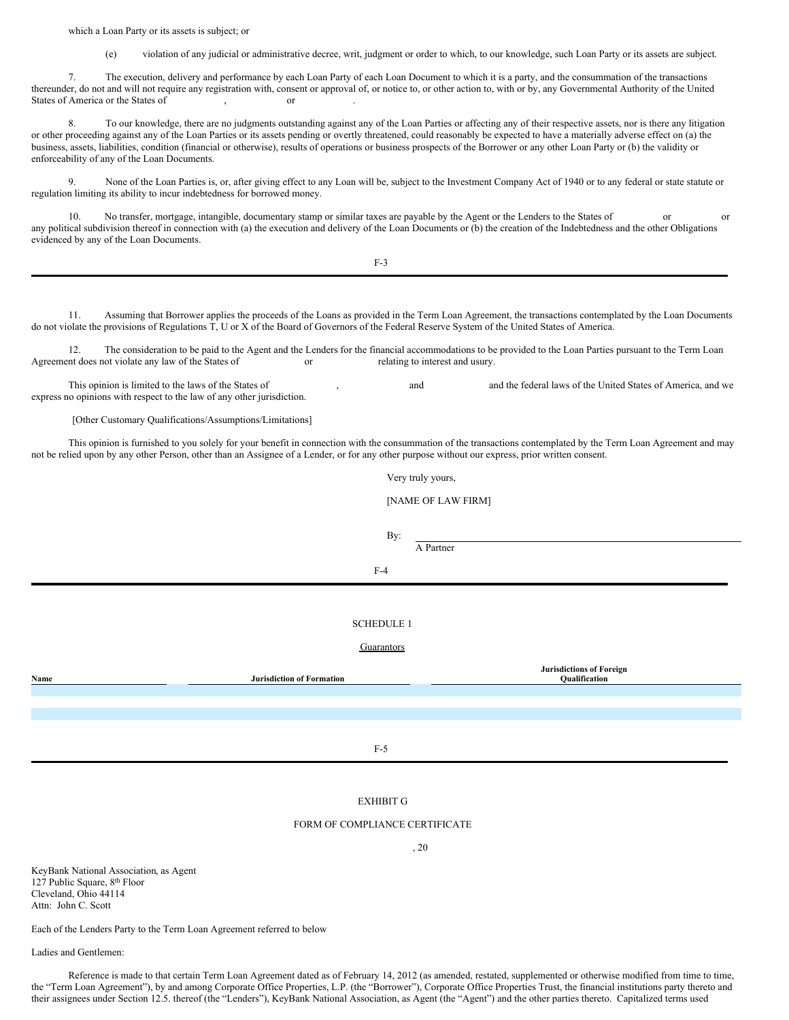which a Loan Party or its assets is subject; or

(e) violation of any judicial or administrative decree, writ, judgment or order to which, to our knowledge, such Loan Party or its assets are subject.

7. The execution, delivery and performance by each Loan Party of each Loan Document to which it is a party, and the consummation of the transactions thereunder, do not and will not require any registration with, consent or approval of, or notice to, or other action to, with or by, any Governmental Authority of the United States of America or the States of , or .

8. To our knowledge, there are no judgments outstanding against any of the Loan Parties or affecting any of their respective assets, nor is there any litigation or other proceeding against any of the Loan Parties or its assets pending or overtly threatened, could reasonably be expected to have a materially adverse effect on (a) the business, assets, liabilities, condition (financial or otherwise), results of operations or business prospects of the Borrower or any other Loan Party or (b) the validity or enforceability of any of the Loan Documents.

9. None of the Loan Parties is, or, after giving effect to any Loan will be, subject to the Investment Company Act of 1940 or to any federal or state statute or regulation limiting its ability to incur indebtedness for borrowed money.

10. No transfer, mortgage, intangible, documentary stamp or similar taxes are payable by the Agent or the Lenders to the States of or or any political subdivision thereof in connection with (a) the execution and delivery of the Loan Documents or (b) the creation of the Indebtedness and the other Obligations evidenced by any of the Loan Documents.

F-3

11. Assuming that Borrower applies the proceeds of the Loans as provided in the Term Loan Agreement, the transactions contemplated by the Loan Documents do not violate the provisions of Regulations T, U or X of the Board of Governors of the Federal Reserve System of the United States of America.

12. The consideration to be paid to the Agent and the Lenders for the financial accommodations to be provided to the Loan Parties pursuant to the Term Loan Agreement does not violate any law of the States of or relating to interest and usury.

This opinion is limited to the laws of the States of (and and and and and the federal laws of the United States of America, and we express no opinions with respect to the law of any other jurisdiction.

[Other Customary Qualifications/Assumptions/Limitations]

This opinion is furnished to you solely for your benefit in connection with the consummation of the transactions contemplated by the Term Loan Agreement and may not be relied upon by any other Person, other than an Assignee of a Lender, or for any other purpose without our express, prior written consent.

|  |  | Very truly yours, |
|--|--|-------------------|
|--|--|-------------------|

[NAME OF LAW FIRM]

By:

A Partner

F-4

### SCHEDULE 1

#### Guarantors

|      |                            | <b>Jurisdictions of Foreign</b> |
|------|----------------------------|---------------------------------|
| Name | Jurisdiction of Formation. | <b>Qualification</b>            |
|      |                            |                                 |
|      |                            |                                 |
|      |                            |                                 |

F-5

## EXHIBIT G

## FORM OF COMPLIANCE CERTIFICATE

, 20

KeyBank National Association, as Agent 127 Public Square, 8th Floor Cleveland, Ohio 44114 Attn: John C. Scott

Each of the Lenders Party to the Term Loan Agreement referred to below

Ladies and Gentlemen:

Reference is made to that certain Term Loan Agreement dated as of February 14, 2012 (as amended, restated, supplemented or otherwise modified from time to time, the "Term Loan Agreement"), by and among Corporate Office Properties, L.P. (the "Borrower"), Corporate Office Properties Trust, the financial institutions party thereto and their assignees under Section 12.5. thereof (the "Lenders"), KeyBank National Association, as Agent (the "Agent") and the other parties thereto. Capitalized terms used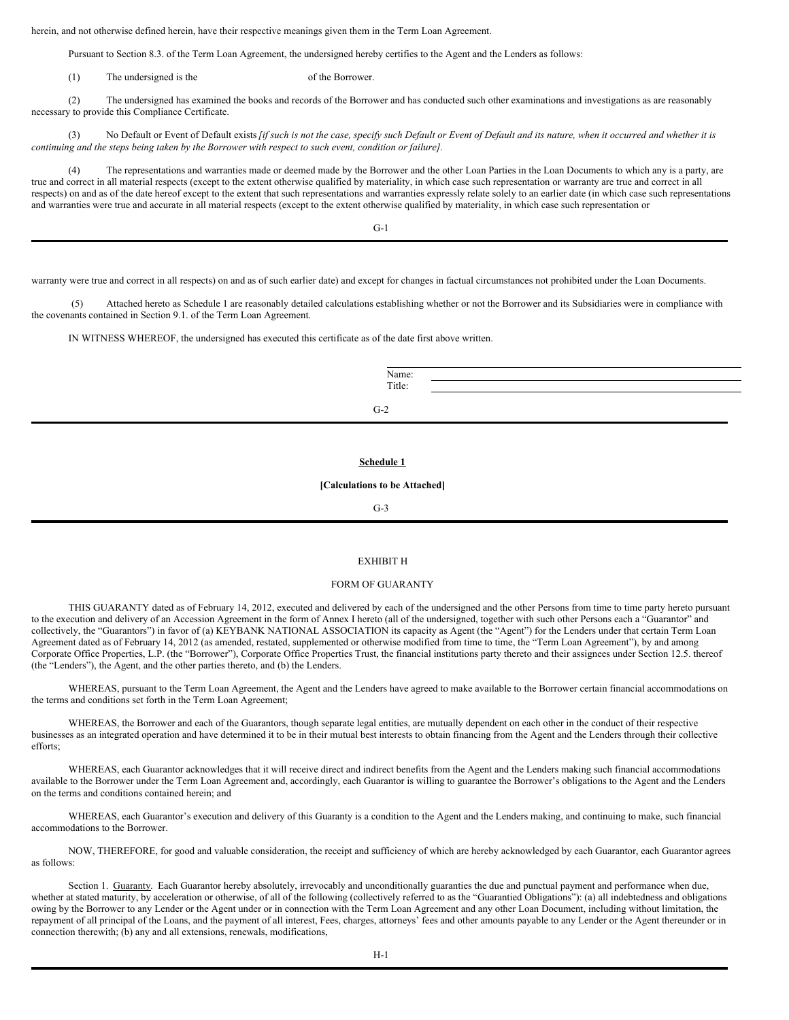herein, and not otherwise defined herein, have their respective meanings given them in the Term Loan Agreement.

Pursuant to Section 8.3. of the Term Loan Agreement, the undersigned hereby certifies to the Agent and the Lenders as follows:

(1) The undersigned is the of the Borrower.

(2) The undersigned has examined the books and records of the Borrower and has conducted such other examinations and investigations as are reasonably necessary to provide this Compliance Certificate.

(3) No Default or Event of Default exists [if such is not the case, specify such Default or Event of Default and its nature, when it occurred and whether it is *continuing and the steps being taken by the Borrower with respect to such event, condition or failure]*.

(4) The representations and warranties made or deemed made by the Borrower and the other Loan Parties in the Loan Documents to which any is a party, are true and correct in all material respects (except to the extent otherwise qualified by materiality, in which case such representation or warranty are true and correct in all respects) on and as of the date hereof except to the extent that such representations and warranties expressly relate solely to an earlier date (in which case such representations and warranties were true and accurate in all material respects (except to the extent otherwise qualified by materiality, in which case such representation or

G-1

warranty were true and correct in all respects) on and as of such earlier date) and except for changes in factual circumstances not prohibited under the Loan Documents.

(5) Attached hereto as Schedule 1 are reasonably detailed calculations establishing whether or not the Borrower and its Subsidiaries were in compliance with the covenants contained in Section 9.1. of the Term Loan Agreement.

IN WITNESS WHEREOF, the undersigned has executed this certificate as of the date first above written.

Name: Title:

G-2

## **Schedule 1**

#### **[Calculations to be Attached]**

G-3

## EXHIBIT H

## FORM OF GUARANTY

THIS GUARANTY dated as of February 14, 2012, executed and delivered by each of the undersigned and the other Persons from time to time party hereto pursuant to the execution and delivery of an Accession Agreement in the form of Annex I hereto (all of the undersigned, together with such other Persons each a "Guarantor" and collectively, the "Guarantors") in favor of (a) KEYBANK NATIONAL ASSOCIATION its capacity as Agent (the "Agent") for the Lenders under that certain Term Loan Agreement dated as of February 14, 2012 (as amended, restated, supplemented or otherwise modified from time to time, the "Term Loan Agreement"), by and among Corporate Office Properties, L.P. (the "Borrower"), Corporate Office Properties Trust, the financial institutions party thereto and their assignees under Section 12.5. thereof (the "Lenders"), the Agent, and the other parties thereto, and (b) the Lenders.

WHEREAS, pursuant to the Term Loan Agreement, the Agent and the Lenders have agreed to make available to the Borrower certain financial accommodations on the terms and conditions set forth in the Term Loan Agreement;

WHEREAS, the Borrower and each of the Guarantors, though separate legal entities, are mutually dependent on each other in the conduct of their respective businesses as an integrated operation and have determined it to be in their mutual best interests to obtain financing from the Agent and the Lenders through their collective efforts;

WHEREAS, each Guarantor acknowledges that it will receive direct and indirect benefits from the Agent and the Lenders making such financial accommodations available to the Borrower under the Term Loan Agreement and, accordingly, each Guarantor is willing to guarantee the Borrower's obligations to the Agent and the Lenders on the terms and conditions contained herein; and

WHEREAS, each Guarantor's execution and delivery of this Guaranty is a condition to the Agent and the Lenders making, and continuing to make, such financial accommodations to the Borrower.

NOW, THEREFORE, for good and valuable consideration, the receipt and sufficiency of which are hereby acknowledged by each Guarantor, each Guarantor agrees as follows:

Section 1. Guaranty. Each Guarantor hereby absolutely, irrevocably and unconditionally guaranties the due and punctual payment and performance when due, whether at stated maturity, by acceleration or otherwise, of all of the following (collectively referred to as the "Guarantied Obligations"): (a) all indebtedness and obligations owing by the Borrower to any Lender or the Agent under or in connection with the Term Loan Agreement and any other Loan Document, including without limitation, the repayment of all principal of the Loans, and the payment of all interest, Fees, charges, attorneys' fees and other amounts payable to any Lender or the Agent thereunder or in connection therewith; (b) any and all extensions, renewals, modifications,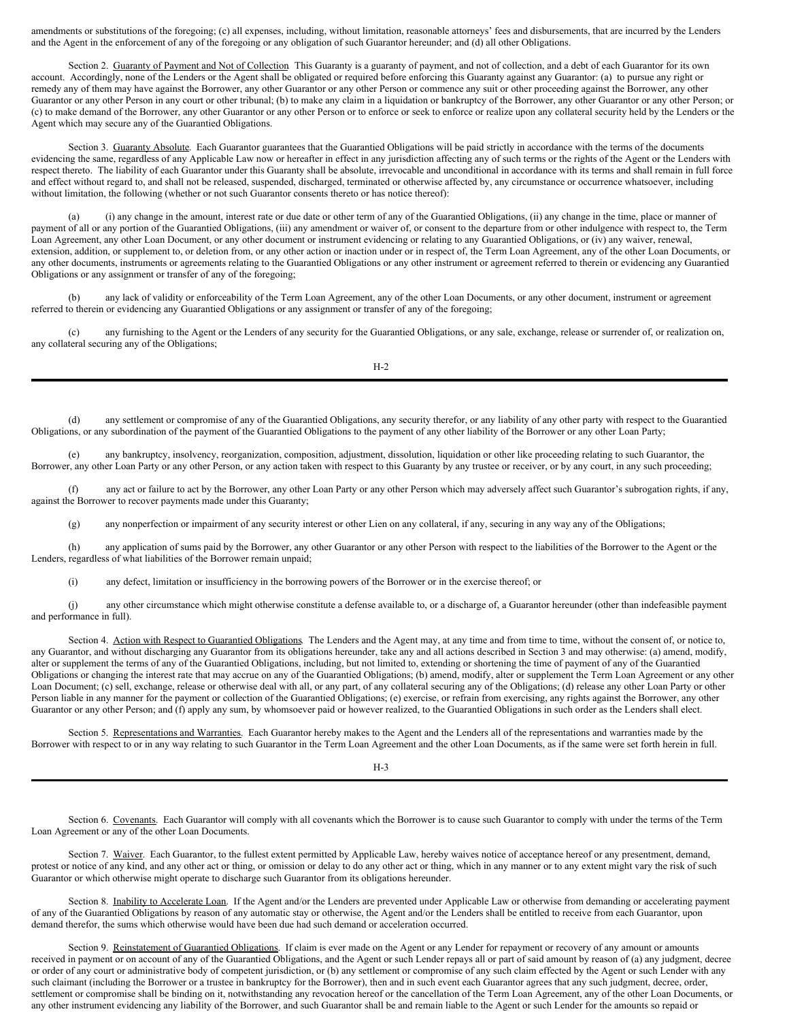amendments or substitutions of the foregoing; (c) all expenses, including, without limitation, reasonable attorneys' fees and disbursements, that are incurred by the Lenders and the Agent in the enforcement of any of the foregoing or any obligation of such Guarantor hereunder; and (d) all other Obligations.

Section 2. Guaranty of Payment and Not of Collection This Guaranty is a guaranty of payment, and not of collection, and a debt of each Guarantor for its own account. Accordingly, none of the Lenders or the Agent shall be obligated or required before enforcing this Guaranty against any Guarantor: (a) to pursue any right or remedy any of them may have against the Borrower, any other Guarantor or any other Person or commence any suit or other proceeding against the Borrower, any other Guarantor or any other Person in any court or other tribunal; (b) to make any claim in a liquidation or bankruptcy of the Borrower, any other Guarantor or any other Person; or (c) to make demand of the Borrower, any other Guarantor or any other Person or to enforce or seek to enforce or realize upon any collateral security held by the Lenders or the Agent which may secure any of the Guarantied Obligations.

Section 3. Guaranty Absolute. Each Guarantor guarantees that the Guarantied Obligations will be paid strictly in accordance with the terms of the documents evidencing the same, regardless of any Applicable Law now or hereafter in effect in any jurisdiction affecting any of such terms or the rights of the Agent or the Lenders with respect thereto. The liability of each Guarantor under this Guaranty shall be absolute, irrevocable and unconditional in accordance with its terms and shall remain in full force and effect without regard to, and shall not be released, suspended, discharged, terminated or otherwise affected by, any circumstance or occurrence whatsoever, including without limitation, the following (whether or not such Guarantor consents thereto or has notice thereof):

(i) any change in the amount, interest rate or due date or other term of any of the Guarantied Obligations, (ii) any change in the time, place or manner of payment of all or any portion of the Guarantied Obligations, (iii) any amendment or waiver of, or consent to the departure from or other indulgence with respect to, the Term Loan Agreement, any other Loan Document, or any other document or instrument evidencing or relating to any Guarantied Obligations, or (iv) any waiver, renewal, extension, addition, or supplement to, or deletion from, or any other action or inaction under or in respect of, the Term Loan Agreement, any of the other Loan Documents, or any other documents, instruments or agreements relating to the Guarantied Obligations or any other instrument or agreement referred to therein or evidencing any Guarantied Obligations or any assignment or transfer of any of the foregoing;

(b) any lack of validity or enforceability of the Term Loan Agreement, any of the other Loan Documents, or any other document, instrument or agreement referred to therein or evidencing any Guarantied Obligations or any assignment or transfer of any of the foregoing;

(c) any furnishing to the Agent or the Lenders of any security for the Guarantied Obligations, or any sale, exchange, release or surrender of, or realization on, any collateral securing any of the Obligations;

H-2

(d) any settlement or compromise of any of the Guarantied Obligations, any security therefor, or any liability of any other party with respect to the Guarantied Obligations, or any subordination of the payment of the Guarantied Obligations to the payment of any other liability of the Borrower or any other Loan Party;

(e) any bankruptcy, insolvency, reorganization, composition, adjustment, dissolution, liquidation or other like proceeding relating to such Guarantor, the Borrower, any other Loan Party or any other Person, or any action taken with respect to this Guaranty by any trustee or receiver, or by any court, in any such proceeding;

(f) any act or failure to act by the Borrower, any other Loan Party or any other Person which may adversely affect such Guarantor's subrogation rights, if any, against the Borrower to recover payments made under this Guaranty;

(g) any nonperfection or impairment of any security interest or other Lien on any collateral, if any, securing in any way any of the Obligations;

(h) any application of sums paid by the Borrower, any other Guarantor or any other Person with respect to the liabilities of the Borrower to the Agent or the Lenders, regardless of what liabilities of the Borrower remain unpaid;

(i) any defect, limitation or insufficiency in the borrowing powers of the Borrower or in the exercise thereof; or

(j) any other circumstance which might otherwise constitute a defense available to, or a discharge of, a Guarantor hereunder (other than indefeasible payment and performance in full).

Section 4. Action with Respect to Guarantied Obligations. The Lenders and the Agent may, at any time and from time to time, without the consent of, or notice to, any Guarantor, and without discharging any Guarantor from its obligations hereunder, take any and all actions described in Section 3 and may otherwise: (a) amend, modify, alter or supplement the terms of any of the Guarantied Obligations, including, but not limited to, extending or shortening the time of payment of any of the Guarantied Obligations or changing the interest rate that may accrue on any of the Guarantied Obligations; (b) amend, modify, alter or supplement the Term Loan Agreement or any other Loan Document; (c) sell, exchange, release or otherwise deal with all, or any part, of any collateral securing any of the Obligations; (d) release any other Loan Party or other Person liable in any manner for the payment or collection of the Guarantied Obligations; (e) exercise, or refrain from exercising, any rights against the Borrower, any other Guarantor or any other Person; and (f) apply any sum, by whomsoever paid or however realized, to the Guarantied Obligations in such order as the Lenders shall elect.

Section 5. Representations and Warranties. Each Guarantor hereby makes to the Agent and the Lenders all of the representations and warranties made by the Borrower with respect to or in any way relating to such Guarantor in the Term Loan Agreement and the other Loan Documents, as if the same were set forth herein in full.

H-3

Section 6. Covenants. Each Guarantor will comply with all covenants which the Borrower is to cause such Guarantor to comply with under the terms of the Term Loan Agreement or any of the other Loan Documents.

Section 7. Waiver. Each Guarantor, to the fullest extent permitted by Applicable Law, hereby waives notice of acceptance hereof or any presentment, demand, protest or notice of any kind, and any other act or thing, or omission or delay to do any other act or thing, which in any manner or to any extent might vary the risk of such Guarantor or which otherwise might operate to discharge such Guarantor from its obligations hereunder.

Section 8. Inability to Accelerate Loan. If the Agent and/or the Lenders are prevented under Applicable Law or otherwise from demanding or accelerating payment of any of the Guarantied Obligations by reason of any automatic stay or otherwise, the Agent and/or the Lenders shall be entitled to receive from each Guarantor, upon demand therefor, the sums which otherwise would have been due had such demand or acceleration occurred.

Section 9. Reinstatement of Guarantied Obligations. If claim is ever made on the Agent or any Lender for repayment or recovery of any amount or amounts received in payment or on account of any of the Guarantied Obligations, and the Agent or such Lender repays all or part of said amount by reason of (a) any judgment, decree or order of any court or administrative body of competent jurisdiction, or (b) any settlement or compromise of any such claim effected by the Agent or such Lender with any such claimant (including the Borrower or a trustee in bankruptcy for the Borrower), then and in such event each Guarantor agrees that any such judgment, decree, order, settlement or compromise shall be binding on it, notwithstanding any revocation hereof or the cancellation of the Term Loan Agreement, any of the other Loan Documents, or any other instrument evidencing any liability of the Borrower, and such Guarantor shall be and remain liable to the Agent or such Lender for the amounts so repaid or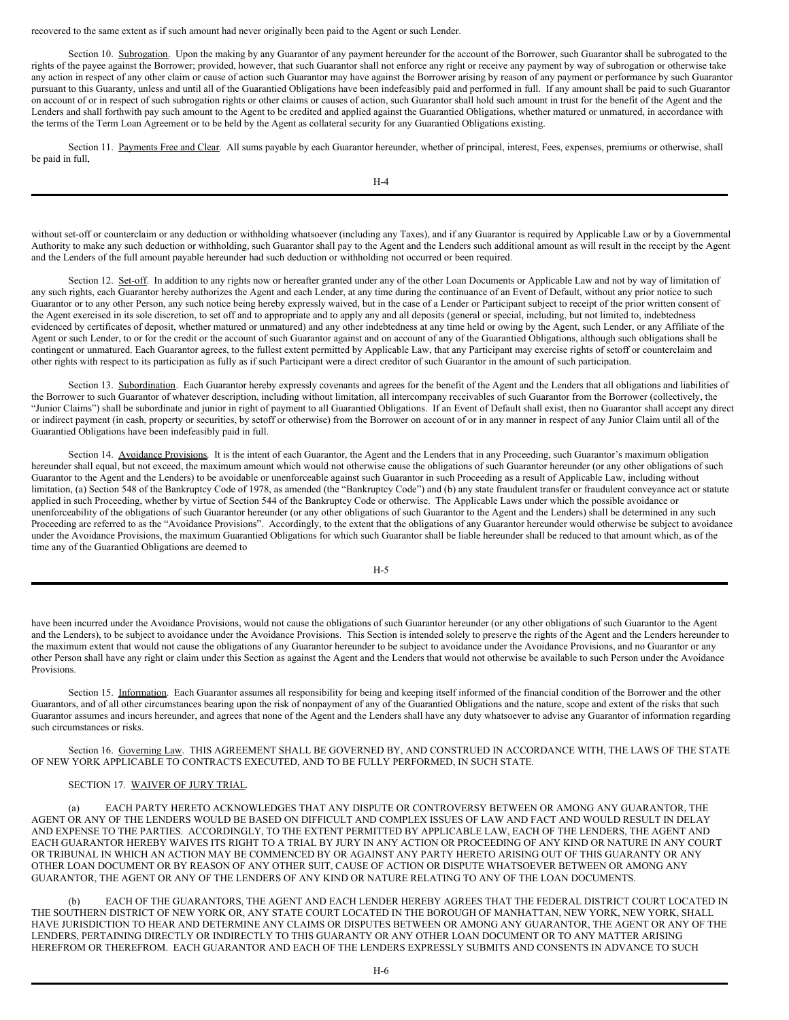recovered to the same extent as if such amount had never originally been paid to the Agent or such Lender.

Section 10. Subrogation. Upon the making by any Guarantor of any payment hereunder for the account of the Borrower, such Guarantor shall be subrogated to the rights of the payee against the Borrower; provided, however, that such Guarantor shall not enforce any right or receive any payment by way of subrogation or otherwise take any action in respect of any other claim or cause of action such Guarantor may have against the Borrower arising by reason of any payment or performance by such Guarantor pursuant to this Guaranty, unless and until all of the Guarantied Obligations have been indefeasibly paid and performed in full. If any amount shall be paid to such Guarantor on account of or in respect of such subrogation rights or other claims or causes of action, such Guarantor shall hold such amount in trust for the benefit of the Agent and the Lenders and shall forthwith pay such amount to the Agent to be credited and applied against the Guarantied Obligations, whether matured or unmatured, in accordance with the terms of the Term Loan Agreement or to be held by the Agent as collateral security for any Guarantied Obligations existing.

Section 11. Payments Free and Clear. All sums payable by each Guarantor hereunder, whether of principal, interest, Fees, expenses, premiums or otherwise, shall be paid in full,

without set-off or counterclaim or any deduction or withholding whatsoever (including any Taxes), and if any Guarantor is required by Applicable Law or by a Governmental Authority to make any such deduction or withholding, such Guarantor shall pay to the Agent and the Lenders such additional amount as will result in the receipt by the Agent and the Lenders of the full amount payable hereunder had such deduction or withholding not occurred or been required.

Section 12. Set-off. In addition to any rights now or hereafter granted under any of the other Loan Documents or Applicable Law and not by way of limitation of any such rights, each Guarantor hereby authorizes the Agent and each Lender, at any time during the continuance of an Event of Default, without any prior notice to such Guarantor or to any other Person, any such notice being hereby expressly waived, but in the case of a Lender or Participant subject to receipt of the prior written consent of the Agent exercised in its sole discretion, to set off and to appropriate and to apply any and all deposits (general or special, including, but not limited to, indebtedness evidenced by certificates of deposit, whether matured or unmatured) and any other indebtedness at any time held or owing by the Agent, such Lender, or any Affiliate of the Agent or such Lender, to or for the credit or the account of such Guarantor against and on account of any of the Guarantied Obligations, although such obligations shall be contingent or unmatured. Each Guarantor agrees, to the fullest extent permitted by Applicable Law, that any Participant may exercise rights of setoff or counterclaim and other rights with respect to its participation as fully as if such Participant were a direct creditor of such Guarantor in the amount of such participation.

Section 13. Subordination. Each Guarantor hereby expressly covenants and agrees for the benefit of the Agent and the Lenders that all obligations and liabilities of the Borrower to such Guarantor of whatever description, including without limitation, all intercompany receivables of such Guarantor from the Borrower (collectively, the "Junior Claims") shall be subordinate and junior in right of payment to all Guarantied Obligations. If an Event of Default shall exist, then no Guarantor shall accept any direct or indirect payment (in cash, property or securities, by setoff or otherwise) from the Borrower on account of or in any manner in respect of any Junior Claim until all of the Guarantied Obligations have been indefeasibly paid in full.

Section 14. Avoidance Provisions. It is the intent of each Guarantor, the Agent and the Lenders that in any Proceeding, such Guarantor's maximum obligation hereunder shall equal, but not exceed, the maximum amount which would not otherwise cause the obligations of such Guarantor hereunder (or any other obligations of such Guarantor to the Agent and the Lenders) to be avoidable or unenforceable against such Guarantor in such Proceeding as a result of Applicable Law, including without limitation, (a) Section 548 of the Bankruptcy Code of 1978, as amended (the "Bankruptcy Code") and (b) any state fraudulent transfer or fraudulent conveyance act or statute applied in such Proceeding, whether by virtue of Section 544 of the Bankruptcy Code or otherwise. The Applicable Laws under which the possible avoidance or unenforceability of the obligations of such Guarantor hereunder (or any other obligations of such Guarantor to the Agent and the Lenders) shall be determined in any such Proceeding are referred to as the "Avoidance Provisions". Accordingly, to the extent that the obligations of any Guarantor hereunder would otherwise be subject to avoidance under the Avoidance Provisions, the maximum Guarantied Obligations for which such Guarantor shall be liable hereunder shall be reduced to that amount which, as of the time any of the Guarantied Obligations are deemed to

H-5

have been incurred under the Avoidance Provisions, would not cause the obligations of such Guarantor hereunder (or any other obligations of such Guarantor to the Agent and the Lenders), to be subject to avoidance under the Avoidance Provisions. This Section is intended solely to preserve the rights of the Agent and the Lenders hereunder to the maximum extent that would not cause the obligations of any Guarantor hereunder to be subject to avoidance under the Avoidance Provisions, and no Guarantor or any other Person shall have any right or claim under this Section as against the Agent and the Lenders that would not otherwise be available to such Person under the Avoidance Provisions.

Section 15. Information. Each Guarantor assumes all responsibility for being and keeping itself informed of the financial condition of the Borrower and the other Guarantors, and of all other circumstances bearing upon the risk of nonpayment of any of the Guarantied Obligations and the nature, scope and extent of the risks that such Guarantor assumes and incurs hereunder, and agrees that none of the Agent and the Lenders shall have any duty whatsoever to advise any Guarantor of information regarding such circumstances or risks.

Section 16. Governing Law. THIS AGREEMENT SHALL BE GOVERNED BY, AND CONSTRUED IN ACCORDANCE WITH, THE LAWS OF THE STATE OF NEW YORK APPLICABLE TO CONTRACTS EXECUTED, AND TO BE FULLY PERFORMED, IN SUCH STATE.

## SECTION 17. WAIVER OF JURY TRIAL.

EACH PARTY HERETO ACKNOWLEDGES THAT ANY DISPUTE OR CONTROVERSY BETWEEN OR AMONG ANY GUARANTOR, THE AGENT OR ANY OF THE LENDERS WOULD BE BASED ON DIFFICULT AND COMPLEX ISSUES OF LAW AND FACT AND WOULD RESULT IN DELAY AND EXPENSE TO THE PARTIES. ACCORDINGLY, TO THE EXTENT PERMITTED BY APPLICABLE LAW, EACH OF THE LENDERS, THE AGENT AND EACH GUARANTOR HEREBY WAIVES ITS RIGHT TO A TRIAL BY JURY IN ANY ACTION OR PROCEEDING OF ANY KIND OR NATURE IN ANY COURT OR TRIBUNAL IN WHICH AN ACTION MAY BE COMMENCED BY OR AGAINST ANY PARTY HERETO ARISING OUT OF THIS GUARANTY OR ANY OTHER LOAN DOCUMENT OR BY REASON OF ANY OTHER SUIT, CAUSE OF ACTION OR DISPUTE WHATSOEVER BETWEEN OR AMONG ANY GUARANTOR, THE AGENT OR ANY OF THE LENDERS OF ANY KIND OR NATURE RELATING TO ANY OF THE LOAN DOCUMENTS.

(b) EACH OF THE GUARANTORS, THE AGENT AND EACH LENDER HEREBY AGREES THAT THE FEDERAL DISTRICT COURT LOCATED IN THE SOUTHERN DISTRICT OF NEW YORK OR, ANY STATE COURT LOCATED IN THE BOROUGH OF MANHATTAN, NEW YORK, NEW YORK, SHALL HAVE JURISDICTION TO HEAR AND DETERMINE ANY CLAIMS OR DISPUTES BETWEEN OR AMONG ANY GUARANTOR, THE AGENT OR ANY OF THE LENDERS, PERTAINING DIRECTLY OR INDIRECTLY TO THIS GUARANTY OR ANY OTHER LOAN DOCUMENT OR TO ANY MATTER ARISING HEREFROM OR THEREFROM. EACH GUARANTOR AND EACH OF THE LENDERS EXPRESSLY SUBMITS AND CONSENTS IN ADVANCE TO SUCH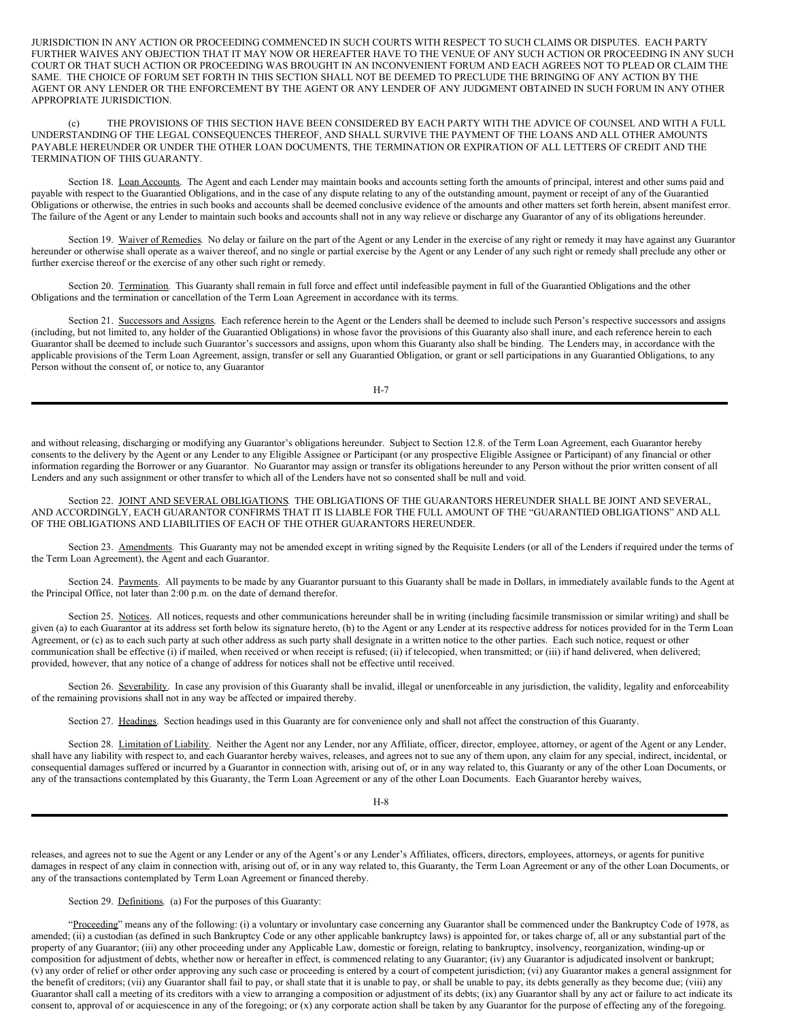JURISDICTION IN ANY ACTION OR PROCEEDING COMMENCED IN SUCH COURTS WITH RESPECT TO SUCH CLAIMS OR DISPUTES. EACH PARTY FURTHER WAIVES ANY OBJECTION THAT IT MAY NOW OR HEREAFTER HAVE TO THE VENUE OF ANY SUCH ACTION OR PROCEEDING IN ANY SUCH COURT OR THAT SUCH ACTION OR PROCEEDING WAS BROUGHT IN AN INCONVENIENT FORUM AND EACH AGREES NOT TO PLEAD OR CLAIM THE SAME. THE CHOICE OF FORUM SET FORTH IN THIS SECTION SHALL NOT BE DEEMED TO PRECLUDE THE BRINGING OF ANY ACTION BY THE AGENT OR ANY LENDER OR THE ENFORCEMENT BY THE AGENT OR ANY LENDER OF ANY JUDGMENT OBTAINED IN SUCH FORUM IN ANY OTHER APPROPRIATE JURISDICTION.

(c) THE PROVISIONS OF THIS SECTION HAVE BEEN CONSIDERED BY EACH PARTY WITH THE ADVICE OF COUNSEL AND WITH A FULL UNDERSTANDING OF THE LEGAL CONSEQUENCES THEREOF, AND SHALL SURVIVE THE PAYMENT OF THE LOANS AND ALL OTHER AMOUNTS PAYABLE HEREUNDER OR UNDER THE OTHER LOAN DOCUMENTS, THE TERMINATION OR EXPIRATION OF ALL LETTERS OF CREDIT AND THE TERMINATION OF THIS GUARANTY.

Section 18. Loan Accounts. The Agent and each Lender may maintain books and accounts setting forth the amounts of principal, interest and other sums paid and payable with respect to the Guarantied Obligations, and in the case of any dispute relating to any of the outstanding amount, payment or receipt of any of the Guarantied Obligations or otherwise, the entries in such books and accounts shall be deemed conclusive evidence of the amounts and other matters set forth herein, absent manifest error. The failure of the Agent or any Lender to maintain such books and accounts shall not in any way relieve or discharge any Guarantor of any of its obligations hereunder.

Section 19. Waiver of Remedies. No delay or failure on the part of the Agent or any Lender in the exercise of any right or remedy it may have against any Guarantor hereunder or otherwise shall operate as a waiver thereof, and no single or partial exercise by the Agent or any Lender of any such right or remedy shall preclude any other or further exercise thereof or the exercise of any other such right or remedy.

Section 20. Termination. This Guaranty shall remain in full force and effect until indefeasible payment in full of the Guarantied Obligations and the other Obligations and the termination or cancellation of the Term Loan Agreement in accordance with its terms.

Section 21. Successors and Assigns. Each reference herein to the Agent or the Lenders shall be deemed to include such Person's respective successors and assigns (including, but not limited to, any holder of the Guarantied Obligations) in whose favor the provisions of this Guaranty also shall inure, and each reference herein to each Guarantor shall be deemed to include such Guarantor's successors and assigns, upon whom this Guaranty also shall be binding. The Lenders may, in accordance with the applicable provisions of the Term Loan Agreement, assign, transfer or sell any Guarantied Obligation, or grant or sell participations in any Guarantied Obligations, to any Person without the consent of, or notice to, any Guarantor

H-7

and without releasing, discharging or modifying any Guarantor's obligations hereunder. Subject to Section 12.8. of the Term Loan Agreement, each Guarantor hereby consents to the delivery by the Agent or any Lender to any Eligible Assignee or Participant (or any prospective Eligible Assignee or Participant) of any financial or other information regarding the Borrower or any Guarantor. No Guarantor may assign or transfer its obligations hereunder to any Person without the prior written consent of all Lenders and any such assignment or other transfer to which all of the Lenders have not so consented shall be null and void.

Section 22. JOINT AND SEVERAL OBLIGATIONS. THE OBLIGATIONS OF THE GUARANTORS HEREUNDER SHALL BE JOINT AND SEVERAL, AND ACCORDINGLY, EACH GUARANTOR CONFIRMS THAT IT IS LIABLE FOR THE FULL AMOUNT OF THE "GUARANTIED OBLIGATIONS" AND ALL OF THE OBLIGATIONS AND LIABILITIES OF EACH OF THE OTHER GUARANTORS HEREUNDER.

Section 23. Amendments. This Guaranty may not be amended except in writing signed by the Requisite Lenders (or all of the Lenders if required under the terms of the Term Loan Agreement), the Agent and each Guarantor.

Section 24. Payments. All payments to be made by any Guarantor pursuant to this Guaranty shall be made in Dollars, in immediately available funds to the Agent at the Principal Office, not later than 2:00 p.m. on the date of demand therefor.

Section 25. Notices. All notices, requests and other communications hereunder shall be in writing (including facsimile transmission or similar writing) and shall be given (a) to each Guarantor at its address set forth below its signature hereto, (b) to the Agent or any Lender at its respective address for notices provided for in the Term Loan Agreement, or (c) as to each such party at such other address as such party shall designate in a written notice to the other parties. Each such notice, request or other communication shall be effective (i) if mailed, when received or when receipt is refused; (ii) if telecopied, when transmitted; or (iii) if hand delivered, when delivered; provided, however, that any notice of a change of address for notices shall not be effective until received.

Section 26. Severability. In case any provision of this Guaranty shall be invalid, illegal or unenforceable in any jurisdiction, the validity, legality and enforceability of the remaining provisions shall not in any way be affected or impaired thereby.

Section 27. Headings. Section headings used in this Guaranty are for convenience only and shall not affect the construction of this Guaranty.

Section 28. Limitation of Liability. Neither the Agent nor any Lender, nor any Affiliate, officer, director, employee, attorney, or agent of the Agent or any Lender, shall have any liability with respect to, and each Guarantor hereby waives, releases, and agrees not to sue any of them upon, any claim for any special, indirect, incidental, or consequential damages suffered or incurred by a Guarantor in connection with, arising out of, or in any way related to, this Guaranty or any of the other Loan Documents, or any of the transactions contemplated by this Guaranty, the Term Loan Agreement or any of the other Loan Documents. Each Guarantor hereby waives,

H-8

releases, and agrees not to sue the Agent or any Lender or any of the Agent's or any Lender's Affiliates, officers, directors, employees, attorneys, or agents for punitive damages in respect of any claim in connection with, arising out of, or in any way related to, this Guaranty, the Term Loan Agreement or any of the other Loan Documents, or any of the transactions contemplated by Term Loan Agreement or financed thereby.

Section 29. Definitions. (a) For the purposes of this Guaranty:

"Proceeding" means any of the following: (i) a voluntary or involuntary case concerning any Guarantor shall be commenced under the Bankruptcy Code of 1978, as amended; (ii) a custodian (as defined in such Bankruptcy Code or any other applicable bankruptcy laws) is appointed for, or takes charge of, all or any substantial part of the property of any Guarantor; (iii) any other proceeding under any Applicable Law, domestic or foreign, relating to bankruptcy, insolvency, reorganization, winding-up or composition for adjustment of debts, whether now or hereafter in effect, is commenced relating to any Guarantor; (iv) any Guarantor is adjudicated insolvent or bankrupt; (v) any order of relief or other order approving any such case or proceeding is entered by a court of competent jurisdiction; (vi) any Guarantor makes a general assignment for the benefit of creditors; (vii) any Guarantor shall fail to pay, or shall state that it is unable to pay, or shall be unable to pay, its debts generally as they become due; (viii) any Guarantor shall call a meeting of its creditors with a view to arranging a composition or adjustment of its debts; (ix) any Guarantor shall by any act or failure to act indicate its consent to, approval of or acquiescence in any of the foregoing; or (x) any corporate action shall be taken by any Guarantor for the purpose of effecting any of the foregoing.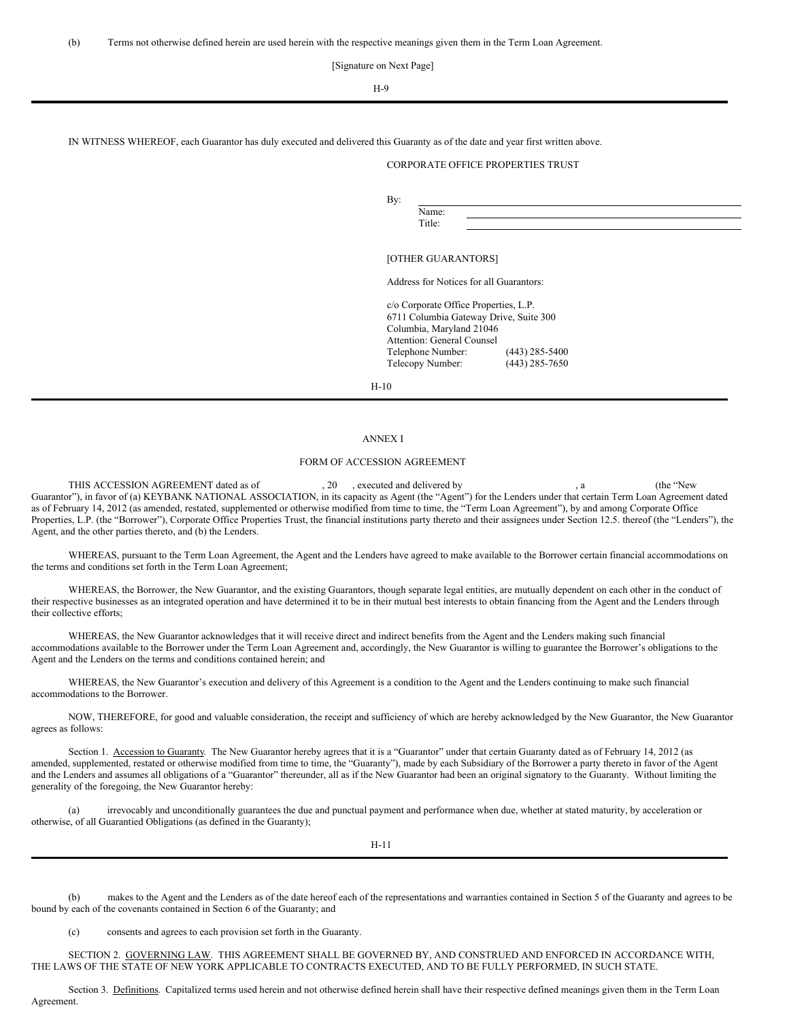[Signature on Next Page]

H-9

IN WITNESS WHEREOF, each Guarantor has duly executed and delivered this Guaranty as of the date and year first written above.

## CORPORATE OFFICE PROPERTIES TRUST

By: Name: Title:

#### [OTHER GUARANTORS]

Address for Notices for all Guarantors:

c/o Corporate Office Properties, L.P. 6711 Columbia Gateway Drive, Suite 300 Columbia, Maryland 21046 Attention: General Counsel Telephone Number: (443) 285-5400 Telecopy Number: (443) 285-7650

H-10

### ANNEX I

### FORM OF ACCESSION AGREEMENT

THIS ACCESSION AGREEMENT dated as of  $, 20$ , executed and delivered by  $, a$  (the "New") Guarantor"), in favor of (a) KEYBANK NATIONAL ASSOCIATION, in its capacity as Agent (the "Agent") for the Lenders under that certain Term Loan Agreement dated as of February 14, 2012 (as amended, restated, supplemented or otherwise modified from time to time, the "Term Loan Agreement"), by and among Corporate Office Properties, L.P. (the "Borrower"), Corporate Office Properties Trust, the financial institutions party thereto and their assignees under Section 12.5. thereof (the "Lenders"), the Agent, and the other parties thereto, and (b) the Lenders.

WHEREAS, pursuant to the Term Loan Agreement, the Agent and the Lenders have agreed to make available to the Borrower certain financial accommodations on the terms and conditions set forth in the Term Loan Agreement;

WHEREAS, the Borrower, the New Guarantor, and the existing Guarantors, though separate legal entities, are mutually dependent on each other in the conduct of their respective businesses as an integrated operation and have determined it to be in their mutual best interests to obtain financing from the Agent and the Lenders through their collective efforts;

WHEREAS, the New Guarantor acknowledges that it will receive direct and indirect benefits from the Agent and the Lenders making such financial accommodations available to the Borrower under the Term Loan Agreement and, accordingly, the New Guarantor is willing to guarantee the Borrower's obligations to the Agent and the Lenders on the terms and conditions contained herein; and

WHEREAS, the New Guarantor's execution and delivery of this Agreement is a condition to the Agent and the Lenders continuing to make such financial accommodations to the Borrower.

NOW, THEREFORE, for good and valuable consideration, the receipt and sufficiency of which are hereby acknowledged by the New Guarantor, the New Guarantor agrees as follows:

Section 1. Accession to Guaranty. The New Guarantor hereby agrees that it is a "Guarantor" under that certain Guaranty dated as of February 14, 2012 (as amended, supplemented, restated or otherwise modified from time to time, the "Guaranty"), made by each Subsidiary of the Borrower a party thereto in favor of the Agent and the Lenders and assumes all obligations of a "Guarantor" thereunder, all as if the New Guarantor had been an original signatory to the Guaranty. Without limiting the generality of the foregoing, the New Guarantor hereby:

(a) irrevocably and unconditionally guarantees the due and punctual payment and performance when due, whether at stated maturity, by acceleration or otherwise, of all Guarantied Obligations (as defined in the Guaranty);

(b) makes to the Agent and the Lenders as of the date hereof each of the representations and warranties contained in Section 5 of the Guaranty and agrees to be bound by each of the covenants contained in Section 6 of the Guaranty; and

(c) consents and agrees to each provision set forth in the Guaranty.

SECTION 2. GOVERNING LAW. THIS AGREEMENT SHALL BE GOVERNED BY, AND CONSTRUED AND ENFORCED IN ACCORDANCE WITH, THE LAWS OF THE STATE OF NEW YORK APPLICABLE TO CONTRACTS EXECUTED, AND TO BE FULLY PERFORMED, IN SUCH STATE.

Section 3. Definitions. Capitalized terms used herein and not otherwise defined herein shall have their respective defined meanings given them in the Term Loan Agreement.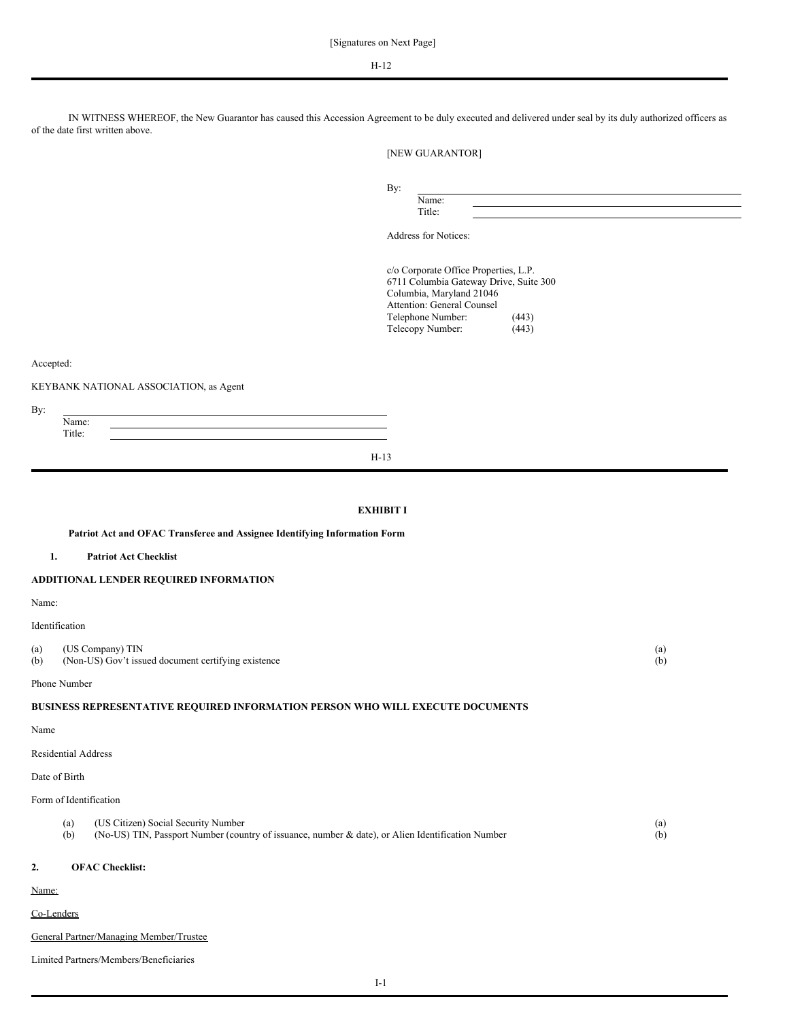H-12

IN WITNESS WHEREOF, the New Guarantor has caused this Accession Agreement to be duly executed and delivered under seal by its duly authorized officers as of the date first written above.

By: Name: Title:

Address for Notices:

c/o Corporate Office Properties, L.P. 6711 Columbia Gateway Drive, Suite 300 Columbia, Maryland 21046 Attention: General Counsel Telephone Number: (443) Telecopy Number: (443)

Accepted:

KEYBANK NATIONAL ASSOCIATION, as Agent

By: Name: Title:

H-13

## **EXHIBIT I**

**Patriot Act and OFAC Transferee and Assignee Identifying Information Form**

## **1. Patriot Act Checklist**

# **ADDITIONAL LENDER REQUIRED INFORMATION**

Name:

Identification

| (b) | (a) (US Company) TIN<br>(Non-US) Gov't issued document certifying existence | (a)<br>(b) |
|-----|-----------------------------------------------------------------------------|------------|
|     | Phone Number                                                                |            |

## **BUSINESS REPRESENTATIVE REQUIRED INFORMATION PERSON WHO WILL EXECUTE DOCUMENTS**

Name

Residential Address

Date of Birth

## Form of Identification

|       | (a)<br>(b) | (US Citizen) Social Security Number<br>(No-US) TIN, Passport Number (country of issuance, number & date), or Alien Identification Number | (a)<br>(b) |
|-------|------------|------------------------------------------------------------------------------------------------------------------------------------------|------------|
| 2.    |            | <b>OFAC Checklist:</b>                                                                                                                   |            |
| Name: |            |                                                                                                                                          |            |

# Co-Lenders

General Partner/Managing Member/Trustee

Limited Partners/Members/Beneficiaries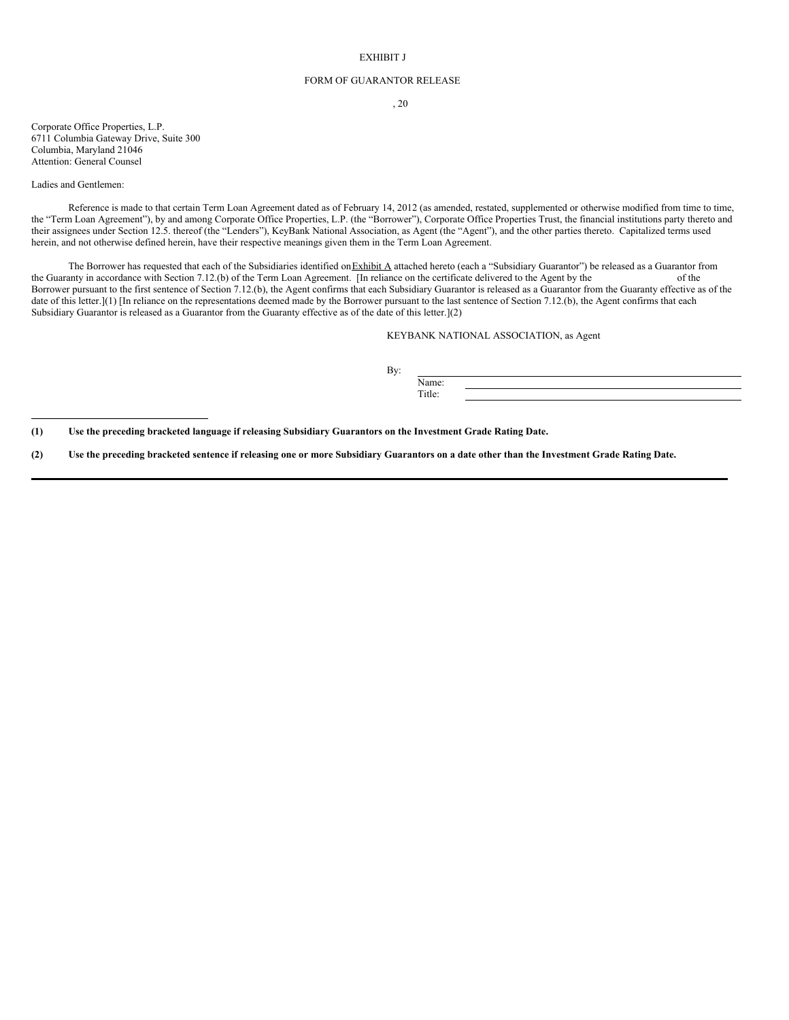## EXHIBIT J

### FORM OF GUARANTOR RELEASE

, 20

Corporate Office Properties, L.P. 6711 Columbia Gateway Drive, Suite 300 Columbia, Maryland 21046 Attention: General Counsel

## Ladies and Gentlemen:

Reference is made to that certain Term Loan Agreement dated as of February 14, 2012 (as amended, restated, supplemented or otherwise modified from time to time, the "Term Loan Agreement"), by and among Corporate Office Properties, L.P. (the "Borrower"), Corporate Office Properties Trust, the financial institutions party thereto and their assignees under Section 12.5. thereof (the "Lenders"), KeyBank National Association, as Agent (the "Agent"), and the other parties thereto. Capitalized terms used herein, and not otherwise defined herein, have their respective meanings given them in the Term Loan Agreement.

The Borrower has requested that each of the Subsidiaries identified on Exhibit A attached hereto (each a "Subsidiary Guarantor") be released as a Guarantor from the Guaranty in accordance with Section 7.12.(b) of the Term Loan Agreement. [In reliance on the certificate delivered to the Agent by the of the Borrower pursuant to the first sentence of Section 7.12.(b), the Agent confirms that each Subsidiary Guarantor is released as a Guarantor from the Guaranty effective as of the date of this letter.](1) [In reliance on the representations deemed made by the Borrower pursuant to the last sentence of Section 7.12.(b), the Agent confirms that each Subsidiary Guarantor is released as a Guarantor from the Guaranty effective as of the date of this letter.](2)

KEYBANK NATIONAL ASSOCIATION, as Agent

By:

Name: Title:

**(1) Use the preceding bracketed language if releasing Subsidiary Guarantors on the Investment Grade Rating Date.**

(2) Use the preceding bracketed sentence if releasing one or more Subsidiary Guarantors on a date other than the Investment Grade Rating Date.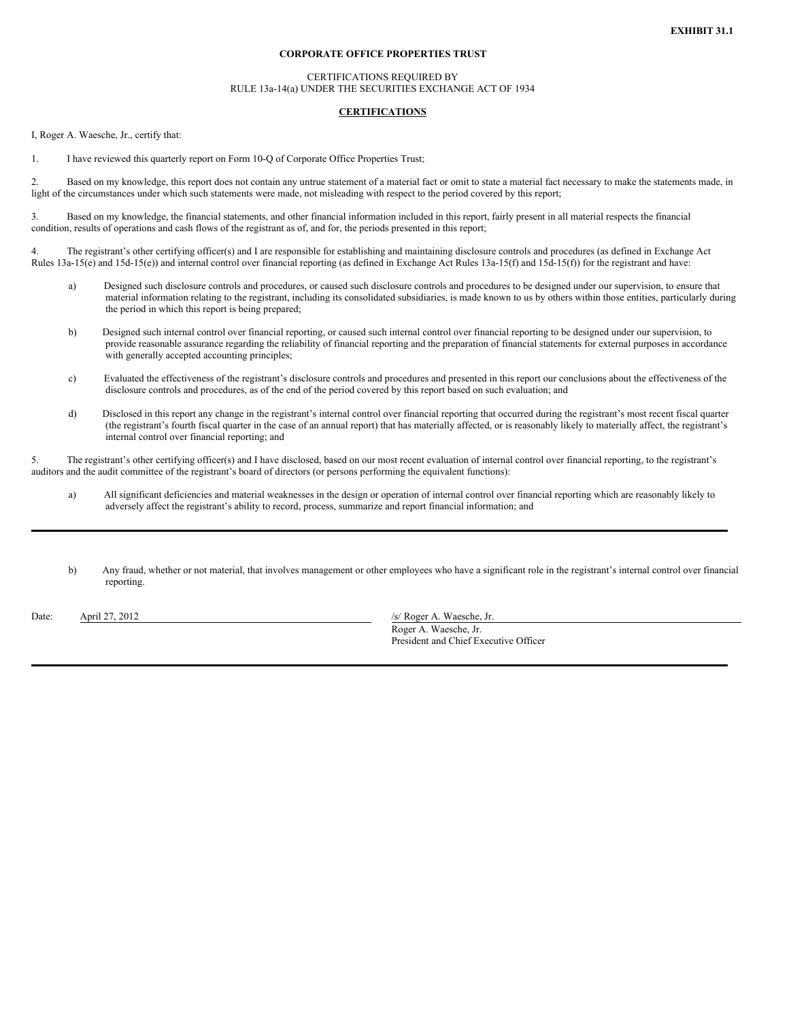## CERTIFICATIONS REQUIRED BY RULE 13a-14(a) UNDER THE SECURITIES EXCHANGE ACT OF 1934

### **CERTIFICATIONS**

I, Roger A. Waesche, Jr., certify that:

1. I have reviewed this quarterly report on Form 10-Q of Corporate Office Properties Trust;

2. Based on my knowledge, this report does not contain any untrue statement of a material fact or omit to state a material fact necessary to make the statements made, in light of the circumstances under which such statements were made, not misleading with respect to the period covered by this report;

3. Based on my knowledge, the financial statements, and other financial information included in this report, fairly present in all material respects the financial condition, results of operations and cash flows of the registrant as of, and for, the periods presented in this report;

4. The registrant's other certifying officer(s) and I are responsible for establishing and maintaining disclosure controls and procedures (as defined in Exchange Act Rules 13a-15(e) and 15d-15(e)) and internal control over financial reporting (as defined in Exchange Act Rules 13a-15(f) and 15d-15(f)) for the registrant and have:

- a) Designed such disclosure controls and procedures, or caused such disclosure controls and procedures to be designed under our supervision, to ensure that material information relating to the registrant, including its consolidated subsidiaries, is made known to us by others within those entities, particularly during the period in which this report is being prepared;
- b) Designed such internal control over financial reporting, or caused such internal control over financial reporting to be designed under our supervision, to provide reasonable assurance regarding the reliability of financial reporting and the preparation of financial statements for external purposes in accordance with generally accepted accounting principles;
- c) Evaluated the effectiveness of the registrant's disclosure controls and procedures and presented in this report our conclusions about the effectiveness of the disclosure controls and procedures, as of the end of the period covered by this report based on such evaluation; and
- d) Disclosed in this report any change in the registrant's internal control over financial reporting that occurred during the registrant's most recent fiscal quarter (the registrant's fourth fiscal quarter in the case of an annual report) that has materially affected, or is reasonably likely to materially affect, the registrant's internal control over financial reporting; and

5. The registrant's other certifying officer(s) and I have disclosed, based on our most recent evaluation of internal control over financial reporting, to the registrant's auditors and the audit committee of the registrant's board of directors (or persons performing the equivalent functions):

- a) All significant deficiencies and material weaknesses in the design or operation of internal control over financial reporting which are reasonably likely to adversely affect the registrant's ability to record, process, summarize and report financial information; and
- b) Any fraud, whether or not material, that involves management or other employees who have a significant role in the registrant's internal control over financial reporting.

Date: April 27, 2012 /s/ Roger A. Waesche, Jr.

Roger A. Waesche, Jr. President and Chief Executive Officer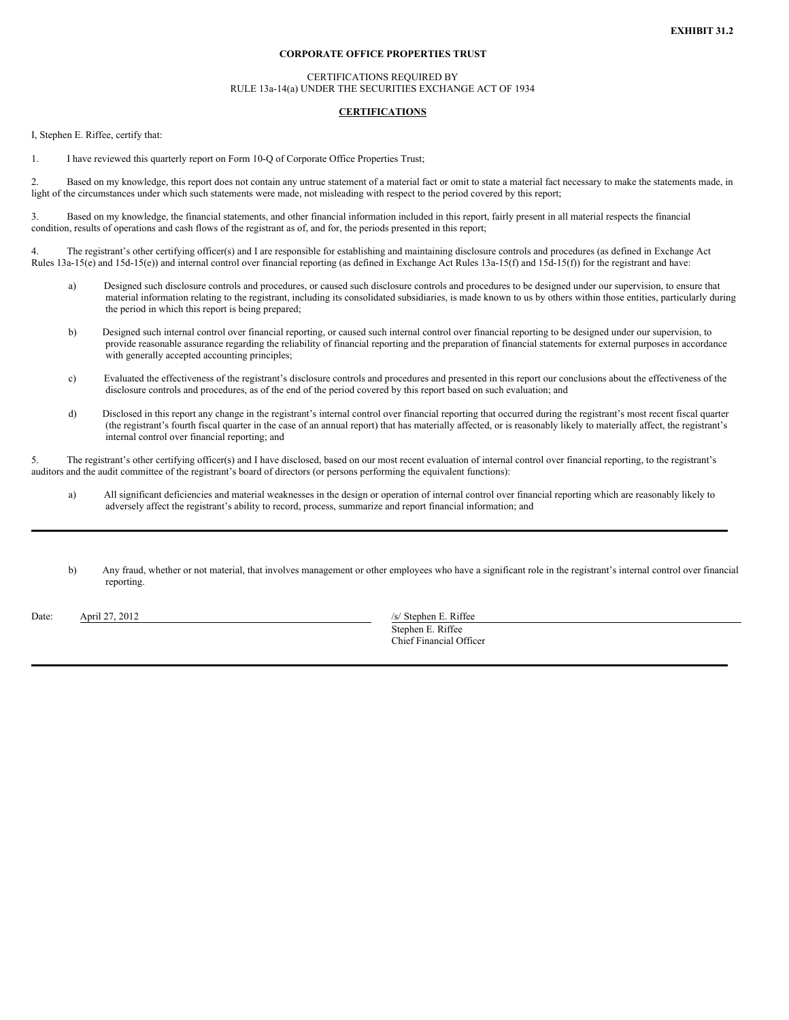## CERTIFICATIONS REQUIRED BY RULE 13a-14(a) UNDER THE SECURITIES EXCHANGE ACT OF 1934

### **CERTIFICATIONS**

I, Stephen E. Riffee, certify that:

1. I have reviewed this quarterly report on Form 10-Q of Corporate Office Properties Trust;

2. Based on my knowledge, this report does not contain any untrue statement of a material fact or omit to state a material fact necessary to make the statements made, in light of the circumstances under which such statements were made, not misleading with respect to the period covered by this report;

3. Based on my knowledge, the financial statements, and other financial information included in this report, fairly present in all material respects the financial condition, results of operations and cash flows of the registrant as of, and for, the periods presented in this report;

4. The registrant's other certifying officer(s) and I are responsible for establishing and maintaining disclosure controls and procedures (as defined in Exchange Act Rules 13a-15(e) and 15d-15(e)) and internal control over financial reporting (as defined in Exchange Act Rules 13a-15(f) and 15d-15(f)) for the registrant and have:

- a) Designed such disclosure controls and procedures, or caused such disclosure controls and procedures to be designed under our supervision, to ensure that material information relating to the registrant, including its consolidated subsidiaries, is made known to us by others within those entities, particularly during the period in which this report is being prepared;
- b) Designed such internal control over financial reporting, or caused such internal control over financial reporting to be designed under our supervision, to provide reasonable assurance regarding the reliability of financial reporting and the preparation of financial statements for external purposes in accordance with generally accepted accounting principles;
- c) Evaluated the effectiveness of the registrant's disclosure controls and procedures and presented in this report our conclusions about the effectiveness of the disclosure controls and procedures, as of the end of the period covered by this report based on such evaluation; and
- d) Disclosed in this report any change in the registrant's internal control over financial reporting that occurred during the registrant's most recent fiscal quarter (the registrant's fourth fiscal quarter in the case of an annual report) that has materially affected, or is reasonably likely to materially affect, the registrant's internal control over financial reporting; and

5. The registrant's other certifying officer(s) and I have disclosed, based on our most recent evaluation of internal control over financial reporting, to the registrant's auditors and the audit committee of the registrant's board of directors (or persons performing the equivalent functions):

- a) All significant deficiencies and material weaknesses in the design or operation of internal control over financial reporting which are reasonably likely to adversely affect the registrant's ability to record, process, summarize and report financial information; and
- b) Any fraud, whether or not material, that involves management or other employees who have a significant role in the registrant's internal control over financial reporting.

Date: April 27, 2012 /s/ Stephen E. Riffee

Stephen E. Riffee Chief Financial Officer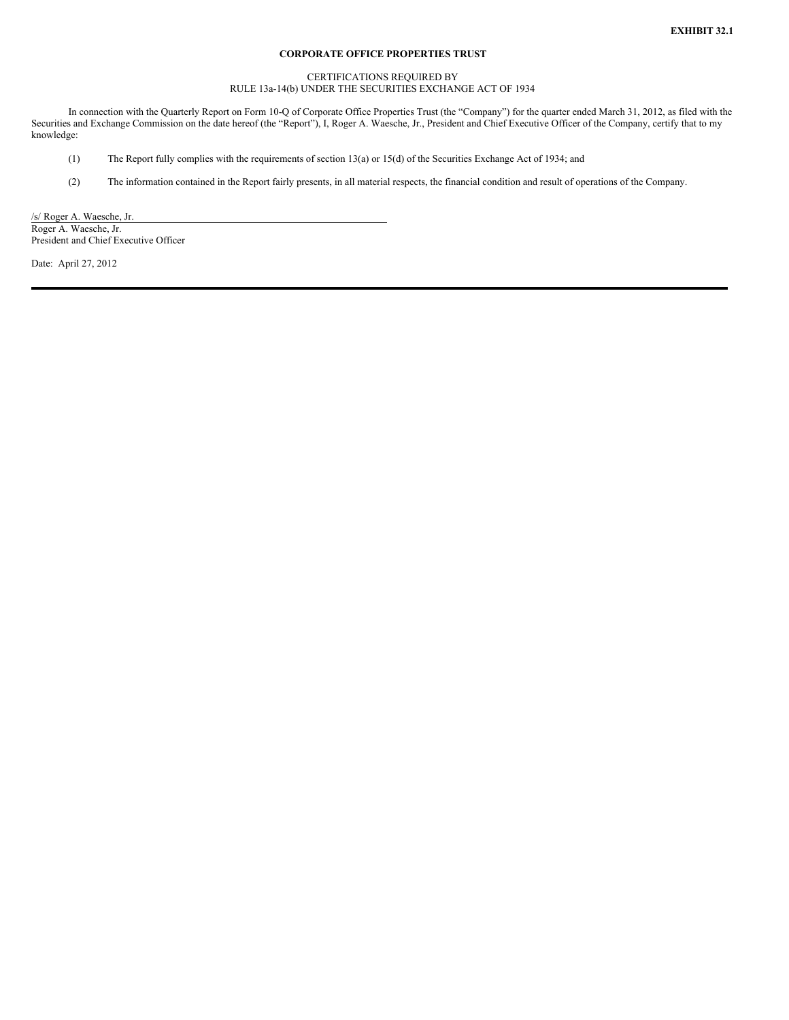## CERTIFICATIONS REQUIRED BY RULE 13a-14(b) UNDER THE SECURITIES EXCHANGE ACT OF 1934

In connection with the Quarterly Report on Form 10-Q of Corporate Office Properties Trust (the "Company") for the quarter ended March 31, 2012, as filed with the Securities and Exchange Commission on the date hereof (the "Report"), I, Roger A. Waesche, Jr., President and Chief Executive Officer of the Company, certify that to my knowledge:

- (1) The Report fully complies with the requirements of section 13(a) or 15(d) of the Securities Exchange Act of 1934; and
- (2) The information contained in the Report fairly presents, in all material respects, the financial condition and result of operations of the Company.

/s/ Roger A. Waesche, Jr. Roger A. Waesche, Jr. President and Chief Executive Officer

Date: April 27, 2012